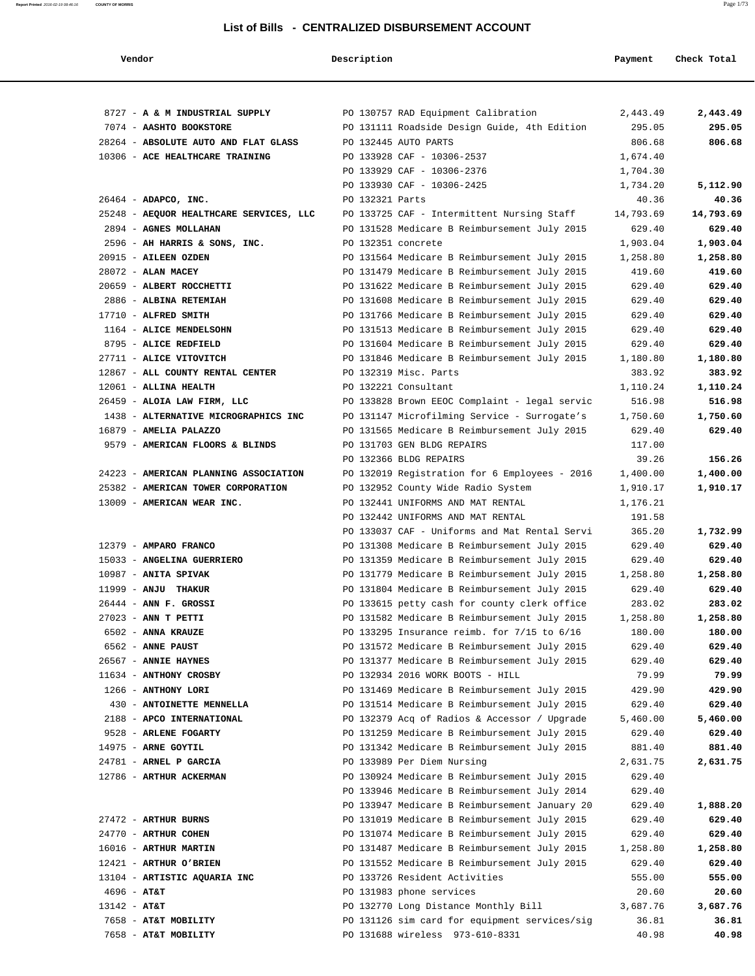| Vendor                                                    | Description                                                                                  | Payment          | Check Total |
|-----------------------------------------------------------|----------------------------------------------------------------------------------------------|------------------|-------------|
|                                                           |                                                                                              |                  |             |
| 8727 - A & M INDUSTRIAL SUPPLY                            | PO 130757 RAD Equipment Calibration                                                          | 2,443.49         | 2,443.49    |
| 7074 - AASHTO BOOKSTORE                                   | PO 131111 Roadside Design Guide, 4th Edition                                                 | 295.05           | 295.05      |
| 28264 - ABSOLUTE AUTO AND FLAT GLASS                      | PO 132445 AUTO PARTS                                                                         | 806.68           | 806.68      |
| 10306 - ACE HEALTHCARE TRAINING                           | PO 133928 CAF - 10306-2537                                                                   | 1,674.40         |             |
|                                                           | PO 133929 CAF - 10306-2376                                                                   | 1,704.30         |             |
|                                                           | PO 133930 CAF - 10306-2425                                                                   | 1,734.20         | 5,112.90    |
| 26464 - ADAPCO, INC.                                      | PO 132321 Parts                                                                              | 40.36            | 40.36       |
| 25248 - AEQUOR HEALTHCARE SERVICES, LLC                   | PO 133725 CAF - Intermittent Nursing Staff                                                   | 14,793.69        | 14,793.69   |
| 2894 - AGNES MOLLAHAN                                     | PO 131528 Medicare B Reimbursement July 2015                                                 | 629.40           | 629.40      |
| 2596 - AH HARRIS & SONS, INC.                             | PO 132351 concrete                                                                           | 1,903.04         | 1,903.04    |
| 20915 - AILEEN OZDEN                                      | PO 131564 Medicare B Reimbursement July 2015                                                 | 1,258.80         | 1,258.80    |
| 28072 - ALAN MACEY                                        | PO 131479 Medicare B Reimbursement July 2015                                                 | 419.60           | 419.60      |
| 20659 - ALBERT ROCCHETTI                                  | PO 131622 Medicare B Reimbursement July 2015                                                 | 629.40           | 629.40      |
| 2886 - ALBINA RETEMIAH                                    | PO 131608 Medicare B Reimbursement July 2015                                                 | 629.40           | 629.40      |
| 17710 - ALFRED SMITH                                      | PO 131766 Medicare B Reimbursement July 2015                                                 | 629.40           | 629.40      |
| 1164 - ALICE MENDELSOHN                                   | PO 131513 Medicare B Reimbursement July 2015                                                 | 629.40           | 629.40      |
| 8795 - ALICE REDFIELD                                     | PO 131604 Medicare B Reimbursement July 2015                                                 | 629.40           | 629.40      |
| 27711 - ALICE VITOVITCH                                   | PO 131846 Medicare B Reimbursement July 2015                                                 | 1,180.80         | 1,180.80    |
| 12867 - ALL COUNTY RENTAL CENTER                          | PO 132319 Misc. Parts                                                                        | 383.92           | 383.92      |
| 12061 - ALLINA HEALTH                                     | PO 132221 Consultant                                                                         | 1,110.24         | 1,110.24    |
| 26459 - ALOIA LAW FIRM, LLC                               | PO 133828 Brown EEOC Complaint - legal servic                                                | 516.98           | 516.98      |
| 1438 - ALTERNATIVE MICROGRAPHICS INC                      | PO 131147 Microfilming Service - Surrogate's                                                 | 1,750.60         | 1,750.60    |
| 16879 - AMELIA PALAZZO<br>9579 - AMERICAN FLOORS & BLINDS | PO 131565 Medicare B Reimbursement July 2015<br>PO 131703 GEN BLDG REPAIRS                   | 629.40<br>117.00 | 629.40      |
|                                                           | PO 132366 BLDG REPAIRS                                                                       | 39.26            | 156.26      |
| 24223 - AMERICAN PLANNING ASSOCIATION                     | PO 132019 Registration for 6 Employees - 2016                                                | 1,400.00         | 1,400.00    |
| 25382 - AMERICAN TOWER CORPORATION                        | PO 132952 County Wide Radio System                                                           | 1,910.17         | 1,910.17    |
| 13009 - AMERICAN WEAR INC.                                | PO 132441 UNIFORMS AND MAT RENTAL                                                            | 1,176.21         |             |
|                                                           | PO 132442 UNIFORMS AND MAT RENTAL                                                            | 191.58           |             |
|                                                           | PO 133037 CAF - Uniforms and Mat Rental Servi                                                | 365.20           | 1,732.99    |
| 12379 - AMPARO FRANCO                                     | PO 131308 Medicare B Reimbursement July 2015                                                 | 629.40           | 629.40      |
| 15033 - ANGELINA GUERRIERO                                | PO 131359 Medicare B Reimbursement July 2015                                                 | 629.40           | 629.40      |
| 10987 - ANITA SPIVAK                                      | PO 131779 Medicare B Reimbursement July 2015                                                 | 1,258.80         | 1,258.80    |
| $11999 - ANJU$ THAKUR                                     | PO 131804 Medicare B Reimbursement July 2015                                                 | 629.40           | 629.40      |
| 26444 - ANN F. GROSSI                                     | PO 133615 petty cash for county clerk office                                                 | 283.02           | 283.02      |
| $27023$ - ANN T PETTI                                     | PO 131582 Medicare B Reimbursement July 2015                                                 | 1,258.80         | 1,258.80    |
| 6502 - ANNA KRAUZE                                        | PO 133295 Insurance reimb. for $7/15$ to $6/16$                                              | 180.00           | 180.00      |
| 6562 - ANNE PAUST                                         | PO 131572 Medicare B Reimbursement July 2015                                                 | 629.40           | 629.40      |
| 26567 - ANNIE HAYNES                                      | PO 131377 Medicare B Reimbursement July 2015                                                 | 629.40           | 629.40      |
| 11634 - ANTHONY CROSBY                                    | PO 132934 2016 WORK BOOTS - HILL                                                             | 79.99            | 79.99       |
| 1266 - ANTHONY LORI                                       | PO 131469 Medicare B Reimbursement July 2015                                                 | 429.90           | 429.90      |
| 430 - ANTOINETTE MENNELLA                                 | PO 131514 Medicare B Reimbursement July 2015                                                 | 629.40           | 629.40      |
| 2188 - APCO INTERNATIONAL                                 | PO 132379 Acq of Radios & Accessor / Upgrade                                                 | 5,460.00         | 5,460.00    |
| 9528 - ARLENE FOGARTY                                     | PO 131259 Medicare B Reimbursement July 2015                                                 | 629.40           | 629.40      |
| 14975 - ARNE GOYTIL                                       | PO 131342 Medicare B Reimbursement July 2015                                                 | 881.40           | 881.40      |
| 24781 - ARNEL P GARCIA                                    | PO 133989 Per Diem Nursing                                                                   | 2,631.75         | 2,631.75    |
| 12786 - ARTHUR ACKERMAN                                   | PO 130924 Medicare B Reimbursement July 2015<br>PO 133946 Medicare B Reimbursement July 2014 | 629.40<br>629.40 |             |
|                                                           | PO 133947 Medicare B Reimbursement January 20                                                | 629.40           | 1,888.20    |
| 27472 - ARTHUR BURNS                                      | PO 131019 Medicare B Reimbursement July 2015                                                 | 629.40           | 629.40      |
| 24770 - ARTHUR COHEN                                      | PO 131074 Medicare B Reimbursement July 2015                                                 | 629.40           | 629.40      |
| 16016 - ARTHUR MARTIN                                     | PO 131487 Medicare B Reimbursement July 2015                                                 | 1,258.80         | 1,258.80    |
| 12421 - ARTHUR O'BRIEN                                    | PO 131552 Medicare B Reimbursement July 2015                                                 | 629.40           | 629.40      |
| 13104 - ARTISTIC AQUARIA INC                              | PO 133726 Resident Activities                                                                | 555.00           | 555.00      |
| $4696 - AT&T$                                             | PO 131983 phone services                                                                     | 20.60            | 20.60       |
| $13142 - AT&T$                                            | PO 132770 Long Distance Monthly Bill                                                         | 3,687.76         | 3,687.76    |
| 7658 - AT&T MOBILITY                                      | PO 131126 sim card for equipment services/sig                                                | 36.81            | 36.81       |
| 7658 - AT&T MOBILITY                                      | PO 131688 wireless 973-610-8331                                                              | 40.98            | 40.98       |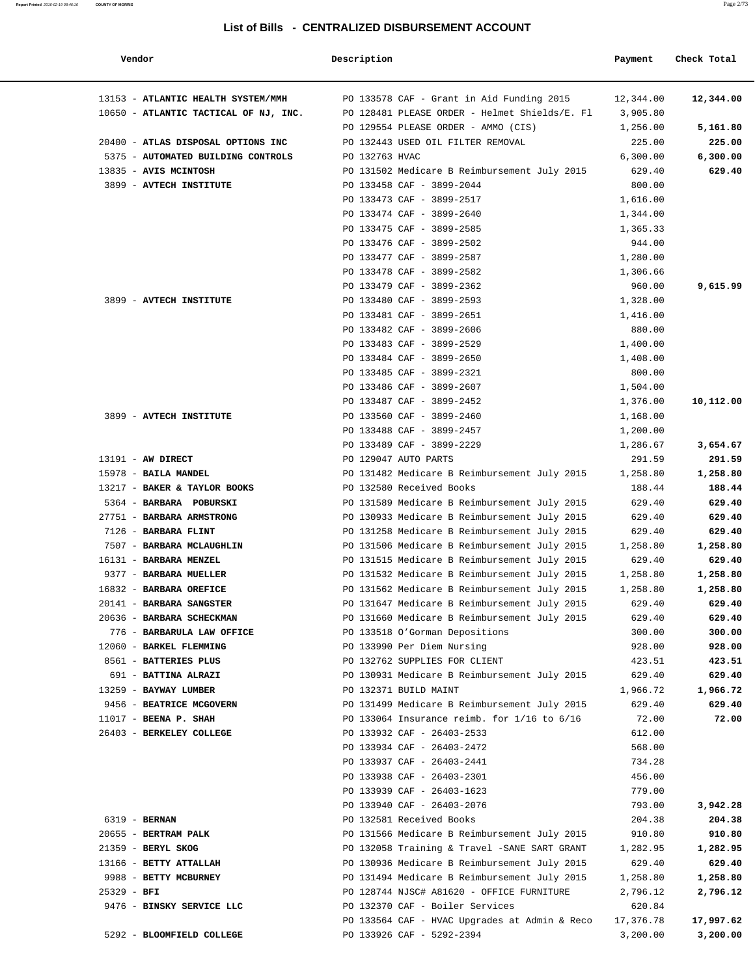| Vendor                                | Description    |                                                 | Payment   | Check Total |
|---------------------------------------|----------------|-------------------------------------------------|-----------|-------------|
|                                       |                |                                                 |           |             |
| 13153 - ATLANTIC HEALTH SYSTEM/MMH    |                | PO 133578 CAF - Grant in Aid Funding 2015       | 12,344.00 | 12,344.00   |
| 10650 - ATLANTIC TACTICAL OF NJ, INC. |                | PO 128481 PLEASE ORDER - Helmet Shields/E. Fl   | 3,905.80  |             |
|                                       |                | PO 129554 PLEASE ORDER - AMMO (CIS)             | 1,256.00  | 5,161.80    |
| 20400 - ATLAS DISPOSAL OPTIONS INC    |                | PO 132443 USED OIL FILTER REMOVAL               | 225.00    | 225.00      |
| 5375 - AUTOMATED BUILDING CONTROLS    | PO 132763 HVAC |                                                 | 6,300.00  | 6,300.00    |
| 13835 - AVIS MCINTOSH                 |                | PO 131502 Medicare B Reimbursement July 2015    | 629.40    | 629.40      |
| 3899 - AVTECH INSTITUTE               |                | PO 133458 CAF - 3899-2044                       | 800.00    |             |
|                                       |                | PO 133473 CAF - 3899-2517                       | 1,616.00  |             |
|                                       |                | PO 133474 CAF - 3899-2640                       | 1,344.00  |             |
|                                       |                | PO 133475 CAF - 3899-2585                       | 1,365.33  |             |
|                                       |                | PO 133476 CAF - 3899-2502                       | 944.00    |             |
|                                       |                | PO 133477 CAF - 3899-2587                       | 1,280.00  |             |
|                                       |                | PO 133478 CAF - 3899-2582                       | 1,306.66  |             |
|                                       |                | PO 133479 CAF - 3899-2362                       | 960.00    | 9,615.99    |
| 3899 - AVTECH INSTITUTE               |                | PO 133480 CAF - 3899-2593                       | 1,328.00  |             |
|                                       |                | PO 133481 CAF - 3899-2651                       | 1,416.00  |             |
|                                       |                | PO 133482 CAF - 3899-2606                       | 880.00    |             |
|                                       |                | PO 133483 CAF - 3899-2529                       | 1,400.00  |             |
|                                       |                | PO 133484 CAF - 3899-2650                       | 1,408.00  |             |
|                                       |                | PO 133485 CAF - 3899-2321                       | 800.00    |             |
|                                       |                | PO 133486 CAF - 3899-2607                       | 1,504.00  |             |
|                                       |                | PO 133487 CAF - 3899-2452                       | 1,376.00  | 10,112.00   |
| 3899 - AVTECH INSTITUTE               |                | PO 133560 CAF - 3899-2460                       | 1,168.00  |             |
|                                       |                | PO 133488 CAF - 3899-2457                       | 1,200.00  |             |
|                                       |                | PO 133489 CAF - 3899-2229                       | 1,286.67  | 3,654.67    |
| $13191$ - AW DIRECT                   |                | PO 129047 AUTO PARTS                            | 291.59    | 291.59      |
| 15978 - BAILA MANDEL                  |                | PO 131482 Medicare B Reimbursement July 2015    | 1,258.80  | 1,258.80    |
| 13217 - BAKER & TAYLOR BOOKS          |                | PO 132580 Received Books                        | 188.44    | 188.44      |
| 5364 - BARBARA POBURSKI               |                | PO 131589 Medicare B Reimbursement July 2015    | 629.40    | 629.40      |
| 27751 - BARBARA ARMSTRONG             |                | PO 130933 Medicare B Reimbursement July 2015    | 629.40    | 629.40      |
| 7126 - BARBARA FLINT                  |                | PO 131258 Medicare B Reimbursement July 2015    | 629.40    | 629.40      |
| 7507 - BARBARA MCLAUGHLIN             |                | PO 131506 Medicare B Reimbursement July 2015    | 1,258.80  | 1,258.80    |
| 16131 - BARBARA MENZEL                |                | PO 131515 Medicare B Reimbursement July 2015    | 629.40    | 629.40      |
| 9377 - BARBARA MUELLER                |                | PO 131532 Medicare B Reimbursement July 2015    | 1,258.80  | 1,258.80    |
| 16832 - BARBARA OREFICE               |                | PO 131562 Medicare B Reimbursement July 2015    | 1,258.80  | 1,258.80    |
| 20141 - BARBARA SANGSTER              |                | PO 131647 Medicare B Reimbursement July 2015    | 629.40    | 629.40      |
| 20636 - BARBARA SCHECKMAN             |                | PO 131660 Medicare B Reimbursement July 2015    | 629.40    | 629.40      |
| 776 - BARBARULA LAW OFFICE            |                | PO 133518 O'Gorman Depositions                  | 300.00    | 300.00      |
| 12060 - BARKEL FLEMMING               |                | PO 133990 Per Diem Nursing                      | 928.00    | 928.00      |
| 8561 - BATTERIES PLUS                 |                | PO 132762 SUPPLIES FOR CLIENT                   | 423.51    | 423.51      |
| 691 - BATTINA ALRAZI                  |                | PO 130931 Medicare B Reimbursement July 2015    | 629.40    | 629.40      |
| 13259 - BAYWAY LUMBER                 |                | PO 132371 BUILD MAINT                           | 1,966.72  | 1,966.72    |
| 9456 - BEATRICE MCGOVERN              |                | PO 131499 Medicare B Reimbursement July 2015    | 629.40    | 629.40      |
| $11017$ - BEENA P. SHAH               |                | PO 133064 Insurance reimb. for $1/16$ to $6/16$ | 72.00     | 72.00       |
| 26403 - BERKELEY COLLEGE              |                | PO 133932 CAF - 26403-2533                      | 612.00    |             |
|                                       |                | PO 133934 CAF - 26403-2472                      | 568.00    |             |
|                                       |                | PO 133937 CAF - 26403-2441                      | 734.28    |             |
|                                       |                | PO 133938 CAF - 26403-2301                      | 456.00    |             |
|                                       |                | PO 133939 CAF - 26403-1623                      | 779.00    |             |
|                                       |                | PO 133940 CAF - 26403-2076                      | 793.00    | 3,942.28    |
| 6319 - <b>BERNAN</b>                  |                | PO 132581 Received Books                        | 204.38    | 204.38      |
| 20655 - BERTRAM PALK                  |                | PO 131566 Medicare B Reimbursement July 2015    | 910.80    | 910.80      |
| $21359$ - BERYL SKOG                  |                | PO 132058 Training & Travel -SANE SART GRANT    | 1,282.95  | 1,282.95    |
| 13166 - BETTY ATTALLAH                |                | PO 130936 Medicare B Reimbursement July 2015    | 629.40    | 629.40      |
| 9988 - BETTY MCBURNEY                 |                | PO 131494 Medicare B Reimbursement July 2015    | 1,258.80  | 1,258.80    |
| $25329 - BFI$                         |                | PO 128744 NJSC# A81620 - OFFICE FURNITURE       | 2,796.12  | 2,796.12    |
| 9476 - BINSKY SERVICE LLC             |                | PO 132370 CAF - Boiler Services                 | 620.84    |             |
|                                       |                | PO 133564 CAF - HVAC Upgrades at Admin & Reco   | 17,376.78 | 17,997.62   |
| 5292 - BLOOMFIELD COLLEGE             |                | PO 133926 CAF - 5292-2394                       | 3,200.00  | 3,200.00    |
|                                       |                |                                                 |           |             |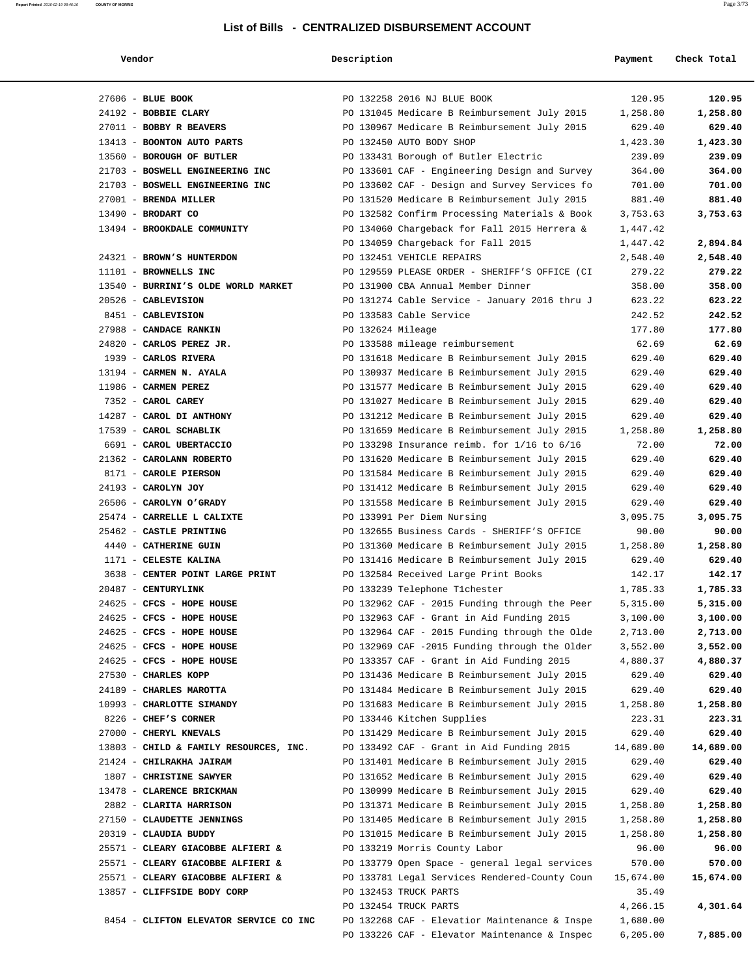| Vendoi |  |
|--------|--|
|--------|--|

| Vendor                                 | Description       |                                                 | Payment   | Check Total |
|----------------------------------------|-------------------|-------------------------------------------------|-----------|-------------|
|                                        |                   |                                                 |           |             |
| 27606 - BLUE BOOK                      |                   | PO 132258 2016 NJ BLUE BOOK                     | 120.95    | 120.95      |
| 24192 - BOBBIE CLARY                   |                   | PO 131045 Medicare B Reimbursement July 2015    | 1,258.80  | 1,258.80    |
| 27011 - BOBBY R BEAVERS                |                   | PO 130967 Medicare B Reimbursement July 2015    | 629.40    | 629.40      |
| 13413 - BOONTON AUTO PARTS             |                   | PO 132450 AUTO BODY SHOP                        | 1,423.30  | 1,423.30    |
| 13560 - BOROUGH OF BUTLER              |                   | PO 133431 Borough of Butler Electric            | 239.09    | 239.09      |
| 21703 - BOSWELL ENGINEERING INC        |                   | PO 133601 CAF - Engineering Design and Survey   | 364.00    | 364.00      |
| 21703 - BOSWELL ENGINEERING INC        |                   | PO 133602 CAF - Design and Survey Services fo   | 701.00    | 701.00      |
| 27001 - BRENDA MILLER                  |                   | PO 131520 Medicare B Reimbursement July 2015    | 881.40    | 881.40      |
| 13490 - BRODART CO                     |                   | PO 132582 Confirm Processing Materials & Book   | 3,753.63  | 3,753.63    |
| 13494 - BROOKDALE COMMUNITY            |                   | PO 134060 Chargeback for Fall 2015 Herrera &    | 1,447.42  |             |
|                                        |                   | PO 134059 Chargeback for Fall 2015              | 1,447.42  | 2,894.84    |
| 24321 - BROWN'S HUNTERDON              |                   | PO 132451 VEHICLE REPAIRS                       | 2,548.40  | 2,548.40    |
| 11101 - BROWNELLS INC                  |                   | PO 129559 PLEASE ORDER - SHERIFF'S OFFICE (CI   | 279.22    | 279.22      |
| 13540 - BURRINI'S OLDE WORLD MARKET    |                   | PO 131900 CBA Annual Member Dinner              | 358.00    | 358.00      |
| 20526 - CABLEVISION                    |                   | PO 131274 Cable Service - January 2016 thru J   | 623.22    | 623.22      |
| 8451 - CABLEVISION                     |                   | PO 133583 Cable Service                         | 242.52    | 242.52      |
| 27988 - CANDACE RANKIN                 | PO 132624 Mileage |                                                 | 177.80    | 177.80      |
| 24820 - CARLOS PEREZ JR.               |                   | PO 133588 mileage reimbursement                 | 62.69     | 62.69       |
| 1939 - CARLOS RIVERA                   |                   | PO 131618 Medicare B Reimbursement July 2015    | 629.40    | 629.40      |
| 13194 - CARMEN N. AYALA                |                   | PO 130937 Medicare B Reimbursement July 2015    | 629.40    | 629.40      |
| 11986 - CARMEN PEREZ                   |                   | PO 131577 Medicare B Reimbursement July 2015    | 629.40    | 629.40      |
| 7352 - CAROL CAREY                     |                   | PO 131027 Medicare B Reimbursement July 2015    | 629.40    | 629.40      |
| 14287 - CAROL DI ANTHONY               |                   | PO 131212 Medicare B Reimbursement July 2015    | 629.40    | 629.40      |
| 17539 - CAROL SCHABLIK                 |                   | PO 131659 Medicare B Reimbursement July 2015    | 1,258.80  | 1,258.80    |
| 6691 - CAROL UBERTACCIO                |                   | PO 133298 Insurance reimb. for $1/16$ to $6/16$ | 72.00     | 72.00       |
| 21362 - CAROLANN ROBERTO               |                   | PO 131620 Medicare B Reimbursement July 2015    | 629.40    | 629.40      |
| 8171 - CAROLE PIERSON                  |                   | PO 131584 Medicare B Reimbursement July 2015    | 629.40    | 629.40      |
| 24193 - CAROLYN JOY                    |                   | PO 131412 Medicare B Reimbursement July 2015    | 629.40    | 629.40      |
| 26506 - CAROLYN O'GRADY                |                   | PO 131558 Medicare B Reimbursement July 2015    | 629.40    | 629.40      |
| 25474 - CARRELLE L CALIXTE             |                   | PO 133991 Per Diem Nursing                      | 3,095.75  | 3,095.75    |
| 25462 - CASTLE PRINTING                |                   | PO 132655 Business Cards - SHERIFF'S OFFICE     | 90.00     | 90.00       |
| 4440 - CATHERINE GUIN                  |                   | PO 131360 Medicare B Reimbursement July 2015    | 1,258.80  | 1,258.80    |
| 1171 - CELESTE KALINA                  |                   | PO 131416 Medicare B Reimbursement July 2015    | 629.40    | 629.40      |
| 3638 - CENTER POINT LARGE PRINT        |                   | PO 132584 Received Large Print Books            | 142.17    | 142.17      |
| 20487 - CENTURYLINK                    |                   | PO 133239 Telephone T1chester                   | 1,785.33  | 1,785.33    |
| 24625 - CFCS - HOPE HOUSE              |                   | PO 132962 CAF - 2015 Funding through the Peer   | 5,315.00  | 5,315.00    |
| $24625$ - CFCS - HOPE HOUSE            |                   | PO 132963 CAF - Grant in Aid Funding 2015       | 3,100.00  | 3,100.00    |
| 24625 - CFCS - HOPE HOUSE              |                   | PO 132964 CAF - 2015 Funding through the Olde   | 2,713.00  | 2,713.00    |
| 24625 - CFCS - HOPE HOUSE              |                   | PO 132969 CAF -2015 Funding through the Older   | 3,552.00  | 3,552.00    |
| $24625$ - CFCS - HOPE HOUSE            |                   | PO 133357 CAF - Grant in Aid Funding 2015       | 4,880.37  | 4,880.37    |
| 27530 - CHARLES KOPP                   |                   | PO 131436 Medicare B Reimbursement July 2015    | 629.40    | 629.40      |
| 24189 - CHARLES MAROTTA                |                   | PO 131484 Medicare B Reimbursement July 2015    | 629.40    | 629.40      |
| 10993 - CHARLOTTE SIMANDY              |                   | PO 131683 Medicare B Reimbursement July 2015    | 1,258.80  | 1,258.80    |
| 8226 - CHEF'S CORNER                   |                   | PO 133446 Kitchen Supplies                      | 223.31    | 223.31      |
| 27000 - CHERYL KNEVALS                 |                   | PO 131429 Medicare B Reimbursement July 2015    | 629.40    | 629.40      |
| 13803 - CHILD & FAMILY RESOURCES, INC. |                   | PO 133492 CAF - Grant in Aid Funding 2015       | 14,689.00 | 14,689.00   |
| 21424 - CHILRAKHA JAIRAM               |                   | PO 131401 Medicare B Reimbursement July 2015    | 629.40    | 629.40      |
| 1807 - CHRISTINE SAWYER                |                   | PO 131652 Medicare B Reimbursement July 2015    | 629.40    | 629.40      |
| 13478 - CLARENCE BRICKMAN              |                   | PO 130999 Medicare B Reimbursement July 2015    | 629.40    | 629.40      |
| 2882 - CLARITA HARRISON                |                   | PO 131371 Medicare B Reimbursement July 2015    | 1,258.80  | 1,258.80    |
| 27150 - CLAUDETTE JENNINGS             |                   | PO 131405 Medicare B Reimbursement July 2015    | 1,258.80  | 1,258.80    |
| 20319 - CLAUDIA BUDDY                  |                   | PO 131015 Medicare B Reimbursement July 2015    | 1,258.80  | 1,258.80    |
| 25571 - CLEARY GIACOBBE ALFIERI &      |                   | PO 133219 Morris County Labor                   | 96.00     | 96.00       |
| 25571 - CLEARY GIACOBBE ALFIERI &      |                   | PO 133779 Open Space - general legal services   | 570.00    | 570.00      |
| 25571 - CLEARY GIACOBBE ALFIERI &      |                   | PO 133781 Legal Services Rendered-County Coun   | 15,674.00 | 15,674.00   |
| 13857 - CLIFFSIDE BODY CORP            |                   | PO 132453 TRUCK PARTS                           | 35.49     |             |
|                                        |                   | PO 132454 TRUCK PARTS                           | 4,266.15  | 4,301.64    |
| 8454 - CLIFTON ELEVATOR SERVICE CO INC |                   | PO 132268 CAF - Elevatior Maintenance & Inspe   | 1,680.00  |             |
|                                        |                   | PO 133226 CAF - Elevator Maintenance & Inspec   | 6, 205.00 | 7,885.00    |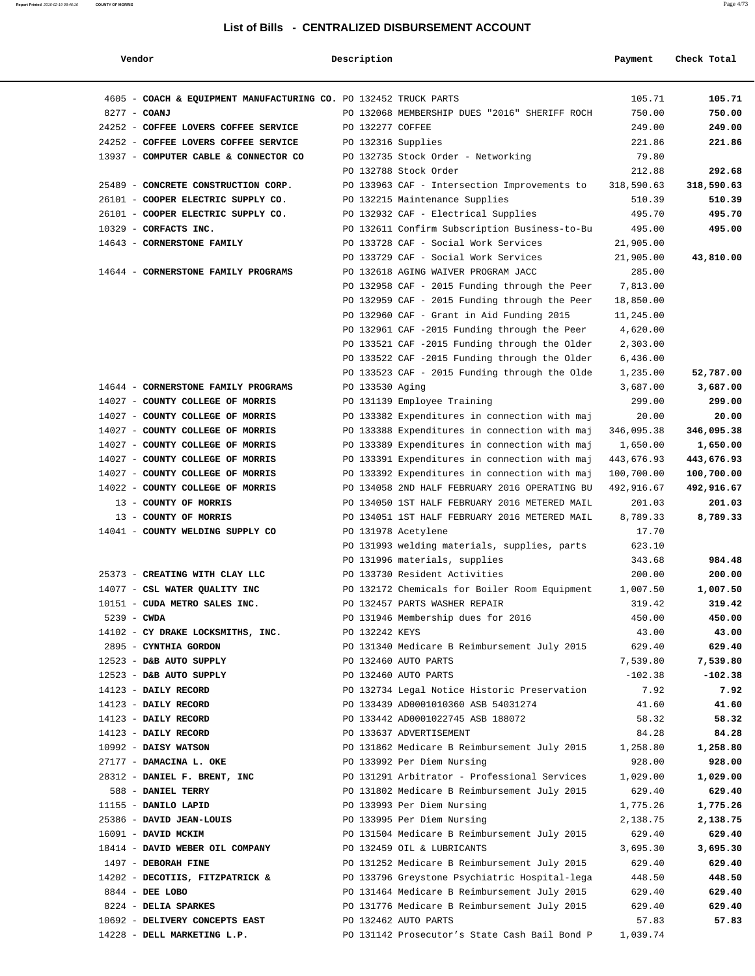| Vendor                                                               | Description        |                                                                                                | Payment              | Check Total          |
|----------------------------------------------------------------------|--------------------|------------------------------------------------------------------------------------------------|----------------------|----------------------|
|                                                                      |                    |                                                                                                |                      |                      |
| 4605 - COACH & EQUIPMENT MANUFACTURING CO. PO 132452 TRUCK PARTS     |                    |                                                                                                | 105.71               | 105.71               |
| 8277 - COANJ                                                         |                    | PO 132068 MEMBERSHIP DUES "2016" SHERIFF ROCH                                                  | 750.00               | 750.00               |
| 24252 - COFFEE LOVERS COFFEE SERVICE                                 | PO 132277 COFFEE   |                                                                                                | 249.00               | 249.00               |
| 24252 - COFFEE LOVERS COFFEE SERVICE                                 | PO 132316 Supplies |                                                                                                | 221.86               | 221.86               |
| 13937 - COMPUTER CABLE & CONNECTOR CO                                |                    | PO 132735 Stock Order - Networking                                                             | 79.80                |                      |
|                                                                      |                    | PO 132788 Stock Order                                                                          | 212.88               | 292.68               |
| 25489 - CONCRETE CONSTRUCTION CORP.                                  |                    | PO 133963 CAF - Intersection Improvements to                                                   | 318,590.63           | 318,590.63           |
| 26101 - COOPER ELECTRIC SUPPLY CO.                                   |                    | PO 132215 Maintenance Supplies                                                                 | 510.39               | 510.39               |
| 26101 - COOPER ELECTRIC SUPPLY CO.                                   |                    | PO 132932 CAF - Electrical Supplies                                                            | 495.70               | 495.70               |
| 10329 - CORFACTS INC.                                                |                    | PO 132611 Confirm Subscription Business-to-Bu                                                  | 495.00               | 495.00               |
| 14643 - CORNERSTONE FAMILY                                           |                    | PO 133728 CAF - Social Work Services                                                           | 21,905.00            |                      |
|                                                                      |                    | PO 133729 CAF - Social Work Services                                                           | 21,905.00            | 43,810.00            |
| 14644 - CORNERSTONE FAMILY PROGRAMS                                  |                    | PO 132618 AGING WAIVER PROGRAM JACC                                                            | 285.00               |                      |
|                                                                      |                    | PO 132958 CAF - 2015 Funding through the Peer                                                  | 7,813.00             |                      |
|                                                                      |                    | PO 132959 CAF - 2015 Funding through the Peer                                                  | 18,850.00            |                      |
|                                                                      |                    | PO 132960 CAF - Grant in Aid Funding 2015                                                      | 11,245.00            |                      |
|                                                                      |                    | PO 132961 CAF -2015 Funding through the Peer                                                   | 4,620.00             |                      |
|                                                                      |                    | PO 133521 CAF -2015 Funding through the Older                                                  | 2,303.00             |                      |
|                                                                      |                    | PO 133522 CAF -2015 Funding through the Older                                                  | 6,436.00             |                      |
|                                                                      |                    | PO 133523 CAF - 2015 Funding through the Olde                                                  | 1,235.00             | 52,787.00            |
| 14644 - CORNERSTONE FAMILY PROGRAMS                                  | PO 133530 Aging    |                                                                                                | 3,687.00             | 3,687.00             |
| 14027 - COUNTY COLLEGE OF MORRIS                                     |                    | PO 131139 Employee Training                                                                    | 299.00               | 299.00               |
| 14027 - COUNTY COLLEGE OF MORRIS                                     |                    | PO 133382 Expenditures in connection with maj                                                  | 20.00                | 20.00                |
| 14027 - COUNTY COLLEGE OF MORRIS                                     |                    | PO 133388 Expenditures in connection with maj                                                  | 346,095.38           | 346,095.38           |
| 14027 - COUNTY COLLEGE OF MORRIS                                     |                    | PO 133389 Expenditures in connection with maj                                                  | 1,650.00             | 1,650.00             |
| 14027 - COUNTY COLLEGE OF MORRIS                                     |                    | PO 133391 Expenditures in connection with maj                                                  | 443,676.93           | 443,676.93           |
| 14027 - COUNTY COLLEGE OF MORRIS<br>14022 - COUNTY COLLEGE OF MORRIS |                    | PO 133392 Expenditures in connection with maj<br>PO 134058 2ND HALF FEBRUARY 2016 OPERATING BU | 100,700.00           | 100,700.00           |
| 13 - COUNTY OF MORRIS                                                |                    | PO 134050 1ST HALF FEBRUARY 2016 METERED MAIL                                                  | 492,916.67<br>201.03 | 492,916.67<br>201.03 |
| 13 - COUNTY OF MORRIS                                                |                    | PO 134051 1ST HALF FEBRUARY 2016 METERED MAIL                                                  | 8,789.33             | 8,789.33             |
| 14041 - COUNTY WELDING SUPPLY CO                                     |                    | PO 131978 Acetylene                                                                            | 17.70                |                      |
|                                                                      |                    | PO 131993 welding materials, supplies, parts                                                   | 623.10               |                      |
|                                                                      |                    | PO 131996 materials, supplies                                                                  | 343.68               | 984.48               |
| 25373 - CREATING WITH CLAY LLC                                       |                    | PO 133730 Resident Activities                                                                  | 200.00               | 200.00               |
| 14077 - CSL WATER QUALITY INC                                        |                    | PO 132172 Chemicals for Boiler Room Equipment                                                  | 1,007.50             | 1,007.50             |
| 10151 - CUDA METRO SALES INC.                                        |                    | PO 132457 PARTS WASHER REPAIR                                                                  | 319.42               | 319.42               |
| 5239 - CWDA                                                          |                    | PO 131946 Membership dues for 2016                                                             | 450.00               | 450.00               |
| 14102 - CY DRAKE LOCKSMITHS, INC.                                    | PO 132242 KEYS     |                                                                                                | 43.00                | 43.00                |
| 2895 - CYNTHIA GORDON                                                |                    | PO 131340 Medicare B Reimbursement July 2015                                                   | 629.40               | 629.40               |
| 12523 - D&B AUTO SUPPLY                                              |                    | PO 132460 AUTO PARTS                                                                           | 7,539.80             | 7,539.80             |
| 12523 - D&B AUTO SUPPLY                                              |                    | PO 132460 AUTO PARTS                                                                           | $-102.38$            | $-102.38$            |
| 14123 - DAILY RECORD                                                 |                    | PO 132734 Legal Notice Historic Preservation                                                   | 7.92                 | 7.92                 |
| 14123 - DAILY RECORD                                                 |                    | PO 133439 AD0001010360 ASB 54031274                                                            | 41.60                | 41.60                |
| 14123 - DAILY RECORD                                                 |                    | PO 133442 AD0001022745 ASB 188072                                                              | 58.32                | 58.32                |
| 14123 - DAILY RECORD                                                 |                    | PO 133637 ADVERTISEMENT                                                                        | 84.28                | 84.28                |
| 10992 - DAISY WATSON                                                 |                    | PO 131862 Medicare B Reimbursement July 2015                                                   | 1,258.80             | 1,258.80             |
| 27177 - DAMACINA L. OKE                                              |                    | PO 133992 Per Diem Nursing                                                                     | 928.00               | 928.00               |
| 28312 - DANIEL F. BRENT, INC                                         |                    | PO 131291 Arbitrator - Professional Services                                                   | 1,029.00             | 1,029.00             |
| 588 - DANIEL TERRY                                                   |                    | PO 131802 Medicare B Reimbursement July 2015                                                   | 629.40               | 629.40               |
| 11155 - DANILO LAPID                                                 |                    | PO 133993 Per Diem Nursing                                                                     | 1,775.26             | 1,775.26             |
| 25386 - DAVID JEAN-LOUIS                                             |                    | PO 133995 Per Diem Nursing                                                                     | 2,138.75             | 2,138.75             |
| 16091 - DAVID MCKIM                                                  |                    | PO 131504 Medicare B Reimbursement July 2015                                                   | 629.40               | 629.40               |
| 18414 - DAVID WEBER OIL COMPANY                                      |                    | PO 132459 OIL & LUBRICANTS                                                                     | 3,695.30             | 3,695.30             |
| 1497 - DEBORAH FINE                                                  |                    | PO 131252 Medicare B Reimbursement July 2015                                                   | 629.40               | 629.40               |
| 14202 - DECOTIIS, FITZPATRICK &                                      |                    | PO 133796 Greystone Psychiatric Hospital-lega                                                  | 448.50               | 448.50               |
| 8844 - DEE LOBO                                                      |                    | PO 131464 Medicare B Reimbursement July 2015                                                   | 629.40               | 629.40               |
| 8224 - DELIA SPARKES                                                 |                    | PO 131776 Medicare B Reimbursement July 2015                                                   | 629.40               | 629.40               |
| 10692 - DELIVERY CONCEPTS EAST                                       |                    | PO 132462 AUTO PARTS                                                                           | 57.83                | 57.83                |
| 14228 - DELL MARKETING L.P.                                          |                    | PO 131142 Prosecutor's State Cash Bail Bond P                                                  | 1,039.74             |                      |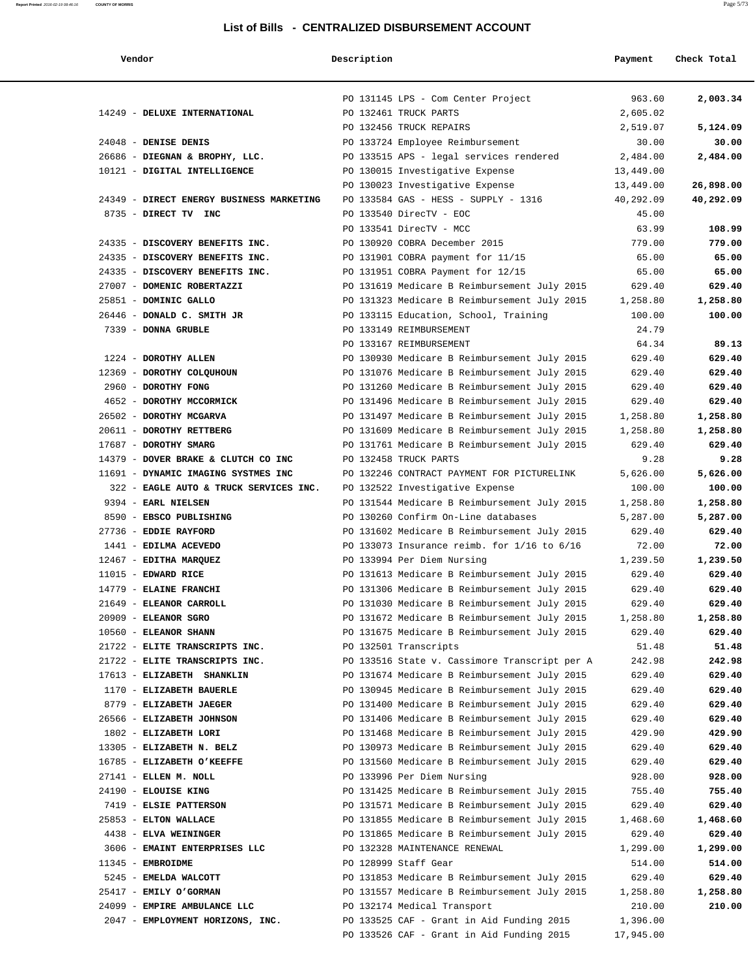| Vendor | Description | Payment | Check Total |
|--------|-------------|---------|-------------|
|        |             |         |             |

|                                                        | PO 131145 LPS - Com Center Project                                                           | 963.60             | 2,003.34           |
|--------------------------------------------------------|----------------------------------------------------------------------------------------------|--------------------|--------------------|
| 14249 - DELUXE INTERNATIONAL                           | PO 132461 TRUCK PARTS                                                                        | 2,605.02           |                    |
|                                                        | PO 132456 TRUCK REPAIRS                                                                      | 2,519.07           | 5,124.09           |
| 24048 - DENISE DENIS                                   | PO 133724 Employee Reimbursement                                                             | 30.00              | 30.00              |
| 26686 - DIEGNAN & BROPHY, LLC.                         | PO 133515 APS - legal services rendered                                                      | 2,484.00           | 2,484.00           |
| 10121 - DIGITAL INTELLIGENCE                           | PO 130015 Investigative Expense                                                              | 13,449.00          |                    |
|                                                        | PO 130023 Investigative Expense                                                              | 13,449.00          | 26,898.00          |
| 24349 - DIRECT ENERGY BUSINESS MARKETING               | PO 133584 GAS - HESS - SUPPLY - 1316                                                         | 40,292.09          | 40,292.09          |
| 8735 - DIRECT TV INC                                   | PO 133540 DirecTV - EOC                                                                      | 45.00              |                    |
|                                                        | PO 133541 DirecTV - MCC                                                                      | 63.99              | 108.99             |
| 24335 - DISCOVERY BENEFITS INC.                        | PO 130920 COBRA December 2015                                                                | 779.00             | 779.00             |
| 24335 - DISCOVERY BENEFITS INC.                        | PO 131901 COBRA payment for 11/15                                                            | 65.00              | 65.00              |
| 24335 - DISCOVERY BENEFITS INC.                        | PO 131951 COBRA Payment for 12/15                                                            | 65.00              | 65.00              |
| 27007 - DOMENIC ROBERTAZZI<br>25851 - DOMINIC GALLO    | PO 131619 Medicare B Reimbursement July 2015                                                 | 629.40<br>1,258.80 | 629.40<br>1,258.80 |
| 26446 - DONALD C. SMITH JR                             | PO 131323 Medicare B Reimbursement July 2015<br>PO 133115 Education, School, Training        | 100.00             | 100.00             |
| 7339 - DONNA GRUBLE                                    | PO 133149 REIMBURSEMENT                                                                      | 24.79              |                    |
|                                                        | PO 133167 REIMBURSEMENT                                                                      | 64.34              | 89.13              |
| 1224 - DOROTHY ALLEN                                   | PO 130930 Medicare B Reimbursement July 2015                                                 | 629.40             | 629.40             |
| 12369 - DOROTHY COLQUHOUN                              | PO 131076 Medicare B Reimbursement July 2015                                                 | 629.40             | 629.40             |
| 2960 - DOROTHY FONG                                    | PO 131260 Medicare B Reimbursement July 2015                                                 | 629.40             | 629.40             |
| 4652 - DOROTHY MCCORMICK                               | PO 131496 Medicare B Reimbursement July 2015                                                 | 629.40             | 629.40             |
| 26502 - DOROTHY MCGARVA                                | PO 131497 Medicare B Reimbursement July 2015                                                 | 1,258.80           | 1,258.80           |
| 20611 - DOROTHY RETTBERG                               | PO 131609 Medicare B Reimbursement July 2015                                                 | 1,258.80           | 1,258.80           |
| 17687 - DOROTHY SMARG                                  | PO 131761 Medicare B Reimbursement July 2015                                                 | 629.40             | 629.40             |
| 14379 - DOVER BRAKE & CLUTCH CO INC                    | PO 132458 TRUCK PARTS                                                                        | 9.28               | 9.28               |
| 11691 - DYNAMIC IMAGING SYSTMES INC                    | PO 132246 CONTRACT PAYMENT FOR PICTURELINK                                                   | 5,626.00           | 5,626.00           |
| 322 - EAGLE AUTO & TRUCK SERVICES INC.                 | PO 132522 Investigative Expense                                                              | 100.00             | 100.00             |
| 9394 - EARL NIELSEN                                    | PO 131544 Medicare B Reimbursement July 2015                                                 | 1,258.80           | 1,258.80           |
| 8590 - EBSCO PUBLISHING                                | PO 130260 Confirm On-Line databases                                                          | 5,287.00           | 5,287.00           |
| 27736 - EDDIE RAYFORD                                  | PO 131602 Medicare B Reimbursement July 2015                                                 | 629.40             | 629.40             |
| 1441 - EDILMA ACEVEDO                                  | PO 133073 Insurance reimb. for $1/16$ to $6/16$                                              | 72.00              | 72.00              |
| 12467 - EDITHA MARQUEZ                                 | PO 133994 Per Diem Nursing                                                                   | 1,239.50           | 1,239.50           |
| $11015$ - EDWARD RICE                                  | PO 131613 Medicare B Reimbursement July 2015                                                 | 629.40             | 629.40             |
| 14779 - ELAINE FRANCHI                                 | PO 131306 Medicare B Reimbursement July 2015                                                 | 629.40             | 629.40             |
| 21649 - ELEANOR CARROLL                                | PO 131030 Medicare B Reimbursement July 2015                                                 | 629.40             | 629.40             |
| $20909$ - ELEANOR SGRO                                 | PO 131672 Medicare B Reimbursement July 2015                                                 | 1,258.80           | 1,258.80           |
| 10560 - ELEANOR SHANN                                  | PO 131675 Medicare B Reimbursement July 2015                                                 | 629.40             | 629.40             |
| 21722 - ELITE TRANSCRIPTS INC.                         | PO 132501 Transcripts                                                                        | 51.48              | 51.48              |
| 21722 - ELITE TRANSCRIPTS INC.                         | PO 133516 State v. Cassimore Transcript per A                                                | 242.98             | 242.98             |
| 17613 - ELIZABETH SHANKLIN<br>1170 - ELIZABETH BAUERLE | PO 131674 Medicare B Reimbursement July 2015<br>PO 130945 Medicare B Reimbursement July 2015 | 629.40<br>629.40   | 629.40<br>629.40   |
| 8779 - ELIZABETH JAEGER                                | PO 131400 Medicare B Reimbursement July 2015                                                 | 629.40             | 629.40             |
| 26566 - ELIZABETH JOHNSON                              | PO 131406 Medicare B Reimbursement July 2015                                                 | 629.40             | 629.40             |
| 1802 - ELIZABETH LORI                                  | PO 131468 Medicare B Reimbursement July 2015                                                 | 429.90             | 429.90             |
| 13305 - ELIZABETH N. BELZ                              | PO 130973 Medicare B Reimbursement July 2015                                                 | 629.40             | 629.40             |
| 16785 - ELIZABETH O'KEEFFE                             | PO 131560 Medicare B Reimbursement July 2015                                                 | 629.40             | 629.40             |
| 27141 - ELLEN M. NOLL                                  | PO 133996 Per Diem Nursing                                                                   | 928.00             | 928.00             |
| 24190 - ELOUISE KING                                   | PO 131425 Medicare B Reimbursement July 2015                                                 | 755.40             | 755.40             |
| 7419 - ELSIE PATTERSON                                 | PO 131571 Medicare B Reimbursement July 2015                                                 | 629.40             | 629.40             |
| 25853 - ELTON WALLACE                                  | PO 131855 Medicare B Reimbursement July 2015                                                 | 1,468.60           | 1,468.60           |
| 4438 - ELVA WEININGER                                  | PO 131865 Medicare B Reimbursement July 2015                                                 | 629.40             | 629.40             |
| 3606 - EMAINT ENTERPRISES LLC                          | PO 132328 MAINTENANCE RENEWAL                                                                | 1,299.00           | 1,299.00           |
| 11345 - EMBROIDME                                      | PO 128999 Staff Gear                                                                         | 514.00             | 514.00             |
| 5245 - EMELDA WALCOTT                                  | PO 131853 Medicare B Reimbursement July 2015                                                 | 629.40             | 629.40             |
| 25417 - EMILY O'GORMAN                                 | PO 131557 Medicare B Reimbursement July 2015                                                 | 1,258.80           | 1,258.80           |
| 24099 - EMPIRE AMBULANCE LLC                           | PO 132174 Medical Transport                                                                  | 210.00             | 210.00             |
| 2047 - EMPLOYMENT HORIZONS, INC.                       | PO 133525 CAF - Grant in Aid Funding 2015                                                    | 1,396.00           |                    |
|                                                        | PO 133526 CAF - Grant in Aid Funding 2015                                                    | 17,945.00          |                    |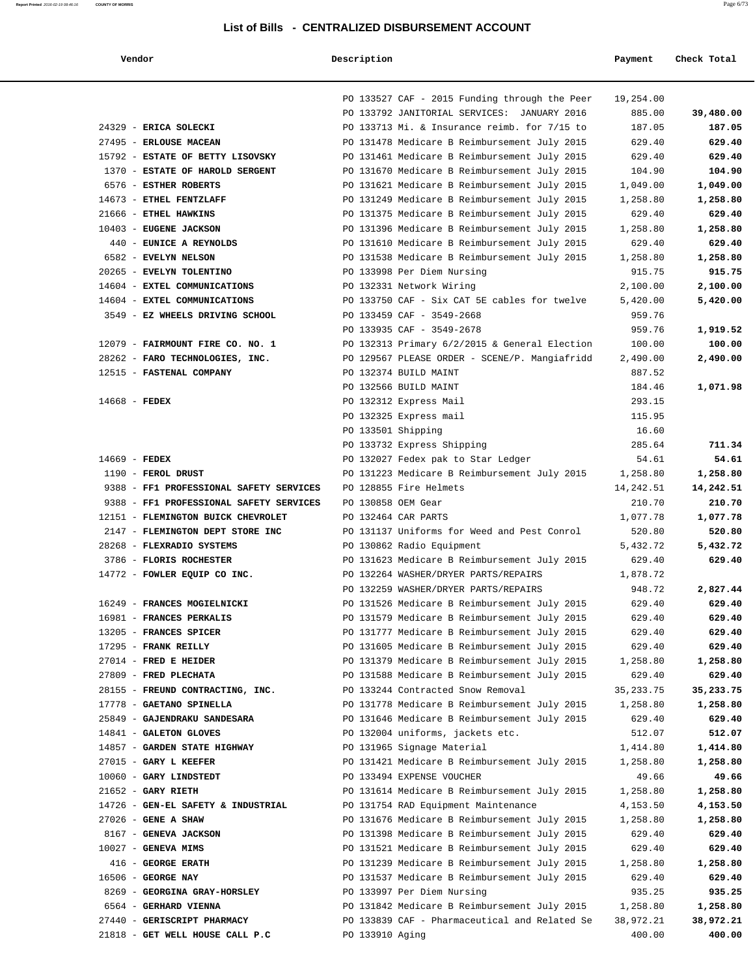| Vendo: |  |
|--------|--|
|        |  |

| Report Printed 2016-02-19 08:46:16 | <b>COUNTY OF MORRIS</b> |  |  | Page 6/73 |
|------------------------------------|-------------------------|--|--|-----------|
|                                    |                         |  |  |           |
|                                    |                         |  |  |           |

| Vendor                                         | Description        |                                                                                              | Payment          | Check Total      |
|------------------------------------------------|--------------------|----------------------------------------------------------------------------------------------|------------------|------------------|
|                                                |                    | PO 133527 CAF - 2015 Funding through the Peer                                                | 19,254.00        |                  |
|                                                |                    | PO 133792 JANITORIAL SERVICES: JANUARY 2016                                                  | 885.00           | 39,480.00        |
| 24329 - ERICA SOLECKI                          |                    | PO 133713 Mi. & Insurance reimb. for 7/15 to                                                 | 187.05           | 187.05           |
| 27495 - ERLOUSE MACEAN                         |                    | PO 131478 Medicare B Reimbursement July 2015                                                 | 629.40           | 629.40           |
| 15792 - ESTATE OF BETTY LISOVSKY               |                    | PO 131461 Medicare B Reimbursement July 2015                                                 | 629.40           | 629.40           |
| 1370 - ESTATE OF HAROLD SERGENT                |                    | PO 131670 Medicare B Reimbursement July 2015                                                 | 104.90           | 104.90           |
| 6576 - ESTHER ROBERTS                          |                    | PO 131621 Medicare B Reimbursement July 2015                                                 | 1,049.00         | 1,049.00         |
| 14673 - ETHEL FENTZLAFF                        |                    | PO 131249 Medicare B Reimbursement July 2015                                                 | 1,258.80         | 1,258.80         |
| 21666 - ETHEL HAWKINS                          |                    | PO 131375 Medicare B Reimbursement July 2015                                                 | 629.40           | 629.40           |
| 10403 - EUGENE JACKSON                         |                    | PO 131396 Medicare B Reimbursement July 2015                                                 | 1,258.80         | 1,258.80         |
| 440 - EUNICE A REYNOLDS                        |                    | PO 131610 Medicare B Reimbursement July 2015                                                 | 629.40           | 629.40           |
| 6582 - EVELYN NELSON                           |                    | PO 131538 Medicare B Reimbursement July 2015                                                 | 1,258.80         | 1,258.80         |
| 20265 - EVELYN TOLENTINO                       |                    | PO 133998 Per Diem Nursing                                                                   | 915.75           | 915.75           |
| 14604 - EXTEL COMMUNICATIONS                   |                    | PO 132331 Network Wiring                                                                     | 2,100.00         | 2,100.00         |
| 14604 - EXTEL COMMUNICATIONS                   |                    | PO 133750 CAF - Six CAT 5E cables for twelve                                                 | 5,420.00         | 5,420.00         |
| 3549 - EZ WHEELS DRIVING SCHOOL                |                    | PO 133459 CAF - 3549-2668                                                                    | 959.76           |                  |
|                                                |                    | PO 133935 CAF - 3549-2678                                                                    | 959.76           | 1,919.52         |
| 12079 - FAIRMOUNT FIRE CO. NO. 1               |                    | PO 132313 Primary 6/2/2015 & General Election                                                | 100.00           | 100.00           |
| 28262 - FARO TECHNOLOGIES, INC.                |                    | PO 129567 PLEASE ORDER - SCENE/P. Mangiafridd                                                | 2,490.00         | 2,490.00         |
| 12515 - FASTENAL COMPANY                       |                    | PO 132374 BUILD MAINT                                                                        | 887.52           |                  |
|                                                |                    | PO 132566 BUILD MAINT                                                                        | 184.46           | 1,071.98         |
| $14668$ - FEDEX                                |                    | PO 132312 Express Mail                                                                       | 293.15           |                  |
|                                                |                    | PO 132325 Express mail                                                                       | 115.95           |                  |
|                                                | PO 133501 Shipping |                                                                                              | 16.60            |                  |
|                                                |                    | PO 133732 Express Shipping                                                                   | 285.64           | 711.34           |
| $14669$ - FEDEX                                |                    | PO 132027 Fedex pak to Star Ledger                                                           | 54.61            | 54.61            |
| 1190 - FEROL DRUST                             |                    | PO 131223 Medicare B Reimbursement July 2015                                                 | 1,258.80         | 1,258.80         |
| 9388 - FF1 PROFESSIONAL SAFETY SERVICES        |                    | PO 128855 Fire Helmets                                                                       | 14,242.51        | 14,242.51        |
| 9388 - FF1 PROFESSIONAL SAFETY SERVICES        | PO 130858 OEM Gear |                                                                                              | 210.70           | 210.70           |
| 12151 - FLEMINGTON BUICK CHEVROLET             |                    | PO 132464 CAR PARTS                                                                          | 1,077.78         | 1,077.78         |
| 2147 - FLEMINGTON DEPT STORE INC               |                    | PO 131137 Uniforms for Weed and Pest Conrol                                                  | 520.80           | 520.80           |
| 28268 - FLEXRADIO SYSTEMS                      |                    | PO 130862 Radio Equipment                                                                    | 5,432.72         | 5,432.72         |
| 3786 - FLORIS ROCHESTER                        |                    | PO 131623 Medicare B Reimbursement July 2015                                                 | 629.40           | 629.40           |
| 14772 - FOWLER EQUIP CO INC.                   |                    | PO 132264 WASHER/DRYER PARTS/REPAIRS                                                         | 1,878.72         |                  |
|                                                |                    | PO 132259 WASHER/DRYER PARTS/REPAIRS                                                         | 948.72           | 2,827.44         |
| 16249 - FRANCES MOGIELNICKI                    |                    | PO 131526 Medicare B Reimbursement July 2015                                                 | 629.40           | 629.40           |
| 16981 - FRANCES PERKALIS                       |                    | PO 131579 Medicare B Reimbursement July 2015                                                 | 629.40           | 629.40           |
| 13205 - FRANCES SPICER<br>17295 - FRANK REILLY |                    | PO 131777 Medicare B Reimbursement July 2015<br>PO 131605 Medicare B Reimbursement July 2015 | 629.40<br>629.40 | 629.40<br>629.40 |
| 27014 - FRED E HEIDER                          |                    | PO 131379 Medicare B Reimbursement July 2015                                                 | 1,258.80         | 1,258.80         |
| 27809 - FRED PLECHATA                          |                    | PO 131588 Medicare B Reimbursement July 2015                                                 | 629.40           | 629.40           |
| 28155 - FREUND CONTRACTING, INC.               |                    | PO 133244 Contracted Snow Removal                                                            | 35, 233. 75      | 35,233.75        |
| 17778 - GAETANO SPINELLA                       |                    | PO 131778 Medicare B Reimbursement July 2015                                                 | 1,258.80         | 1,258.80         |
| 25849 - GAJENDRAKU SANDESARA                   |                    | PO 131646 Medicare B Reimbursement July 2015                                                 | 629.40           | 629.40           |
| 14841 - GALETON GLOVES                         |                    | PO 132004 uniforms, jackets etc.                                                             | 512.07           | 512.07           |
| 14857 - GARDEN STATE HIGHWAY                   |                    | PO 131965 Signage Material                                                                   | 1,414.80         | 1,414.80         |
| 27015 - GARY L KEEFER                          |                    | PO 131421 Medicare B Reimbursement July 2015                                                 | 1,258.80         | 1,258.80         |
| 10060 - GARY LINDSTEDT                         |                    | PO 133494 EXPENSE VOUCHER                                                                    | 49.66            | 49.66            |
| $21652$ - GARY RIETH                           |                    | PO 131614 Medicare B Reimbursement July 2015                                                 | 1,258.80         | 1,258.80         |
| 14726 - GEN-EL SAFETY & INDUSTRIAL             |                    | PO 131754 RAD Equipment Maintenance                                                          | 4,153.50         | 4,153.50         |
| $27026$ - GENE A SHAW                          |                    | PO 131676 Medicare B Reimbursement July 2015                                                 | 1,258.80         | 1,258.80         |
| 8167 - GENEVA JACKSON                          |                    | PO 131398 Medicare B Reimbursement July 2015                                                 | 629.40           | 629.40           |
| $10027$ - GENEVA MIMS                          |                    | PO 131521 Medicare B Reimbursement July 2015                                                 | 629.40           | 629.40           |
| 416 - GEORGE ERATH                             |                    | PO 131239 Medicare B Reimbursement July 2015                                                 | 1,258.80         | 1,258.80         |
| 16506 - GEORGE NAY                             |                    | PO 131537 Medicare B Reimbursement July 2015                                                 | 629.40           | 629.40           |
| 8269 - GEORGINA GRAY-HORSLEY                   |                    | PO 133997 Per Diem Nursing                                                                   | 935.25           | 935.25           |
| 6564 - GERHARD VIENNA                          |                    | PO 131842 Medicare B Reimbursement July 2015                                                 | 1,258.80         | 1,258.80         |
| 27440 - GERISCRIPT PHARMACY                    |                    | PO 133839 CAF - Pharmaceutical and Related Se                                                | 38,972.21        | 38,972.21        |
| 21818 - GET WELL HOUSE CALL P.C                | PO 133910 Aging    |                                                                                              | 400.00           | 400.00           |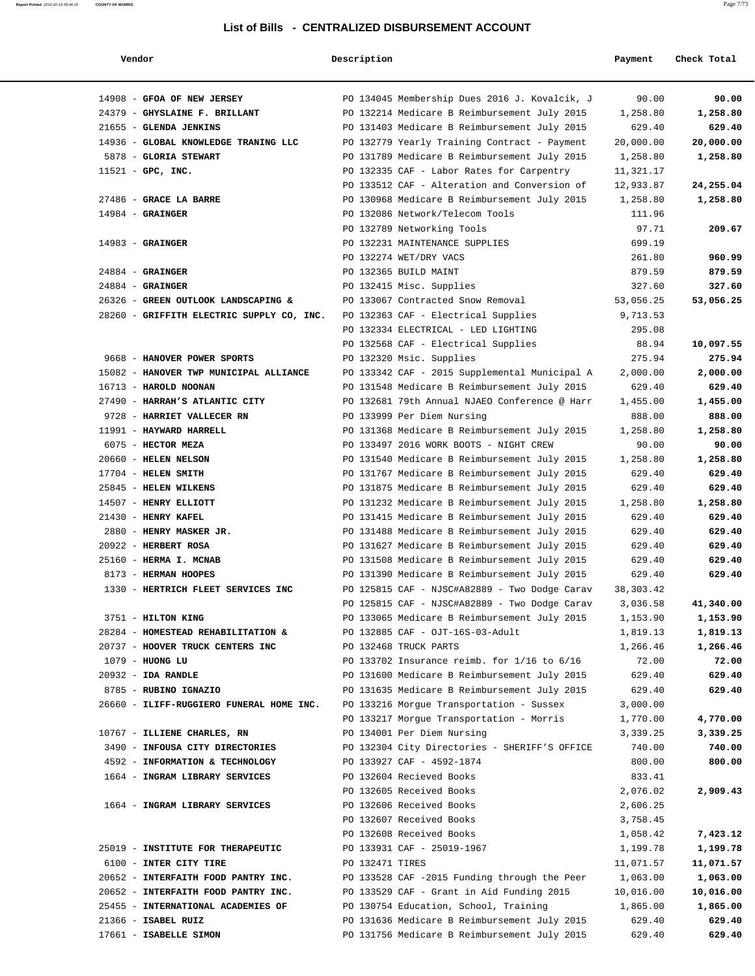| Vendor                                         | Description     |                                                                                              | Payment          | Check Total      |
|------------------------------------------------|-----------------|----------------------------------------------------------------------------------------------|------------------|------------------|
| 14908 - GFOA OF NEW JERSEY                     |                 | PO 134045 Membership Dues 2016 J. Kovalcik, J                                                | 90.00            | 90.00            |
| 24379 - GHYSLAINE F. BRILLANT                  |                 | PO 132214 Medicare B Reimbursement July 2015                                                 | 1,258.80         | 1,258.80         |
| 21655 - GLENDA JENKINS                         |                 | PO 131403 Medicare B Reimbursement July 2015                                                 | 629.40           | 629.40           |
| 14936 - GLOBAL KNOWLEDGE TRANING LLC           |                 | PO 132779 Yearly Training Contract - Payment                                                 | 20,000.00        | 20,000.00        |
| 5878 - GLORIA STEWART                          |                 | PO 131789 Medicare B Reimbursement July 2015                                                 | 1,258.80         | 1,258.80         |
| $11521$ - GPC, INC.                            |                 | PO 132335 CAF - Labor Rates for Carpentry                                                    | 11,321.17        |                  |
|                                                |                 | PO 133512 CAF - Alteration and Conversion of                                                 | 12,933.87        | 24,255.04        |
| 27486 - GRACE LA BARRE                         |                 | PO 130968 Medicare B Reimbursement July 2015                                                 | 1,258.80         | 1,258.80         |
| $14984$ - GRAINGER                             |                 | PO 132086 Network/Telecom Tools                                                              | 111.96           |                  |
|                                                |                 | PO 132789 Networking Tools                                                                   | 97.71            | 209.67           |
| $14983$ - GRAINGER                             |                 | PO 132231 MAINTENANCE SUPPLIES                                                               | 699.19           |                  |
|                                                |                 | PO 132274 WET/DRY VACS                                                                       | 261.80           | 960.99           |
| $24884$ - GRAINGER                             |                 | PO 132365 BUILD MAINT                                                                        | 879.59           | 879.59           |
| $24884$ - GRAINGER                             |                 | PO 132415 Misc. Supplies                                                                     | 327.60           | 327.60           |
| 26326 - GREEN OUTLOOK LANDSCAPING &            |                 | PO 133067 Contracted Snow Removal                                                            | 53,056.25        | 53,056.25        |
| 28260 - GRIFFITH ELECTRIC SUPPLY CO, INC.      |                 | PO 132363 CAF - Electrical Supplies                                                          | 9,713.53         |                  |
|                                                |                 | PO 132334 ELECTRICAL - LED LIGHTING                                                          | 295.08           |                  |
|                                                |                 | PO 132568 CAF - Electrical Supplies                                                          | 88.94            | 10,097.55        |
| 9668 - HANOVER POWER SPORTS                    |                 | PO 132320 Msic. Supplies                                                                     | 275.94           | 275.94           |
| 15082 - HANOVER TWP MUNICIPAL ALLIANCE         |                 | PO 133342 CAF - 2015 Supplemental Municipal A                                                | 2,000.00         | 2,000.00         |
| 16713 - HAROLD NOONAN                          |                 | PO 131548 Medicare B Reimbursement July 2015                                                 | 629.40           | 629.40           |
| 27490 - HARRAH'S ATLANTIC CITY                 |                 | PO 132681 79th Annual NJAEO Conference @ Harr                                                | 1,455.00         | 1,455.00         |
| 9728 - HARRIET VALLECER RN                     |                 | PO 133999 Per Diem Nursing                                                                   | 888.00           | 888.00           |
| 11991 - HAYWARD HARRELL                        |                 | PO 131368 Medicare B Reimbursement July 2015                                                 | 1,258.80         | 1,258.80         |
| 6075 - HECTOR MEZA                             |                 | PO 133497 2016 WORK BOOTS - NIGHT CREW                                                       | 90.00            | 90.00            |
| 20660 - HELEN NELSON                           |                 | PO 131540 Medicare B Reimbursement July 2015                                                 | 1,258.80         | 1,258.80         |
| $17704$ - HELEN SMITH                          |                 | PO 131767 Medicare B Reimbursement July 2015                                                 | 629.40           | 629.40           |
| 25845 - HELEN WILKENS                          |                 | PO 131875 Medicare B Reimbursement July 2015                                                 | 629.40           | 629.40           |
| 14507 - HENRY ELLIOTT<br>$21430$ - HENRY KAFEL |                 | PO 131232 Medicare B Reimbursement July 2015                                                 | 1,258.80         | 1,258.80         |
| 2880 - HENRY MASKER JR.                        |                 | PO 131415 Medicare B Reimbursement July 2015<br>PO 131488 Medicare B Reimbursement July 2015 | 629.40           | 629.40<br>629.40 |
| 20922 - HERBERT ROSA                           |                 | PO 131627 Medicare B Reimbursement July 2015                                                 | 629.40<br>629.40 | 629.40           |
| 25160 - HERMA I. MCNAB                         |                 | PO 131508 Medicare B Reimbursement July 2015                                                 | 629.40           | 629.40           |
| 8173 - HERMAN HOOPES                           |                 | PO 131390 Medicare B Reimbursement July 2015                                                 | 629.40           | 629.40           |
| 1330 - HERTRICH FLEET SERVICES INC             |                 | PO 125815 CAF - NJSC#A82889 - Two Dodge Carav                                                | 38,303.42        |                  |
|                                                |                 | PO 125815 CAF - NJSC#A82889 - Two Dodge Carav                                                | 3,036.58         | 41,340.00        |
| 3751 - HILTON KING                             |                 | PO 133065 Medicare B Reimbursement July 2015                                                 | 1,153.90         | 1,153.90         |
| 28284 - HOMESTEAD REHABILITATION &             |                 | PO 132885 CAF - OJT-16S-03-Adult                                                             | 1,819.13         | 1,819.13         |
| 20737 - HOOVER TRUCK CENTERS INC               |                 | PO 132468 TRUCK PARTS                                                                        | 1,266.46         | 1,266.46         |
| $1079$ - HUONG LU                              |                 | PO 133702 Insurance reimb. for $1/16$ to $6/16$                                              | 72.00            | 72.00            |
| $20932 - IDA RANDLE$                           |                 | PO 131600 Medicare B Reimbursement July 2015                                                 | 629.40           | 629.40           |
| 8785 - RUBINO IGNAZIO                          |                 | PO 131635 Medicare B Reimbursement July 2015                                                 | 629.40           | 629.40           |
| 26660 - ILIFF-RUGGIERO FUNERAL HOME INC.       |                 | PO 133216 Morgue Transportation - Sussex                                                     | 3,000.00         |                  |
|                                                |                 | PO 133217 Morgue Transportation - Morris                                                     | 1,770.00         | 4,770.00         |
| 10767 - ILLIENE CHARLES, RN                    |                 | PO 134001 Per Diem Nursing                                                                   | 3,339.25         | 3,339.25         |
| 3490 - INFOUSA CITY DIRECTORIES                |                 | PO 132304 City Directories - SHERIFF'S OFFICE                                                | 740.00           | 740.00           |
| 4592 - INFORMATION & TECHNOLOGY                |                 | PO 133927 CAF - 4592-1874                                                                    | 800.00           | 800.00           |
| 1664 - INGRAM LIBRARY SERVICES                 |                 | PO 132604 Recieved Books                                                                     | 833.41           |                  |
|                                                |                 | PO 132605 Received Books                                                                     | 2,076.02         | 2,909.43         |
| 1664 - INGRAM LIBRARY SERVICES                 |                 | PO 132606 Received Books                                                                     | 2,606.25         |                  |
|                                                |                 | PO 132607 Received Books                                                                     | 3,758.45         |                  |
|                                                |                 | PO 132608 Received Books                                                                     | 1,058.42         | 7,423.12         |
| 25019 - INSTITUTE FOR THERAPEUTIC              |                 | PO 133931 CAF - 25019-1967                                                                   | 1,199.78         | 1,199.78         |
| 6100 - INTER CITY TIRE                         | PO 132471 TIRES |                                                                                              | 11,071.57        | 11,071.57        |
| 20652 - INTERFAITH FOOD PANTRY INC.            |                 | PO 133528 CAF -2015 Funding through the Peer                                                 | 1,063.00         | 1,063.00         |
| 20652 - INTERFAITH FOOD PANTRY INC.            |                 | PO 133529 CAF - Grant in Aid Funding 2015                                                    | 10,016.00        | 10,016.00        |
| 25455 - INTERNATIONAL ACADEMIES OF             |                 | PO 130754 Education, School, Training                                                        | 1,865.00         | 1,865.00         |
| 21366 - ISABEL RUIZ                            |                 | PO 131636 Medicare B Reimbursement July 2015                                                 | 629.40           | 629.40           |
| 17661 - ISABELLE SIMON                         |                 | PO 131756 Medicare B Reimbursement July 2015                                                 | 629.40           | 629.40           |

**Report Printed** 2016-02-19 08:46:16 **COUNTY OF MORRIS** Page 7/73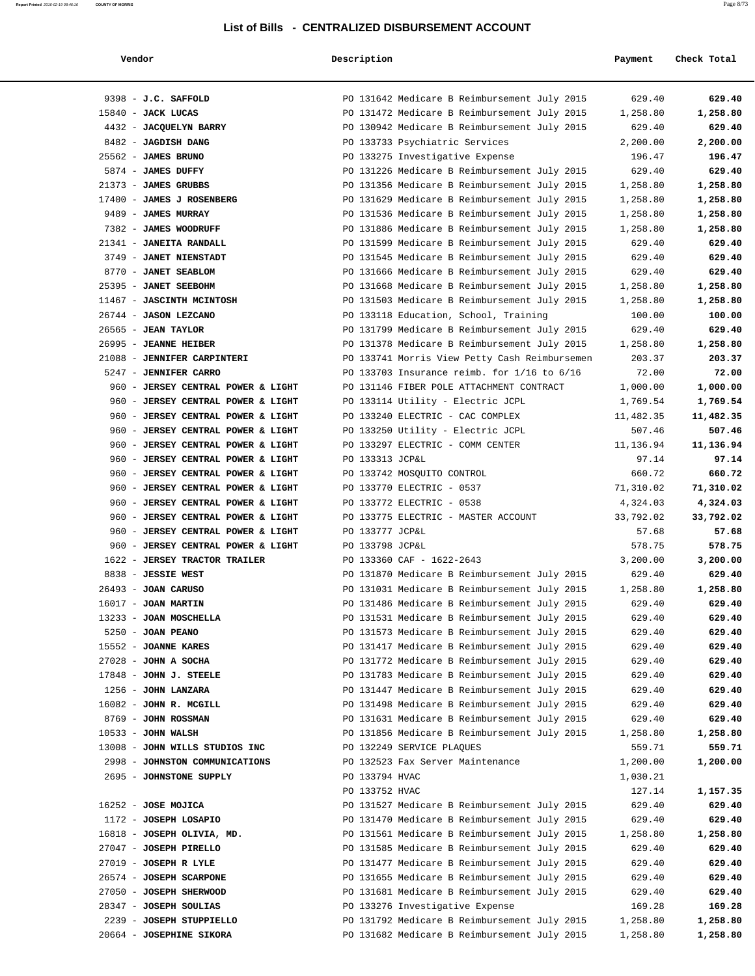|--|--|--|--|--|--|--|

**Report Printed**   $2016-02-1908:46:16$  **COUNTY OF MORRIS** 

| Vendor                             | Description                                     | Payment   | Check Total |
|------------------------------------|-------------------------------------------------|-----------|-------------|
|                                    |                                                 |           |             |
| 9398 - J.C. SAFFOLD                | PO 131642 Medicare B Reimbursement July 2015    | 629.40    | 629.40      |
| 15840 - JACK LUCAS                 | PO 131472 Medicare B Reimbursement July 2015    | 1,258.80  | 1,258.80    |
| 4432 - JACQUELYN BARRY             | PO 130942 Medicare B Reimbursement July 2015    | 629.40    | 629.40      |
| 8482 - JAGDISH DANG                | PO 133733 Psychiatric Services                  | 2,200.00  | 2,200.00    |
| 25562 - JAMES BRUNO                | PO 133275 Investigative Expense                 | 196.47    | 196.47      |
| 5874 - JAMES DUFFY                 | PO 131226 Medicare B Reimbursement July 2015    | 629.40    | 629.40      |
| 21373 - JAMES GRUBBS               | PO 131356 Medicare B Reimbursement July 2015    | 1,258.80  | 1,258.80    |
| 17400 - JAMES J ROSENBERG          | PO 131629 Medicare B Reimbursement July 2015    | 1,258.80  | 1,258.80    |
| 9489 - JAMES MURRAY                | PO 131536 Medicare B Reimbursement July 2015    | 1,258.80  | 1,258.80    |
| 7382 - JAMES WOODRUFF              | PO 131886 Medicare B Reimbursement July 2015    | 1,258.80  | 1,258.80    |
| 21341 - JANEITA RANDALL            | PO 131599 Medicare B Reimbursement July 2015    | 629.40    | 629.40      |
| 3749 - JANET NIENSTADT             | PO 131545 Medicare B Reimbursement July 2015    | 629.40    | 629.40      |
| 8770 - JANET SEABLOM               | PO 131666 Medicare B Reimbursement July 2015    | 629.40    | 629.40      |
| 25395 - JANET SEEBOHM              | PO 131668 Medicare B Reimbursement July 2015    | 1,258.80  | 1,258.80    |
| 11467 - JASCINTH MCINTOSH          | PO 131503 Medicare B Reimbursement July 2015    | 1,258.80  | 1,258.80    |
| 26744 - JASON LEZCANO              | PO 133118 Education, School, Training           | 100.00    | 100.00      |
| $26565$ - JEAN TAYLOR              | PO 131799 Medicare B Reimbursement July 2015    | 629.40    | 629.40      |
| 26995 - JEANNE HEIBER              | PO 131378 Medicare B Reimbursement July 2015    | 1,258.80  | 1,258.80    |
| 21088 - JENNIFER CARPINTERI        | PO 133741 Morris View Petty Cash Reimbursemen   | 203.37    | 203.37      |
| 5247 - JENNIFER CARRO              | PO 133703 Insurance reimb. for $1/16$ to $6/16$ | 72.00     | 72.00       |
| 960 - JERSEY CENTRAL POWER & LIGHT | PO 131146 FIBER POLE ATTACHMENT CONTRACT        | 1,000.00  | 1,000.00    |
| 960 - JERSEY CENTRAL POWER & LIGHT | PO 133114 Utility - Electric JCPL               | 1,769.54  | 1,769.54    |
| 960 - JERSEY CENTRAL POWER & LIGHT | PO 133240 ELECTRIC - CAC COMPLEX                | 11,482.35 | 11,482.35   |
| 960 - JERSEY CENTRAL POWER & LIGHT | PO 133250 Utility - Electric JCPL               | 507.46    | 507.46      |
| 960 - JERSEY CENTRAL POWER & LIGHT | PO 133297 ELECTRIC - COMM CENTER                | 11,136.94 | 11,136.94   |
| 960 - JERSEY CENTRAL POWER & LIGHT | PO 133313 JCP&L                                 | 97.14     | 97.14       |
| 960 - JERSEY CENTRAL POWER & LIGHT | PO 133742 MOSQUITO CONTROL                      | 660.72    | 660.72      |
| 960 - JERSEY CENTRAL POWER & LIGHT | PO 133770 ELECTRIC - 0537                       | 71,310.02 | 71,310.02   |
| 960 - JERSEY CENTRAL POWER & LIGHT | PO 133772 ELECTRIC - 0538                       | 4,324.03  | 4,324.03    |
| 960 - JERSEY CENTRAL POWER & LIGHT | PO 133775 ELECTRIC - MASTER ACCOUNT             | 33,792.02 | 33,792.02   |
| 960 - JERSEY CENTRAL POWER & LIGHT | PO 133777 JCP&L                                 | 57.68     | 57.68       |
| 960 - JERSEY CENTRAL POWER & LIGHT | PO 133798 JCP&L                                 | 578.75    | 578.75      |
| 1622 - JERSEY TRACTOR TRAILER      | PO 133360 CAF - 1622-2643                       | 3,200.00  | 3,200.00    |
| 8838 - JESSIE WEST                 | PO 131870 Medicare B Reimbursement July 2015    | 629.40    | 629.40      |
| $26493$ - JOAN CARUSO              | PO 131031 Medicare B Reimbursement July 2015    | 1,258.80  | 1,258.80    |
| 16017 - JOAN MARTIN                | PO 131486 Medicare B Reimbursement July 2015    | 629.40    | 629.40      |
| 13233 - JOAN MOSCHELLA             | PO 131531 Medicare B Reimbursement July 2015    | 629.40    | 629.40      |
| 5250 - JOAN PEANO                  | PO 131573 Medicare B Reimbursement July 2015    | 629.40    | 629.40      |
| 15552 - JOANNE KARES               | PO 131417 Medicare B Reimbursement July 2015    | 629.40    | 629.40      |
| $27028$ - JOHN A SOCHA             | PO 131772 Medicare B Reimbursement July 2015    | 629.40    | 629.40      |
| 17848 - JOHN J. STEELE             | PO 131783 Medicare B Reimbursement July 2015    | 629.40    | 629.40      |
| 1256 - JOHN LANZARA                | PO 131447 Medicare B Reimbursement July 2015    | 629.40    | 629.40      |
| 16082 - JOHN R. MCGILL             | PO 131498 Medicare B Reimbursement July 2015    | 629.40    | 629.40      |
| 8769 - JOHN ROSSMAN                | PO 131631 Medicare B Reimbursement July 2015    | 629.40    | 629.40      |
| $10533 - JOHN WALSH$               | PO 131856 Medicare B Reimbursement July 2015    | 1,258.80  | 1,258.80    |
| 13008 - JOHN WILLS STUDIOS INC     | PO 132249 SERVICE PLAQUES                       | 559.71    | 559.71      |
| 2998 - JOHNSTON COMMUNICATIONS     | PO 132523 Fax Server Maintenance                | 1,200.00  | 1,200.00    |
| 2695 - JOHNSTONE SUPPLY            | PO 133794 HVAC                                  | 1,030.21  |             |
|                                    | PO 133752 HVAC                                  | 127.14    | 1,157.35    |
| $16252 - JOSE MOJICA$              | PO 131527 Medicare B Reimbursement July 2015    | 629.40    | 629.40      |
| 1172 - JOSEPH LOSAPIO              | PO 131470 Medicare B Reimbursement July 2015    | 629.40    | 629.40      |
| 16818 - JOSEPH OLIVIA, MD.         | PO 131561 Medicare B Reimbursement July 2015    | 1,258.80  | 1,258.80    |
| 27047 - JOSEPH PIRELLO             | PO 131585 Medicare B Reimbursement July 2015    | 629.40    | 629.40      |
| $27019$ - JOSEPH R LYLE            | PO 131477 Medicare B Reimbursement July 2015    | 629.40    | 629.40      |
| 26574 - JOSEPH SCARPONE            | PO 131655 Medicare B Reimbursement July 2015    | 629.40    | 629.40      |
| 27050 - JOSEPH SHERWOOD            | PO 131681 Medicare B Reimbursement July 2015    | 629.40    | 629.40      |
| 28347 - JOSEPH SOULIAS             | PO 133276 Investigative Expense                 | 169.28    | 169.28      |
| 2239 - JOSEPH STUPPIELLO           | PO 131792 Medicare B Reimbursement July 2015    | 1,258.80  | 1,258.80    |
| 20664 - JOSEPHINE SIKORA           | PO 131682 Medicare B Reimbursement July 2015    | 1,258.80  | 1,258.80    |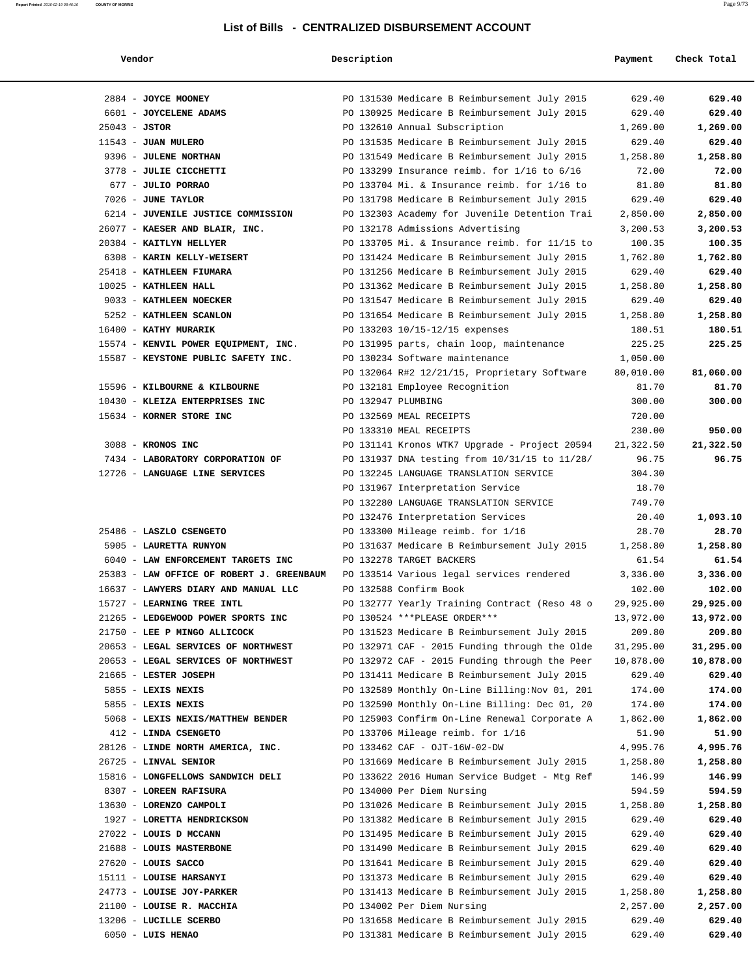| endoi |
|-------|
|-------|

| Vendor                                            | Description        |                                                                          | Payment        | Check Total       |
|---------------------------------------------------|--------------------|--------------------------------------------------------------------------|----------------|-------------------|
|                                                   |                    |                                                                          |                |                   |
| 2884 - JOYCE MOONEY                               |                    | PO 131530 Medicare B Reimbursement July 2015                             | 629.40         | 629.40            |
| 6601 - JOYCELENE ADAMS                            |                    | PO 130925 Medicare B Reimbursement July 2015                             | 629.40         | 629.40            |
| $25043 - JSTOR$                                   |                    | PO 132610 Annual Subscription                                            | 1,269.00       | 1,269.00          |
| $11543$ - JUAN MULERO                             |                    | PO 131535 Medicare B Reimbursement July 2015                             | 629.40         | 629.40            |
| 9396 - JULENE NORTHAN                             |                    | PO 131549 Medicare B Reimbursement July 2015                             | 1,258.80       | 1,258.80          |
| 3778 - JULIE CICCHETTI                            |                    | PO 133299 Insurance reimb. for $1/16$ to $6/16$                          | 72.00          | 72.00             |
| 677 - JULIO PORRAO                                |                    | PO 133704 Mi. & Insurance reimb. for 1/16 to                             | 81.80          | 81.80             |
| 7026 - JUNE TAYLOR                                |                    | PO 131798 Medicare B Reimbursement July 2015                             | 629.40         | 629.40            |
| 6214 - JUVENILE JUSTICE COMMISSION                |                    | PO 132303 Academy for Juvenile Detention Trai                            | 2,850.00       | 2,850.00          |
| 26077 - KAESER AND BLAIR, INC.                    |                    | PO 132178 Admissions Advertising                                         | 3,200.53       | 3,200.53          |
| 20384 - KAITLYN HELLYER                           |                    | PO 133705 Mi. & Insurance reimb. for 11/15 to                            | 100.35         | 100.35            |
| 6308 - KARIN KELLY-WEISERT                        |                    | PO 131424 Medicare B Reimbursement July 2015                             | 1,762.80       | 1,762.80          |
| 25418 - KATHLEEN FIUMARA                          |                    | PO 131256 Medicare B Reimbursement July 2015                             | 629.40         | 629.40            |
| 10025 - KATHLEEN HALL                             |                    | PO 131362 Medicare B Reimbursement July 2015                             | 1,258.80       | 1,258.80          |
| 9033 - KATHLEEN NOECKER                           |                    | PO 131547 Medicare B Reimbursement July 2015                             | 629.40         | 629.40            |
| 5252 - KATHLEEN SCANLON                           |                    | PO 131654 Medicare B Reimbursement July 2015                             | 1,258.80       | 1,258.80          |
| 16400 - KATHY MURARIK                             |                    | PO 133203 10/15-12/15 expenses                                           | 180.51         | 180.51            |
| 15574 - KENVIL POWER EQUIPMENT, INC.              |                    | PO 131995 parts, chain loop, maintenance                                 | 225.25         | 225.25            |
| 15587 - KEYSTONE PUBLIC SAFETY INC.               |                    | PO 130234 Software maintenance                                           | 1,050.00       |                   |
|                                                   |                    | PO 132064 R#2 12/21/15, Proprietary Software                             | 80,010.00      | 81,060.00         |
| 15596 - KILBOURNE & KILBOURNE                     |                    | PO 132181 Employee Recognition                                           | 81.70          | 81.70             |
| 10430 - KLEIZA ENTERPRISES INC                    | PO 132947 PLUMBING |                                                                          | 300.00         | 300.00            |
| 15634 - KORNER STORE INC                          |                    | PO 132569 MEAL RECEIPTS                                                  | 720.00         |                   |
|                                                   |                    | PO 133310 MEAL RECEIPTS                                                  | 230.00         | 950.00            |
| 3088 - KRONOS INC                                 |                    | PO 131141 Kronos WTK7 Upgrade - Project 20594                            | 21,322.50      | 21,322.50         |
| 7434 - LABORATORY CORPORATION OF                  |                    | PO 131937 DNA testing from $10/31/15$ to $11/28/$                        | 96.75          | 96.75             |
| 12726 - LANGUAGE LINE SERVICES                    |                    | PO 132245 LANGUAGE TRANSLATION SERVICE                                   | 304.30         |                   |
|                                                   |                    | PO 131967 Interpretation Service                                         | 18.70          |                   |
|                                                   |                    | PO 132280 LANGUAGE TRANSLATION SERVICE                                   | 749.70         |                   |
|                                                   |                    | PO 132476 Interpretation Services                                        | 20.40<br>28.70 | 1,093.10          |
| 25486 - LASZLO CSENGETO<br>5905 - LAURETTA RUNYON |                    | PO 133300 Mileage reimb. for 1/16                                        | 1,258.80       | 28.70<br>1,258.80 |
| 6040 - LAW ENFORCEMENT TARGETS INC                |                    | PO 131637 Medicare B Reimbursement July 2015<br>PO 132278 TARGET BACKERS | 61.54          | 61.54             |
| 25383 - LAW OFFICE OF ROBERT J. GREENBAUM         |                    | PO 133514 Various legal services rendered                                | 3,336.00       | 3,336.00          |
| 16637 - LAWYERS DIARY AND MANUAL LLC              |                    | PO 132588 Confirm Book                                                   | 102.00         | 102.00            |
| 15727 - LEARNING TREE INTL                        |                    | PO 132777 Yearly Training Contract (Reso 48 o                            | 29,925.00      | 29,925.00         |
| 21265 - LEDGEWOOD POWER SPORTS INC                |                    | PO 130524 ***PLEASE ORDER***                                             | 13,972.00      | 13,972.00         |
| 21750 - LEE P MINGO ALLICOCK                      |                    | PO 131523 Medicare B Reimbursement July 2015                             | 209.80         | 209.80            |
| 20653 - LEGAL SERVICES OF NORTHWEST               |                    | PO 132971 CAF - 2015 Funding through the Olde                            | 31,295.00      | 31,295.00         |
| 20653 - LEGAL SERVICES OF NORTHWEST               |                    | PO 132972 CAF - 2015 Funding through the Peer                            | 10,878.00      | 10,878.00         |
| 21665 - LESTER JOSEPH                             |                    | PO 131411 Medicare B Reimbursement July 2015                             | 629.40         | 629.40            |
| 5855 - LEXIS NEXIS                                |                    | PO 132589 Monthly On-Line Billing: Nov 01, 201                           | 174.00         | 174.00            |
| 5855 - LEXIS NEXIS                                |                    | PO 132590 Monthly On-Line Billing: Dec 01, 20                            | 174.00         | 174.00            |
| 5068 - LEXIS NEXIS/MATTHEW BENDER                 |                    | PO 125903 Confirm On-Line Renewal Corporate A                            | 1,862.00       | 1,862.00          |
| 412 - LINDA CSENGETO                              |                    | PO 133706 Mileage reimb. for 1/16                                        | 51.90          | 51.90             |
| 28126 - LINDE NORTH AMERICA, INC.                 |                    | PO 133462 CAF - OJT-16W-02-DW                                            | 4,995.76       | 4,995.76          |
| 26725 - LINVAL SENIOR                             |                    | PO 131669 Medicare B Reimbursement July 2015                             | 1,258.80       | 1,258.80          |
| 15816 - LONGFELLOWS SANDWICH DELI                 |                    | PO 133622 2016 Human Service Budget - Mtg Ref                            | 146.99         | 146.99            |
| 8307 - LOREEN RAFISURA                            |                    | PO 134000 Per Diem Nursing                                               | 594.59         | 594.59            |
| 13630 - LORENZO CAMPOLI                           |                    | PO 131026 Medicare B Reimbursement July 2015                             | 1,258.80       | 1,258.80          |
| 1927 - LORETTA HENDRICKSON                        |                    | PO 131382 Medicare B Reimbursement July 2015                             | 629.40         | 629.40            |
| 27022 - LOUIS D MCCANN                            |                    | PO 131495 Medicare B Reimbursement July 2015                             | 629.40         | 629.40            |
| 21688 - LOUIS MASTERBONE                          |                    | PO 131490 Medicare B Reimbursement July 2015                             | 629.40         | 629.40            |
| 27620 - LOUIS SACCO                               |                    | PO 131641 Medicare B Reimbursement July 2015                             | 629.40         | 629.40            |
| 15111 - LOUISE HARSANYI                           |                    | PO 131373 Medicare B Reimbursement July 2015                             | 629.40         | 629.40            |
| 24773 - LOUISE JOY-PARKER                         |                    | PO 131413 Medicare B Reimbursement July 2015                             | 1,258.80       | 1,258.80          |
| 21100 - LOUISE R. MACCHIA                         |                    | PO 134002 Per Diem Nursing                                               | 2,257.00       | 2,257.00          |
| 13206 - LUCILLE SCERBO                            |                    | PO 131658 Medicare B Reimbursement July 2015                             | 629.40         | 629.40            |
| 6050 - LUIS HENAO                                 |                    | PO 131381 Medicare B Reimbursement July 2015                             | 629.40         | 629.40            |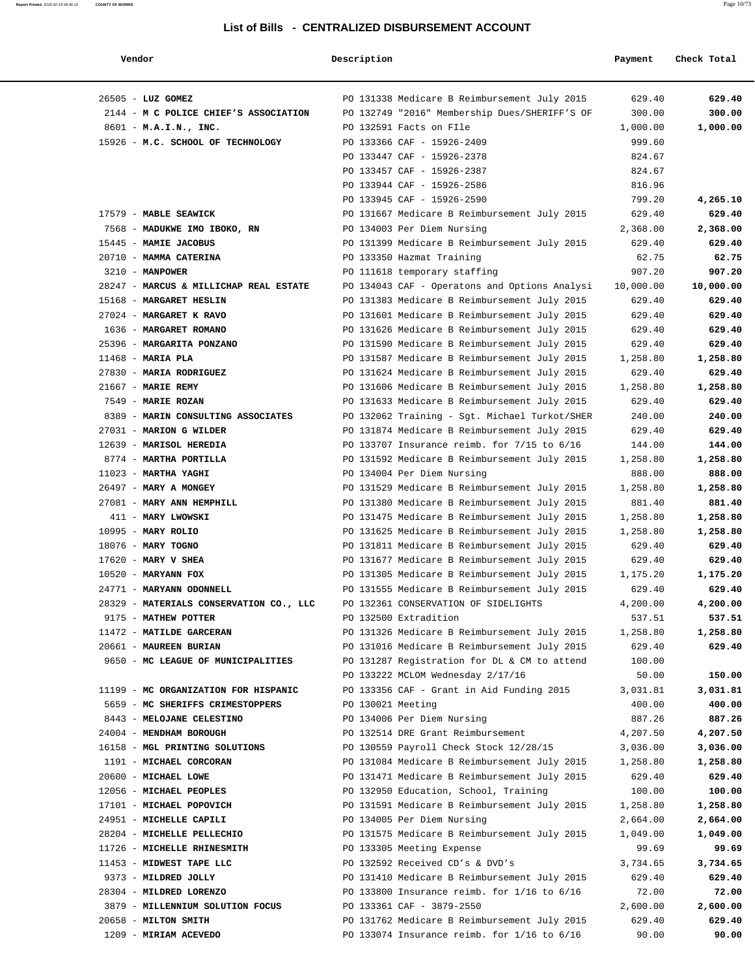| Vendor                                                                   | Description       |                                                                                   | Payment            | Check Total        |
|--------------------------------------------------------------------------|-------------------|-----------------------------------------------------------------------------------|--------------------|--------------------|
| 26505 - LUZ GOMEZ                                                        |                   | PO 131338 Medicare B Reimbursement July 2015                                      | 629.40             | 629.40             |
| 2144 - M C POLICE CHIEF'S ASSOCIATION                                    |                   | PO 132749 "2016" Membership Dues/SHERIFF'S OF                                     | 300.00             | 300.00             |
| 8601 - M.A.I.N., INC.                                                    |                   | PO 132591 Facts on FIle                                                           | 1,000.00           | 1,000.00           |
| 15926 - M.C. SCHOOL OF TECHNOLOGY                                        |                   | PO 133366 CAF - 15926-2409                                                        | 999.60             |                    |
|                                                                          |                   | PO 133447 CAF - 15926-2378                                                        | 824.67             |                    |
|                                                                          |                   | PO 133457 CAF - 15926-2387                                                        | 824.67             |                    |
|                                                                          |                   | PO 133944 CAF - 15926-2586                                                        | 816.96             |                    |
|                                                                          |                   | PO 133945 CAF - 15926-2590                                                        | 799.20             | 4,265.10           |
| 17579 - MABLE SEAWICK                                                    |                   | PO 131667 Medicare B Reimbursement July 2015                                      | 629.40             | 629.40             |
| 7568 - MADUKWE IMO IBOKO, RN                                             |                   | PO 134003 Per Diem Nursing                                                        | 2,368.00           | 2,368.00           |
| 15445 - MAMIE JACOBUS                                                    |                   | PO 131399 Medicare B Reimbursement July 2015                                      | 629.40             | 629.40             |
| 20710 - MAMMA CATERINA                                                   |                   | PO 133350 Hazmat Training                                                         | 62.75              | 62.75              |
| $3210 - MANPOWER$                                                        |                   | PO 111618 temporary staffing                                                      | 907.20             | 907.20             |
| 28247 - MARCUS & MILLICHAP REAL ESTATE                                   |                   | PO 134043 CAF - Operatons and Options Analysi                                     | 10,000.00          | 10,000.00          |
| 15168 - MARGARET HESLIN                                                  |                   | PO 131383 Medicare B Reimbursement July 2015                                      | 629.40             | 629.40             |
| 27024 - MARGARET K RAVO                                                  |                   | PO 131601 Medicare B Reimbursement July 2015                                      | 629.40             | 629.40             |
| 1636 - MARGARET ROMANO                                                   |                   | PO 131626 Medicare B Reimbursement July 2015                                      | 629.40             | 629.40             |
| 25396 - MARGARITA PONZANO                                                |                   | PO 131590 Medicare B Reimbursement July 2015                                      | 629.40             | 629.40             |
| $11468$ - MARIA PLA                                                      |                   | PO 131587 Medicare B Reimbursement July 2015                                      | 1,258.80           | 1,258.80           |
| 27830 - MARIA RODRIGUEZ                                                  |                   | PO 131624 Medicare B Reimbursement July 2015                                      | 629.40             | 629.40             |
| 21667 - MARIE REMY                                                       |                   | PO 131606 Medicare B Reimbursement July 2015                                      | 1,258.80           | 1,258.80           |
| 7549 - MARIE ROZAN                                                       |                   | PO 131633 Medicare B Reimbursement July 2015                                      | 629.40             | 629.40             |
| 8389 - MARIN CONSULTING ASSOCIATES                                       |                   | PO 132062 Training - Sgt. Michael Turkot/SHER                                     | 240.00             | 240.00             |
| 27031 - MARION G WILDER                                                  |                   | PO 131874 Medicare B Reimbursement July 2015                                      | 629.40             | 629.40             |
| 12639 - MARISOL HEREDIA                                                  |                   | PO 133707 Insurance reimb. for $7/15$ to $6/16$                                   | 144.00             | 144.00             |
| 8774 - MARTHA PORTILLA                                                   |                   | PO 131592 Medicare B Reimbursement July 2015                                      | 1,258.80           | 1,258.80           |
| $11023$ - MARTHA YAGHI                                                   |                   | PO 134004 Per Diem Nursing                                                        | 888.00             | 888.00             |
| 26497 - MARY A MONGEY                                                    |                   | PO 131529 Medicare B Reimbursement July 2015                                      | 1,258.80           | 1,258.80           |
| 27081 - MARY ANN HEMPHILL                                                |                   | PO 131380 Medicare B Reimbursement July 2015                                      | 881.40             | 881.40             |
| 411 - MARY LWOWSKI                                                       |                   | PO 131475 Medicare B Reimbursement July 2015                                      | 1,258.80           | 1,258.80           |
| 10995 - MARY ROLIO                                                       |                   | PO 131625 Medicare B Reimbursement July 2015                                      | 1,258.80           | 1,258.80           |
| 18076 - MARY TOGNO                                                       |                   | PO 131811 Medicare B Reimbursement July 2015                                      | 629.40             | 629.40             |
| $17620$ - MARY V SHEA                                                    |                   | PO 131677 Medicare B Reimbursement July 2015                                      | 629.40             | 629.40             |
| $10520$ - MARYANN FOX                                                    |                   | PO 131305 Medicare B Reimbursement July 2015                                      | 1,175.20           | 1,175.20           |
| 24771 - MARYANN ODONNELL                                                 |                   | PO 131555 Medicare B Reimbursement July 2015                                      | 629.40             | 629.40             |
| 28329 - MATERIALS CONSERVATION CO., LLC                                  |                   | PO 132361 CONSERVATION OF SIDELIGHTS                                              | 4,200.00           | 4,200.00           |
| 9175 - MATHEW POTTER                                                     |                   | PO 132500 Extradition                                                             | 537.51             | 537.51             |
| 11472 - MATILDE GARCERAN                                                 |                   | PO 131326 Medicare B Reimbursement July 2015                                      | 1,258.80           | 1,258.80           |
| 20661 - MAUREEN BURIAN                                                   |                   | PO 131016 Medicare B Reimbursement July 2015                                      | 629.40             | 629.40             |
| 9650 - MC LEAGUE OF MUNICIPALITIES                                       |                   | PO 131287 Registration for DL & CM to attend<br>PO 133222 MCLOM Wednesday 2/17/16 | 100.00<br>50.00    | 150.00             |
|                                                                          |                   |                                                                                   |                    |                    |
| 11199 - MC ORGANIZATION FOR HISPANIC<br>5659 - MC SHERIFFS CRIMESTOPPERS | PO 130021 Meeting | PO 133356 CAF - Grant in Aid Funding 2015                                         | 3,031.81<br>400.00 | 3,031.81<br>400.00 |
| 8443 - MELOJANE CELESTINO                                                |                   | PO 134006 Per Diem Nursing                                                        | 887.26             | 887.26             |
| 24004 - MENDHAM BOROUGH                                                  |                   | PO 132514 DRE Grant Reimbursement                                                 | 4,207.50           | 4,207.50           |
| 16158 - MGL PRINTING SOLUTIONS                                           |                   | PO 130559 Payroll Check Stock 12/28/15                                            | 3,036.00           | 3,036.00           |
| 1191 - MICHAEL CORCORAN                                                  |                   | PO 131084 Medicare B Reimbursement July 2015                                      | 1,258.80           | 1,258.80           |
| 20600 - MICHAEL LOWE                                                     |                   | PO 131471 Medicare B Reimbursement July 2015                                      | 629.40             | 629.40             |
| 12056 - MICHAEL PEOPLES                                                  |                   | PO 132950 Education, School, Training                                             | 100.00             | 100.00             |
| 17101 - MICHAEL POPOVICH                                                 |                   | PO 131591 Medicare B Reimbursement July 2015                                      | 1,258.80           | 1,258.80           |
| 24951 - MICHELLE CAPILI                                                  |                   | PO 134005 Per Diem Nursing                                                        | 2,664.00           | 2,664.00           |
| 28204 - MICHELLE PELLECHIO                                               |                   | PO 131575 Medicare B Reimbursement July 2015                                      | 1,049.00           | 1,049.00           |
| 11726 - MICHELLE RHINESMITH                                              |                   | PO 133305 Meeting Expense                                                         | 99.69              | 99.69              |
| 11453 - MIDWEST TAPE LLC                                                 |                   | PO 132592 Received CD's & DVD's                                                   | 3,734.65           | 3,734.65           |
| 9373 - MILDRED JOLLY                                                     |                   | PO 131410 Medicare B Reimbursement July 2015                                      | 629.40             | 629.40             |
| 28304 - MILDRED LORENZO                                                  |                   | PO 133800 Insurance reimb. for $1/16$ to $6/16$                                   | 72.00              | 72.00              |
| 3879 - MILLENNIUM SOLUTION FOCUS                                         |                   | PO 133361 CAF - 3879-2550                                                         | 2,600.00           | 2,600.00           |
| 20658 - MILTON SMITH                                                     |                   | PO 131762 Medicare B Reimbursement July 2015                                      | 629.40             | 629.40             |
| 1209 - MIRIAM ACEVEDO                                                    |                   | PO 133074 Insurance reimb. for $1/16$ to $6/16$                                   | 90.00              | 90.00              |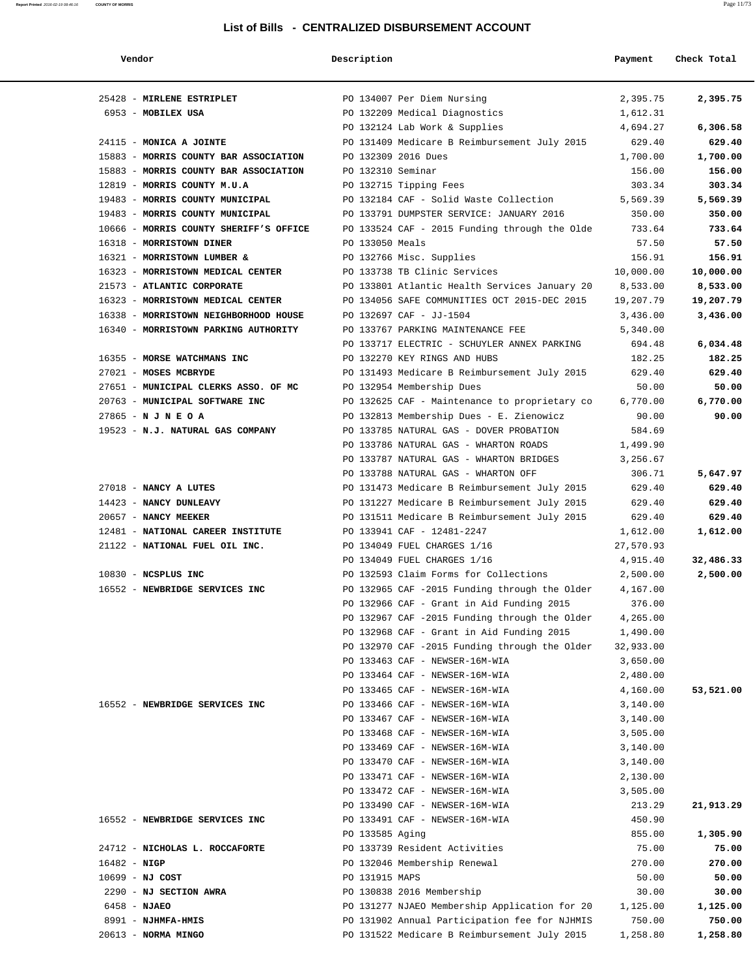| Vendor                                 | Description                         |                                               | Payment   | Check Total |
|----------------------------------------|-------------------------------------|-----------------------------------------------|-----------|-------------|
| 25428 - MIRLENE ESTRIPLET              | PO 134007 Per Diem Nursing          |                                               | 2,395.75  | 2,395.75    |
| 6953 - MOBILEX USA                     | PO 132209 Medical Diagnostics       |                                               | 1,612.31  |             |
|                                        | PO 132124 Lab Work & Supplies       |                                               | 4,694.27  | 6,306.58    |
| 24115 - MONICA A JOINTE                |                                     | PO 131409 Medicare B Reimbursement July 2015  | 629.40    | 629.40      |
| 15883 - MORRIS COUNTY BAR ASSOCIATION  | PO 132309 2016 Dues                 |                                               | 1,700.00  | 1,700.00    |
| 15883 - MORRIS COUNTY BAR ASSOCIATION  | PO 132310 Seminar                   |                                               | 156.00    | 156.00      |
| 12819 - MORRIS COUNTY M.U.A            | PO 132715 Tipping Fees              |                                               | 303.34    | 303.34      |
| 19483 - MORRIS COUNTY MUNICIPAL        |                                     | PO 132184 CAF - Solid Waste Collection        | 5,569.39  | 5,569.39    |
| 19483 - MORRIS COUNTY MUNICIPAL        |                                     | PO 133791 DUMPSTER SERVICE: JANUARY 2016      | 350.00    | 350.00      |
| 10666 - MORRIS COUNTY SHERIFF'S OFFICE |                                     | PO 133524 CAF - 2015 Funding through the Olde | 733.64    | 733.64      |
| 16318 - MORRISTOWN DINER               | PO 133050 Meals                     |                                               | 57.50     | 57.50       |
| 16321 - MORRISTOWN LUMBER &            | PO 132766 Misc. Supplies            |                                               | 156.91    | 156.91      |
| 16323 - MORRISTOWN MEDICAL CENTER      | PO 133738 TB Clinic Services        |                                               | 10,000.00 | 10,000.00   |
| 21573 - ATLANTIC CORPORATE             |                                     | PO 133801 Atlantic Health Services January 20 | 8,533.00  | 8,533.00    |
| 16323 - MORRISTOWN MEDICAL CENTER      |                                     | PO 134056 SAFE COMMUNITIES OCT 2015-DEC 2015  | 19,207.79 | 19,207.79   |
| 16338 - MORRISTOWN NEIGHBORHOOD HOUSE  | PO 132697 CAF - JJ-1504             |                                               | 3,436.00  | 3,436.00    |
| 16340 - MORRISTOWN PARKING AUTHORITY   | PO 133767 PARKING MAINTENANCE FEE   |                                               | 5,340.00  |             |
|                                        |                                     | PO 133717 ELECTRIC - SCHUYLER ANNEX PARKING   | 694.48    | 6,034.48    |
| 16355 - MORSE WATCHMANS INC            | PO 132270 KEY RINGS AND HUBS        |                                               | 182.25    | 182.25      |
| 27021 - MOSES MCBRYDE                  |                                     | PO 131493 Medicare B Reimbursement July 2015  | 629.40    | 629.40      |
| 27651 - MUNICIPAL CLERKS ASSO. OF MC   | PO 132954 Membership Dues           |                                               | 50.00     | 50.00       |
| 20763 - MUNICIPAL SOFTWARE INC         |                                     | PO 132625 CAF - Maintenance to proprietary co | 6,770.00  | 6,770.00    |
| $27865 - N J N E O A$                  |                                     | PO 132813 Membership Dues - E. Zienowicz      | 90.00     | 90.00       |
| 19523 - N.J. NATURAL GAS COMPANY       |                                     | PO 133785 NATURAL GAS - DOVER PROBATION       | 584.69    |             |
|                                        |                                     | PO 133786 NATURAL GAS - WHARTON ROADS         | 1,499.90  |             |
|                                        |                                     | PO 133787 NATURAL GAS - WHARTON BRIDGES       | 3,256.67  |             |
|                                        | PO 133788 NATURAL GAS - WHARTON OFF |                                               | 306.71    | 5,647.97    |
| 27018 - NANCY A LUTES                  |                                     | PO 131473 Medicare B Reimbursement July 2015  | 629.40    | 629.40      |
| 14423 - NANCY DUNLEAVY                 |                                     | PO 131227 Medicare B Reimbursement July 2015  | 629.40    | 629.40      |
| 20657 - NANCY MEEKER                   |                                     | PO 131511 Medicare B Reimbursement July 2015  | 629.40    | 629.40      |
| 12481 - NATIONAL CAREER INSTITUTE      | PO 133941 CAF - 12481-2247          |                                               | 1,612.00  | 1,612.00    |
| 21122 - NATIONAL FUEL OIL INC.         | PO 134049 FUEL CHARGES 1/16         |                                               | 27,570.93 |             |
|                                        | PO 134049 FUEL CHARGES 1/16         |                                               | 4,915.40  | 32,486.33   |
| 10830 - NCSPLUS INC                    |                                     | PO 132593 Claim Forms for Collections         | 2,500.00  | 2,500.00    |
| 16552 - NEWBRIDGE SERVICES INC         |                                     | PO 132965 CAF -2015 Funding through the Older | 4,167.00  |             |
|                                        |                                     | PO 132966 CAF - Grant in Aid Funding 2015     | 376.00    |             |
|                                        |                                     | PO 132967 CAF -2015 Funding through the Older | 4,265.00  |             |
|                                        |                                     | PO 132968 CAF - Grant in Aid Funding 2015     | 1,490.00  |             |
|                                        |                                     | PO 132970 CAF -2015 Funding through the Older | 32,933.00 |             |
|                                        | PO 133463 CAF - NEWSER-16M-WIA      |                                               | 3,650.00  |             |
|                                        | PO 133464 CAF - NEWSER-16M-WIA      |                                               | 2,480.00  |             |
|                                        | PO 133465 CAF - NEWSER-16M-WIA      |                                               | 4,160.00  | 53,521.00   |
| 16552 - NEWBRIDGE SERVICES INC         | PO 133466 CAF - NEWSER-16M-WIA      |                                               | 3,140.00  |             |
|                                        | PO 133467 CAF - NEWSER-16M-WIA      |                                               | 3,140.00  |             |
|                                        | PO 133468 CAF - NEWSER-16M-WIA      |                                               | 3,505.00  |             |
|                                        | PO 133469 CAF - NEWSER-16M-WIA      |                                               | 3,140.00  |             |
|                                        | PO 133470 CAF - NEWSER-16M-WIA      |                                               | 3,140.00  |             |
|                                        | PO 133471 CAF - NEWSER-16M-WIA      |                                               | 2,130.00  |             |
|                                        | PO 133472 CAF - NEWSER-16M-WIA      |                                               | 3,505.00  |             |
|                                        | PO 133490 CAF - NEWSER-16M-WIA      |                                               | 213.29    | 21,913.29   |
| 16552 - NEWBRIDGE SERVICES INC         | PO 133491 CAF - NEWSER-16M-WIA      |                                               | 450.90    |             |
|                                        | PO 133585 Aging                     |                                               | 855.00    | 1,305.90    |
| 24712 - NICHOLAS L. ROCCAFORTE         | PO 133739 Resident Activities       |                                               | 75.00     | 75.00       |
| $16482 - NIGP$                         | PO 132046 Membership Renewal        |                                               | 270.00    | 270.00      |
| $10699 - NJ COST$                      | PO 131915 MAPS                      |                                               | 50.00     | 50.00       |
| 2290 - NJ SECTION AWRA                 | PO 130838 2016 Membership           |                                               | 30.00     | 30.00       |
| $6458 - NJABO$                         |                                     | PO 131277 NJAEO Membership Application for 20 | 1,125.00  | 1,125.00    |
| 8991 - NJHMFA-HMIS                     |                                     | PO 131902 Annual Participation fee for NJHMIS | 750.00    | 750.00      |
| 20613 - NORMA MINGO                    |                                     | PO 131522 Medicare B Reimbursement July 2015  | 1,258.80  | 1,258.80    |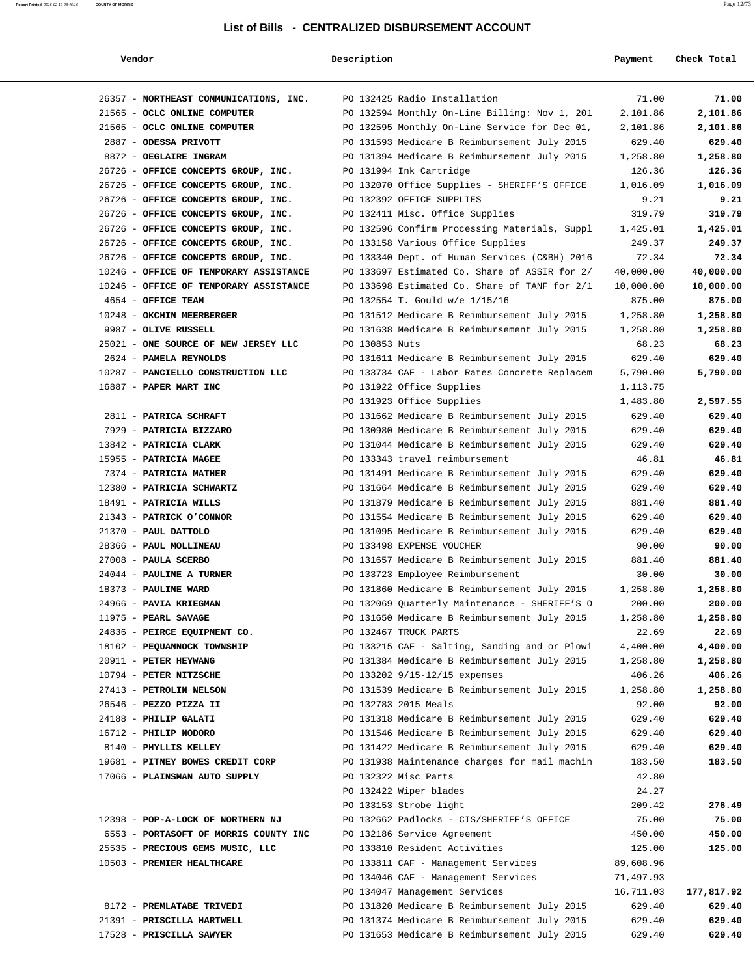| Vendor                                 | Description    |                                               | Payment   | Check Total |
|----------------------------------------|----------------|-----------------------------------------------|-----------|-------------|
| 26357 - NORTHEAST COMMUNICATIONS, INC. |                | PO 132425 Radio Installation                  | 71.00     | 71.00       |
| 21565 - OCLC ONLINE COMPUTER           |                | PO 132594 Monthly On-Line Billing: Nov 1, 201 | 2,101.86  | 2,101.86    |
| 21565 - OCLC ONLINE COMPUTER           |                | PO 132595 Monthly On-Line Service for Dec 01, | 2,101.86  | 2,101.86    |
| 2887 - ODESSA PRIVOTT                  |                | PO 131593 Medicare B Reimbursement July 2015  | 629.40    | 629.40      |
| 8872 - OEGLAIRE INGRAM                 |                | PO 131394 Medicare B Reimbursement July 2015  | 1,258.80  | 1,258.80    |
| 26726 - OFFICE CONCEPTS GROUP, INC.    |                | PO 131994 Ink Cartridge                       | 126.36    | 126.36      |
| 26726 - OFFICE CONCEPTS GROUP, INC.    |                | PO 132070 Office Supplies - SHERIFF'S OFFICE  | 1,016.09  | 1,016.09    |
| 26726 - OFFICE CONCEPTS GROUP, INC.    |                | PO 132392 OFFICE SUPPLIES                     | 9.21      | 9.21        |
| 26726 - OFFICE CONCEPTS GROUP, INC.    |                | PO 132411 Misc. Office Supplies               | 319.79    | 319.79      |
| 26726 - OFFICE CONCEPTS GROUP, INC.    |                | PO 132596 Confirm Processing Materials, Suppl | 1,425.01  | 1,425.01    |
| 26726 - OFFICE CONCEPTS GROUP, INC.    |                | PO 133158 Various Office Supplies             | 249.37    | 249.37      |
| 26726 - OFFICE CONCEPTS GROUP, INC.    |                | PO 133340 Dept. of Human Services (C&BH) 2016 | 72.34     | 72.34       |
| 10246 - OFFICE OF TEMPORARY ASSISTANCE |                | PO 133697 Estimated Co. Share of ASSIR for 2/ | 40,000.00 | 40,000.00   |
| 10246 - OFFICE OF TEMPORARY ASSISTANCE |                | PO 133698 Estimated Co. Share of TANF for 2/1 | 10,000.00 | 10,000.00   |
| 4654 - OFFICE TEAM                     |                | PO 132554 T. Gould w/e 1/15/16                | 875.00    | 875.00      |
| 10248 - OKCHIN MEERBERGER              |                | PO 131512 Medicare B Reimbursement July 2015  | 1,258.80  | 1,258.80    |
| 9987 - OLIVE RUSSELL                   |                |                                               |           |             |
| 25021 - ONE SOURCE OF NEW JERSEY LLC   |                | PO 131638 Medicare B Reimbursement July 2015  | 1,258.80  | 1,258.80    |
|                                        | PO 130853 Nuts |                                               | 68.23     | 68.23       |
| 2624 - PAMELA REYNOLDS                 |                | PO 131611 Medicare B Reimbursement July 2015  | 629.40    | 629.40      |
| 10287 - PANCIELLO CONSTRUCTION LLC     |                | PO 133734 CAF - Labor Rates Concrete Replacem | 5,790.00  | 5,790.00    |
| 16887 - PAPER MART INC                 |                | PO 131922 Office Supplies                     | 1,113.75  |             |
|                                        |                | PO 131923 Office Supplies                     | 1,483.80  | 2,597.55    |
| 2811 - PATRICA SCHRAFT                 |                | PO 131662 Medicare B Reimbursement July 2015  | 629.40    | 629.40      |
| 7929 - PATRICIA BIZZARO                |                | PO 130980 Medicare B Reimbursement July 2015  | 629.40    | 629.40      |
| 13842 - PATRICIA CLARK                 |                | PO 131044 Medicare B Reimbursement July 2015  | 629.40    | 629.40      |
| 15955 - PATRICIA MAGEE                 |                | PO 133343 travel reimbursement                | 46.81     | 46.81       |
| 7374 - PATRICIA MATHER                 |                | PO 131491 Medicare B Reimbursement July 2015  | 629.40    | 629.40      |
| 12380 - PATRICIA SCHWARTZ              |                | PO 131664 Medicare B Reimbursement July 2015  | 629.40    | 629.40      |
| 18491 - PATRICIA WILLS                 |                | PO 131879 Medicare B Reimbursement July 2015  | 881.40    | 881.40      |
| 21343 - PATRICK O'CONNOR               |                | PO 131554 Medicare B Reimbursement July 2015  | 629.40    | 629.40      |
| 21370 - PAUL DATTOLO                   |                | PO 131095 Medicare B Reimbursement July 2015  | 629.40    | 629.40      |
| 28366 - PAUL MOLLINEAU                 |                | PO 133498 EXPENSE VOUCHER                     | 90.00     | 90.00       |
| 27008 - PAULA SCERBO                   |                | PO 131657 Medicare B Reimbursement July 2015  | 881.40    | 881.40      |
| 24044 - PAULINE A TURNER               |                | PO 133723 Employee Reimbursement              | 30.00     | 30.00       |
| 18373 - PAULINE WARD                   |                | PO 131860 Medicare B Reimbursement July 2015  | 1,258.80  | 1,258.80    |
| 24966 - PAVIA KRIEGMAN                 |                | PO 132069 Quarterly Maintenance - SHERIFF'S O | 200.00    | 200.00      |
| 11975 - PEARL SAVAGE                   |                | PO 131650 Medicare B Reimbursement July 2015  | 1,258.80  | 1,258.80    |
| 24836 - PEIRCE EQUIPMENT CO.           |                | PO 132467 TRUCK PARTS                         | 22.69     | 22.69       |
| 18102 - PEQUANNOCK TOWNSHIP            |                | PO 133215 CAF - Salting, Sanding and or Plowi | 4,400.00  | 4,400.00    |
| 20911 - PETER HEYWANG                  |                | PO 131384 Medicare B Reimbursement July 2015  | 1,258.80  | 1,258.80    |
| 10794 - PETER NITZSCHE                 |                | PO 133202 9/15-12/15 expenses                 | 406.26    | 406.26      |
| 27413 - PETROLIN NELSON                |                | PO 131539 Medicare B Reimbursement July 2015  | 1,258.80  | 1,258.80    |
| 26546 - PEZZO PIZZA II                 |                | PO 132783 2015 Meals                          | 92.00     | 92.00       |
| 24188 - PHILIP GALATI                  |                | PO 131318 Medicare B Reimbursement July 2015  | 629.40    | 629.40      |
| 16712 - PHILIP NODORO                  |                | PO 131546 Medicare B Reimbursement July 2015  | 629.40    | 629.40      |
| 8140 - PHYLLIS KELLEY                  |                | PO 131422 Medicare B Reimbursement July 2015  | 629.40    | 629.40      |
| 19681 - PITNEY BOWES CREDIT CORP       |                | PO 131938 Maintenance charges for mail machin | 183.50    | 183.50      |
| 17066 - PLAINSMAN AUTO SUPPLY          |                | PO 132322 Misc Parts                          | 42.80     |             |
|                                        |                | PO 132422 Wiper blades                        | 24.27     |             |
|                                        |                | PO 133153 Strobe light                        | 209.42    | 276.49      |
| 12398 - POP-A-LOCK OF NORTHERN NJ      |                | PO 132662 Padlocks - CIS/SHERIFF'S OFFICE     | 75.00     | 75.00       |
| 6553 - PORTASOFT OF MORRIS COUNTY INC  |                | PO 132186 Service Agreement                   | 450.00    | 450.00      |
| 25535 - PRECIOUS GEMS MUSIC, LLC       |                | PO 133810 Resident Activities                 | 125.00    | 125.00      |
| 10503 - PREMIER HEALTHCARE             |                | PO 133811 CAF - Management Services           | 89,608.96 |             |
|                                        |                | PO 134046 CAF - Management Services           | 71,497.93 |             |
|                                        |                | PO 134047 Management Services                 | 16,711.03 | 177,817.92  |
| 8172 - PREMLATABE TRIVEDI              |                | PO 131820 Medicare B Reimbursement July 2015  | 629.40    | 629.40      |
| 21391 - PRISCILLA HARTWELL             |                | PO 131374 Medicare B Reimbursement July 2015  | 629.40    | 629.40      |
| 17528 - PRISCILLA SAWYER               |                | PO 131653 Medicare B Reimbursement July 2015  | 629.40    | 629.40      |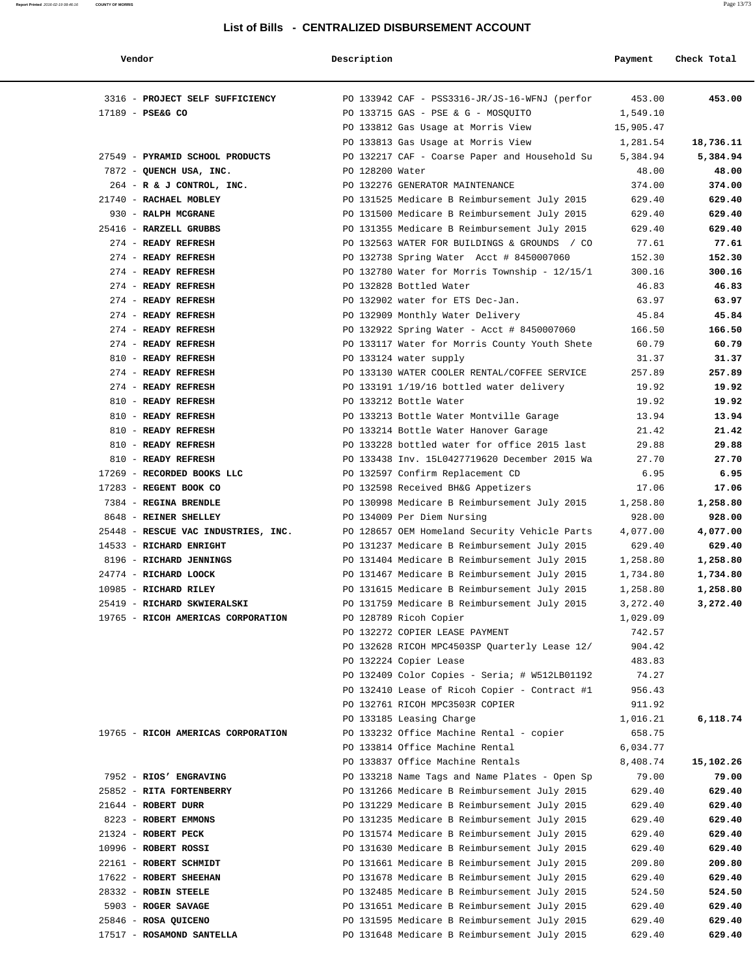| Vendor                              | Description     |                                               | Payment   | Check Total |
|-------------------------------------|-----------------|-----------------------------------------------|-----------|-------------|
| 3316 - PROJECT SELF SUFFICIENCY     |                 | PO 133942 CAF - PSS3316-JR/JS-16-WFNJ (perfor | 453.00    | 453.00      |
| 17189 - PSE&G CO                    |                 | PO 133715 GAS - PSE & G - MOSQUITO            | 1,549.10  |             |
|                                     |                 | PO 133812 Gas Usage at Morris View            | 15,905.47 |             |
|                                     |                 | PO 133813 Gas Usage at Morris View            | 1,281.54  | 18,736.11   |
| 27549 - PYRAMID SCHOOL PRODUCTS     |                 | PO 132217 CAF - Coarse Paper and Household Su | 5,384.94  | 5,384.94    |
| 7872 - QUENCH USA, INC.             | PO 128200 Water |                                               | 48.00     | 48.00       |
| 264 - R & J CONTROL, INC.           |                 | PO 132276 GENERATOR MAINTENANCE               | 374.00    | 374.00      |
| 21740 - RACHAEL MOBLEY              |                 | PO 131525 Medicare B Reimbursement July 2015  | 629.40    | 629.40      |
| 930 - RALPH MCGRANE                 |                 | PO 131500 Medicare B Reimbursement July 2015  | 629.40    | 629.40      |
| 25416 - RARZELL GRUBBS              |                 | PO 131355 Medicare B Reimbursement July 2015  | 629.40    | 629.40      |
| 274 - READY REFRESH                 |                 | PO 132563 WATER FOR BUILDINGS & GROUNDS / CO  | 77.61     | 77.61       |
| 274 - READY REFRESH                 |                 | PO 132738 Spring Water Acct # 8450007060      | 152.30    | 152.30      |
| 274 - READY REFRESH                 |                 | PO 132780 Water for Morris Township - 12/15/1 | 300.16    | 300.16      |
| 274 - READY REFRESH                 |                 | PO 132828 Bottled Water                       | 46.83     | 46.83       |
| 274 - READY REFRESH                 |                 | PO 132902 water for ETS Dec-Jan.              | 63.97     | 63.97       |
| 274 - READY REFRESH                 |                 | PO 132909 Monthly Water Delivery              | 45.84     | 45.84       |
| 274 - READY REFRESH                 |                 | PO 132922 Spring Water - Acct # 8450007060    | 166.50    | 166.50      |
| 274 - READY REFRESH                 |                 | PO 133117 Water for Morris County Youth Shete | 60.79     | 60.79       |
| 810 - READY REFRESH                 |                 | PO 133124 water supply                        | 31.37     | 31.37       |
| 274 - READY REFRESH                 |                 | PO 133130 WATER COOLER RENTAL/COFFEE SERVICE  | 257.89    | 257.89      |
| 274 - READY REFRESH                 |                 | PO 133191 1/19/16 bottled water delivery      | 19.92     | 19.92       |
| 810 - READY REFRESH                 |                 | PO 133212 Bottle Water                        | 19.92     | 19.92       |
| 810 - READY REFRESH                 |                 | PO 133213 Bottle Water Montville Garage       | 13.94     | 13.94       |
| 810 - READY REFRESH                 |                 | PO 133214 Bottle Water Hanover Garage         | 21.42     | 21.42       |
| 810 - READY REFRESH                 |                 | PO 133228 bottled water for office 2015 last  | 29.88     | 29.88       |
| 810 - READY REFRESH                 |                 | PO 133438 Inv. 15L0427719620 December 2015 Wa | 27.70     | 27.70       |
| 17269 - RECORDED BOOKS LLC          |                 | PO 132597 Confirm Replacement CD              | 6.95      | 6.95        |
| 17283 - REGENT BOOK CO              |                 | PO 132598 Received BH&G Appetizers            | 17.06     | 17.06       |
| 7384 - REGINA BRENDLE               |                 | PO 130998 Medicare B Reimbursement July 2015  | 1,258.80  | 1,258.80    |
| 8648 - REINER SHELLEY               |                 | PO 134009 Per Diem Nursing                    | 928.00    | 928.00      |
| 25448 - RESCUE VAC INDUSTRIES, INC. |                 | PO 128657 OEM Homeland Security Vehicle Parts | 4,077.00  | 4,077.00    |
| 14533 - RICHARD ENRIGHT             |                 | PO 131237 Medicare B Reimbursement July 2015  | 629.40    | 629.40      |
| 8196 - RICHARD JENNINGS             |                 | PO 131404 Medicare B Reimbursement July 2015  | 1,258.80  | 1,258.80    |
| 24774 - RICHARD LOOCK               |                 | PO 131467 Medicare B Reimbursement July 2015  | 1,734.80  | 1,734.80    |
| 10985 - RICHARD RILEY               |                 | PO 131615 Medicare B Reimbursement July 2015  | 1,258.80  | 1,258.80    |
| 25419 - RICHARD SKWIERALSKI         |                 | PO 131759 Medicare B Reimbursement July 2015  | 3,272.40  | 3,272.40    |
| 19765 - RICOH AMERICAS CORPORATION  |                 | PO 128789 Ricoh Copier                        | 1,029.09  |             |
|                                     |                 | PO 132272 COPIER LEASE PAYMENT                | 742.57    |             |
|                                     |                 | PO 132628 RICOH MPC4503SP Quarterly Lease 12/ | 904.42    |             |
|                                     |                 | PO 132224 Copier Lease                        | 483.83    |             |
|                                     |                 | PO 132409 Color Copies - Seria; # W512LB01192 | 74.27     |             |
|                                     |                 | PO 132410 Lease of Ricoh Copier - Contract #1 | 956.43    |             |
|                                     |                 | PO 132761 RICOH MPC3503R COPIER               | 911.92    |             |
|                                     |                 | PO 133185 Leasing Charge                      | 1,016.21  | 6,118.74    |
| 19765 - RICOH AMERICAS CORPORATION  |                 | PO 133232 Office Machine Rental - copier      | 658.75    |             |
|                                     |                 | PO 133814 Office Machine Rental               | 6,034.77  |             |
|                                     |                 | PO 133837 Office Machine Rentals              | 8,408.74  | 15,102.26   |
| 7952 - RIOS' ENGRAVING              |                 | PO 133218 Name Tags and Name Plates - Open Sp | 79.00     | 79.00       |
| 25852 - RITA FORTENBERRY            |                 | PO 131266 Medicare B Reimbursement July 2015  | 629.40    | 629.40      |
| 21644 - ROBERT DURR                 |                 | PO 131229 Medicare B Reimbursement July 2015  | 629.40    | 629.40      |
| 8223 - ROBERT EMMONS                |                 | PO 131235 Medicare B Reimbursement July 2015  | 629.40    | 629.40      |
| 21324 - ROBERT PECK                 |                 | PO 131574 Medicare B Reimbursement July 2015  | 629.40    | 629.40      |
| 10996 - ROBERT ROSSI                |                 | PO 131630 Medicare B Reimbursement July 2015  | 629.40    | 629.40      |
| 22161 - ROBERT SCHMIDT              |                 | PO 131661 Medicare B Reimbursement July 2015  | 209.80    | 209.80      |
| 17622 - ROBERT SHEEHAN              |                 | PO 131678 Medicare B Reimbursement July 2015  | 629.40    | 629.40      |
| 28332 - ROBIN STEELE                |                 | PO 132485 Medicare B Reimbursement July 2015  | 524.50    | 524.50      |
| 5903 - ROGER SAVAGE                 |                 | PO 131651 Medicare B Reimbursement July 2015  | 629.40    | 629.40      |
| 25846 - ROSA QUICENO                |                 | PO 131595 Medicare B Reimbursement July 2015  | 629.40    | 629.40      |

17517 - **ROSAMOND SANTELLA** PO 131648 Medicare B Reimbursement July 2015 629.40 **629.40**

**Report Printed** 2016-02-19 08:46:16 **COUNTY OF MORRIS** Page 13/73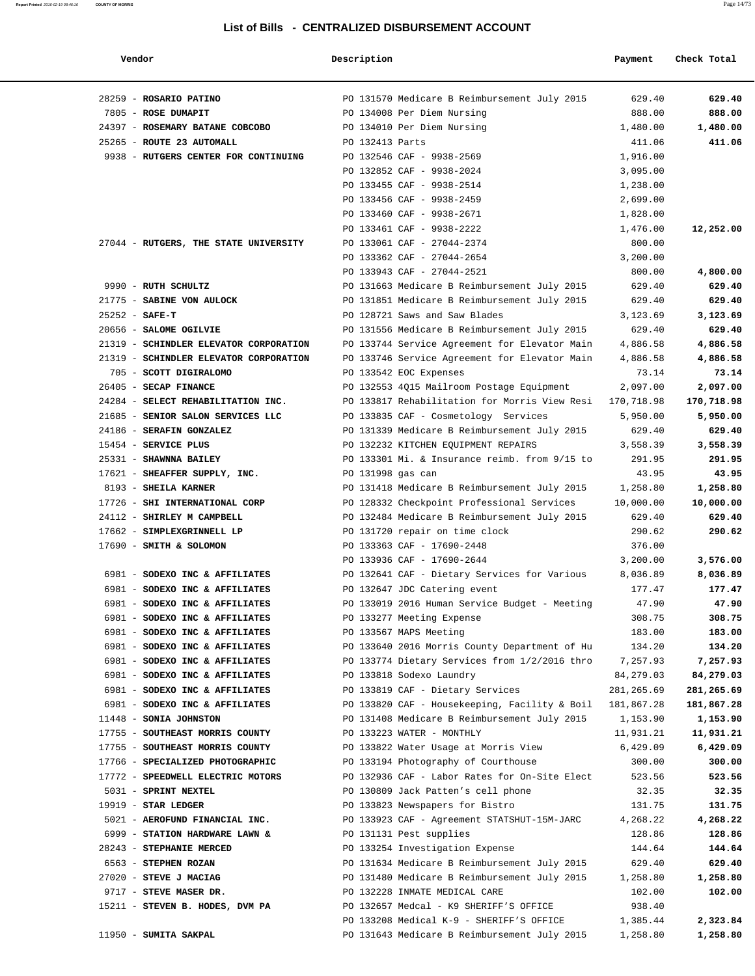| Vendor                                                           | Description       |                                                     | Payment          | Check Total      |
|------------------------------------------------------------------|-------------------|-----------------------------------------------------|------------------|------------------|
| 28259 - ROSARIO PATINO                                           |                   | PO 131570 Medicare B Reimbursement July 2015        | 629.40           | 629.40           |
| 7805 - ROSE DUMAPIT                                              |                   | PO 134008 Per Diem Nursing                          | 888.00           | 888.00           |
| 24397 - ROSEMARY BATANE COBCOBO                                  |                   | PO 134010 Per Diem Nursing                          | 1,480.00         | 1,480.00         |
| 25265 - ROUTE 23 AUTOMALL                                        | PO 132413 Parts   |                                                     | 411.06           | 411.06           |
| 9938 - RUTGERS CENTER FOR CONTINUING                             |                   | PO 132546 CAF - 9938-2569                           | 1,916.00         |                  |
|                                                                  |                   | PO 132852 CAF - 9938-2024                           | 3,095.00         |                  |
|                                                                  |                   | PO 133455 CAF - 9938-2514                           | 1,238.00         |                  |
|                                                                  |                   | PO 133456 CAF - 9938-2459                           | 2,699.00         |                  |
|                                                                  |                   | PO 133460 CAF - 9938-2671                           | 1,828.00         |                  |
|                                                                  |                   | PO 133461 CAF - 9938-2222                           | 1,476.00         | 12,252.00        |
| 27044 - RUTGERS, THE STATE UNIVERSITY                            |                   | PO 133061 CAF - 27044-2374                          | 800.00           |                  |
|                                                                  |                   | PO 133362 CAF - 27044-2654                          | 3,200.00         |                  |
|                                                                  |                   | PO 133943 CAF - 27044-2521                          | 800.00           | 4,800.00         |
| 9990 - RUTH SCHULTZ                                              |                   | PO 131663 Medicare B Reimbursement July 2015        | 629.40           | 629.40           |
| 21775 - SABINE VON AULOCK                                        |                   | PO 131851 Medicare B Reimbursement July 2015        | 629.40           | 629.40           |
| $25252 - SAFE-T$                                                 |                   | PO 128721 Saws and Saw Blades                       | 3,123.69         | 3,123.69         |
| 20656 - SALOME OGILVIE                                           |                   | PO 131556 Medicare B Reimbursement July 2015        | 629.40           | 629.40           |
| 21319 - SCHINDLER ELEVATOR CORPORATION                           |                   | PO 133744 Service Agreement for Elevator Main       | 4,886.58         | 4,886.58         |
| 21319 - SCHINDLER ELEVATOR CORPORATION                           |                   | PO 133746 Service Agreement for Elevator Main       | 4,886.58         | 4,886.58         |
| 705 - SCOTT DIGIRALOMO                                           |                   | PO 133542 EOC Expenses                              | 73.14            | 73.14            |
| 26405 - SECAP FINANCE                                            |                   | PO 132553 4Q15 Mailroom Postage Equipment           | 2,097.00         | 2,097.00         |
| 24284 - SELECT REHABILITATION INC.                               |                   | PO 133817 Rehabilitation for Morris View Resi       | 170,718.98       | 170,718.98       |
| 21685 - SENIOR SALON SERVICES LLC                                |                   | PO 133835 CAF - Cosmetology Services                | 5,950.00         | 5,950.00         |
| 24186 - SERAFIN GONZALEZ                                         |                   | PO 131339 Medicare B Reimbursement July 2015        | 629.40           | 629.40           |
| 15454 - SERVICE PLUS                                             |                   | PO 132232 KITCHEN EQUIPMENT REPAIRS                 | 3,558.39         | 3,558.39         |
| 25331 - SHAWNNA BAILEY                                           |                   | PO 133301 Mi. & Insurance reimb. from 9/15 to       | 291.95           | 291.95           |
| 17621 - SHEAFFER SUPPLY, INC.                                    | PO 131998 gas can |                                                     | 43.95            | 43.95            |
| 8193 - SHEILA KARNER                                             |                   | PO 131418 Medicare B Reimbursement July 2015        | 1,258.80         | 1,258.80         |
| 17726 - SHI INTERNATIONAL CORP                                   |                   | PO 128332 Checkpoint Professional Services          | 10,000.00        | 10,000.00        |
| 24112 - SHIRLEY M CAMPBELL                                       |                   | PO 132484 Medicare B Reimbursement July 2015        | 629.40           | 629.40           |
| 17662 - SIMPLEXGRINNELL LP                                       |                   | PO 131720 repair on time clock                      | 290.62           | 290.62           |
| 17690 - SMITH & SOLOMON                                          |                   | PO 133363 CAF - 17690-2448                          | 376.00           |                  |
|                                                                  |                   | PO 133936 CAF - 17690-2644                          | 3,200.00         | 3,576.00         |
| 6981 - SODEXO INC & AFFILIATES                                   |                   | PO 132641 CAF - Dietary Services for Various        | 8,036.89         | 8,036.89         |
| 6981 - SODEXO INC & AFFILIATES                                   |                   | PO 132647 JDC Catering event                        | 177.47           | 177.47           |
| 6981 - SODEXO INC & AFFILIATES                                   |                   | PO 133019 2016 Human Service Budget - Meeting       | 47.90            | 47.90            |
| 6981 - SODEXO INC & AFFILIATES<br>6981 - SODEXO INC & AFFILIATES |                   | PO 133277 Meeting Expense<br>PO 133567 MAPS Meeting | 308.75<br>183.00 | 308.75<br>183.00 |
| 6981 - SODEXO INC & AFFILIATES                                   |                   | PO 133640 2016 Morris County Department of Hu       | 134.20           | 134.20           |
| 6981 - SODEXO INC & AFFILIATES                                   |                   | PO 133774 Dietary Services from 1/2/2016 thro       | 7,257.93         | 7,257.93         |
| 6981 - SODEXO INC & AFFILIATES                                   |                   | PO 133818 Sodexo Laundry                            | 84,279.03        | 84,279.03        |
| 6981 - SODEXO INC & AFFILIATES                                   |                   | PO 133819 CAF - Dietary Services                    | 281,265.69       | 281,265.69       |
| 6981 - SODEXO INC & AFFILIATES                                   |                   | PO 133820 CAF - Housekeeping, Facility & Boil       | 181,867.28       | 181,867.28       |
| 11448 - SONIA JOHNSTON                                           |                   | PO 131408 Medicare B Reimbursement July 2015        | 1,153.90         | 1,153.90         |
| 17755 - SOUTHEAST MORRIS COUNTY                                  |                   | PO 133223 WATER - MONTHLY                           | 11,931.21        | 11,931.21        |
| 17755 - SOUTHEAST MORRIS COUNTY                                  |                   | PO 133822 Water Usage at Morris View                | 6,429.09         | 6,429.09         |
| 17766 - SPECIALIZED PHOTOGRAPHIC                                 |                   | PO 133194 Photography of Courthouse                 | 300.00           | 300.00           |
| 17772 - SPEEDWELL ELECTRIC MOTORS                                |                   | PO 132936 CAF - Labor Rates for On-Site Elect       | 523.56           | 523.56           |
| 5031 - SPRINT NEXTEL                                             |                   | PO 130809 Jack Patten's cell phone                  | 32.35            | 32.35            |
| 19919 - STAR LEDGER                                              |                   | PO 133823 Newspapers for Bistro                     | 131.75           | 131.75           |
| 5021 - AEROFUND FINANCIAL INC.                                   |                   | PO 133923 CAF - Agreement STATSHUT-15M-JARC         | 4,268.22         | 4,268.22         |
| 6999 - STATION HARDWARE LAWN &                                   |                   | PO 131131 Pest supplies                             | 128.86           | 128.86           |
| 28243 - STEPHANIE MERCED                                         |                   | PO 133254 Investigation Expense                     | 144.64           | 144.64           |
| 6563 - STEPHEN ROZAN                                             |                   | PO 131634 Medicare B Reimbursement July 2015        | 629.40           | 629.40           |
| 27020 - STEVE J MACIAG                                           |                   | PO 131480 Medicare B Reimbursement July 2015        | 1,258.80         | 1,258.80         |
| 9717 - STEVE MASER DR.                                           |                   | PO 132228 INMATE MEDICAL CARE                       | 102.00           | 102.00           |
| 15211 - STEVEN B. HODES, DVM PA                                  |                   | PO 132657 Medcal - K9 SHERIFF'S OFFICE              | 938.40           |                  |
|                                                                  |                   | PO 133208 Medical K-9 - SHERIFF'S OFFICE            | 1,385.44         | 2,323.84         |
| 11950 - SUMITA SAKPAL                                            |                   | PO 131643 Medicare B Reimbursement July 2015        | 1,258.80         | 1,258.80         |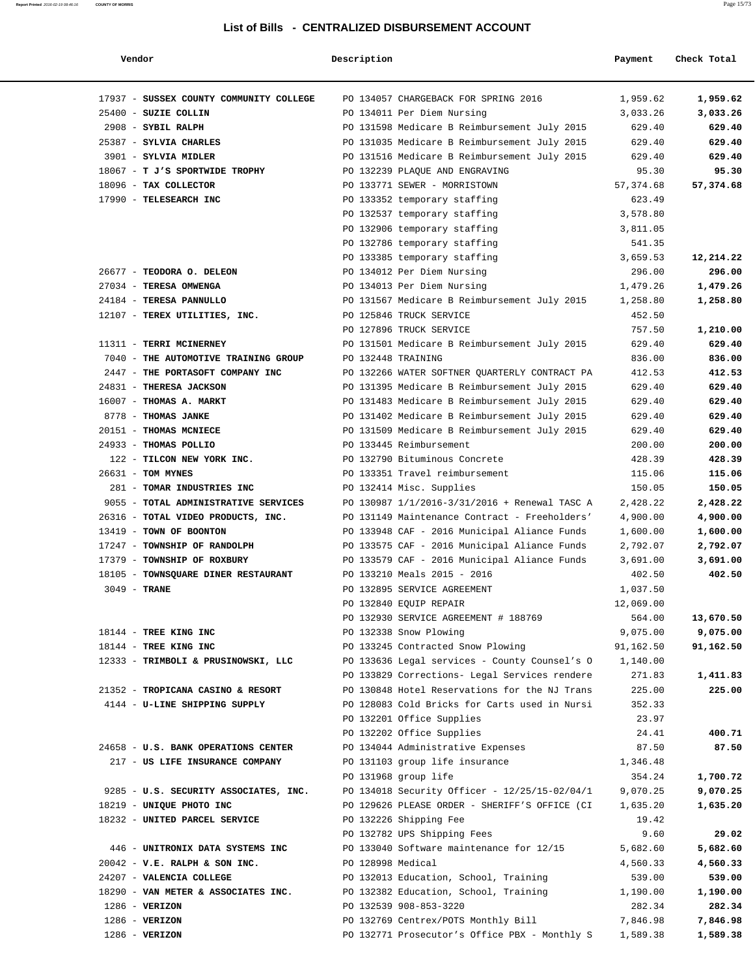| Vendor                                  | Description        |                                                        | Payment   | Check Total |
|-----------------------------------------|--------------------|--------------------------------------------------------|-----------|-------------|
| 17937 - SUSSEX COUNTY COMMUNITY COLLEGE |                    | PO 134057 CHARGEBACK FOR SPRING 2016                   | 1,959.62  | 1,959.62    |
| 25400 - SUZIE COLLIN                    |                    | PO 134011 Per Diem Nursing                             | 3,033.26  | 3,033.26    |
| 2908 - SYBIL RALPH                      |                    | PO 131598 Medicare B Reimbursement July 2015           | 629.40    | 629.40      |
| 25387 - SYLVIA CHARLES                  |                    | PO 131035 Medicare B Reimbursement July 2015           | 629.40    | 629.40      |
| 3901 - SYLVIA MIDLER                    |                    | PO 131516 Medicare B Reimbursement July 2015           | 629.40    | 629.40      |
| 18067 - T J'S SPORTWIDE TROPHY          |                    | PO 132239 PLAQUE AND ENGRAVING                         | 95.30     | 95.30       |
| 18096 - TAX COLLECTOR                   |                    | PO 133771 SEWER - MORRISTOWN                           | 57,374.68 | 57,374.68   |
| 17990 - TELESEARCH INC                  |                    | PO 133352 temporary staffing                           | 623.49    |             |
|                                         |                    | PO 132537 temporary staffing                           | 3,578.80  |             |
|                                         |                    | PO 132906 temporary staffing                           | 3,811.05  |             |
|                                         |                    | PO 132786 temporary staffing                           | 541.35    |             |
|                                         |                    | PO 133385 temporary staffing                           | 3,659.53  | 12,214.22   |
| 26677 - TEODORA O. DELEON               |                    | PO 134012 Per Diem Nursing                             | 296.00    | 296.00      |
| 27034 - TERESA OMWENGA                  |                    | PO 134013 Per Diem Nursing                             | 1,479.26  | 1,479.26    |
| 24184 - TERESA PANNULLO                 |                    |                                                        |           |             |
|                                         |                    | PO 131567 Medicare B Reimbursement July 2015           | 1,258.80  | 1,258.80    |
| 12107 - TEREX UTILITIES, INC.           |                    | PO 125846 TRUCK SERVICE                                | 452.50    |             |
|                                         |                    | PO 127896 TRUCK SERVICE                                | 757.50    | 1,210.00    |
| 11311 - TERRI MCINERNEY                 |                    | PO 131501 Medicare B Reimbursement July 2015           | 629.40    | 629.40      |
| 7040 - THE AUTOMOTIVE TRAINING GROUP    | PO 132448 TRAINING |                                                        | 836.00    | 836.00      |
| 2447 - THE PORTASOFT COMPANY INC        |                    | PO 132266 WATER SOFTNER QUARTERLY CONTRACT PA          | 412.53    | 412.53      |
| 24831 - THERESA JACKSON                 |                    | PO 131395 Medicare B Reimbursement July 2015           | 629.40    | 629.40      |
| 16007 - THOMAS A. MARKT                 |                    | PO 131483 Medicare B Reimbursement July 2015           | 629.40    | 629.40      |
| 8778 - THOMAS JANKE                     |                    | PO 131402 Medicare B Reimbursement July 2015           | 629.40    | 629.40      |
| 20151 - THOMAS MCNIECE                  |                    | PO 131509 Medicare B Reimbursement July 2015           | 629.40    | 629.40      |
| 24933 - THOMAS POLLIO                   |                    | PO 133445 Reimbursement                                | 200.00    | 200.00      |
| 122 - TILCON NEW YORK INC.              |                    | PO 132790 Bituminous Concrete                          | 428.39    | 428.39      |
| 26631 - TOM MYNES                       |                    | PO 133351 Travel reimbursement                         | 115.06    | 115.06      |
| 281 - TOMAR INDUSTRIES INC              |                    | PO 132414 Misc. Supplies                               | 150.05    | 150.05      |
| 9055 - TOTAL ADMINISTRATIVE SERVICES    |                    | PO 130987 1/1/2016-3/31/2016 + Renewal TASC A          | 2,428.22  | 2,428.22    |
| 26316 - TOTAL VIDEO PRODUCTS, INC.      |                    | PO 131149 Maintenance Contract - Freeholders'          | 4,900.00  | 4,900.00    |
| 13419 - TOWN OF BOONTON                 |                    | PO 133948 CAF - 2016 Municipal Aliance Funds           | 1,600.00  | 1,600.00    |
| 17247 - TOWNSHIP OF RANDOLPH            |                    | PO 133575 CAF - 2016 Municipal Aliance Funds           | 2,792.07  | 2,792.07    |
| 17379 - TOWNSHIP OF ROXBURY             |                    | PO 133579 CAF - 2016 Municipal Aliance Funds           | 3,691.00  | 3,691.00    |
| 18105 - TOWNSQUARE DINER RESTAURANT     |                    | PO 133210 Meals 2015 - 2016                            | 402.50    | 402.50      |
| $3049$ - TRANE                          |                    | PO 132895 SERVICE AGREEMENT                            | 1,037.50  |             |
|                                         |                    | PO 132840 EQUIP REPAIR                                 | 12,069.00 |             |
|                                         |                    | PO 132930 SERVICE AGREEMENT # 188769                   | 564.00    | 13,670.50   |
| 18144 - TREE KING INC                   |                    | PO 132338 Snow Plowing                                 | 9,075.00  | 9,075.00    |
| 18144 - TREE KING INC                   |                    | PO 133245 Contracted Snow Plowing                      | 91,162.50 | 91,162.50   |
| 12333 - TRIMBOLI & PRUSINOWSKI, LLC     |                    | PO 133636 Legal services - County Counsel's O          | 1,140.00  |             |
|                                         |                    | PO 133829 Corrections- Legal Services rendere          | 271.83    | 1,411.83    |
| 21352 - TROPICANA CASINO & RESORT       |                    | PO 130848 Hotel Reservations for the NJ Trans          | 225.00    | 225.00      |
| 4144 - U-LINE SHIPPING SUPPLY           |                    | PO 128083 Cold Bricks for Carts used in Nursi          | 352.33    |             |
|                                         |                    | PO 132201 Office Supplies                              | 23.97     |             |
|                                         |                    | PO 132202 Office Supplies                              | 24.41     | 400.71      |
| 24658 - U.S. BANK OPERATIONS CENTER     |                    | PO 134044 Administrative Expenses                      |           | 87.50       |
|                                         |                    |                                                        | 87.50     |             |
| 217 - US LIFE INSURANCE COMPANY         |                    | PO 131103 group life insurance                         | 1,346.48  |             |
|                                         |                    | PO 131968 group life                                   | 354.24    | 1,700.72    |
| 9285 - U.S. SECURITY ASSOCIATES, INC.   |                    | PO 134018 Security Officer - 12/25/15-02/04/1          | 9,070.25  | 9,070.25    |
| 18219 - UNIQUE PHOTO INC                |                    | PO 129626 PLEASE ORDER - SHERIFF'S OFFICE (CI          | 1,635.20  | 1,635.20    |
| 18232 - UNITED PARCEL SERVICE           |                    | PO 132226 Shipping Fee                                 | 19.42     |             |
|                                         |                    | PO 132782 UPS Shipping Fees                            | 9.60      | 29.02       |
| 446 - UNITRONIX DATA SYSTEMS INC        |                    | PO 133040 Software maintenance for 12/15               | 5,682.60  | 5,682.60    |
| $20042$ - V.E. RALPH & SON INC.         | PO 128998 Medical  |                                                        | 4,560.33  | 4,560.33    |
| 24207 - VALENCIA COLLEGE                |                    | PO 132013 Education, School, Training                  | 539.00    | 539.00      |
| 18290 - VAN METER & ASSOCIATES INC.     |                    | PO 132382 Education, School, Training                  | 1,190.00  | 1,190.00    |
| $1286$ - VERIZON                        |                    | PO 132539 908-853-3220                                 | 282.34    | 282.34      |
| $1286$ - VERIZON                        |                    | PO 132769 Centrex/POTS Monthly Bill                    | 7,846.98  | 7,846.98    |
| $1286$ - VERIZON                        |                    | PO 132771 Prosecutor's Office PBX - Monthly S 1,589.38 |           | 1,589.38    |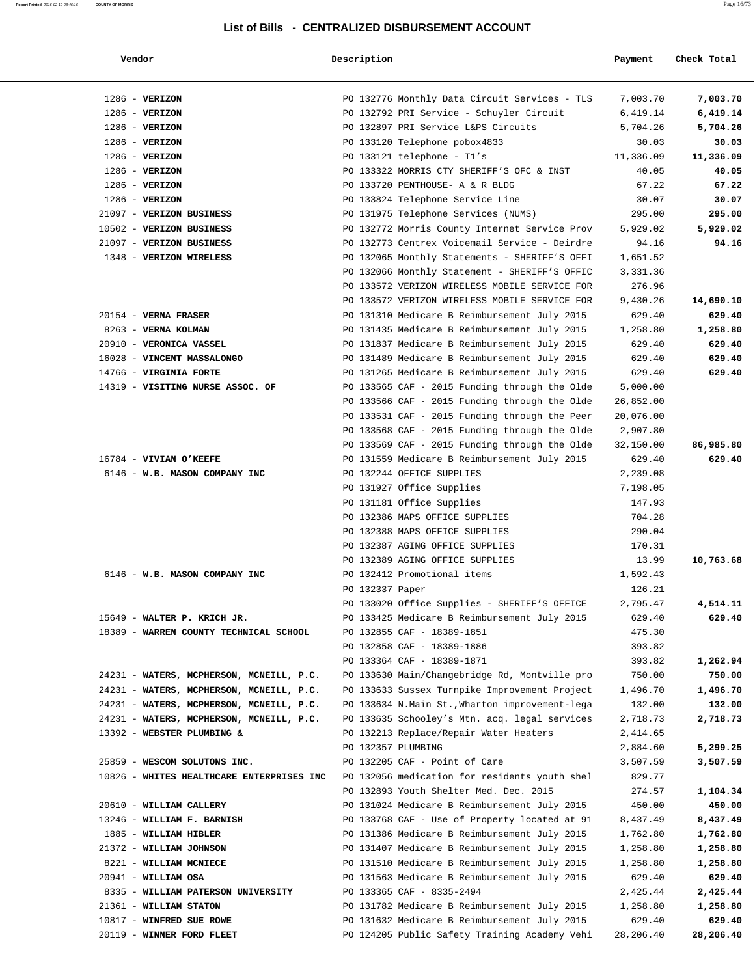| Vendor                                    | Description                   |                                                | Payment   | Check Total |
|-------------------------------------------|-------------------------------|------------------------------------------------|-----------|-------------|
| $1286$ - VERIZON                          |                               | PO 132776 Monthly Data Circuit Services - TLS  | 7,003.70  | 7,003.70    |
| $1286$ - VERIZON                          |                               | PO 132792 PRI Service - Schuyler Circuit       | 6,419.14  | 6,419.14    |
| $1286$ - VERIZON                          |                               | PO 132897 PRI Service L&PS Circuits            | 5,704.26  | 5,704.26    |
| $1286$ - VERIZON                          | PO 133120 Telephone pobox4833 |                                                | 30.03     | 30.03       |
| $1286$ - VERIZON                          | PO 133121 telephone - T1's    |                                                | 11,336.09 | 11,336.09   |
| $1286$ - VERIZON                          |                               | PO 133322 MORRIS CTY SHERIFF'S OFC & INST      | 40.05     | 40.05       |
| $1286$ - VERIZON                          |                               | PO 133720 PENTHOUSE- A & R BLDG                | 67.22     | 67.22       |
| $1286$ - VERIZON                          |                               | PO 133824 Telephone Service Line               | 30.07     | 30.07       |
| 21097 - VERIZON BUSINESS                  |                               | PO 131975 Telephone Services (NUMS)            | 295.00    | 295.00      |
| 10502 - VERIZON BUSINESS                  |                               | PO 132772 Morris County Internet Service Prov  | 5,929.02  | 5,929.02    |
| 21097 - VERIZON BUSINESS                  |                               | PO 132773 Centrex Voicemail Service - Deirdre  | 94.16     | 94.16       |
| 1348 - VERIZON WIRELESS                   |                               | PO 132065 Monthly Statements - SHERIFF'S OFFI  | 1,651.52  |             |
|                                           |                               | PO 132066 Monthly Statement - SHERIFF'S OFFIC  | 3,331.36  |             |
|                                           |                               | PO 133572 VERIZON WIRELESS MOBILE SERVICE FOR  | 276.96    |             |
|                                           |                               | PO 133572 VERIZON WIRELESS MOBILE SERVICE FOR  | 9,430.26  | 14,690.10   |
| 20154 - VERNA FRASER                      |                               | PO 131310 Medicare B Reimbursement July 2015   | 629.40    | 629.40      |
| 8263 - VERNA KOLMAN                       |                               | PO 131435 Medicare B Reimbursement July 2015   | 1,258.80  | 1,258.80    |
| 20910 - VERONICA VASSEL                   |                               | PO 131837 Medicare B Reimbursement July 2015   | 629.40    | 629.40      |
| 16028 - VINCENT MASSALONGO                |                               | PO 131489 Medicare B Reimbursement July 2015   | 629.40    | 629.40      |
| 14766 - VIRGINIA FORTE                    |                               | PO 131265 Medicare B Reimbursement July 2015   | 629.40    | 629.40      |
| 14319 - VISITING NURSE ASSOC. OF          |                               | PO 133565 CAF - 2015 Funding through the Olde  | 5,000.00  |             |
|                                           |                               | PO 133566 CAF - 2015 Funding through the Olde  | 26,852.00 |             |
|                                           |                               | PO 133531 CAF - 2015 Funding through the Peer  | 20,076.00 |             |
|                                           |                               | PO 133568 CAF - 2015 Funding through the Olde  | 2,907.80  |             |
|                                           |                               | PO 133569 CAF - 2015 Funding through the Olde  | 32,150.00 | 86,985.80   |
| 16784 - VIVIAN O'KEEFE                    |                               | PO 131559 Medicare B Reimbursement July 2015   | 629.40    | 629.40      |
| 6146 - W.B. MASON COMPANY INC             | PO 132244 OFFICE SUPPLIES     |                                                | 2,239.08  |             |
|                                           | PO 131927 Office Supplies     |                                                | 7,198.05  |             |
|                                           | PO 131181 Office Supplies     |                                                | 147.93    |             |
|                                           |                               | PO 132386 MAPS OFFICE SUPPLIES                 | 704.28    |             |
|                                           |                               | PO 132388 MAPS OFFICE SUPPLIES                 | 290.04    |             |
|                                           |                               | PO 132387 AGING OFFICE SUPPLIES                | 170.31    |             |
|                                           |                               | PO 132389 AGING OFFICE SUPPLIES                | 13.99     | 10,763.68   |
| 6146 - W.B. MASON COMPANY INC             | PO 132412 Promotional items   |                                                | 1,592.43  |             |
|                                           | PO 132337 Paper               |                                                | 126.21    |             |
|                                           |                               | PO 133020 Office Supplies - SHERIFF'S OFFICE   | 2,795.47  | 4,514.11    |
| 15649 - WALTER P. KRICH JR.               |                               | PO 133425 Medicare B Reimbursement July 2015   | 629.40    | 629.40      |
| 18389 - WARREN COUNTY TECHNICAL SCHOOL    | PO 132855 CAF - 18389-1851    |                                                | 475.30    |             |
|                                           | PO 132858 CAF - 18389-1886    |                                                | 393.82    |             |
|                                           | PO 133364 CAF - 18389-1871    |                                                | 393.82    | 1,262.94    |
| 24231 - WATERS, MCPHERSON, MCNEILL, P.C.  |                               | PO 133630 Main/Changebridge Rd, Montville pro  | 750.00    | 750.00      |
| 24231 - WATERS, MCPHERSON, MCNEILL, P.C.  |                               | PO 133633 Sussex Turnpike Improvement Project  | 1,496.70  | 1,496.70    |
| 24231 - WATERS, MCPHERSON, MCNEILL, P.C.  |                               | PO 133634 N.Main St., Wharton improvement-lega | 132.00    | 132.00      |
| 24231 - WATERS, MCPHERSON, MCNEILL, P.C.  |                               | PO 133635 Schooley's Mtn. acq. legal services  | 2,718.73  | 2,718.73    |
| 13392 - WEBSTER PLUMBING &                |                               | PO 132213 Replace/Repair Water Heaters         | 2,414.65  |             |
|                                           | PO 132357 PLUMBING            |                                                | 2,884.60  | 5,299.25    |
| 25859 - WESCOM SOLUTONS INC.              | PO 132205 CAF - Point of Care |                                                | 3,507.59  | 3,507.59    |
| 10826 - WHITES HEALTHCARE ENTERPRISES INC |                               | PO 132056 medication for residents youth shel  | 829.77    |             |
|                                           |                               | PO 132893 Youth Shelter Med. Dec. 2015         | 274.57    | 1,104.34    |
| 20610 - WILLIAM CALLERY                   |                               | PO 131024 Medicare B Reimbursement July 2015   | 450.00    | 450.00      |
|                                           |                               | PO 133768 CAF - Use of Property located at 91  |           | 8,437.49    |
| 13246 - WILLIAM F. BARNISH                |                               |                                                | 8,437.49  |             |
| 1885 - WILLIAM HIBLER                     |                               | PO 131386 Medicare B Reimbursement July 2015   | 1,762.80  | 1,762.80    |
| 21372 - WILLIAM JOHNSON                   |                               | PO 131407 Medicare B Reimbursement July 2015   | 1,258.80  | 1,258.80    |
| 8221 - WILLIAM MCNIECE                    |                               | PO 131510 Medicare B Reimbursement July 2015   | 1,258.80  | 1,258.80    |
| $20941 - WILLIAM OSA$                     |                               | PO 131563 Medicare B Reimbursement July 2015   | 629.40    | 629.40      |

8335 - **WILLIAM PATERSON UNIVERSITY** PO 133365 CAF - 8335-2494 2,425.44 **2,425.44**

 21361 - **WILLIAM STATON** PO 131782 Medicare B Reimbursement July 2015 1,258.80 **1,258.80** 10817 - **WINFRED SUE ROWE** PO 131632 Medicare B Reimbursement July 2015 629.40 **629.40**

20119 - **WINNER FORD FLEET** PO 124205 Public Safety Training Academy Vehi 28,206.40 **28,206.40**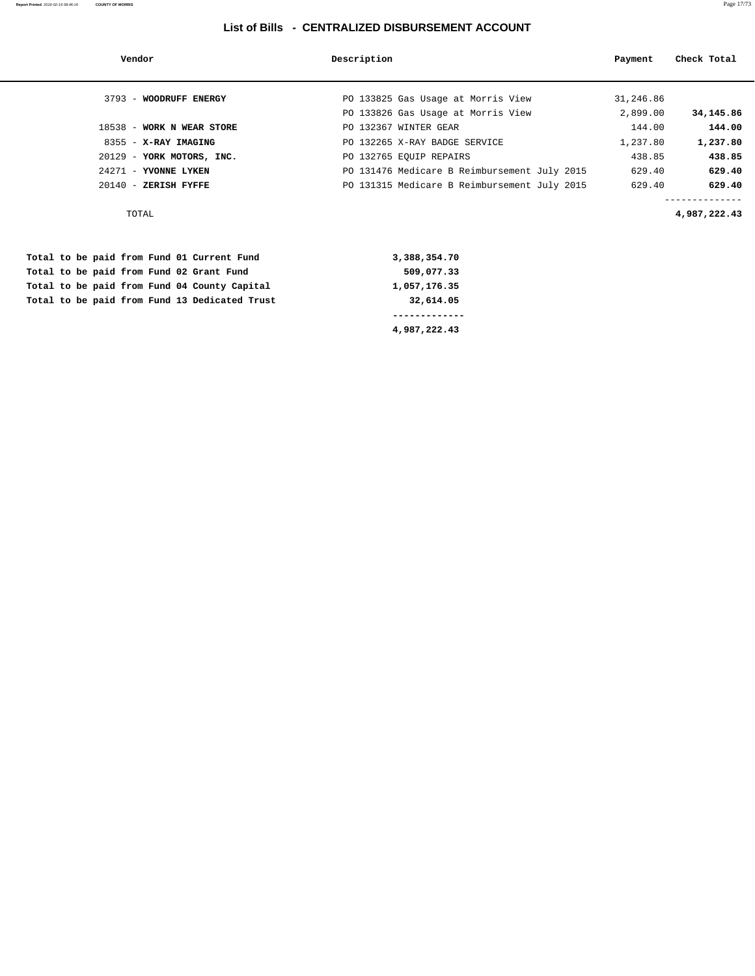| Vendor                    | Description                                  | Payment   | Check Total  |
|---------------------------|----------------------------------------------|-----------|--------------|
| 3793 - WOODRUFF ENERGY    | PO 133825 Gas Usage at Morris View           | 31,246.86 |              |
|                           | PO 133826 Gas Usage at Morris View           | 2,899.00  | 34,145.86    |
| 18538 - WORK N WEAR STORE | PO 132367 WINTER GEAR                        | 144.00    | 144.00       |
| 8355 - X-RAY IMAGING      | PO 132265 X-RAY BADGE SERVICE                | 1,237.80  | 1,237.80     |
| 20129 - YORK MOTORS, INC. | PO 132765 EOUIP REPAIRS                      | 438.85    | 438.85       |
| $24271$ - YVONNE LYKEN    | PO 131476 Medicare B Reimbursement July 2015 | 629.40    | 629.40       |
| $20140 -$ ZERISH FYFFE    | PO 131315 Medicare B Reimbursement July 2015 | 629.40    | 629.40       |
|                           |                                              |           |              |
| TOTAL                     |                                              |           | 4,987,222.43 |

|  |  |  |  | Total to be paid from Fund 01 Current Fund    | 3,388,354.70 |
|--|--|--|--|-----------------------------------------------|--------------|
|  |  |  |  | Total to be paid from Fund 02 Grant Fund      | 509,077.33   |
|  |  |  |  | Total to be paid from Fund 04 County Capital  | 1,057,176.35 |
|  |  |  |  | Total to be paid from Fund 13 Dedicated Trust | 32,614.05    |
|  |  |  |  |                                               |              |
|  |  |  |  |                                               | 4,987,222.43 |

**Report Printed** 2016-02-19 08:46:16 **COUNTY OF MORRIS** Page 17/73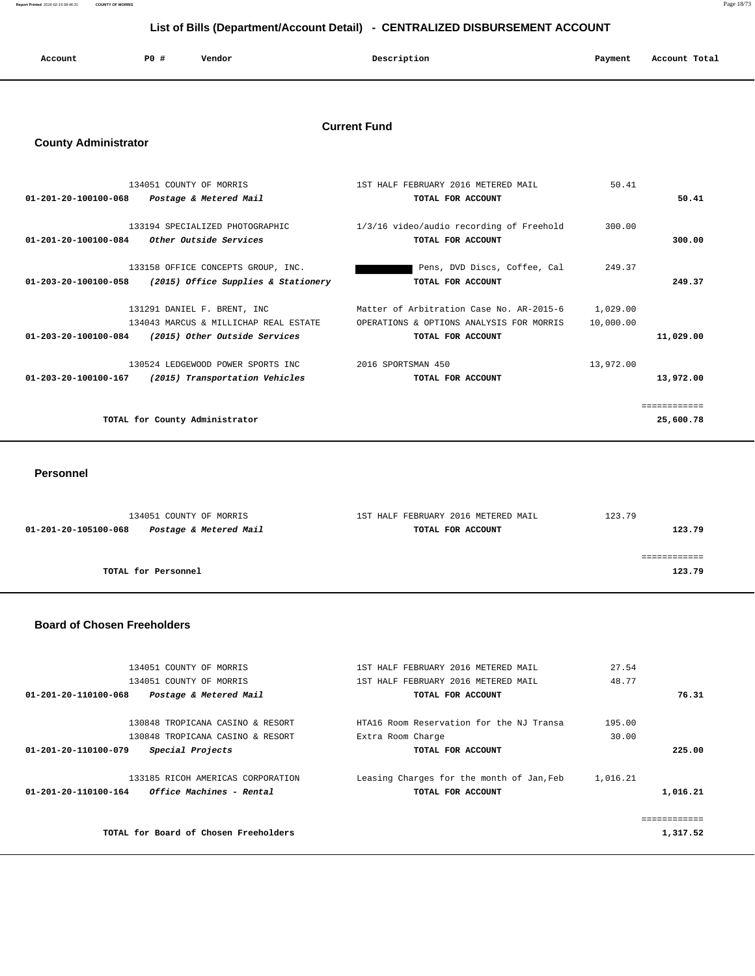**Report Printed** 2016-02-19 08:46:31 **COUNTY OF MORRIS** Page 18/73

## **List of Bills (Department/Account Detail) - CENTRALIZED DISBURSEMENT ACCOUNT**

| Account | PO# | Vendor | Description | Payment | Account Total |
|---------|-----|--------|-------------|---------|---------------|
|         |     |        |             |         |               |

## **Current Fund**

## **County Administrator**

| 134051 COUNTY OF MORRIS                                  |                                       | 1ST HALF FEBRUARY 2016 METERED MAIL      | 50.41     |              |
|----------------------------------------------------------|---------------------------------------|------------------------------------------|-----------|--------------|
| $01 - 201 - 20 - 100100 - 068$<br>Postage & Metered Mail |                                       | TOTAL FOR ACCOUNT                        |           | 50.41        |
|                                                          |                                       |                                          |           |              |
| 133194 SPECIALIZED PHOTOGRAPHIC                          |                                       | 1/3/16 video/audio recording of Freehold | 300.00    |              |
| Other Outside Services<br>$01 - 201 - 20 - 100100 - 084$ |                                       | TOTAL FOR ACCOUNT                        |           | 300.00       |
|                                                          |                                       |                                          |           |              |
|                                                          | 133158 OFFICE CONCEPTS GROUP, INC.    | Pens, DVD Discs, Coffee, Cal             | 249.37    |              |
| $01 - 203 - 20 - 100100 - 058$                           | (2015) Office Supplies & Stationery   | TOTAL FOR ACCOUNT                        |           | 249.37       |
|                                                          |                                       |                                          |           |              |
| 131291 DANIEL F. BRENT, INC                              |                                       | Matter of Arbitration Case No. AR-2015-6 | 1,029.00  |              |
|                                                          | 134043 MARCUS & MILLICHAP REAL ESTATE | OPERATIONS & OPTIONS ANALYSIS FOR MORRIS | 10,000.00 |              |
| 01-203-20-100100-084                                     | (2015) Other Outside Services         | TOTAL FOR ACCOUNT                        |           | 11,029.00    |
|                                                          | 130524 LEDGEWOOD POWER SPORTS INC     | 2016 SPORTSMAN 450                       | 13,972.00 |              |
|                                                          |                                       |                                          |           |              |
| 01-203-20-100100-167                                     | (2015) Transportation Vehicles        | TOTAL FOR ACCOUNT                        |           | 13,972.00    |
|                                                          |                                       |                                          |           | ============ |
|                                                          |                                       |                                          |           |              |
| TOTAL for County Administrator                           |                                       |                                          |           | 25,600.78    |
|                                                          |                                       |                                          |           |              |

 **Personnel** 

| 134051 COUNTY OF MORRIS                        | 1ST HALF FEBRUARY 2016 METERED MAIL | 123.79     |
|------------------------------------------------|-------------------------------------|------------|
| Postage & Metered Mail<br>01-201-20-105100-068 | TOTAL FOR ACCOUNT                   | 123.79     |
|                                                |                                     |            |
|                                                |                                     | ---------- |
| TOTAL for Personnel                            |                                     | 123.79     |
|                                                |                                     |            |

#### **Board of Chosen Freeholders**

| 134051 COUNTY OF MORRIS<br>134051 COUNTY OF MORRIS                                                  | 1ST HALF FEBRUARY 2016 METERED MAIL<br>1ST HALF FEBRUARY 2016 METERED MAIL | 27.54<br>48.77  |          |
|-----------------------------------------------------------------------------------------------------|----------------------------------------------------------------------------|-----------------|----------|
| 01-201-20-110100-068<br>Postage & Metered Mail                                                      | TOTAL FOR ACCOUNT                                                          |                 | 76.31    |
| 130848 TROPICANA CASINO & RESORT<br>130848 TROPICANA CASINO & RESORT                                | HTA16 Room Reservation for the NJ Transa<br>Extra Room Charge              | 195.00<br>30.00 |          |
| Special Projects<br>01-201-20-110100-079                                                            | TOTAL FOR ACCOUNT                                                          |                 | 225.00   |
| 133185 RICOH AMERICAS CORPORATION<br><i><b>Office Machines - Rental</b></i><br>01-201-20-110100-164 | Leasing Charges for the month of Jan, Feb<br>TOTAL FOR ACCOUNT             | 1,016.21        | 1,016.21 |
|                                                                                                     |                                                                            |                 |          |
| TOTAL for Board of Chosen Freeholders                                                               |                                                                            |                 | 1,317.52 |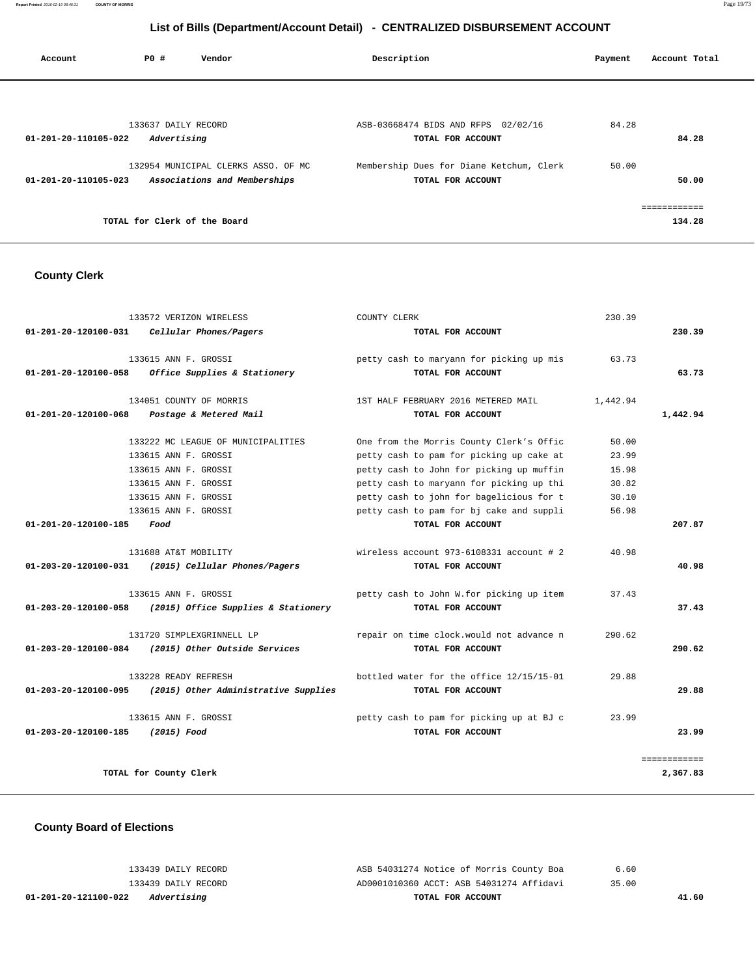**Report Printed** 2016-02-19 08:46:31 **COUNTY OF MORRIS** Page 19/73

## **List of Bills (Department/Account Detail) - CENTRALIZED DISBURSEMENT ACCOUNT**

| Account              | PO#                                | Vendor                                                              | Description                                                   | Payment | Account Total          |
|----------------------|------------------------------------|---------------------------------------------------------------------|---------------------------------------------------------------|---------|------------------------|
|                      |                                    |                                                                     |                                                               |         |                        |
| 01-201-20-110105-022 | 133637 DAILY RECORD<br>Advertising |                                                                     | ASB-03668474 BIDS AND RFPS 02/02/16<br>TOTAL FOR ACCOUNT      | 84.28   | 84.28                  |
| 01-201-20-110105-023 |                                    | 132954 MUNICIPAL CLERKS ASSO. OF MC<br>Associations and Memberships | Membership Dues for Diane Ketchum, Clerk<br>TOTAL FOR ACCOUNT | 50.00   | 50.00                  |
|                      | TOTAL for Clerk of the Board       |                                                                     |                                                               |         | ============<br>134.28 |

## **County Clerk**

|                                | 133572 VERIZON WIRELESS                                                                                                                                    | COUNTY CLERK                                                                                                                                                                                                                                                         | 230.39                                             |                          |
|--------------------------------|------------------------------------------------------------------------------------------------------------------------------------------------------------|----------------------------------------------------------------------------------------------------------------------------------------------------------------------------------------------------------------------------------------------------------------------|----------------------------------------------------|--------------------------|
| 01-201-20-120100-031           | Cellular Phones/Pagers                                                                                                                                     | TOTAL FOR ACCOUNT                                                                                                                                                                                                                                                    |                                                    | 230.39                   |
| 01-201-20-120100-058           | 133615 ANN F. GROSSI<br>Office Supplies & Stationery                                                                                                       | petty cash to maryann for picking up mis<br>TOTAL FOR ACCOUNT                                                                                                                                                                                                        | 63.73                                              | 63.73                    |
| $01 - 201 - 20 - 120100 - 068$ | 134051 COUNTY OF MORRIS<br>Postage & Metered Mail                                                                                                          | 1ST HALF FEBRUARY 2016 METERED MAIL<br>TOTAL FOR ACCOUNT                                                                                                                                                                                                             | 1,442.94                                           | 1,442.94                 |
|                                | 133222 MC LEAGUE OF MUNICIPALITIES<br>133615 ANN F. GROSSI<br>133615 ANN F. GROSSI<br>133615 ANN F. GROSSI<br>133615 ANN F. GROSSI<br>133615 ANN F. GROSSI | One from the Morris County Clerk's Offic<br>petty cash to pam for picking up cake at<br>petty cash to John for picking up muffin<br>petty cash to maryann for picking up thi<br>petty cash to john for bagelicious for t<br>petty cash to pam for bj cake and suppli | 50.00<br>23.99<br>15.98<br>30.82<br>30.10<br>56.98 |                          |
| 01-201-20-120100-185           | Food                                                                                                                                                       | TOTAL FOR ACCOUNT                                                                                                                                                                                                                                                    |                                                    | 207.87                   |
| $01 - 203 - 20 - 120100 - 031$ | 131688 AT&T MOBILITY<br>(2015) Cellular Phones/Pagers                                                                                                      | wireless account $973-6108331$ account # 2<br>TOTAL FOR ACCOUNT                                                                                                                                                                                                      | 40.98                                              | 40.98                    |
| 01-203-20-120100-058           | 133615 ANN F. GROSSI<br>(2015) Office Supplies & Stationery                                                                                                | petty cash to John W.for picking up item<br>TOTAL FOR ACCOUNT                                                                                                                                                                                                        | 37.43                                              | 37.43                    |
| 01-203-20-120100-084           | 131720 SIMPLEXGRINNELL LP<br>(2015) Other Outside Services                                                                                                 | repair on time clock. would not advance n<br>TOTAL FOR ACCOUNT                                                                                                                                                                                                       | 290.62                                             | 290.62                   |
| 01-203-20-120100-095           | 133228 READY REFRESH<br>(2015) Other Administrative Supplies                                                                                               | bottled water for the office 12/15/15-01<br>TOTAL FOR ACCOUNT                                                                                                                                                                                                        | 29.88                                              | 29.88                    |
| 01-203-20-120100-185           | 133615 ANN F. GROSSI<br>$(2015)$ Food                                                                                                                      | petty cash to pam for picking up at BJ c<br>TOTAL FOR ACCOUNT                                                                                                                                                                                                        | 23.99                                              | 23.99                    |
|                                | TOTAL for County Clerk                                                                                                                                     |                                                                                                                                                                                                                                                                      |                                                    | ============<br>2,367.83 |

## **County Board of Elections**

| 01-201-20-121100-022<br>Advertising | TOTAL FOR ACCOUNT                        | 41.60 |
|-------------------------------------|------------------------------------------|-------|
| 133439 DAILY RECORD                 | AD0001010360 ACCT: ASB 54031274 Affidavi | 35.00 |
| 133439 DAILY RECORD                 | ASB 54031274 Notice of Morris County Boa | 6.60  |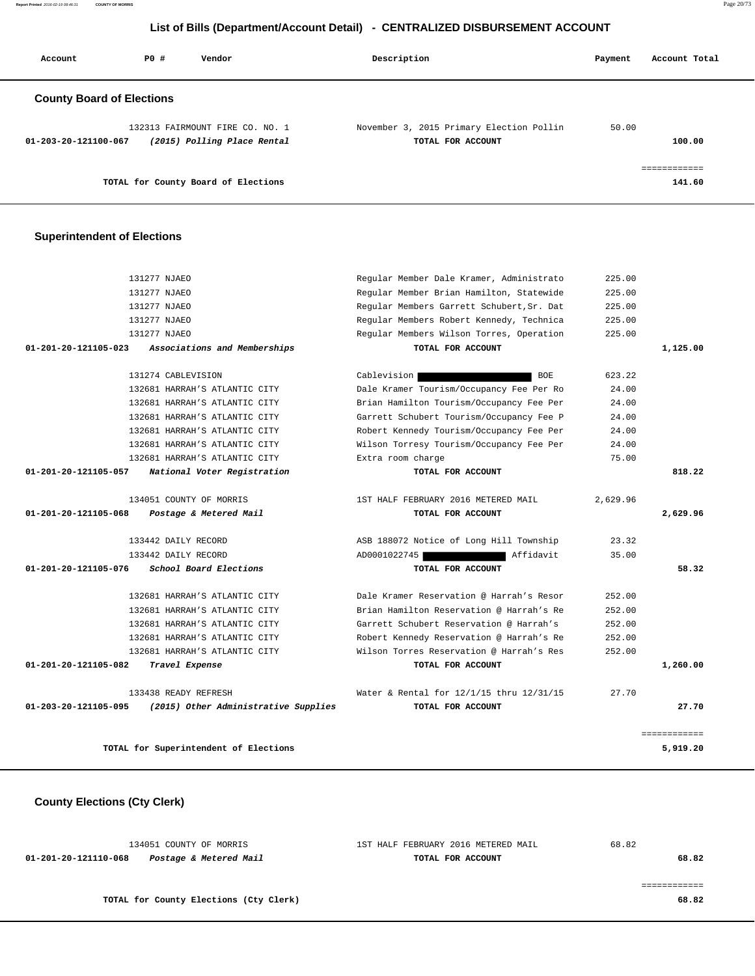**Report Printed** 2016-02-19 08:46:31 **COUNTY OF MORRIS** Page 20/73

## **List of Bills (Department/Account Detail) - CENTRALIZED DISBURSEMENT ACCOUNT**

| Account                          | PO# | Vendor                                                         | Description                                                   | Payment | Account Total          |
|----------------------------------|-----|----------------------------------------------------------------|---------------------------------------------------------------|---------|------------------------|
| <b>County Board of Elections</b> |     |                                                                |                                                               |         |                        |
| 01-203-20-121100-067             |     | 132313 FAIRMOUNT FIRE CO. NO. 1<br>(2015) Polling Place Rental | November 3, 2015 Primary Election Pollin<br>TOTAL FOR ACCOUNT | 50.00   | 100.00                 |
|                                  |     | TOTAL for County Board of Elections                            |                                                               |         | ------------<br>141.60 |

## **Superintendent of Elections**

|              | 225.00   | Regular Member Dale Kramer, Administrato  | 131277 NJAEO                          |                                |
|--------------|----------|-------------------------------------------|---------------------------------------|--------------------------------|
|              | 225.00   | Regular Member Brian Hamilton, Statewide  | 131277 NJAEO                          |                                |
|              | 225.00   | Regular Members Garrett Schubert, Sr. Dat | 131277 NJAEO                          |                                |
|              | 225.00   | Regular Members Robert Kennedy, Technica  | 131277 NJAEO                          |                                |
|              | 225.00   | Regular Members Wilson Torres, Operation  | 131277 NJAEO                          |                                |
| 1,125.00     |          | TOTAL FOR ACCOUNT                         | Associations and Memberships          | $01 - 201 - 20 - 121105 - 023$ |
|              | 623.22   | Cablevision<br><b>BOE</b>                 | 131274 CABLEVISION                    |                                |
|              | 24.00    | Dale Kramer Tourism/Occupancy Fee Per Ro  | 132681 HARRAH'S ATLANTIC CITY         |                                |
|              | 24.00    | Brian Hamilton Tourism/Occupancy Fee Per  | 132681 HARRAH'S ATLANTIC CITY         |                                |
|              | 24.00    | Garrett Schubert Tourism/Occupancy Fee P  | 132681 HARRAH'S ATLANTIC CITY         |                                |
|              | 24.00    | Robert Kennedy Tourism/Occupancy Fee Per  | 132681 HARRAH'S ATLANTIC CITY         |                                |
|              | 24.00    | Wilson Torresy Tourism/Occupancy Fee Per  | 132681 HARRAH'S ATLANTIC CITY         |                                |
|              | 75.00    | Extra room charge                         | 132681 HARRAH'S ATLANTIC CITY         |                                |
| 818.22       |          | TOTAL FOR ACCOUNT                         | National Voter Registration           | 01-201-20-121105-057           |
|              | 2,629.96 | 1ST HALF FEBRUARY 2016 METERED MAIL       | 134051 COUNTY OF MORRIS               |                                |
| 2,629.96     |          | TOTAL FOR ACCOUNT                         | Postage & Metered Mail                | 01-201-20-121105-068           |
|              | 23.32    | ASB 188072 Notice of Long Hill Township   | 133442 DAILY RECORD                   |                                |
|              | 35.00    | Affidavit<br>AD0001022745                 | 133442 DAILY RECORD                   |                                |
| 58.32        |          | TOTAL FOR ACCOUNT                         | School Board Elections                | 01-201-20-121105-076           |
|              | 252.00   | Dale Kramer Reservation @ Harrah's Resor  | 132681 HARRAH'S ATLANTIC CITY         |                                |
|              | 252.00   | Brian Hamilton Reservation @ Harrah's Re  | 132681 HARRAH'S ATLANTIC CITY         |                                |
|              | 252.00   | Garrett Schubert Reservation @ Harrah's   | 132681 HARRAH'S ATLANTIC CITY         |                                |
|              | 252.00   | Robert Kennedy Reservation @ Harrah's Re  | 132681 HARRAH'S ATLANTIC CITY         |                                |
|              | 252.00   | Wilson Torres Reservation @ Harrah's Res  | 132681 HARRAH'S ATLANTIC CITY         |                                |
| 1,260.00     |          | TOTAL FOR ACCOUNT                         | Travel Expense                        | 01-201-20-121105-082           |
|              | 27.70    | Water & Rental for 12/1/15 thru 12/31/15  | 133438 READY REFRESH                  |                                |
| 27.70        |          | TOTAL FOR ACCOUNT                         | (2015) Other Administrative Supplies  | 01-203-20-121105-095           |
| ============ |          |                                           |                                       |                                |
| 5,919.20     |          |                                           | TOTAL for Superintendent of Elections |                                |

 **County Elections (Cty Clerk)**

| 134051 COUNTY OF MORRIS                        | 1ST HALF FEBRUARY 2016 METERED MAIL | 68.82 |
|------------------------------------------------|-------------------------------------|-------|
| Postage & Metered Mail<br>01-201-20-121110-068 | TOTAL FOR ACCOUNT                   | 68.82 |
|                                                |                                     |       |
|                                                |                                     |       |
| TOTAL for County Elections (Cty Clerk)         |                                     | 68.82 |
|                                                |                                     |       |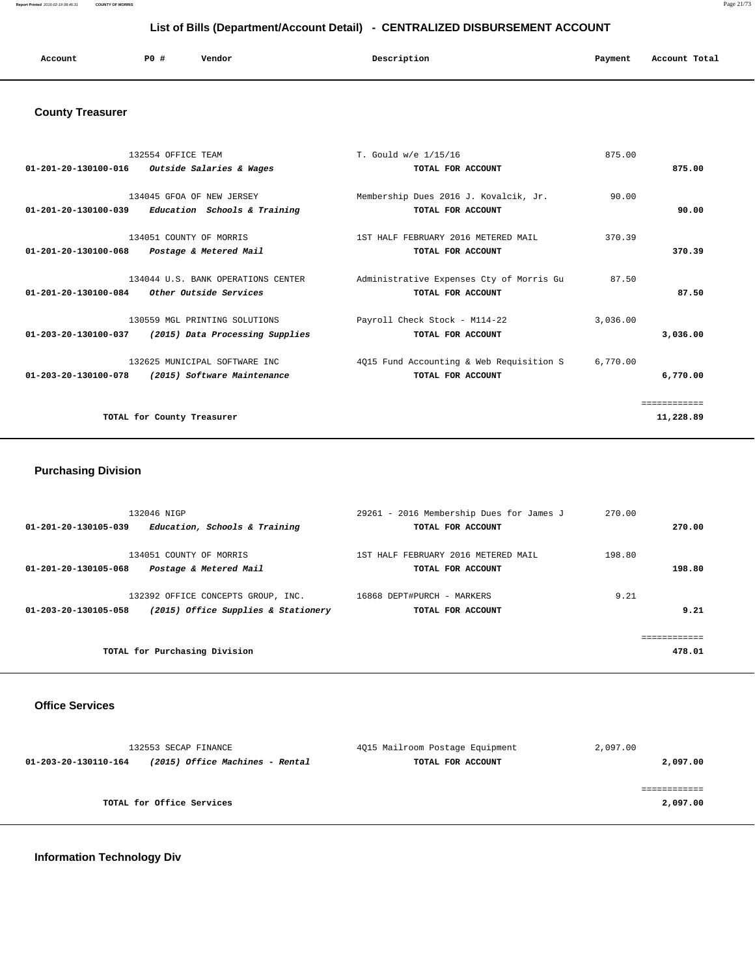**Report Printed** 2016-02-19 08:46:31 **COUNTY OF MORRIS** Page 21/73

## **List of Bills (Department/Account Detail) - CENTRALIZED DISBURSEMENT ACCOUNT**

| Account | PO <sub>1</sub> | Vendor | Description | Payment | Account Total<br>. |
|---------|-----------------|--------|-------------|---------|--------------------|
|         |                 |        |             |         |                    |

## **County Treasurer**

| 132554 OFFICE TEAM                                            | T. Gould w/e 1/15/16                     | 875.00   |              |
|---------------------------------------------------------------|------------------------------------------|----------|--------------|
| 01-201-20-130100-016<br><i>Outside Salaries &amp; Wages</i>   | TOTAL FOR ACCOUNT                        |          | 875.00       |
| 134045 GFOA OF NEW JERSEY                                     | Membership Dues 2016 J. Kovalcik, Jr.    | 90.00    |              |
| $01-201-20-130100-039$ Education Schools & Training           | TOTAL FOR ACCOUNT                        |          | 90.00        |
| 134051 COUNTY OF MORRIS                                       | 1ST HALF FEBRUARY 2016 METERED MAIL      | 370.39   |              |
| $01 - 201 - 20 - 130100 - 068$<br>Postage & Metered Mail      | TOTAL FOR ACCOUNT                        |          | 370.39       |
|                                                               |                                          |          |              |
| 134044 U.S. BANK OPERATIONS CENTER                            | Administrative Expenses Cty of Morris Gu | 87.50    |              |
| $01-201-20-130100-084$ Other Outside Services                 | TOTAL FOR ACCOUNT                        |          | 87.50        |
| 130559 MGL PRINTING SOLUTIONS                                 | Payroll Check Stock - M114-22            | 3,036.00 |              |
| 01-203-20-130100-037<br>(2015) Data Processing Supplies       | TOTAL FOR ACCOUNT                        |          | 3,036.00     |
| 132625 MUNICIPAL SOFTWARE INC                                 | 4Q15 Fund Accounting & Web Requisition S | 6,770.00 |              |
| $01 - 203 - 20 - 130100 - 078$<br>(2015) Software Maintenance | TOTAL FOR ACCOUNT                        |          | 6,770.00     |
|                                                               |                                          |          |              |
|                                                               |                                          |          | ============ |
| TOTAL for County Treasurer                                    |                                          |          | 11,228.89    |
|                                                               |                                          |          |              |

## **Purchasing Division**

| 132046 NIGP                                                                                       | 29261 - 2016 Membership Dues for James J                 | 270.00 |                       |
|---------------------------------------------------------------------------------------------------|----------------------------------------------------------|--------|-----------------------|
| Education, Schools & Training<br>01-201-20-130105-039                                             | TOTAL FOR ACCOUNT                                        |        | 270.00                |
| 134051 COUNTY OF MORRIS<br>01-201-20-130105-068<br>Postage & Metered Mail                         | 1ST HALF FEBRUARY 2016 METERED MAIL<br>TOTAL FOR ACCOUNT | 198.80 | 198.80                |
| 132392 OFFICE CONCEPTS GROUP, INC.<br>(2015) Office Supplies & Stationery<br>01-203-20-130105-058 | 16868 DEPT#PURCH - MARKERS<br>TOTAL FOR ACCOUNT          | 9.21   | 9.21                  |
| TOTAL for Purchasing Division                                                                     |                                                          |        | ===========<br>478.01 |

#### **Office Services**

| 132553 SECAP FINANCE                                    | 4Q15 Mailroom Postage Equipment | 2,097.00 |  |
|---------------------------------------------------------|---------------------------------|----------|--|
| (2015) Office Machines - Rental<br>01-203-20-130110-164 | TOTAL FOR ACCOUNT               | 2,097.00 |  |
|                                                         |                                 |          |  |
| TOTAL for Office Services                               |                                 | 2,097.00 |  |
|                                                         |                                 |          |  |

## **Information Technology Div**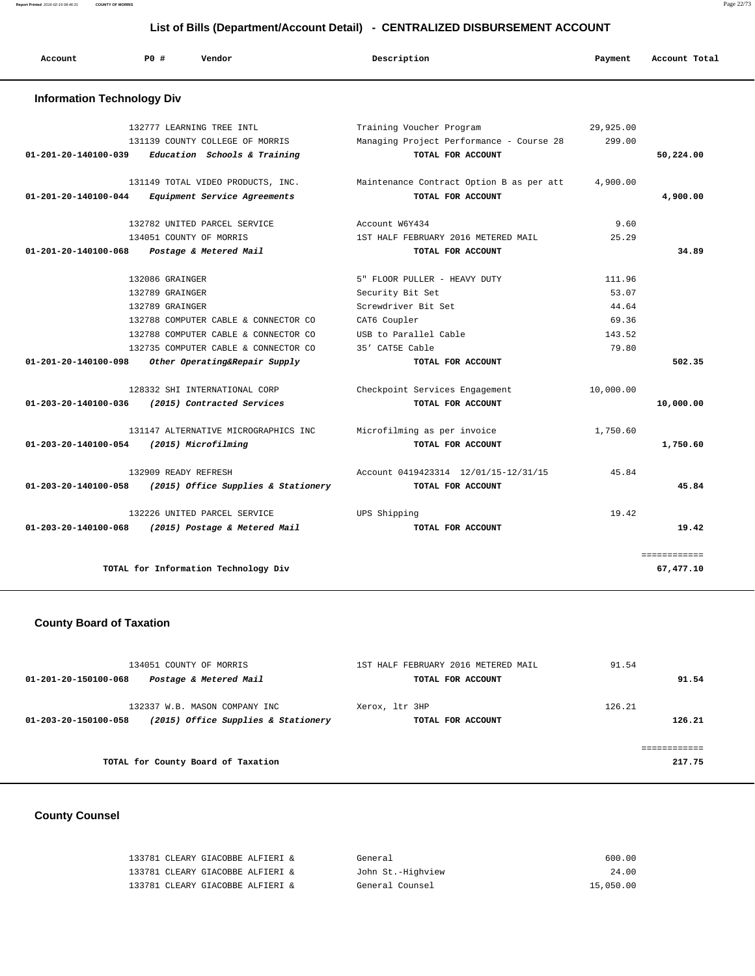| Account                           | Vendor<br>PO#                        | Description                              | Payment   | Account Total |
|-----------------------------------|--------------------------------------|------------------------------------------|-----------|---------------|
| <b>Information Technology Div</b> |                                      |                                          |           |               |
|                                   | 132777 LEARNING TREE INTL            | Training Voucher Program                 | 29,925.00 |               |
|                                   | 131139 COUNTY COLLEGE OF MORRIS      | Managing Project Performance - Course 28 | 299.00    |               |
| $01 - 201 - 20 - 140100 - 039$    | Education Schools & Training         | TOTAL FOR ACCOUNT                        |           | 50,224.00     |
|                                   | 131149 TOTAL VIDEO PRODUCTS, INC.    | Maintenance Contract Option B as per att | 4,900.00  |               |
| 01-201-20-140100-044              | Equipment Service Agreements         | TOTAL FOR ACCOUNT                        |           | 4,900.00      |
|                                   | 132782 UNITED PARCEL SERVICE         | Account W6Y434                           | 9.60      |               |
|                                   | 134051 COUNTY OF MORRIS              | 1ST HALF FEBRUARY 2016 METERED MAIL      | 25.29     |               |
| $01 - 201 - 20 - 140100 - 068$    | Postage & Metered Mail               | TOTAL FOR ACCOUNT                        |           | 34.89         |
|                                   | 132086 GRAINGER                      | 5" FLOOR PULLER - HEAVY DUTY             | 111.96    |               |
|                                   | 132789 GRAINGER                      | Security Bit Set                         | 53.07     |               |
|                                   | 132789 GRAINGER                      | Screwdriver Bit Set                      | 44.64     |               |
|                                   | 132788 COMPUTER CABLE & CONNECTOR CO | CAT6 Coupler                             | 69.36     |               |
|                                   | 132788 COMPUTER CABLE & CONNECTOR CO | USB to Parallel Cable                    | 143.52    |               |
|                                   | 132735 COMPUTER CABLE & CONNECTOR CO | 35' CAT5E Cable                          | 79.80     |               |
| $01 - 201 - 20 - 140100 - 098$    | Other Operating&Repair Supply        | TOTAL FOR ACCOUNT                        |           | 502.35        |
|                                   | 128332 SHI INTERNATIONAL CORP        | Checkpoint Services Engagement           | 10,000.00 |               |
| 01-203-20-140100-036              | (2015) Contracted Services           | TOTAL FOR ACCOUNT                        |           | 10,000.00     |
|                                   | 131147 ALTERNATIVE MICROGRAPHICS INC | Microfilming as per invoice              | 1,750.60  |               |
| 01-203-20-140100-054              | (2015) Microfilming                  | TOTAL FOR ACCOUNT                        |           | 1,750.60      |
|                                   | 132909 READY REFRESH                 | Account 0419423314 12/01/15-12/31/15     | 45.84     |               |
| 01-203-20-140100-058              | (2015) Office Supplies & Stationery  | TOTAL FOR ACCOUNT                        |           | 45.84         |
|                                   | 132226 UNITED PARCEL SERVICE         | UPS Shipping                             | 19.42     |               |
| $01 - 203 - 20 - 140100 - 068$    | (2015) Postage & Metered Mail        | TOTAL FOR ACCOUNT                        |           | 19.42         |

# **County Board of Taxation**

| 134051 COUNTY OF MORRIS                                                                      | 1ST HALF FEBRUARY 2016 METERED MAIL | 91.54            |
|----------------------------------------------------------------------------------------------|-------------------------------------|------------------|
| Postage & Metered Mail<br>01-201-20-150100-068                                               | TOTAL FOR ACCOUNT                   | 91.54            |
| 132337 W.B. MASON COMPANY INC<br>(2015) Office Supplies & Stationery<br>01-203-20-150100-058 | Xerox, 1tr 3HP<br>TOTAL FOR ACCOUNT | 126.21<br>126.21 |
| TOTAL for County Board of Taxation                                                           |                                     | 217.75           |
|                                                                                              |                                     |                  |

# **County Counsel**

| 133781 CLEARY GIACOBBE ALFIERI & | General           | 600.00    |
|----------------------------------|-------------------|-----------|
| 133781 CLEARY GIACOBBE ALFIERI & | John St.-Highview | 24.00     |
| 133781 CLEARY GIACOBBE ALFIERI & | General Counsel   | 15,050.00 |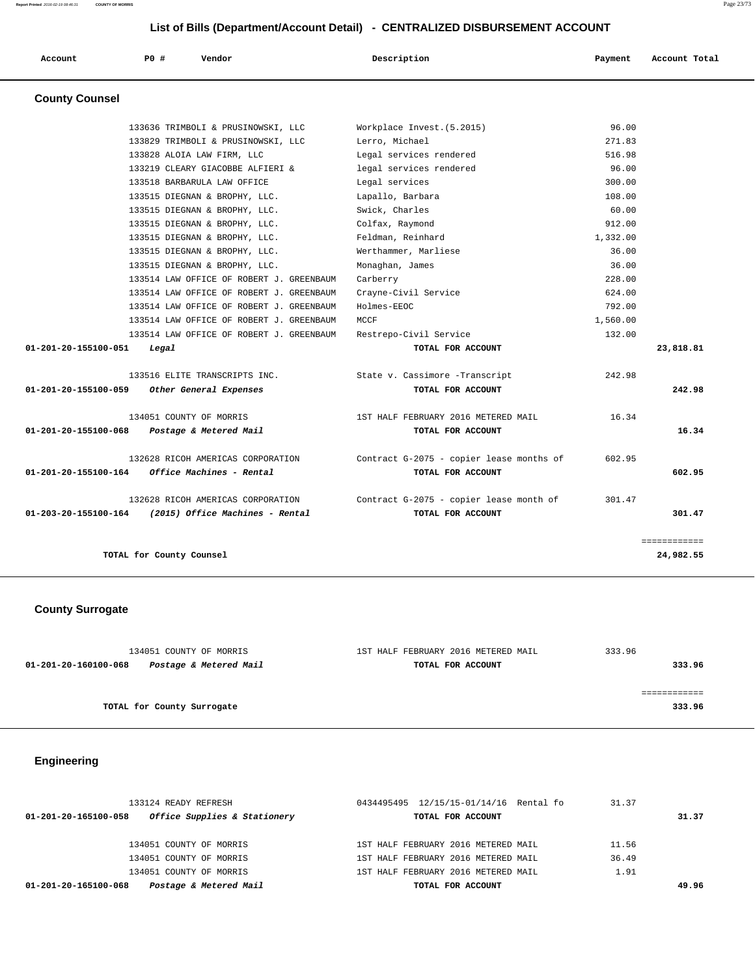| List of Bills (Department/Account Detail) - CENTRALIZED DISBURSEMENT ACCOUNT |       |                                          |                                          |          |               |
|------------------------------------------------------------------------------|-------|------------------------------------------|------------------------------------------|----------|---------------|
| Account                                                                      | PO#   | Vendor                                   | Description                              | Payment  | Account Total |
| <b>County Counsel</b>                                                        |       |                                          |                                          |          |               |
|                                                                              |       | 133636 TRIMBOLI & PRUSINOWSKI, LLC       | Workplace Invest. (5.2015)               | 96.00    |               |
|                                                                              |       | 133829 TRIMBOLI & PRUSINOWSKI, LLC       | Lerro, Michael                           | 271.83   |               |
|                                                                              |       | 133828 ALOIA LAW FIRM, LLC               | Legal services rendered                  | 516.98   |               |
|                                                                              |       | 133219 CLEARY GIACOBBE ALFIERI &         | legal services rendered                  | 96.00    |               |
|                                                                              |       | 133518 BARBARULA LAW OFFICE              | Legal services                           | 300.00   |               |
|                                                                              |       | 133515 DIEGNAN & BROPHY, LLC.            | Lapallo, Barbara                         | 108.00   |               |
|                                                                              |       | 133515 DIEGNAN & BROPHY, LLC.            | Swick, Charles                           | 60.00    |               |
|                                                                              |       | 133515 DIEGNAN & BROPHY, LLC.            | Colfax, Raymond                          | 912.00   |               |
|                                                                              |       | 133515 DIEGNAN & BROPHY, LLC.            | Feldman, Reinhard                        | 1,332.00 |               |
|                                                                              |       | 133515 DIEGNAN & BROPHY, LLC.            | Werthammer, Marliese                     | 36.00    |               |
|                                                                              |       | 133515 DIEGNAN & BROPHY, LLC.            | Monaghan, James                          | 36.00    |               |
|                                                                              |       | 133514 LAW OFFICE OF ROBERT J. GREENBAUM | Carberry                                 | 228.00   |               |
|                                                                              |       | 133514 LAW OFFICE OF ROBERT J. GREENBAUM | Crayne-Civil Service                     | 624.00   |               |
|                                                                              |       | 133514 LAW OFFICE OF ROBERT J. GREENBAUM | Holmes-EEOC                              | 792.00   |               |
|                                                                              |       | 133514 LAW OFFICE OF ROBERT J. GREENBAUM | MCCF                                     | 1,560.00 |               |
|                                                                              |       | 133514 LAW OFFICE OF ROBERT J. GREENBAUM | Restrepo-Civil Service                   | 132.00   |               |
| 01-201-20-155100-051                                                         | Legal |                                          | TOTAL FOR ACCOUNT                        |          | 23,818.81     |
|                                                                              |       | 133516 ELITE TRANSCRIPTS INC.            | State v. Cassimore -Transcript           | 242.98   |               |
| 01-201-20-155100-059                                                         |       | Other General Expenses                   | TOTAL FOR ACCOUNT                        |          | 242.98        |
|                                                                              |       | 134051 COUNTY OF MORRIS                  | 1ST HALF FEBRUARY 2016 METERED MAIL      | 16.34    |               |
| 01-201-20-155100-068                                                         |       | Postage & Metered Mail                   | TOTAL FOR ACCOUNT                        |          | 16.34         |
|                                                                              |       | 132628 RICOH AMERICAS CORPORATION        | Contract G-2075 - copier lease months of | 602.95   |               |

 **01-201-20-155100-164 Office Machines - Rental TOTAL FOR ACCOUNT 602.95**

 132628 RICOH AMERICAS CORPORATION Contract G-2075 - copier lease month of 301.47  **01-203-20-155100-164 (2015) Office Machines - Rental TOTAL FOR ACCOUNT 301.47**

============

**TOTAL for County Counsel 24,982.55**

### **County Surrogate**

| 134051 COUNTY OF MORRIS                        | 1ST HALF FEBRUARY 2016 METERED MAIL | 333.96 |
|------------------------------------------------|-------------------------------------|--------|
| Postage & Metered Mail<br>01-201-20-160100-068 | TOTAL FOR ACCOUNT                   | 333.96 |
|                                                |                                     |        |
|                                                |                                     |        |
| TOTAL for County Surrogate                     |                                     | 333.96 |
|                                                |                                     |        |

### **Engineering**

| 133124 READY REFRESH                                 | 0434495495 12/15/15-01/14/16 Rental fo | 31.37 |
|------------------------------------------------------|----------------------------------------|-------|
| Office Supplies & Stationery<br>01-201-20-165100-058 | TOTAL FOR ACCOUNT                      | 31.37 |
|                                                      |                                        |       |
| 134051 COUNTY OF MORRIS                              | 1ST HALF FEBRUARY 2016 METERED MAIL    | 11.56 |
| 134051 COUNTY OF MORRIS                              | 1ST HALF FEBRUARY 2016 METERED MAIL    | 36.49 |
| 134051 COUNTY OF MORRIS                              | 1ST HALF FEBRUARY 2016 METERED MAIL    | 1.91  |
| Postage & Metered Mail<br>01-201-20-165100-068       | TOTAL FOR ACCOUNT                      | 49.96 |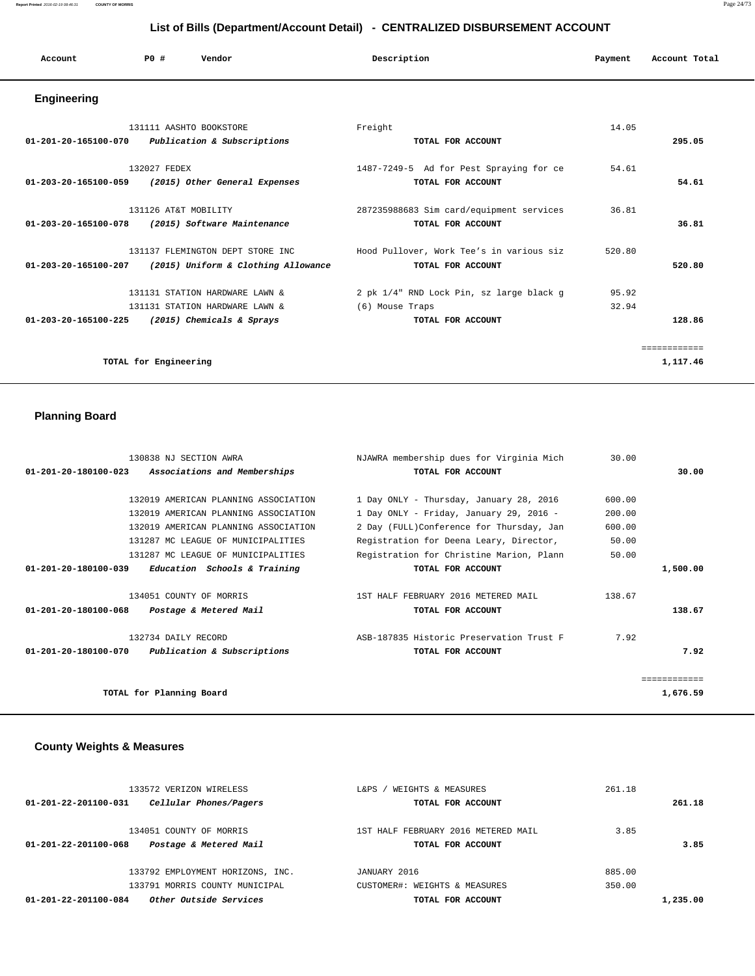#### **Report Printed** 2016-02-19 08:46:31 **COUNTY OF MORRIS** Page 24/73

### **List of Bills (Department/Account Detail) - CENTRALIZED DISBURSEMENT ACCOUNT**

| Account              | PO#          | Vendor                                                 | Description                                                  | Payment | Account Total |
|----------------------|--------------|--------------------------------------------------------|--------------------------------------------------------------|---------|---------------|
| Engineering          |              |                                                        |                                                              |         |               |
| 01-201-20-165100-070 |              | 131111 AASHTO BOOKSTORE<br>Publication & Subscriptions | Freight<br>TOTAL FOR ACCOUNT                                 | 14.05   | 295.05        |
| 01-203-20-165100-059 | 132027 FEDEX | (2015) Other General Expenses                          | 1487-7249-5 Ad for Pest Spraying for ce<br>TOTAL FOR ACCOUNT | 54.61   | 54.61         |

 131126 AT&T MOBILITY 287235988683 Sim card/equipment services 36.81  **01-203-20-165100-078 (2015) Software Maintenance TOTAL FOR ACCOUNT 36.81**

 131137 FLEMINGTON DEPT STORE INC Hood Pullover, Work Tee's in various siz 520.80  **01-203-20-165100-207 (2015) Uniform & Clothing Allowance TOTAL FOR ACCOUNT 520.80**

 131131 STATION HARDWARE LAWN & 2 pk 1/4" RND Lock Pin, sz large black g 95.92 131131 STATION HARDWARE LAWN & (6) Mouse Traps 32.94  **01-203-20-165100-225 (2015) Chemicals & Sprays TOTAL FOR ACCOUNT 128.86**

**TOTAL for Engineering 1,117.46**

============

| <b>Planning Board</b>                                                                    |                                                               |        |       |
|------------------------------------------------------------------------------------------|---------------------------------------------------------------|--------|-------|
| 130838 NJ SECTION AWRA<br>$01 - 201 - 20 - 180100 - 023$<br>Associations and Memberships | NJAWRA membership dues for Virginia Mich<br>TOTAL FOR ACCOUNT | 30.00  | 30.00 |
| 132019 AMERICAN PLANNING ASSOCIATION                                                     | 1 Day ONLY - Thursday, January 28, 2016                       | 600.00 |       |
| 132019 AMERICAN PLANNING ASSOCIATION                                                     | 1 Day ONLY - Friday, January 29, 2016 -                       | 200.00 |       |
| 132019 AMERICAN PLANNING ASSOCIATION                                                     | 2 Day (FULL) Conference for Thursday, Jan                     | 600.00 |       |
| 131287 MC LEAGUE OF MUNICIPALITIES                                                       | Registration for Deena Leary, Director,                       | 50.00  |       |

| 131287 MC LEAGUE OF MUNICIPALITIES                            | Registration for Christine Marion, Plann | 50.00  |          |
|---------------------------------------------------------------|------------------------------------------|--------|----------|
| Education Schools & Training<br>01-201-20-180100-039          | TOTAL FOR ACCOUNT                        |        | 1,500.00 |
| 134051 COUNTY OF MORRIS                                       | 1ST HALF FEBRUARY 2016 METERED MAIL      | 138.67 |          |
| 01-201-20-180100-068<br>Postage & Metered Mail                | TOTAL FOR ACCOUNT                        |        | 138.67   |
| 132734 DAILY RECORD                                           | ASB-187835 Historic Preservation Trust F | 7.92   |          |
| Publication & Subscriptions<br>$01 - 201 - 20 - 180100 - 070$ | TOTAL FOR ACCOUNT                        |        | 7.92     |
|                                                               |                                          |        |          |
| TOTAL for Planning Board                                      |                                          |        | 1,676.59 |

#### **County Weights & Measures**

|                      | 133572 VERIZON WIRELESS          | WEIGHTS & MEASURES<br>L&PS          | 261.18 |          |
|----------------------|----------------------------------|-------------------------------------|--------|----------|
| 01-201-22-201100-031 | Cellular Phones/Pagers           | TOTAL FOR ACCOUNT                   |        | 261.18   |
|                      | 134051 COUNTY OF MORRIS          | 1ST HALF FEBRUARY 2016 METERED MAIL | 3.85   |          |
| 01-201-22-201100-068 | Postage & Metered Mail           | TOTAL FOR ACCOUNT                   |        | 3.85     |
|                      |                                  |                                     |        |          |
|                      | 133792 EMPLOYMENT HORIZONS, INC. | JANUARY 2016                        | 885.00 |          |
|                      | 133791 MORRIS COUNTY MUNICIPAL   | CUSTOMER#: WEIGHTS & MEASURES       | 350.00 |          |
| 01-201-22-201100-084 | Other Outside Services           | TOTAL FOR ACCOUNT                   |        | 1,235.00 |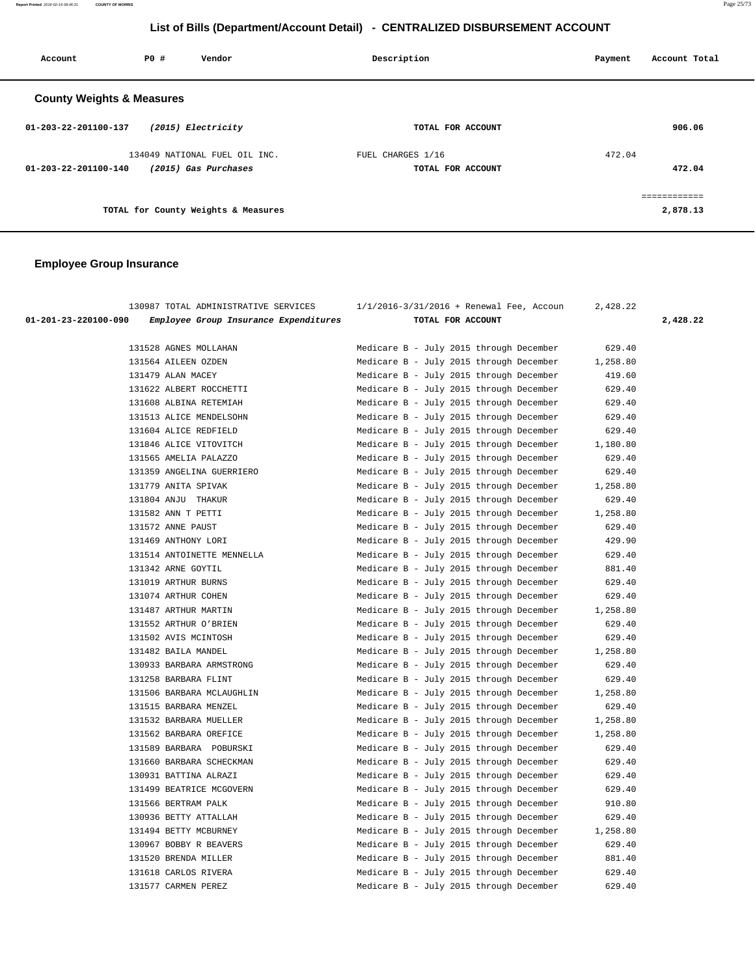**Report Printed** 2016-02-19 08:46:31 **COUNTY OF MORRIS** Page 25/73

## **List of Bills (Department/Account Detail) - CENTRALIZED DISBURSEMENT ACCOUNT**

| Account                              | PO# | Vendor                                                | Description                            | Payment<br>Account Total |
|--------------------------------------|-----|-------------------------------------------------------|----------------------------------------|--------------------------|
| <b>County Weights &amp; Measures</b> |     |                                                       |                                        |                          |
| 01-203-22-201100-137                 |     | (2015) Electricity                                    | TOTAL FOR ACCOUNT                      | 906.06                   |
| 01-203-22-201100-140                 |     | 134049 NATIONAL FUEL OIL INC.<br>(2015) Gas Purchases | FUEL CHARGES 1/16<br>TOTAL FOR ACCOUNT | 472.04<br>472.04         |
|                                      |     | TOTAL for County Weights & Measures                   |                                        | ------------<br>2,878.13 |

|                      | 130987 TOTAL ADMINISTRATIVE SERVICES  |                   | $1/1/2016 - 3/31/2016 +$ Renewal Fee, Accoun | 2,428.22 |          |
|----------------------|---------------------------------------|-------------------|----------------------------------------------|----------|----------|
| 01-201-23-220100-090 | Employee Group Insurance Expenditures | TOTAL FOR ACCOUNT |                                              |          | 2,428.22 |
|                      | 131528 AGNES MOLLAHAN                 |                   | Medicare B - July 2015 through December      | 629.40   |          |
|                      | 131564 AILEEN OZDEN                   |                   | Medicare B - July 2015 through December      | 1,258.80 |          |
| 131479 ALAN MACEY    |                                       |                   | Medicare B - July 2015 through December      | 419.60   |          |
|                      | 131622 ALBERT ROCCHETTI               |                   | Medicare B - July 2015 through December      | 629.40   |          |
|                      | 131608 ALBINA RETEMIAH                |                   | Medicare B - July 2015 through December      | 629.40   |          |
|                      | 131513 ALICE MENDELSOHN               |                   | Medicare B - July 2015 through December      | 629.40   |          |
|                      | 131604 ALICE REDFIELD                 |                   | Medicare B - July 2015 through December      | 629.40   |          |
|                      | 131846 ALICE VITOVITCH                |                   | Medicare B - July 2015 through December      | 1,180.80 |          |
|                      | 131565 AMELIA PALAZZO                 |                   | Medicare B - July 2015 through December      | 629.40   |          |
|                      | 131359 ANGELINA GUERRIERO             |                   | Medicare B - July 2015 through December      | 629.40   |          |
|                      | 131779 ANITA SPIVAK                   |                   | Medicare B - July 2015 through December      | 1,258.80 |          |
|                      | 131804 ANJU THAKUR                    |                   | Medicare B - July 2015 through December      | 629.40   |          |
| 131582 ANN T PETTI   |                                       |                   | Medicare B - July 2015 through December      | 1,258.80 |          |
| 131572 ANNE PAUST    |                                       |                   | Medicare B - July 2015 through December      | 629.40   |          |
|                      | 131469 ANTHONY LORI                   |                   | Medicare B - July 2015 through December      | 429.90   |          |
|                      | 131514 ANTOINETTE MENNELLA            |                   | Medicare B - July 2015 through December      | 629.40   |          |
| 131342 ARNE GOYTIL   |                                       |                   | Medicare B - July 2015 through December      | 881.40   |          |
|                      | 131019 ARTHUR BURNS                   |                   | Medicare B - July 2015 through December      | 629.40   |          |
|                      | 131074 ARTHUR COHEN                   |                   | Medicare B - July 2015 through December      | 629.40   |          |
|                      | 131487 ARTHUR MARTIN                  |                   | Medicare B - July 2015 through December      | 1,258.80 |          |
|                      | 131552 ARTHUR O'BRIEN                 |                   | Medicare B - July 2015 through December      | 629.40   |          |
|                      | 131502 AVIS MCINTOSH                  |                   | Medicare B - July 2015 through December      | 629.40   |          |
|                      | 131482 BAILA MANDEL                   |                   | Medicare B - July 2015 through December      | 1,258.80 |          |
|                      | 130933 BARBARA ARMSTRONG              |                   | Medicare B - July 2015 through December      | 629.40   |          |
|                      | 131258 BARBARA FLINT                  |                   | Medicare B - July 2015 through December      | 629.40   |          |
|                      | 131506 BARBARA MCLAUGHLIN             |                   | Medicare B - July 2015 through December      | 1,258.80 |          |
|                      | 131515 BARBARA MENZEL                 |                   | Medicare B - July 2015 through December      | 629.40   |          |
|                      | 131532 BARBARA MUELLER                |                   | Medicare B - July 2015 through December      | 1,258.80 |          |
|                      | 131562 BARBARA OREFICE                |                   | Medicare B - July 2015 through December      | 1,258.80 |          |
|                      | 131589 BARBARA POBURSKI               |                   | Medicare B - July 2015 through December      | 629.40   |          |
|                      | 131660 BARBARA SCHECKMAN              |                   | Medicare B - July 2015 through December      | 629.40   |          |
|                      | 130931 BATTINA ALRAZI                 |                   | Medicare B - July 2015 through December      | 629.40   |          |
|                      | 131499 BEATRICE MCGOVERN              |                   | Medicare B - July 2015 through December      | 629.40   |          |
|                      | 131566 BERTRAM PALK                   |                   | Medicare B - July 2015 through December      | 910.80   |          |
|                      | 130936 BETTY ATTALLAH                 |                   | Medicare B - July 2015 through December      | 629.40   |          |
|                      | 131494 BETTY MCBURNEY                 |                   | Medicare B - July 2015 through December      | 1,258.80 |          |
|                      | 130967 BOBBY R BEAVERS                |                   | Medicare B - July 2015 through December      | 629.40   |          |
|                      | 131520 BRENDA MILLER                  |                   | Medicare B - July 2015 through December      | 881.40   |          |
|                      | 131618 CARLOS RIVERA                  |                   | Medicare B - July 2015 through December      | 629.40   |          |
|                      | 131577 CARMEN PEREZ                   |                   | Medicare B - July 2015 through December      | 629.40   |          |
|                      |                                       |                   |                                              |          |          |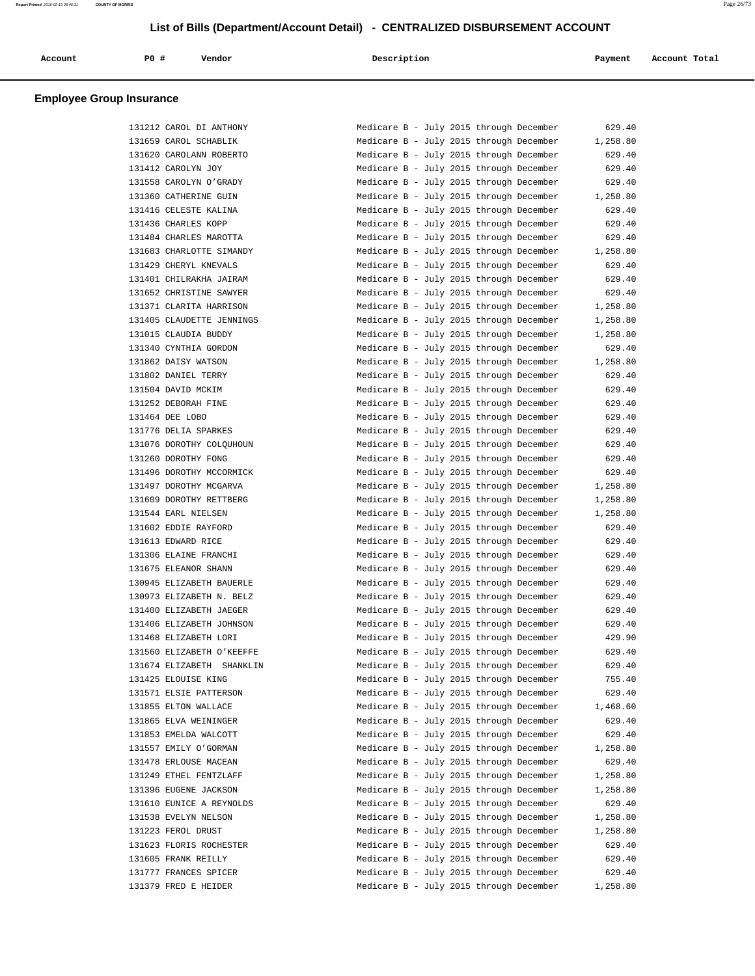| Account<br>. | P0 # | Vendor | Description<br>$\sim$ $\sim$ | Payment | Account Total |
|--------------|------|--------|------------------------------|---------|---------------|
|              |      |        |                              |         |               |

| 131212 CAROL DI ANTHONY   |
|---------------------------|
| 131659 CAROL SCHABLIK     |
| 131620 CAROLANN ROBERTO   |
| 131412 CAROLYN JOY        |
| 131558 CAROLYN O'GRADY    |
| 131360 CATHERINE GUIN     |
| 131416 CELESTE KALINA     |
| 131436 CHARLES KOPP       |
| 131484 CHARLES MAROTTA    |
| 131683 CHARLOTTE SIMANDY  |
| 131429 CHERYL KNEVALS     |
| 131401 CHILRAKHA JAIRAM   |
| 131652 CHRISTINE SAWYER   |
| 131371 CLARITA HARRISON   |
| 131405 CLAUDETTE JENNINGS |
| 131015 CLAUDIA BUDDY      |
| 131340 CYNTHIA GORDON     |
| 131862 DAISY WATSON       |
| 131802 DANIEL TERRY       |
| 131504 DAVID MCKIM        |
| 131252 DEBORAH FINE       |
| 131464 DEE LOBO           |
| 131776 DELIA SPARKES      |
| 131076 DOROTHY COLQUHOUN  |
| 131260 DOROTHY FONG       |
| 131496 DOROTHY MCCORMICK  |
| 131497 DOROTHY MCGARVA    |
| 131609 DOROTHY RETTBERG   |
| 131544 EARL NIELSEN       |
| 131602 EDDIE RAYFORD      |
| 131613 EDWARD RICE        |
| 131306 ELAINE FRANCHI     |
| 131675 ELEANOR SHANN      |
| 130945 ELIZABETH BAUERLE  |
| 130973 ELIZABETH N. BELZ  |
| 131400 ELIZABETH JAEGER   |
| 131406 ELIZABETH JOHNSON  |
| 131468 ELIZABETH LORI     |
| 131560 ELIZABETH O'KEEFFE |
| 131674 ELIZABETH SHANKLIN |
| 131425 ELOUISE KING       |
| 131571 ELSIE PATTERSON    |
| 131855 ELTON WALLACE      |
| 131865 ELVA WEININGER     |
| 131853 EMELDA WALCOTT     |
|                           |
| 131557 EMILY O'GORMAN     |
| 131478 ERLOUSE MACEAN     |
| 131249 ETHEL FENTZLAFF    |
| 131396 EUGENE JACKSON     |
| 131610 EUNICE A REYNOLDS  |
| 131538 EVELYN NELSON      |
| 131223 FEROL DRUST        |
| 131623 FLORIS ROCHESTER   |
| 131605 FRANK REILLY       |
| 131777 FRANCES SPICER     |
| 131379 FRED E HEIDER      |

| 131212 CAROL DI ANTHONY                           | Medicare B - July 2015 through December<br>629.40                                                        |
|---------------------------------------------------|----------------------------------------------------------------------------------------------------------|
| 131659 CAROL SCHABLIK                             | Medicare B - July 2015 through December<br>1,258.80                                                      |
| 131620 CAROLANN ROBERTO                           | 629.40<br>Medicare B - July 2015 through December                                                        |
| 131412 CAROLYN JOY                                | Medicare B - July 2015 through December<br>629.40                                                        |
| 131558 CAROLYN O'GRADY                            | Medicare B - July 2015 through December<br>629.40                                                        |
| 131360 CATHERINE GUIN                             | Medicare B - July 2015 through December<br>1,258.80                                                      |
| 131416 CELESTE KALINA                             | Medicare B - July 2015 through December<br>629.40                                                        |
| 131436 CHARLES KOPP                               | Medicare B - July 2015 through December<br>629.40                                                        |
| 131484 CHARLES MAROTTA                            | Medicare B - July 2015 through December<br>629.40                                                        |
| 131683 CHARLOTTE SIMANDY                          | 1,258.80<br>Medicare B - July 2015 through December                                                      |
| 131429 CHERYL KNEVALS                             | 629.40<br>Medicare B - July 2015 through December                                                        |
| 131401 CHILRAKHA JAIRAM                           | Medicare B - July 2015 through December<br>629.40                                                        |
| 131652 CHRISTINE SAWYER                           | Medicare B - July 2015 through December<br>629.40                                                        |
| 131371 CLARITA HARRISON                           | Medicare B - July 2015 through December<br>1,258.80                                                      |
| 131405 CLAUDETTE JENNINGS                         | Medicare B - July 2015 through December<br>1,258.80                                                      |
| 131015 CLAUDIA BUDDY                              | Medicare B - July 2015 through December<br>1,258.80                                                      |
| 131340 CYNTHIA GORDON                             | 629.40<br>Medicare B - July 2015 through December                                                        |
| 131862 DAISY WATSON                               | Medicare B - July 2015 through December<br>1,258.80                                                      |
| 131802 DANIEL TERRY                               | Medicare B - July 2015 through December<br>629.40                                                        |
| 131504 DAVID MCKIM                                | Medicare B - July 2015 through December<br>629.40                                                        |
| 131252 DEBORAH FINE                               | Medicare B - July 2015 through December<br>629.40                                                        |
| 131464 DEE LOBO                                   | Medicare B - July 2015 through December<br>629.40                                                        |
| 131776 DELIA SPARKES                              | Medicare B - July 2015 through December<br>629.40                                                        |
| 131076 DOROTHY COLQUHOUN                          | Medicare B - July 2015 through December<br>629.40                                                        |
| 131260 DOROTHY FONG                               | 629.40<br>Medicare B - July 2015 through December                                                        |
| 131496 DOROTHY MCCORMICK                          | Medicare B - July 2015 through December<br>629.40                                                        |
| 131497 DOROTHY MCGARVA                            | Medicare B - July 2015 through December<br>1,258.80                                                      |
| 131609 DOROTHY RETTBERG                           | Medicare B - July 2015 through December<br>1,258.80                                                      |
| 131544 EARL NIELSEN                               | Medicare B - July 2015 through December<br>1,258.80                                                      |
| 131602 EDDIE RAYFORD                              | Medicare B - July 2015 through December<br>629.40                                                        |
| 131613 EDWARD RICE                                | Medicare B - July 2015 through December<br>629.40                                                        |
| 131306 ELAINE FRANCHI                             | Medicare B - July 2015 through December<br>629.40                                                        |
| 131675 ELEANOR SHANN                              | Medicare B - July 2015 through December<br>629.40                                                        |
| 130945 ELIZABETH BAUERLE                          | Medicare B - July 2015 through December<br>629.40                                                        |
| 130973 ELIZABETH N. BELZ                          | Medicare B - July 2015 through December<br>629.40                                                        |
| 131400 ELIZABETH JAEGER                           | Medicare B - July 2015 through December<br>629.40                                                        |
| 131406 ELIZABETH JOHNSON                          | Medicare B - July 2015 through December<br>629.40                                                        |
| 131468 ELIZABETH LORI                             | Medicare B - July 2015 through December<br>429.90                                                        |
| 131560 ELIZABETH O'KEEFFE                         | Medicare B - July 2015 through December<br>629.40                                                        |
| 131674 ELIZABETH SHANKLIN                         | Medicare B - July 2015 through December<br>629.40                                                        |
| 131425 ELOUISE KING                               | Medicare B - July 2015 through December<br>755.40                                                        |
| 131571 ELSIE PATTERSON                            | Medicare B - July 2015 through December<br>629.40                                                        |
| 131855 ELTON WALLACE                              | Medicare B - July 2015 through December<br>1,468.60                                                      |
| 131865 ELVA WEININGER                             | Medicare B - July 2015 through December<br>629.40                                                        |
| 131853 EMELDA WALCOTT                             | Medicare B - July 2015 through December<br>629.40                                                        |
| 131557 EMILY O'GORMAN                             | Medicare B - July 2015 through December<br>1,258.80                                                      |
| 131478 ERLOUSE MACEAN                             | Medicare B - July 2015 through December<br>629.40                                                        |
| 131249 ETHEL FENTZLAFF                            | Medicare B - July 2015 through December<br>1,258.80                                                      |
|                                                   |                                                                                                          |
| 131396 EUGENE JACKSON<br>131610 EUNICE A REYNOLDS | Medicare B - July 2015 through December<br>1,258.80<br>Medicare B - July 2015 through December<br>629.40 |
|                                                   |                                                                                                          |
| 131538 EVELYN NELSON                              | Medicare B - July 2015 through December<br>1,258.80                                                      |
| 131223 FEROL DRUST                                | Medicare B - July 2015 through December<br>1,258.80                                                      |
| 131623 FLORIS ROCHESTER                           | Medicare B - July 2015 through December<br>629.40                                                        |
| 131605 FRANK REILLY                               | Medicare B - July 2015 through December<br>629.40                                                        |
| 131777 FRANCES SPICER                             | Medicare B - July 2015 through December<br>629.40                                                        |
| 131379 FRED E HEIDER                              | 1,258.80<br>Medicare B - July 2015 through December                                                      |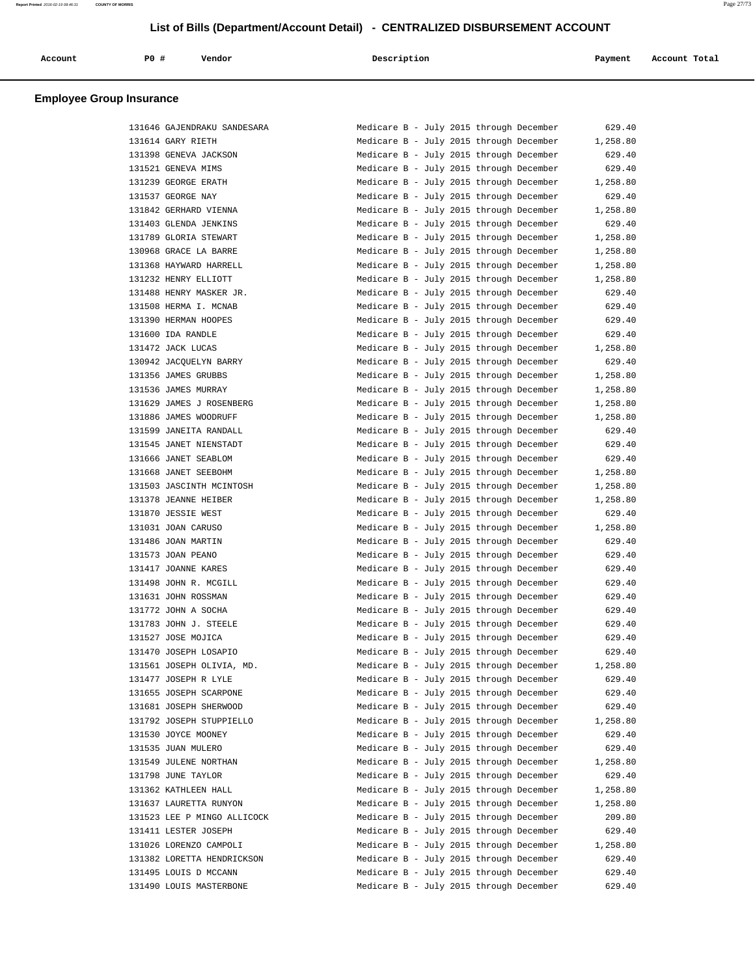| Account<br>. | PO# | Vendor | Description | Payment | Account Total<br>. |
|--------------|-----|--------|-------------|---------|--------------------|
|              |     |        |             |         |                    |

| 131646 GAJENDRAKU SANDESARA | Medicare B - July 2015 through December |  | 629.40   |
|-----------------------------|-----------------------------------------|--|----------|
| 131614 GARY RIETH           | Medicare B - July 2015 through December |  | 1,258.80 |
| 131398 GENEVA JACKSON       | Medicare B - July 2015 through December |  | 629.40   |
| 131521 GENEVA MIMS          | Medicare B - July 2015 through December |  | 629.40   |
| 131239 GEORGE ERATH         | Medicare B - July 2015 through December |  | 1,258.80 |
| 131537 GEORGE NAY           | Medicare B - July 2015 through December |  | 629.40   |
| 131842 GERHARD VIENNA       | Medicare B - July 2015 through December |  | 1,258.80 |
| 131403 GLENDA JENKINS       | Medicare B - July 2015 through December |  | 629.40   |
| 131789 GLORIA STEWART       | Medicare B - July 2015 through December |  | 1,258.80 |
| 130968 GRACE LA BARRE       | Medicare B - July 2015 through December |  | 1,258.80 |
| 131368 HAYWARD HARRELL      | Medicare B - July 2015 through December |  | 1,258.80 |
| 131232 HENRY ELLIOTT        | Medicare B - July 2015 through December |  | 1,258.80 |
| 131488 HENRY MASKER JR.     | Medicare B - July 2015 through December |  | 629.40   |
|                             |                                         |  |          |
| 131508 HERMA I. MCNAB       | Medicare B - July 2015 through December |  | 629.40   |
| 131390 HERMAN HOOPES        | Medicare B - July 2015 through December |  | 629.40   |
| 131600 IDA RANDLE           | Medicare B - July 2015 through December |  | 629.40   |
| 131472 JACK LUCAS           | Medicare B - July 2015 through December |  | 1,258.80 |
| 130942 JACQUELYN BARRY      | Medicare B - July 2015 through December |  | 629.40   |
| 131356 JAMES GRUBBS         | Medicare B - July 2015 through December |  | 1,258.80 |
| 131536 JAMES MURRAY         | Medicare B - July 2015 through December |  | 1,258.80 |
| 131629 JAMES J ROSENBERG    | Medicare B - July 2015 through December |  | 1,258.80 |
| 131886 JAMES WOODRUFF       | Medicare B - July 2015 through December |  | 1,258.80 |
| 131599 JANEITA RANDALL      | Medicare B - July 2015 through December |  | 629.40   |
| 131545 JANET NIENSTADT      | Medicare B - July 2015 through December |  | 629.40   |
| 131666 JANET SEABLOM        | Medicare B - July 2015 through December |  | 629.40   |
| 131668 JANET SEEBOHM        | Medicare B - July 2015 through December |  | 1,258.80 |
| 131503 JASCINTH MCINTOSH    | Medicare B - July 2015 through December |  | 1,258.80 |
| 131378 JEANNE HEIBER        | Medicare B - July 2015 through December |  | 1,258.80 |
| 131870 JESSIE WEST          | Medicare B - July 2015 through December |  | 629.40   |
| 131031 JOAN CARUSO          | Medicare B - July 2015 through December |  | 1,258.80 |
| 131486 JOAN MARTIN          | Medicare B - July 2015 through December |  | 629.40   |
| 131573 JOAN PEANO           | Medicare B - July 2015 through December |  | 629.40   |
| 131417 JOANNE KARES         | Medicare B - July 2015 through December |  | 629.40   |
| 131498 JOHN R. MCGILL       | Medicare B - July 2015 through December |  | 629.40   |
| 131631 JOHN ROSSMAN         | Medicare B - July 2015 through December |  | 629.40   |
| 131772 JOHN A SOCHA         | Medicare B - July 2015 through December |  | 629.40   |
|                             |                                         |  |          |
| 131783 JOHN J. STEELE       | Medicare B - July 2015 through December |  | 629.40   |
| 131527 JOSE MOJICA          | Medicare B - July 2015 through December |  | 629.40   |
| 131470 JOSEPH LOSAPIO       | Medicare B - July 2015 through December |  | 629.40   |
| 131561 JOSEPH OLIVIA, MD.   | Medicare B - July 2015 through December |  | 1,258.80 |
| 131477 JOSEPH R LYLE        | Medicare B - July 2015 through December |  | 629.40   |
| 131655 JOSEPH SCARPONE      | Medicare B - July 2015 through December |  | 629.40   |
| 131681 JOSEPH SHERWOOD      | Medicare B - July 2015 through December |  | 629.40   |
| 131792 JOSEPH STUPPIELLO    | Medicare B - July 2015 through December |  | 1,258.80 |
| 131530 JOYCE MOONEY         | Medicare B - July 2015 through December |  | 629.40   |
| 131535 JUAN MULERO          | Medicare B - July 2015 through December |  | 629.40   |
| 131549 JULENE NORTHAN       | Medicare B - July 2015 through December |  | 1,258.80 |
| 131798 JUNE TAYLOR          | Medicare B - July 2015 through December |  | 629.40   |
| 131362 KATHLEEN HALL        | Medicare B - July 2015 through December |  | 1,258.80 |
| 131637 LAURETTA RUNYON      | Medicare B - July 2015 through December |  | 1,258.80 |
| 131523 LEE P MINGO ALLICOCK | Medicare B - July 2015 through December |  | 209.80   |
| 131411 LESTER JOSEPH        | Medicare B - July 2015 through December |  | 629.40   |
| 131026 LORENZO CAMPOLI      | Medicare B - July 2015 through December |  | 1,258.80 |
| 131382 LORETTA HENDRICKSON  | Medicare B - July 2015 through December |  | 629.40   |
| 131495 LOUIS D MCCANN       | Medicare B - July 2015 through December |  | 629.40   |
| 131490 LOUIS MASTERBONE     | Medicare B - July 2015 through December |  | 629.40   |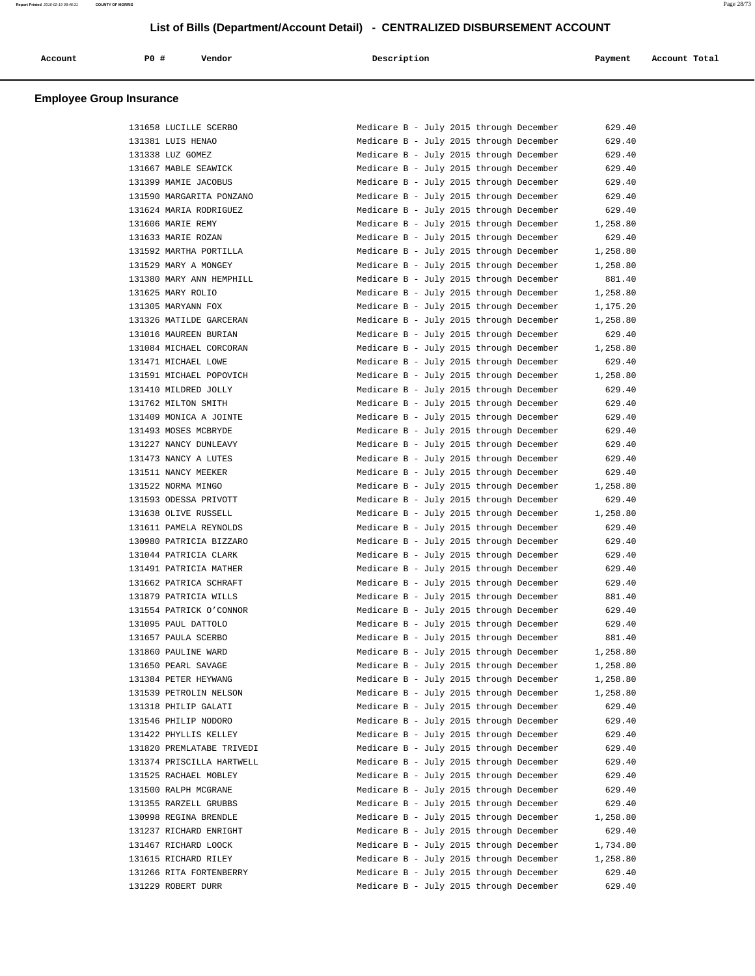| Account | PO# | Vendor<br>. | Description | Payment | Account Total |
|---------|-----|-------------|-------------|---------|---------------|
|         |     |             |             |         |               |

|        | 131658 LUCILLE SCERBO     |
|--------|---------------------------|
|        | 131381 LUIS HENAO         |
|        | 131338 LUZ GOMEZ          |
|        | 131667 MABLE SEAWICK      |
|        | 131399 MAMIE JACOBUS      |
|        | 131590 MARGARITA PONZANO  |
|        | 131624 MARIA RODRIGUEZ    |
| 131606 | MARIE REMY                |
|        | 131633 MARIE ROZAN        |
|        | 131592 MARTHA PORTILLA    |
|        | 131529 MARY A MONGEY      |
|        | 131380 MARY ANN HEMPHILL  |
|        |                           |
|        | 131625 MARY ROLIO         |
|        | 131305 MARYANN FOX        |
|        | 131326 MATILDE GARCERAN   |
|        | 131016 MAUREEN BURIAN     |
|        | 131084 MICHAEL CORCORAN   |
|        | 131471 MICHAEL LOWE       |
|        | 131591 MICHAEL POPOVICH   |
|        | 131410 MILDRED JOLLY      |
|        | 131762 MILTON SMITH       |
|        | 131409 MONICA A JOINTE    |
| 131493 | MOSES MCBRYDE             |
|        | 131227 NANCY DUNLEAVY     |
|        | 131473 NANCY A LUTES      |
|        | 131511 NANCY MEEKER       |
|        | 131522 NORMA MINGO        |
|        | 131593 ODESSA PRIVOTT     |
|        | 131638 OLIVE RUSSELL      |
| 131611 | PAMELA REYNOLDS           |
| 130980 | PATRICIA BIZZARO          |
|        | 131044 PATRICIA CLARK     |
|        | 131491 PATRICIA MATHER    |
|        | 131662 PATRICA SCHRAFT    |
|        | 131879 PATRICIA WILLS     |
|        | 131554 PATRICK O'CONNOR   |
| 131095 | PAUL DATTOLO              |
| 131657 | PAULA SCERBO              |
| 131860 | PAULINE WARD              |
|        | 131650 PEARL SAVAGE       |
|        | 131384 PETER HEYWANG      |
|        | 131539 PETROLIN NELSON    |
|        | 131318 PHILIP GALATI      |
| 131546 | PHILIP NODORO             |
| 131422 | PHYLLIS KELLEY            |
|        | 131820 PREMLATABE TRIVEDI |
|        |                           |
|        | 131374 PRISCILLA HARTWELL |
|        | 131525 RACHAEL MOBLEY     |
|        | 131500 RALPH MCGRANE      |
|        | 131355 RARZELL GRUBBS     |
|        | 130998 REGINA BRENDLE     |
|        | 131237 RICHARD ENRIGHT    |
|        | 131467 RICHARD LOOCK      |
|        | 131615 RICHARD RILEY      |
|        | 131266 RITA FORTENBERRY   |
|        | 131229 ROBERT DURR        |

| 131658 LUCILLE SCERBO     | Medicare B - July 2015 through December | 629.40   |
|---------------------------|-----------------------------------------|----------|
| 131381 LUIS HENAO         | Medicare B - July 2015 through December | 629.40   |
| 131338 LUZ GOMEZ          | Medicare B - July 2015 through December | 629.40   |
| 131667 MABLE SEAWICK      | Medicare B - July 2015 through December | 629.40   |
| 131399 MAMIE JACOBUS      | Medicare B - July 2015 through December | 629.40   |
| 131590 MARGARITA PONZANO  | Medicare B - July 2015 through December | 629.40   |
| 131624 MARIA RODRIGUEZ    | Medicare B - July 2015 through December | 629.40   |
| 131606 MARIE REMY         | Medicare B - July 2015 through December | 1,258.80 |
| 131633 MARIE ROZAN        | Medicare B - July 2015 through December | 629.40   |
| 131592 MARTHA PORTILLA    | Medicare B - July 2015 through December | 1,258.80 |
| 131529 MARY A MONGEY      | Medicare B - July 2015 through December | 1,258.80 |
| 131380 MARY ANN HEMPHILL  | Medicare B - July 2015 through December | 881.40   |
| 131625 MARY ROLIO         | Medicare B - July 2015 through December | 1,258.80 |
| 131305 MARYANN FOX        | Medicare B - July 2015 through December | 1,175.20 |
| 131326 MATILDE GARCERAN   | Medicare B - July 2015 through December | 1,258.80 |
| 131016 MAUREEN BURIAN     | Medicare B - July 2015 through December | 629.40   |
| 131084 MICHAEL CORCORAN   | Medicare B - July 2015 through December | 1,258.80 |
| 131471 MICHAEL LOWE       | Medicare B - July 2015 through December | 629.40   |
| 131591 MICHAEL POPOVICH   | Medicare B - July 2015 through December | 1,258.80 |
| 131410 MILDRED JOLLY      | Medicare B - July 2015 through December | 629.40   |
| 131762 MILTON SMITH       | Medicare B - July 2015 through December | 629.40   |
| 131409 MONICA A JOINTE    | Medicare B - July 2015 through December | 629.40   |
| 131493 MOSES MCBRYDE      | Medicare B - July 2015 through December | 629.40   |
| 131227 NANCY DUNLEAVY     | Medicare B - July 2015 through December | 629.40   |
| 131473 NANCY A LUTES      | Medicare B - July 2015 through December | 629.40   |
| 131511 NANCY MEEKER       | Medicare B - July 2015 through December | 629.40   |
| 131522 NORMA MINGO        | Medicare B - July 2015 through December | 1,258.80 |
| 131593 ODESSA PRIVOTT     | Medicare B - July 2015 through December | 629.40   |
| 131638 OLIVE RUSSELL      | Medicare B - July 2015 through December | 1,258.80 |
| 131611 PAMELA REYNOLDS    | Medicare B - July 2015 through December | 629.40   |
| 130980 PATRICIA BIZZARO   | Medicare B - July 2015 through December | 629.40   |
| 131044 PATRICIA CLARK     | Medicare B - July 2015 through December | 629.40   |
| 131491 PATRICIA MATHER    | Medicare B - July 2015 through December | 629.40   |
| 131662 PATRICA SCHRAFT    | Medicare B - July 2015 through December | 629.40   |
| 131879 PATRICIA WILLS     | Medicare B - July 2015 through December | 881.40   |
| 131554 PATRICK O'CONNOR   | Medicare B - July 2015 through December | 629.40   |
| 131095 PAUL DATTOLO       | Medicare B - July 2015 through December | 629.40   |
| 131657 PAULA SCERBO       | Medicare B - July 2015 through December | 881.40   |
| 131860 PAULINE WARD       | Medicare B - July 2015 through December | 1,258.80 |
| 131650 PEARL SAVAGE       | Medicare B - July 2015 through December | 1,258.80 |
| 131384 PETER HEYWANG      | Medicare B - July 2015 through December | 1,258.80 |
| 131539 PETROLIN NELSON    | Medicare B - July 2015 through December | 1,258.80 |
| 131318 PHILIP GALATI      | Medicare B - July 2015 through December | 629.40   |
| 131546 PHILIP NODORO      | Medicare B - July 2015 through December | 629.40   |
| 131422 PHYLLIS KELLEY     | Medicare B - July 2015 through December | 629.40   |
| 131820 PREMLATABE TRIVEDI | Medicare B - July 2015 through December | 629.40   |
| 131374 PRISCILLA HARTWELL | Medicare B - July 2015 through December | 629.40   |
| 131525 RACHAEL MOBLEY     | Medicare B - July 2015 through December | 629.40   |
| 131500 RALPH MCGRANE      | Medicare B - July 2015 through December | 629.40   |
| 131355 RARZELL GRUBBS     | Medicare B - July 2015 through December | 629.40   |
| 130998 REGINA BRENDLE     | Medicare B - July 2015 through December | 1,258.80 |
| 131237 RICHARD ENRIGHT    | Medicare B - July 2015 through December | 629.40   |
| 131467 RICHARD LOOCK      | Medicare B - July 2015 through December | 1,734.80 |
| 131615 RICHARD RILEY      | Medicare B - July 2015 through December | 1,258.80 |
| 131266 RITA FORTENBERRY   | Medicare B - July 2015 through December | 629.40   |
| 131229 ROBERT DURR        | Medicare B - July 2015 through December | 629.40   |
|                           |                                         |          |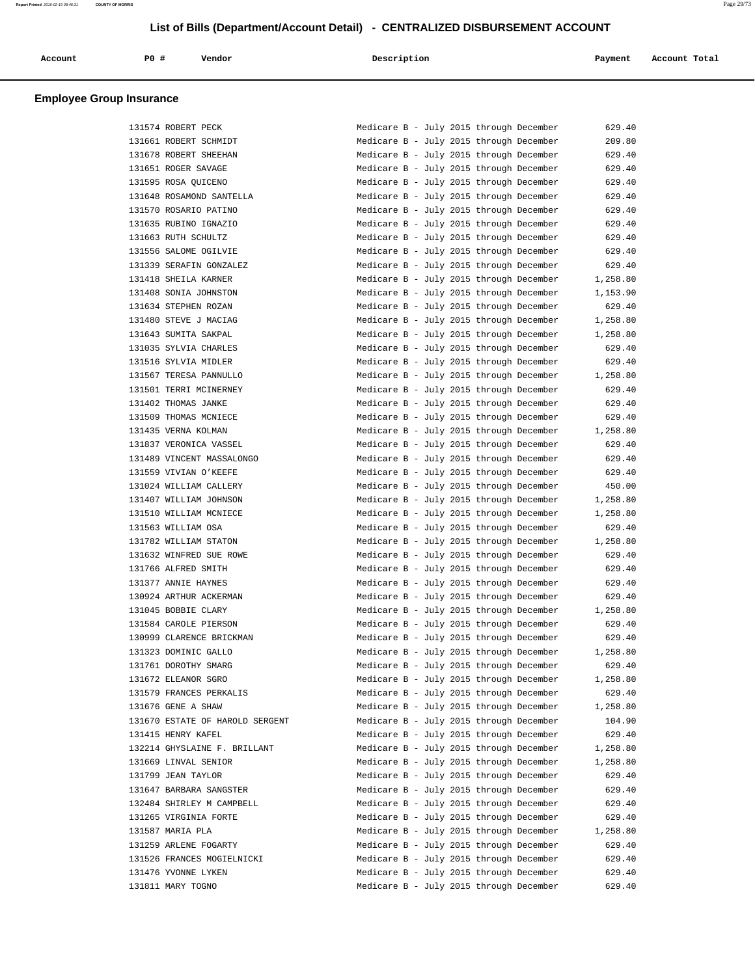| Account<br>. | P <sub>0</sub> | Vendor | Description | Payment | Account Total |
|--------------|----------------|--------|-------------|---------|---------------|
|              |                |        |             |         |               |

| 131574 ROBERT PECK              | Medicare B - July 2015 through December<br>629.40   |
|---------------------------------|-----------------------------------------------------|
| 131661 ROBERT SCHMIDT           | Medicare B - July 2015 through December<br>209.80   |
| 131678 ROBERT SHEEHAN           | Medicare B - July 2015 through December<br>629.40   |
| 131651 ROGER SAVAGE             | Medicare B - July 2015 through December<br>629.40   |
| 131595 ROSA OUICENO             | Medicare B - July 2015 through December<br>629.40   |
| 131648 ROSAMOND SANTELLA        | Medicare B - July 2015 through December<br>629.40   |
| 131570 ROSARIO PATINO           | Medicare B - July 2015 through December<br>629.40   |
| 131635 RUBINO IGNAZIO           | Medicare B - July 2015 through December<br>629.40   |
| 131663 RUTH SCHULTZ             | Medicare B - July 2015 through December<br>629.40   |
| 131556 SALOME OGILVIE           | Medicare B - July 2015 through December<br>629.40   |
| 131339 SERAFIN GONZALEZ         | Medicare B - July 2015 through December<br>629.40   |
| 131418 SHEILA KARNER            | Medicare B - July 2015 through December<br>1,258.80 |
| 131408 SONIA JOHNSTON           | Medicare B - July 2015 through December<br>1,153.90 |
| 131634 STEPHEN ROZAN            | Medicare B - July 2015 through December<br>629.40   |
| 131480 STEVE J MACIAG           | Medicare B - July 2015 through December<br>1,258.80 |
| 131643 SUMITA SAKPAL            | Medicare B - July 2015 through December<br>1,258.80 |
| 131035 SYLVIA CHARLES           | Medicare B - July 2015 through December<br>629.40   |
| 131516 SYLVIA MIDLER            | Medicare B - July 2015 through December<br>629.40   |
| 131567 TERESA PANNULLO          | Medicare B - July 2015 through December<br>1,258.80 |
| 131501 TERRI MCINERNEY          | Medicare B - July 2015 through December<br>629.40   |
| 131402 THOMAS JANKE             | Medicare B - July 2015 through December<br>629.40   |
| 131509 THOMAS MCNIECE           | Medicare B - July 2015 through December<br>629.40   |
| 131435 VERNA KOLMAN             | Medicare B - July 2015 through December<br>1,258.80 |
| 131837 VERONICA VASSEL          | Medicare B - July 2015 through December<br>629.40   |
| 131489 VINCENT MASSALONGO       | Medicare B - July 2015 through December<br>629.40   |
| 131559 VIVIAN O'KEEFE           | Medicare B - July 2015 through December<br>629.40   |
| 131024 WILLIAM CALLERY          | Medicare B - July 2015 through December<br>450.00   |
| 131407 WILLIAM JOHNSON          | Medicare B - July 2015 through December<br>1,258.80 |
| 131510 WILLIAM MCNIECE          | Medicare B - July 2015 through December<br>1,258.80 |
| 131563 WILLIAM OSA              | Medicare B - July 2015 through December<br>629.40   |
| 131782 WILLIAM STATON           | Medicare B - July 2015 through December<br>1,258.80 |
| 131632 WINFRED SUE ROWE         | Medicare B - July 2015 through December<br>629.40   |
| 131766 ALFRED SMITH             | Medicare B - July 2015 through December<br>629.40   |
| 131377 ANNIE HAYNES             | Medicare B - July 2015 through December<br>629.40   |
| 130924 ARTHUR ACKERMAN          | Medicare B - July 2015 through December<br>629.40   |
| 131045 BOBBIE CLARY             | Medicare B - July 2015 through December<br>1,258.80 |
| 131584 CAROLE PIERSON           | Medicare B - July 2015 through December<br>629.40   |
| 130999 CLARENCE BRICKMAN        | Medicare B - July 2015 through December<br>629.40   |
| 131323 DOMINIC GALLO            | Medicare B - July 2015 through December<br>1,258.80 |
| 131761 DOROTHY SMARG            | 629.40<br>Medicare B - July 2015 through December   |
| 131672 ELEANOR SGRO             | Medicare B - July 2015 through December<br>1,258.80 |
| 131579 FRANCES PERKALIS         | Medicare B - July 2015 through December<br>629.40   |
| 131676 GENE A SHAW              | Medicare B - July 2015 through December<br>1,258.80 |
| 131670 ESTATE OF HAROLD SERGENT | Medicare B - July 2015 through December<br>104.90   |
| 131415 HENRY KAFEL              | Medicare B - July 2015 through December<br>629.40   |
| 132214 GHYSLAINE F. BRILLANT    | Medicare B - July 2015 through December<br>1,258.80 |
| 131669 LINVAL SENIOR            | Medicare B - July 2015 through December<br>1,258.80 |
| 131799 JEAN TAYLOR              | Medicare B - July 2015 through December<br>629.40   |
| 131647 BARBARA SANGSTER         | Medicare B - July 2015 through December<br>629.40   |
| 132484 SHIRLEY M CAMPBELL       | Medicare B - July 2015 through December<br>629.40   |
| 131265 VIRGINIA FORTE           | Medicare B - July 2015 through December<br>629.40   |
| 131587 MARIA PLA                | Medicare B - July 2015 through December<br>1,258.80 |
| 131259 ARLENE FOGARTY           | Medicare B - July 2015 through December<br>629.40   |
|                                 | Medicare B - July 2015 through December             |
| 131526 FRANCES MOGIELNICKI      | 629.40                                              |
| 131476 YVONNE LYKEN             | Medicare B - July 2015 through December<br>629.40   |
| 131811 MARY TOGNO               | Medicare B - July 2015 through December<br>629.40   |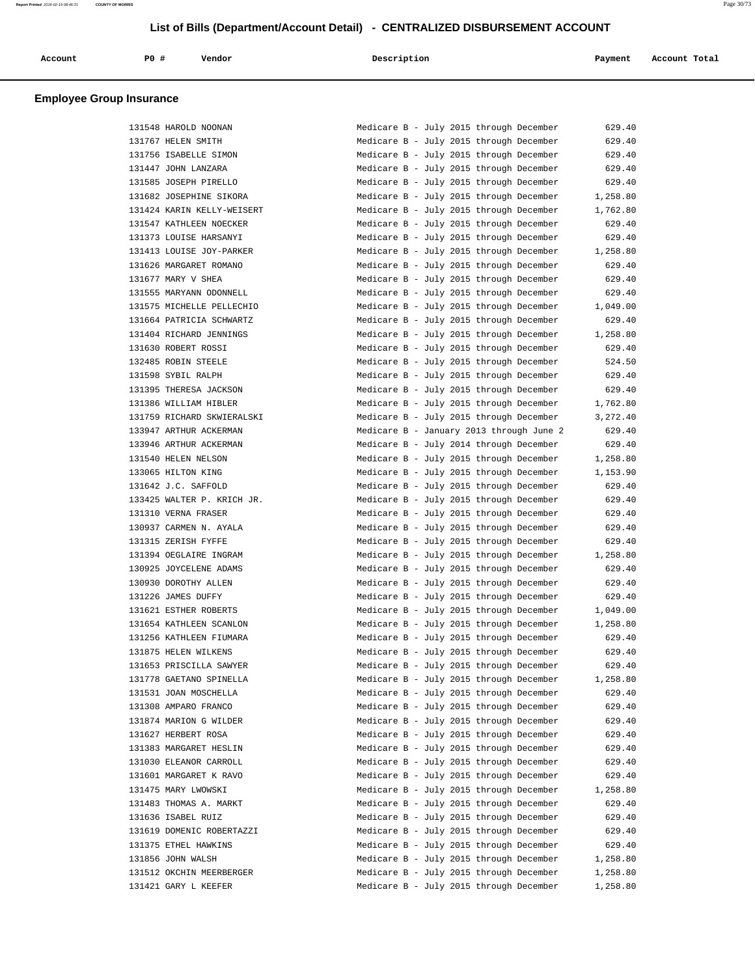| Account | P <sub>0</sub> | Vendor | Description | Payment       | Account Total |
|---------|----------------|--------|-------------|---------------|---------------|
| .       |                |        |             | $\sim$ $\sim$ | .             |
|         |                |        |             |               |               |

| 131548 HAROLD NOONAN       | Medicare B - July 2015 through December                                            | 629.40   |
|----------------------------|------------------------------------------------------------------------------------|----------|
| 131767 HELEN SMITH         | Medicare B - July 2015 through December                                            | 629.40   |
| 131756 ISABELLE SIMON      | Medicare B - July 2015 through December                                            | 629.40   |
| 131447 JOHN LANZARA        | Medicare B - July 2015 through December                                            | 629.40   |
| 131585 JOSEPH PIRELLO      | Medicare B - July 2015 through December                                            | 629.40   |
| 131682 JOSEPHINE SIKORA    | Medicare B - July 2015 through December                                            | 1,258.80 |
| 131424 KARIN KELLY-WEISERT | Medicare B - July 2015 through December                                            | 1,762.80 |
| 131547 KATHLEEN NOECKER    | Medicare B - July 2015 through December                                            | 629.40   |
| 131373 LOUISE HARSANYI     | Medicare B - July 2015 through December                                            | 629.40   |
| 131413 LOUISE JOY-PARKER   | Medicare B - July 2015 through December                                            | 1,258.80 |
| 131626 MARGARET ROMANO     | Medicare B - July 2015 through December                                            | 629.40   |
| 131677 MARY V SHEA         | Medicare B - July 2015 through December                                            | 629.40   |
| 131555 MARYANN ODONNELL    | Medicare B - July 2015 through December                                            | 629.40   |
| 131575 MICHELLE PELLECHIO  | Medicare B - July 2015 through December                                            | 1,049.00 |
| 131664 PATRICIA SCHWARTZ   | Medicare B - July 2015 through December                                            | 629.40   |
| 131404 RICHARD JENNINGS    | Medicare B - July 2015 through December                                            | 1,258.80 |
| 131630 ROBERT ROSSI        | Medicare B - July 2015 through December                                            | 629.40   |
| 132485 ROBIN STEELE        | Medicare B - July 2015 through December                                            | 524.50   |
| 131598 SYBIL RALPH         | Medicare B - July 2015 through December                                            | 629.40   |
| 131395 THERESA JACKSON     | Medicare B - July 2015 through December                                            | 629.40   |
| 131386 WILLIAM HIBLER      | Medicare B - July 2015 through December                                            | 1,762.80 |
| 131759 RICHARD SKWIERALSKI | Medicare B - July 2015 through December                                            | 3,272.40 |
| 133947 ARTHUR ACKERMAN     | Medicare B - January 2013 through June 2                                           | 629.40   |
| 133946 ARTHUR ACKERMAN     | Medicare B - July 2014 through December                                            | 629.40   |
| 131540 HELEN NELSON        | Medicare B - July 2015 through December                                            | 1,258.80 |
| 133065 HILTON KING         | Medicare B - July 2015 through December                                            | 1,153.90 |
| 131642 J.C. SAFFOLD        | Medicare B - July 2015 through December                                            | 629.40   |
| 133425 WALTER P. KRICH JR. | Medicare B - July 2015 through December                                            | 629.40   |
| 131310 VERNA FRASER        | Medicare B - July 2015 through December                                            | 629.40   |
| 130937 CARMEN N. AYALA     | Medicare B - July 2015 through December                                            | 629.40   |
| 131315 ZERISH FYFFE        | Medicare B - July 2015 through December                                            | 629.40   |
| 131394 OEGLAIRE INGRAM     | Medicare B - July 2015 through December                                            | 1,258.80 |
| 130925 JOYCELENE ADAMS     | Medicare B - July 2015 through December                                            | 629.40   |
| 130930 DOROTHY ALLEN       | Medicare B - July 2015 through December                                            | 629.40   |
| 131226 JAMES DUFFY         | Medicare B - July 2015 through December                                            | 629.40   |
| 131621 ESTHER ROBERTS      | Medicare B - July 2015 through December                                            | 1,049.00 |
| 131654 KATHLEEN SCANLON    | Medicare B - July 2015 through December                                            | 1,258.80 |
| 131256 KATHLEEN FIUMARA    | Medicare B - July 2015 through December                                            | 629.40   |
| 131875 HELEN WILKENS       | Medicare B - July 2015 through December                                            | 629.40   |
| 131653 PRISCILLA SAWYER    | Medicare B - July 2015 through December                                            | 629.40   |
| 131778 GAETANO SPINELLA    | Medicare B - July 2015 through December                                            | 1,258.80 |
| 131531 JOAN MOSCHELLA      | Medicare B - July 2015 through December                                            | 629.40   |
| 131308 AMPARO FRANCO       | Medicare B - July 2015 through December                                            | 629.40   |
| 131874 MARION G WILDER     | Medicare B - July 2015 through December                                            | 629.40   |
| 131627 HERBERT ROSA        | Medicare B - July 2015 through December                                            | 629.40   |
| 131383 MARGARET HESLIN     | Medicare B - July 2015 through December                                            | 629.40   |
|                            | Medicare B - July 2015 through December                                            | 629.40   |
| 131030 ELEANOR CARROLL     | Medicare B - July 2015 through December                                            |          |
| 131601 MARGARET K RAVO     |                                                                                    | 629.40   |
| 131475 MARY LWOWSKI        | Medicare B - July 2015 through December<br>Medicare B - July 2015 through December | 1,258.80 |
| 131483 THOMAS A. MARKT     |                                                                                    | 629.40   |
| 131636 ISABEL RUIZ         | Medicare B - July 2015 through December                                            | 629.40   |
| 131619 DOMENIC ROBERTAZZI  | Medicare B - July 2015 through December                                            | 629.40   |
| 131375 ETHEL HAWKINS       | Medicare B - July 2015 through December                                            | 629.40   |
| 131856 JOHN WALSH          | Medicare B - July 2015 through December                                            | 1,258.80 |
| 131512 OKCHIN MEERBERGER   | Medicare B - July 2015 through December                                            | 1,258.80 |
| 131421 GARY L KEEFER       | Medicare B - July 2015 through December                                            | 1,258.80 |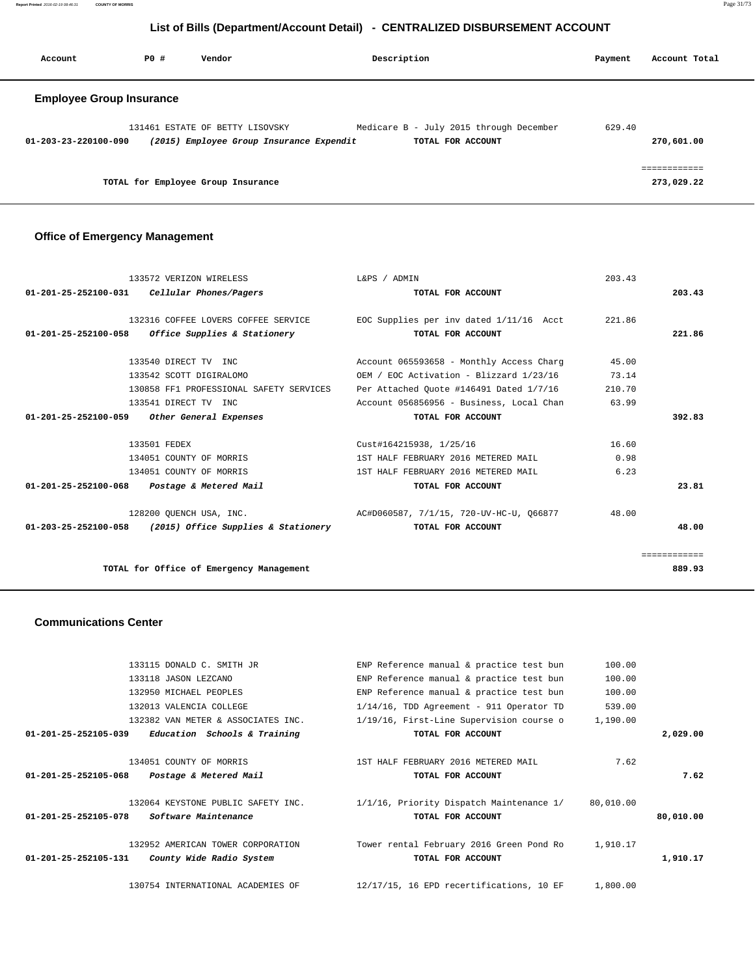**Report Printed** 2016-02-19 08:46:31 **COUNTY OF MORRIS** Page 31/73

## **List of Bills (Department/Account Detail) - CENTRALIZED DISBURSEMENT ACCOUNT**

| Account                         | PO# | Vendor                                                                      | Description                                                  | Payment | Account Total   |
|---------------------------------|-----|-----------------------------------------------------------------------------|--------------------------------------------------------------|---------|-----------------|
| <b>Employee Group Insurance</b> |     |                                                                             |                                                              |         |                 |
| 01-203-23-220100-090            |     | 131461 ESTATE OF BETTY LISOVSKY<br>(2015) Employee Group Insurance Expendit | Medicare B - July 2015 through December<br>TOTAL FOR ACCOUNT | 629.40  | 270,601.00      |
|                                 |     | TOTAL for Employee Group Insurance                                          |                                                              |         | .<br>273,029.22 |

## **Office of Emergency Management**

| 133572 VERIZON WIRELESS                                    | L&PS / ADMIN                                                                 | 203.43 |              |
|------------------------------------------------------------|------------------------------------------------------------------------------|--------|--------------|
| $01-201-25-252100-031$ Cellular Phones/Pagers              | TOTAL FOR ACCOUNT                                                            |        | 203.43       |
|                                                            |                                                                              |        |              |
|                                                            | 132316 COFFEE LOVERS COFFEE SERVICE TEOC Supplies per inv dated 1/11/16 Acct | 221.86 |              |
| $01-201-25-252100-058$ Office Supplies & Stationery        | TOTAL FOR ACCOUNT                                                            |        | 221.86       |
| 133540 DIRECT TV INC                                       | Account 065593658 - Monthly Access Charg                                     | 45.00  |              |
|                                                            |                                                                              |        |              |
| 133542 SCOTT DIGIRALOMO                                    | OEM / EOC Activation - Blizzard 1/23/16                                      | 73.14  |              |
| 130858 FF1 PROFESSIONAL SAFETY SERVICES                    | Per Attached Quote #146491 Dated 1/7/16                                      | 210.70 |              |
| 133541 DIRECT TV INC                                       | Account 056856956 - Business, Local Chan                                     | 63.99  |              |
| 01-201-25-252100-059 Other General Expenses                | TOTAL FOR ACCOUNT                                                            |        | 392.83       |
|                                                            |                                                                              |        |              |
| 133501 FEDEX                                               | Cust#164215938, 1/25/16                                                      | 16.60  |              |
| 134051 COUNTY OF MORRIS                                    | 1ST HALF FEBRUARY 2016 METERED MAIL                                          | 0.98   |              |
| 134051 COUNTY OF MORRIS                                    | 1ST HALF FEBRUARY 2016 METERED MAIL                                          | 6.23   |              |
| 01-201-25-252100-068 Postage & Metered Mail                | TOTAL FOR ACCOUNT                                                            |        | 23.81        |
|                                                            | 128200 OUENCH USA, INC. 40 AC#D060587, 7/1/15, 720-UV-HC-U, 066877           | 48.00  |              |
| $01-203-25-252100-058$ (2015) Office Supplies & Stationery | TOTAL FOR ACCOUNT                                                            |        | 48.00        |
|                                                            |                                                                              |        |              |
|                                                            |                                                                              |        | eessessesses |
| TOTAL for Office of Emergency Management                   |                                                                              |        | 889.93       |
|                                                            |                                                                              |        |              |

#### **Communications Center**

|           | 100.00    | ENP Reference manual & practice test bun    | 133115 DONALD C. SMITH JR                                  |
|-----------|-----------|---------------------------------------------|------------------------------------------------------------|
|           | 100.00    | ENP Reference manual & practice test bun    | 133118 JASON LEZCANO                                       |
|           | 100.00    | ENP Reference manual & practice test bun    | 132950 MICHAEL PEOPLES                                     |
|           | 539.00    | $1/14/16$ , TDD Agreement - 911 Operator TD | 132013 VALENCIA COLLEGE                                    |
|           | 1,190.00  | 1/19/16, First-Line Supervision course o    | 132382 VAN METER & ASSOCIATES INC.                         |
| 2,029.00  |           | TOTAL FOR ACCOUNT                           | 01-201-25-252105-039<br>Education Schools & Training       |
|           | 7.62      | 1ST HALF FEBRUARY 2016 METERED MAIL         | 134051 COUNTY OF MORRIS                                    |
| 7.62      |           | TOTAL FOR ACCOUNT                           | $01 - 201 - 25 - 252105 - 068$<br>Postage & Metered Mail   |
|           | 80,010.00 | 1/1/16, Priority Dispatch Maintenance 1/    | 132064 KEYSTONE PUBLIC SAFETY INC.                         |
| 80,010.00 |           | TOTAL FOR ACCOUNT                           | 01-201-25-252105-078<br>Software Maintenance               |
|           | 1,910.17  | Tower rental February 2016 Green Pond Ro    | 132952 AMERICAN TOWER CORPORATION                          |
| 1,910.17  |           | TOTAL FOR ACCOUNT                           | County Wide Radio System<br>$01 - 201 - 25 - 252105 - 131$ |
|           | 1,800.00  | 12/17/15, 16 EPD recertifications, 10 EF    | 130754 INTERNATIONAL ACADEMIES OF                          |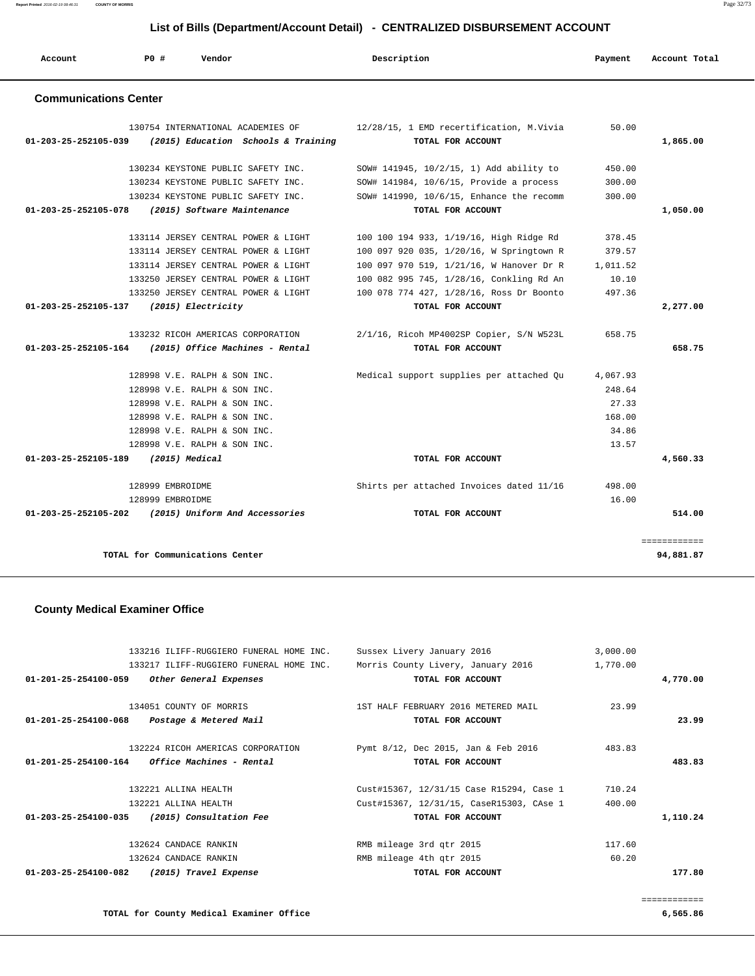**Report Printed** 2016-02-19 08:46:31 **COUNTY OF MORRIS** Page 32/73

## **List of Bills (Department/Account Detail) - CENTRALIZED DISBURSEMENT ACCOUNT**

| Account                        | <b>PO #</b>      | Vendor                                                                   | Description                                                   | Payment  | Account Total |
|--------------------------------|------------------|--------------------------------------------------------------------------|---------------------------------------------------------------|----------|---------------|
| <b>Communications Center</b>   |                  |                                                                          |                                                               |          |               |
| 01-203-25-252105-039           |                  | 130754 INTERNATIONAL ACADEMIES OF<br>(2015) Education Schools & Training | 12/28/15, 1 EMD recertification, M.Vivia<br>TOTAL FOR ACCOUNT | 50.00    | 1,865.00      |
|                                |                  | 130234 KEYSTONE PUBLIC SAFETY INC.                                       | SOW# 141945, 10/2/15, 1) Add ability to                       | 450.00   |               |
|                                |                  | 130234 KEYSTONE PUBLIC SAFETY INC.                                       | SOW# 141984, 10/6/15, Provide a process                       | 300.00   |               |
|                                |                  | 130234 KEYSTONE PUBLIC SAFETY INC.                                       | SOW# 141990, 10/6/15, Enhance the recomm                      | 300.00   |               |
| 01-203-25-252105-078           |                  | (2015) Software Maintenance                                              | TOTAL FOR ACCOUNT                                             |          | 1,050.00      |
|                                |                  | 133114 JERSEY CENTRAL POWER & LIGHT                                      | 100 100 194 933, 1/19/16, High Ridge Rd                       | 378.45   |               |
|                                |                  | 133114 JERSEY CENTRAL POWER & LIGHT                                      | 100 097 920 035, 1/20/16, W Springtown R                      | 379.57   |               |
|                                |                  | 133114 JERSEY CENTRAL POWER & LIGHT                                      | 100 097 970 519, 1/21/16, W Hanover Dr R                      | 1,011.52 |               |
|                                |                  | 133250 JERSEY CENTRAL POWER & LIGHT                                      | 100 082 995 745, 1/28/16, Conkling Rd An                      | 10.10    |               |
|                                |                  | 133250 JERSEY CENTRAL POWER & LIGHT                                      | 100 078 774 427, 1/28/16, Ross Dr Boonto                      | 497.36   |               |
| 01-203-25-252105-137           |                  | (2015) Electricity                                                       | TOTAL FOR ACCOUNT                                             |          | 2,277.00      |
|                                |                  | 133232 RICOH AMERICAS CORPORATION                                        | 2/1/16, Ricoh MP4002SP Copier, S/N W523L                      | 658.75   |               |
| $01 - 203 - 25 - 252105 - 164$ |                  | (2015) Office Machines - Rental                                          | TOTAL FOR ACCOUNT                                             |          | 658.75        |
|                                |                  | 128998 V.E. RALPH & SON INC.                                             | Medical support supplies per attached Qu                      | 4,067.93 |               |
|                                |                  | 128998 V.E. RALPH & SON INC.                                             |                                                               | 248.64   |               |
|                                |                  | 128998 V.E. RALPH & SON INC.                                             |                                                               | 27.33    |               |
|                                |                  | 128998 V.E. RALPH & SON INC.                                             |                                                               | 168.00   |               |
|                                |                  | 128998 V.E. RALPH & SON INC.                                             |                                                               | 34.86    |               |
|                                |                  | 128998 V.E. RALPH & SON INC.                                             |                                                               | 13.57    |               |
| $01 - 203 - 25 - 252105 - 189$ |                  | $(2015)$ Medical                                                         | TOTAL FOR ACCOUNT                                             |          | 4,560.33      |
|                                | 128999 EMBROIDME |                                                                          | Shirts per attached Invoices dated 11/16                      | 498.00   |               |
|                                | 128999 EMBROIDME |                                                                          |                                                               | 16.00    |               |
| $01 - 203 - 25 - 252105 - 202$ |                  | (2015) Uniform And Accessories                                           | TOTAL FOR ACCOUNT                                             |          | 514.00        |

## **County Medical Examiner Office**

|                                | 133216 ILIFF-RUGGIERO FUNERAL HOME INC.         | Sussex Livery January 2016               | 3,000.00 |              |
|--------------------------------|-------------------------------------------------|------------------------------------------|----------|--------------|
|                                | 133217 ILIFF-RUGGIERO FUNERAL HOME INC.         | Morris County Livery, January 2016       | 1,770.00 |              |
| $01 - 201 - 25 - 254100 - 059$ | Other General Expenses                          | TOTAL FOR ACCOUNT                        |          | 4,770.00     |
|                                | 134051 COUNTY OF MORRIS                         | 1ST HALF FEBRUARY 2016 METERED MAIL      | 23.99    |              |
| 01-201-25-254100-068           | Postage & Metered Mail                          | TOTAL FOR ACCOUNT                        |          | 23.99        |
|                                | 132224 RICOH AMERICAS CORPORATION               | Pymt 8/12, Dec 2015, Jan & Feb 2016      | 483.83   |              |
|                                | $01-201-25-254100-164$ Office Machines - Rental | TOTAL FOR ACCOUNT                        |          | 483.83       |
|                                | 132221 ALLINA HEALTH                            | Cust#15367, 12/31/15 Case R15294, Case 1 | 710.24   |              |
|                                | 132221 ALLINA HEALTH                            | Cust#15367, 12/31/15, CaseR15303, CAse 1 | 400.00   |              |
|                                | 01-203-25-254100-035 (2015) Consultation Fee    | TOTAL FOR ACCOUNT                        |          | 1,110.24     |
|                                | 132624 CANDACE RANKIN                           | RMB mileage 3rd qtr 2015                 | 117.60   |              |
|                                | 132624 CANDACE RANKIN                           | RMB mileage 4th gtr 2015                 | 60.20    |              |
| 01-203-25-254100-082           | (2015) Travel Expense                           | TOTAL FOR ACCOUNT                        |          | 177.80       |
|                                |                                                 |                                          |          |              |
|                                |                                                 |                                          |          | ============ |

**TOTAL for County Medical Examiner Office 6,565.86**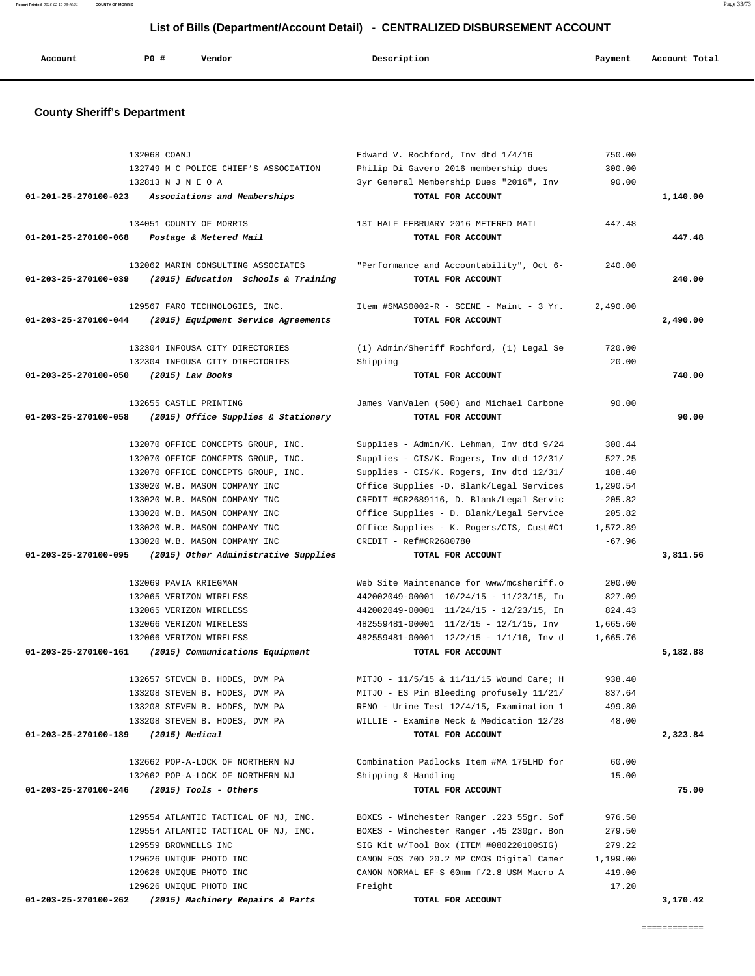**Report Printed** 2016-02-19 08:46:31 **COUNTY OF MORRIS** Page 33/73

## **List of Bills (Department/Account Detail) - CENTRALIZED DISBURSEMENT ACCOUNT**

| Account | PO# | Vendor | Description | Payment | Account Total |
|---------|-----|--------|-------------|---------|---------------|
|         |     |        |             |         |               |

### **County Sheriff's Department**

|                      | 132068 COANJ<br>132749 M C POLICE CHIEF'S ASSOCIATION                   | Edward V. Rochford, Inv dtd 1/4/16<br>Philip Di Gavero 2016 membership dues | 750.00<br>300.00 |          |
|----------------------|-------------------------------------------------------------------------|-----------------------------------------------------------------------------|------------------|----------|
|                      | 132813 N J N E O A<br>01-201-25-270100-023 Associations and Memberships | 3yr General Membership Dues "2016", Inv<br>TOTAL FOR ACCOUNT                | 90.00            | 1,140.00 |
|                      | 134051 COUNTY OF MORRIS                                                 | 1ST HALF FEBRUARY 2016 METERED MAIL                                         | 447.48           |          |
| 01-201-25-270100-068 | Postage & Metered Mail                                                  | TOTAL FOR ACCOUNT                                                           |                  | 447.48   |
|                      | 132062 MARIN CONSULTING ASSOCIATES                                      | "Performance and Accountability", Oct 6-                                    | 240.00           |          |
| 01-203-25-270100-039 | (2015) Education Schools & Training                                     | TOTAL FOR ACCOUNT                                                           |                  | 240.00   |
|                      | 129567 FARO TECHNOLOGIES, INC.                                          | Item #SMAS0002-R - SCENE - Maint - 3 Yr.                                    | 2,490.00         |          |
| 01-203-25-270100-044 | (2015) Equipment Service Agreements                                     | TOTAL FOR ACCOUNT                                                           |                  | 2,490.00 |
|                      | 132304 INFOUSA CITY DIRECTORIES                                         | (1) Admin/Sheriff Rochford, (1) Legal Se                                    | 720.00           |          |
|                      | 132304 INFOUSA CITY DIRECTORIES                                         | Shipping                                                                    | 20.00            |          |
| 01-203-25-270100-050 | $(2015)$ Law Books                                                      | TOTAL FOR ACCOUNT                                                           |                  | 740.00   |
|                      | 132655 CASTLE PRINTING                                                  | James VanValen (500) and Michael Carbone                                    | 90.00            |          |
| 01-203-25-270100-058 | (2015) Office Supplies & Stationery                                     | TOTAL FOR ACCOUNT                                                           |                  | 90.00    |
|                      | 132070 OFFICE CONCEPTS GROUP, INC.                                      | Supplies - Admin/K. Lehman, Inv dtd 9/24                                    | 300.44           |          |
|                      | 132070 OFFICE CONCEPTS GROUP, INC.                                      | Supplies - CIS/K. Rogers, Inv dtd 12/31/                                    | 527.25           |          |
|                      | 132070 OFFICE CONCEPTS GROUP, INC.                                      | Supplies - CIS/K. Rogers, Inv dtd 12/31/                                    | 188.40           |          |
|                      | 133020 W.B. MASON COMPANY INC                                           | Office Supplies -D. Blank/Legal Services                                    | 1,290.54         |          |
|                      | 133020 W.B. MASON COMPANY INC                                           | CREDIT #CR2689116, D. Blank/Legal Servic                                    | $-205.82$        |          |
|                      | 133020 W.B. MASON COMPANY INC                                           | Office Supplies - D. Blank/Legal Service                                    | 205.82           |          |
|                      | 133020 W.B. MASON COMPANY INC                                           | Office Supplies - K. Rogers/CIS, Cust#C1                                    | 1,572.89         |          |
|                      | 133020 W.B. MASON COMPANY INC                                           | CREDIT - Ref#CR2680780                                                      | $-67.96$         |          |
| 01-203-25-270100-095 | (2015) Other Administrative Supplies                                    | TOTAL FOR ACCOUNT                                                           |                  | 3,811.56 |
|                      | 132069 PAVIA KRIEGMAN                                                   | Web Site Maintenance for www/mcsheriff.o                                    | 200.00           |          |
|                      | 132065 VERIZON WIRELESS                                                 | 442002049-00001 10/24/15 - 11/23/15, In                                     | 827.09           |          |
|                      | 132065 VERIZON WIRELESS                                                 | 442002049-00001 11/24/15 - 12/23/15, In                                     | 824.43           |          |
|                      | 132066 VERIZON WIRELESS                                                 | 482559481-00001 11/2/15 - 12/1/15, Inv                                      | 1,665.60         |          |
|                      | 132066 VERIZON WIRELESS                                                 | 482559481-00001 12/2/15 - 1/1/16, Inv d                                     | 1,665.76         |          |
| 01-203-25-270100-161 | (2015) Communications Equipment                                         | TOTAL FOR ACCOUNT                                                           |                  | 5,182.88 |
|                      | 132657 STEVEN B. HODES, DVM PA                                          | MITJO - 11/5/15 & 11/11/15 Wound Care; H                                    | 938.40           |          |
|                      | 133208 STEVEN B. HODES, DVM PA                                          | MITJO - ES Pin Bleeding profusely 11/21/                                    | 837.64           |          |
|                      | 133208 STEVEN B. HODES, DVM PA                                          | RENO - Urine Test 12/4/15, Examination 1                                    | 499.80           |          |
|                      | 133208 STEVEN B. HODES, DVM PA                                          | WILLIE - Examine Neck & Medication 12/28                                    | 48.00            |          |
| 01-203-25-270100-189 | $(2015)$ Medical                                                        | TOTAL FOR ACCOUNT                                                           |                  | 2,323.84 |
|                      | 132662 POP-A-LOCK OF NORTHERN NJ                                        | Combination Padlocks Item #MA 175LHD for                                    | 60.00            |          |
|                      | 132662 POP-A-LOCK OF NORTHERN NJ                                        | Shipping & Handling                                                         | 15.00            |          |
| 01-203-25-270100-246 | $(2015)$ Tools - Others                                                 | TOTAL FOR ACCOUNT                                                           |                  | 75.00    |
|                      | 129554 ATLANTIC TACTICAL OF NJ, INC.                                    | BOXES - Winchester Ranger .223 55gr. Sof                                    | 976.50           |          |
|                      | 129554 ATLANTIC TACTICAL OF NJ, INC.                                    | BOXES - Winchester Ranger .45 230gr. Bon                                    | 279.50           |          |
|                      | 129559 BROWNELLS INC                                                    | SIG Kit w/Tool Box (ITEM #080220100SIG)                                     | 279.22           |          |
|                      | 129626 UNIQUE PHOTO INC                                                 | CANON EOS 70D 20.2 MP CMOS Digital Camer                                    | 1,199.00         |          |
|                      | 129626 UNIQUE PHOTO INC                                                 | CANON NORMAL EF-S 60mm f/2.8 USM Macro A                                    | 419.00           |          |
|                      | 129626 UNIQUE PHOTO INC                                                 | Freight                                                                     | 17.20            |          |
| 01-203-25-270100-262 | (2015) Machinery Repairs & Parts                                        | TOTAL FOR ACCOUNT                                                           |                  | 3,170.42 |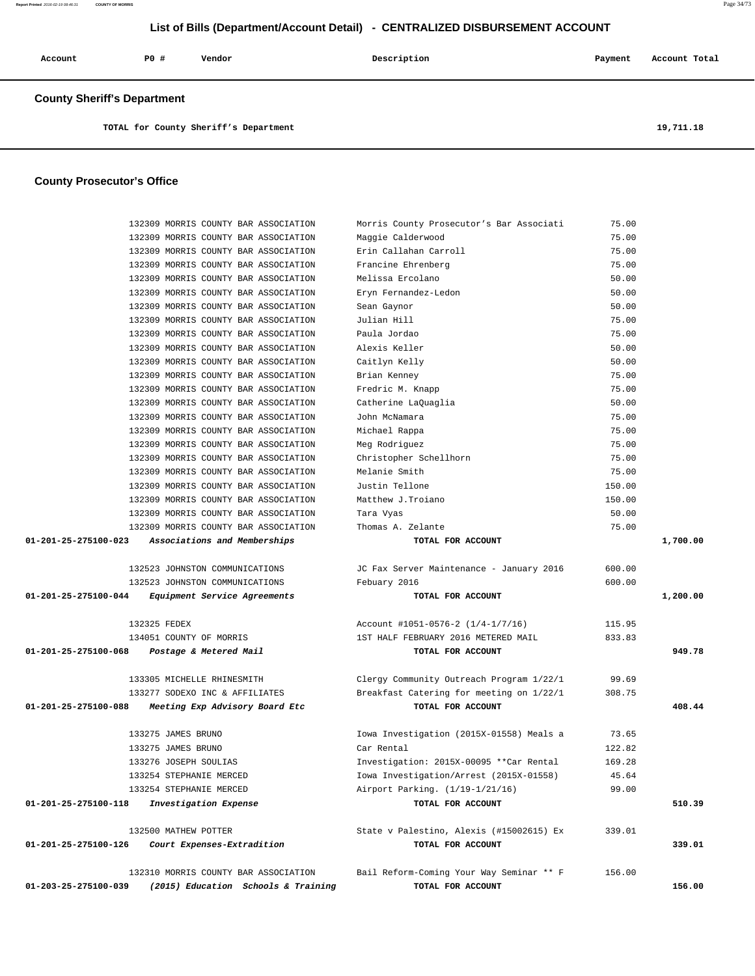## **List of Bills (Department/Account Detail) - CENTRALIZED DISBURSEMENT ACCOUNT**

| Account | <b>PO #</b> | Vendor | Description | Payment | Account Total |
|---------|-------------|--------|-------------|---------|---------------|
|         |             |        |             |         |               |

 **County Sheriff's Department**

**TOTAL for County Sheriff's Department 19,711.18**

### **County Prosecutor's Office**

| 132309 MORRIS COUNTY BAR ASSOCIATION                   | Morris County Prosecutor's Bar Associati | 75.00  |          |
|--------------------------------------------------------|------------------------------------------|--------|----------|
| 132309 MORRIS COUNTY BAR ASSOCIATION                   | Maggie Calderwood                        | 75.00  |          |
| 132309 MORRIS COUNTY BAR ASSOCIATION                   | Erin Callahan Carroll                    | 75.00  |          |
| 132309 MORRIS COUNTY BAR ASSOCIATION                   | Francine Ehrenberg                       | 75.00  |          |
| 132309 MORRIS COUNTY BAR ASSOCIATION                   | Melissa Ercolano                         | 50.00  |          |
| 132309 MORRIS COUNTY BAR ASSOCIATION                   | Eryn Fernandez-Ledon                     | 50.00  |          |
| 132309 MORRIS COUNTY BAR ASSOCIATION                   | Sean Gaynor                              | 50.00  |          |
| 132309 MORRIS COUNTY BAR ASSOCIATION                   | Julian Hill                              | 75.00  |          |
| 132309 MORRIS COUNTY BAR ASSOCIATION                   | Paula Jordao                             | 75.00  |          |
| 132309 MORRIS COUNTY BAR ASSOCIATION                   | Alexis Keller                            | 50.00  |          |
| 132309 MORRIS COUNTY BAR ASSOCIATION                   | Caitlyn Kelly                            | 50.00  |          |
| 132309 MORRIS COUNTY BAR ASSOCIATION                   | Brian Kenney                             | 75.00  |          |
| 132309 MORRIS COUNTY BAR ASSOCIATION                   | Fredric M. Knapp                         | 75.00  |          |
| 132309 MORRIS COUNTY BAR ASSOCIATION                   | Catherine LaQuaglia                      | 50.00  |          |
| 132309 MORRIS COUNTY BAR ASSOCIATION                   | John McNamara                            | 75.00  |          |
| 132309 MORRIS COUNTY BAR ASSOCIATION                   | Michael Rappa                            | 75.00  |          |
| 132309 MORRIS COUNTY BAR ASSOCIATION                   | Meg Rodriguez                            | 75.00  |          |
| 132309 MORRIS COUNTY BAR ASSOCIATION                   | Christopher Schellhorn                   | 75.00  |          |
| 132309 MORRIS COUNTY BAR ASSOCIATION                   | Melanie Smith                            | 75.00  |          |
| 132309 MORRIS COUNTY BAR ASSOCIATION                   | Justin Tellone                           | 150.00 |          |
| 132309 MORRIS COUNTY BAR ASSOCIATION                   | Matthew J. Troiano                       | 150.00 |          |
| 132309 MORRIS COUNTY BAR ASSOCIATION                   | Tara Vyas                                | 50.00  |          |
| 132309 MORRIS COUNTY BAR ASSOCIATION                   | Thomas A. Zelante                        | 75.00  |          |
| 01-201-25-275100-023<br>Associations and Memberships   | TOTAL FOR ACCOUNT                        |        | 1,700.00 |
|                                                        |                                          |        |          |
| 132523 JOHNSTON COMMUNICATIONS                         | JC Fax Server Maintenance - January 2016 | 600.00 |          |
| 132523 JOHNSTON COMMUNICATIONS                         | Febuary 2016                             | 600.00 |          |
| 01-201-25-275100-044<br>Equipment Service Agreements   | TOTAL FOR ACCOUNT                        |        | 1,200.00 |
|                                                        |                                          |        |          |
| 132325 FEDEX                                           | Account #1051-0576-2 (1/4-1/7/16)        | 115.95 |          |
| 134051 COUNTY OF MORRIS                                | 1ST HALF FEBRUARY 2016 METERED MAIL      | 833.83 |          |
| 01-201-25-275100-068<br>Postage & Metered Mail         | TOTAL FOR ACCOUNT                        |        | 949.78   |
|                                                        |                                          |        |          |
| 133305 MICHELLE RHINESMITH                             | Clergy Community Outreach Program 1/22/1 | 99.69  |          |
| 133277 SODEXO INC & AFFILIATES                         | Breakfast Catering for meeting on 1/22/1 | 308.75 |          |
| 01-201-25-275100-088<br>Meeting Exp Advisory Board Etc | TOTAL FOR ACCOUNT                        |        | 408.44   |
|                                                        |                                          |        |          |
| 133275 JAMES BRUNO                                     | Iowa Investigation (2015X-01558) Meals a | 73.65  |          |
| 133275 JAMES BRUNO                                     | Car Rental                               | 122.82 |          |
| 133276 JOSEPH SOULIAS                                  | Investigation: 2015X-00095 ** Car Rental | 169.28 |          |
| 133254 STEPHANIE MERCED                                | Iowa Investigation/Arrest (2015X-01558)  | 45.64  |          |
| 133254 STEPHANIE MERCED                                | Airport Parking. (1/19-1/21/16)          | 99.00  |          |
| Investigation Expense<br>01-201-25-275100-118          | TOTAL FOR ACCOUNT                        |        | 510.39   |
| 132500 MATHEW POTTER                                   | State v Palestino, Alexis (#15002615) Ex | 339.01 |          |
| 01-201-25-275100-126<br>Court Expenses-Extradition     | TOTAL FOR ACCOUNT                        |        | 339.01   |
|                                                        |                                          |        |          |
| 132310 MORRIS COUNTY BAR ASSOCIATION                   | Bail Reform-Coming Your Way Seminar ** F | 156.00 |          |
|                                                        |                                          |        |          |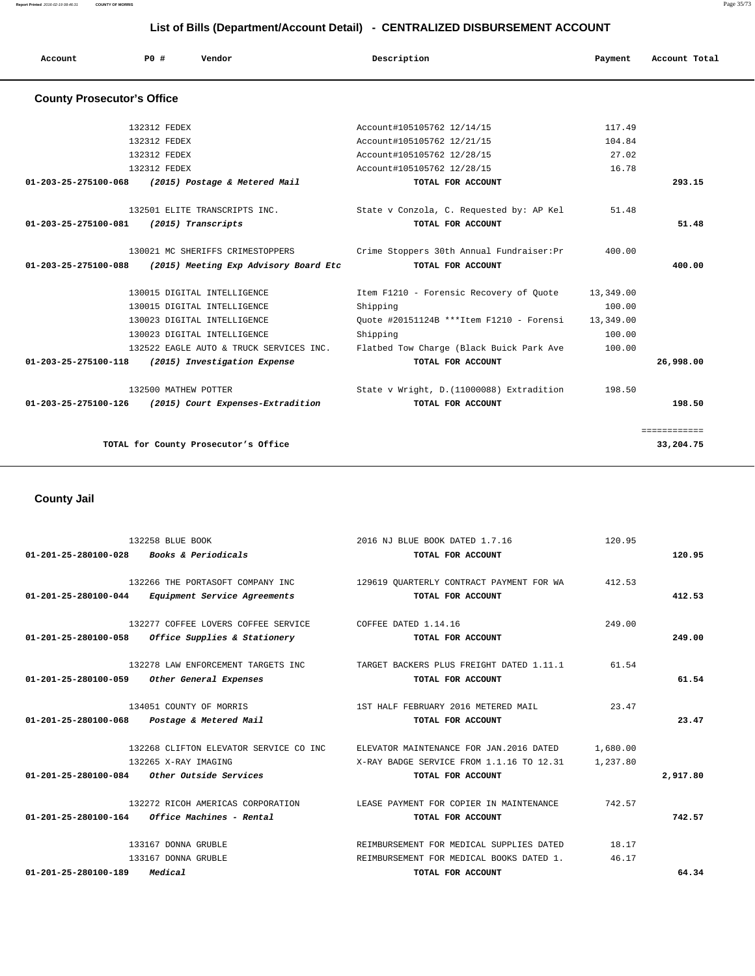**List of Bills (Department/Account Detail) - CENTRALIZED DISBURSEMENT ACCOUNT**

| Account Total | Payment   | Description                               | <b>PO #</b><br>Vendor                   | Account                           |
|---------------|-----------|-------------------------------------------|-----------------------------------------|-----------------------------------|
|               |           |                                           |                                         | <b>County Prosecutor's Office</b> |
|               | 117.49    | Account#105105762 12/14/15                | 132312 FEDEX                            |                                   |
|               | 104.84    | Account#105105762 12/21/15                | 132312 FEDEX                            |                                   |
|               | 27.02     | Account#105105762 12/28/15                | 132312 FEDEX                            |                                   |
|               | 16.78     | Account#105105762 12/28/15                | 132312 FEDEX                            |                                   |
| 293.15        |           | TOTAL FOR ACCOUNT                         | (2015) Postage & Metered Mail           | $01 - 203 - 25 - 275100 - 068$    |
|               | 51.48     | State v Conzola, C. Requested by: AP Kel  | 132501 ELITE TRANSCRIPTS INC.           |                                   |
| 51.48         |           | TOTAL FOR ACCOUNT                         | (2015) Transcripts                      | 01-203-25-275100-081              |
|               | 400.00    | Crime Stoppers 30th Annual Fundraiser: Pr | 130021 MC SHERIFFS CRIMESTOPPERS        |                                   |
| 400.00        |           | TOTAL FOR ACCOUNT                         | (2015) Meeting Exp Advisory Board Etc   | 01-203-25-275100-088              |
|               | 13,349.00 | Item F1210 - Forensic Recovery of Quote   | 130015 DIGITAL INTELLIGENCE             |                                   |
|               | 100.00    | Shipping                                  | 130015 DIGITAL INTELLIGENCE             |                                   |
|               | 13,349.00 | Quote #20151124B ***Item F1210 - Forensi  | 130023 DIGITAL INTELLIGENCE             |                                   |
|               | 100.00    | Shipping                                  | 130023 DIGITAL INTELLIGENCE             |                                   |
|               | 100.00    | Flatbed Tow Charge (Black Buick Park Ave  | 132522 EAGLE AUTO & TRUCK SERVICES INC. |                                   |
| 26,998.00     |           | TOTAL FOR ACCOUNT                         | (2015) Investigation Expense            | 01-203-25-275100-118              |
|               | 198.50    | State v Wright, D. (11000088) Extradition | 132500 MATHEW POTTER                    |                                   |
| 198.50        |           | TOTAL FOR ACCOUNT                         | (2015) Court Expenses-Extradition       | 01-203-25-275100-126              |

 **County Jail** 

|                                | 132258 BLUE BOOK                                  | 2016 NJ BLUE BOOK DATED 1.7.16           | 120.95   |          |
|--------------------------------|---------------------------------------------------|------------------------------------------|----------|----------|
| 01-201-25-280100-028           | <i>Books &amp; Periodicals</i>                    | TOTAL FOR ACCOUNT                        |          | 120.95   |
|                                | 132266 THE PORTASOFT COMPANY INC                  | 129619 OUARTERLY CONTRACT PAYMENT FOR WA | 412.53   |          |
|                                | 01-201-25-280100-044 Equipment Service Agreements | TOTAL FOR ACCOUNT                        |          | 412.53   |
|                                | 132277 COFFEE LOVERS COFFEE SERVICE               | COFFEE DATED 1.14.16                     | 249.00   |          |
| $01 - 201 - 25 - 280100 - 058$ | Office Supplies & Stationery                      | TOTAL FOR ACCOUNT                        |          | 249.00   |
|                                | 132278 LAW ENFORCEMENT TARGETS INC                | TARGET BACKERS PLUS FREIGHT DATED 1.11.1 | 61.54    |          |
| 01-201-25-280100-059           | Other General Expenses                            | TOTAL FOR ACCOUNT                        |          | 61.54    |
|                                | 134051 COUNTY OF MORRIS                           | 1ST HALF FEBRUARY 2016 METERED MAIL      | 23.47    |          |
| $01 - 201 - 25 - 280100 - 068$ | Postage & Metered Mail                            | TOTAL FOR ACCOUNT                        |          | 23.47    |
|                                | 132268 CLIFTON ELEVATOR SERVICE CO INC            | ELEVATOR MAINTENANCE FOR JAN. 2016 DATED | 1,680.00 |          |
|                                | 132265 X-RAY IMAGING                              | X-RAY BADGE SERVICE FROM 1.1.16 TO 12.31 | 1,237.80 |          |
|                                | $01-201-25-280100-084$ Other Outside Services     | TOTAL FOR ACCOUNT                        |          | 2,917.80 |
|                                | 132272 RICOH AMERICAS CORPORATION                 | LEASE PAYMENT FOR COPIER IN MAINTENANCE  | 742.57   |          |
|                                | $01-201-25-280100-164$ Office Machines - Rental   | TOTAL FOR ACCOUNT                        |          | 742.57   |
|                                | 133167 DONNA GRUBLE                               | REIMBURSEMENT FOR MEDICAL SUPPLIES DATED | 18.17    |          |
|                                | 133167 DONNA GRUBLE                               | REIMBURSEMENT FOR MEDICAL BOOKS DATED 1. | 46.17    |          |
| $01 - 201 - 25 - 280100 - 189$ | Medical                                           | TOTAL FOR ACCOUNT                        |          | 64.34    |

**Report Printed** 2016-02-19 08:46:31 **COUNTY OF MORRIS** Page 35/73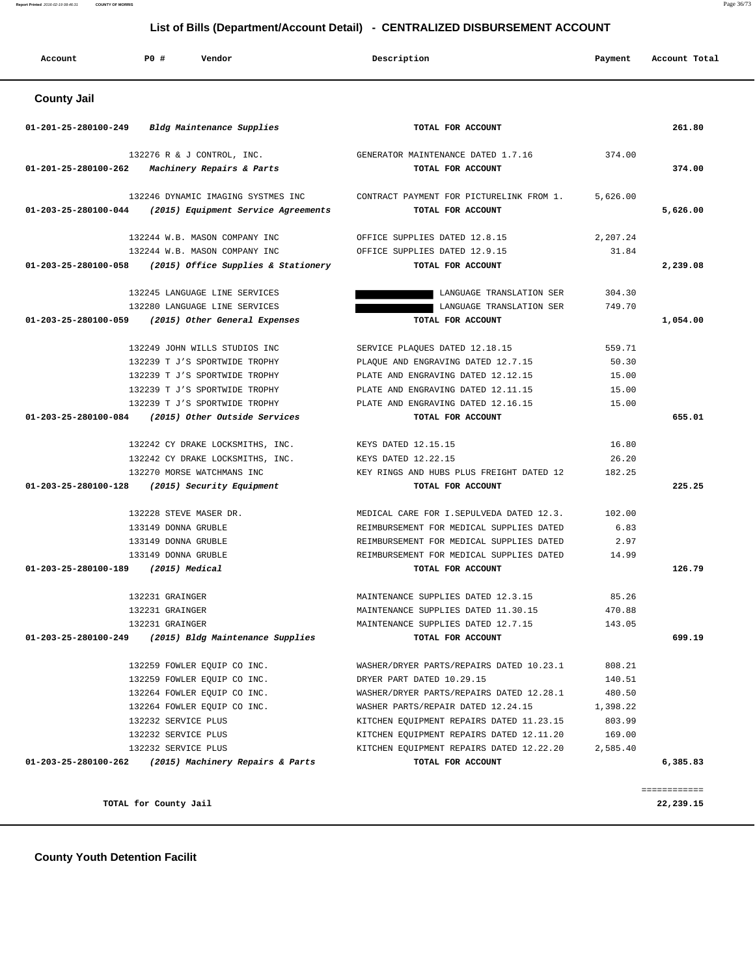#### **County Youth Detention Facilit**

 **Account P0 # Vendor Description Payment Account Total County Jail 01-201-25-280100-249 Bldg Maintenance Supplies TOTAL FOR ACCOUNT 261.80** 132276 R & J CONTROL, INC. GENERATOR MAINTENANCE DATED 1.7.16 374.00  **01-201-25-280100-262 Machinery Repairs & Parts TOTAL FOR ACCOUNT 374.00** 132246 DYNAMIC IMAGING SYSTMES INC CONTRACT PAYMENT FOR PICTURELINK FROM 1. 5,626.00  **01-203-25-280100-044 (2015) Equipment Service Agreements TOTAL FOR ACCOUNT 5,626.00** 132244 W.B. MASON COMPANY INC OFFICE SUPPLIES DATED 12.8.15 2,207.24 132244 W.B. MASON COMPANY INC OFFICE SUPPLIES DATED 12.9.15 31.84  **01-203-25-280100-058 (2015) Office Supplies & Stationery TOTAL FOR ACCOUNT 2,239.08** 132245 LANGUAGE LINE SERVICES LANGUAGE TRANSLATION SER 304.30 132280 LANGUAGE LINE SERVICES LANGUAGE TRANSLATION SER 749.70  **01-203-25-280100-059 (2015) Other General Expenses TOTAL FOR ACCOUNT 1,054.00** 132249 JOHN WILLS STUDIOS INC SERVICE PLAQUES DATED 12.18.15 559.71 132239 T J'S SPORTWIDE TROPHY PLAQUE AND ENGRAVING DATED  $12.7.15$  50.30 132239 T J'S SPORTWIDE TROPHY PLATE AND ENGRAVING DATED 12.12.15 15.00 132239 T J'S SPORTWIDE TROPHY PLATE AND ENGRAVING DATED 12.11.15 15.00 132239 T J'S SPORTWIDE TROPHY PLATE AND ENGRAVING DATED 12.16.15 15.00  **01-203-25-280100-084 (2015) Other Outside Services TOTAL FOR ACCOUNT 655.01** 132242 CY DRAKE LOCKSMITHS, INC. KEYS DATED 12.15.15 16.80 132242 CY DRAKE LOCKSMITHS, INC. KEYS DATED 12.22.15 26.20 132270 MORSE WATCHMANS INC KEY RINGS AND HUBS PLUS FREIGHT DATED 12 182.25  **01-203-25-280100-128 (2015) Security Equipment TOTAL FOR ACCOUNT 225.25** 132228 STEVE MASER DR. MEDICAL CARE FOR I.SEPULVEDA DATED 12.3. 102.00 133149 DONNA GRUBLE REIMBURSEMENT FOR MEDICAL SUPPLIES DATED 6.83 133149 DONNA GRUBLE REIMBURSEMENT FOR MEDICAL SUPPLIES DATED 2.97 133149 DONNA GRUBLE REIMBURSEMENT FOR MEDICAL SUPPLIES DATED 14.99  **01-203-25-280100-189 (2015) Medical TOTAL FOR ACCOUNT 126.79** 132231 GRAINGER 65.26 MAINTENANCE SUPPLIES DATED 12.3.15 85.26 132231 GRAINGER MAINTENANCE SUPPLIES DATED 11.30.15 470.88 132231 GRAINGER MAINTENANCE SUPPLIES DATED 12.7.15 143.05  **01-203-25-280100-249 (2015) Bldg Maintenance Supplies TOTAL FOR ACCOUNT 699.19** 132259 FOWLER EQUIP CO INC. WASHER/DRYER PARTS/REPAIRS DATED 10.23.1 808.21 132259 FOWLER EQUIP CO INC. DRYER PART DATED 10.29.15 140.51 132264 FOWLER EQUIP CO INC. WASHER/DRYER PARTS/REPAIRS DATED 12.28.1 480.50 132264 FOWLER EQUIP CO INC. WASHER PARTS/REPAIR DATED 12.24.15 1,398.22 132232 SERVICE PLUS KITCHEN EQUIPMENT REPAIRS DATED 11.23.15 803.99 132232 SERVICE PLUS KITCHEN EQUIPMENT REPAIRS DATED 12.11.20 169.00 132232 SERVICE PLUS KITCHEN EQUIPMENT REPAIRS DATED 12.22.20 2,585.40  **01-203-25-280100-262 (2015) Machinery Repairs & Parts TOTAL FOR ACCOUNT 6,385.83** ============

**TOTAL for County Jail 22,239.15**

#### **List of Bills (Department/Account Detail) - CENTRALIZED DISBURSEMENT ACCOUNT**

**Report Printed** 2016-02-19 08:46:31 **COUNTY OF MORRIS** Page 36/73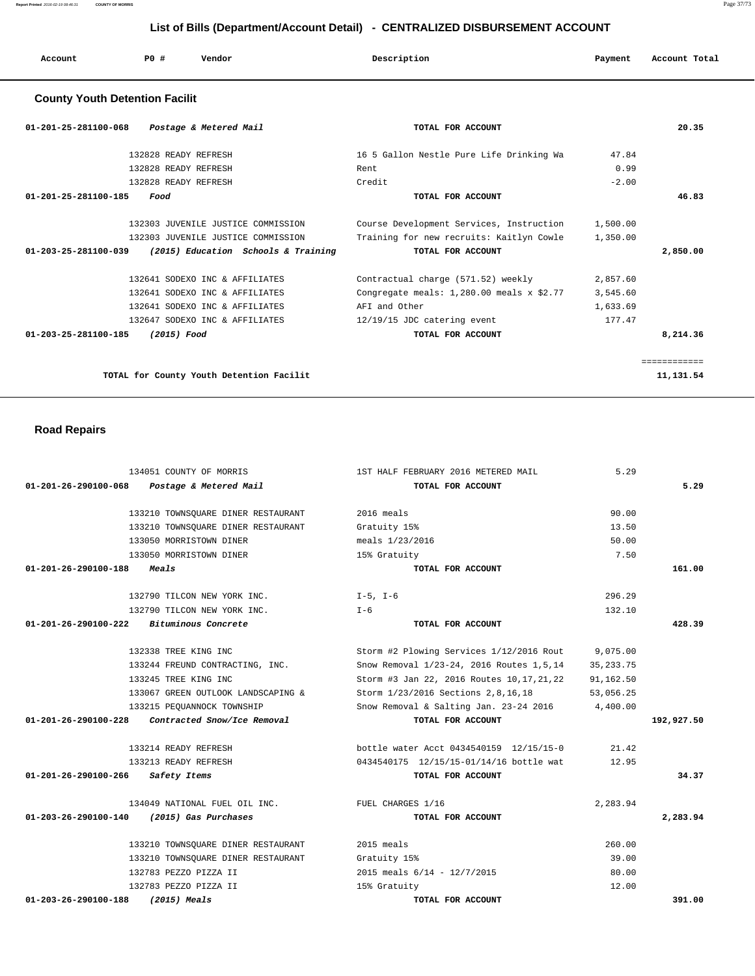| Account | P <sub>0</sub> | Vendor | Description   | Payment | Account Total |
|---------|----------------|--------|---------------|---------|---------------|
| .       |                | .      | $\sim$ $\sim$ |         | .             |

# **County Youth Detention Facilit**

| 01-201-25-281100-068<br>Postage & Metered Mail              | TOTAL FOR ACCOUNT                           |          | 20.35        |
|-------------------------------------------------------------|---------------------------------------------|----------|--------------|
| 132828 READY REFRESH                                        | 16 5 Gallon Nestle Pure Life Drinking Wa    | 47.84    |              |
| 132828 READY REFRESH                                        | Rent                                        | 0.99     |              |
| 132828 READY REFRESH                                        | Credit                                      | $-2.00$  |              |
| $01 - 201 - 25 - 281100 - 185$<br>Food                      | TOTAL FOR ACCOUNT                           |          | 46.83        |
| 132303 JUVENILE JUSTICE COMMISSION                          | Course Development Services, Instruction    | 1,500.00 |              |
| 132303 JUVENILE JUSTICE COMMISSION                          | Training for new recruits: Kaitlyn Cowle    | 1,350.00 |              |
| 01-203-25-281100-039<br>(2015) Education Schools & Training | TOTAL FOR ACCOUNT                           |          | 2,850.00     |
| 132641 SODEXO INC & AFFILIATES                              | Contractual charge (571.52) weekly          | 2,857.60 |              |
| 132641 SODEXO INC & AFFILIATES                              | Congregate meals: $1,280.00$ meals x \$2.77 | 3,545.60 |              |
| 132641 SODEXO INC & AFFILIATES                              | AFI and Other                               | 1,633.69 |              |
| 132647 SODEXO INC & AFFILIATES                              | 12/19/15 JDC catering event                 | 177.47   |              |
| $01 - 203 - 25 - 281100 - 185$<br>(2015) Food               | TOTAL FOR ACCOUNT                           |          | 8,214.36     |
|                                                             |                                             |          | ============ |
| TOTAL for County Youth Detention Facilit                    |                                             |          | 11, 131.54   |

# **Road Repairs**

| 134051 COUNTY OF MORRIS                             | 1ST HALF FEBRUARY 2016 METERED MAIL         | 5.29        |            |
|-----------------------------------------------------|---------------------------------------------|-------------|------------|
| 01-201-26-290100-068 Postage & Metered Mail         | TOTAL FOR ACCOUNT                           |             | 5.29       |
| 133210 TOWNSQUARE DINER RESTAURANT                  | 2016 meals                                  | 90.00       |            |
| 133210 TOWNSOUARE DINER RESTAURANT                  | Gratuity 15%                                | 13.50       |            |
| 133050 MORRISTOWN DINER                             | meals 1/23/2016                             | 50.00       |            |
| 133050 MORRISTOWN DINER                             | 15% Gratuity                                | 7.50        |            |
| 01-201-26-290100-188<br>Meals                       | TOTAL FOR ACCOUNT                           |             | 161.00     |
| 132790 TILCON NEW YORK INC.                         | $I-5$ , $I-6$                               | 296.29      |            |
| 132790 TILCON NEW YORK INC.                         | $T - 6$                                     | 132.10      |            |
| $01-201-26-290100-222$ Bituminous Concrete          | TOTAL FOR ACCOUNT                           |             | 428.39     |
| 132338 TREE KING INC                                | Storm #2 Plowing Services 1/12/2016 Rout    | 9,075.00    |            |
| 133244 FREUND CONTRACTING, INC.                     | Snow Removal 1/23-24, 2016 Routes 1,5,14    | 35, 233. 75 |            |
| 133245 TREE KING INC                                | Storm #3 Jan 22, 2016 Routes 10, 17, 21, 22 | 91,162.50   |            |
| 133067 GREEN OUTLOOK LANDSCAPING &                  | Storm 1/23/2016 Sections 2,8,16,18          | 53,056.25   |            |
| 133215 PEOUANNOCK TOWNSHIP                          | Snow Removal & Salting Jan. 23-24 2016      | 4,400.00    |            |
| 01-201-26-290100-228<br>Contracted Snow/Ice Removal | TOTAL FOR ACCOUNT                           |             | 192,927.50 |
| 133214 READY REFRESH                                | bottle water Acct 0434540159 12/15/15-0     | 21.42       |            |
| 133213 READY REFRESH                                | 0434540175 12/15/15-01/14/16 bottle wat     | 12.95       |            |
| 01-201-26-290100-266<br>Safety Items                | TOTAL FOR ACCOUNT                           |             | 34.37      |
| 134049 NATIONAL FUEL OIL INC.                       | FUEL CHARGES 1/16                           | 2,283.94    |            |
| 01-203-26-290100-140<br>(2015) Gas Purchases        | TOTAL FOR ACCOUNT                           |             | 2,283.94   |
| 133210 TOWNSQUARE DINER RESTAURANT                  | 2015 meals                                  | 260.00      |            |
| 133210 TOWNSOUARE DINER RESTAURANT                  | Gratuity 15%                                | 39.00       |            |
| 132783 PEZZO PIZZA II                               | 2015 meals $6/14 - 12/7/2015$               | 80.00       |            |
| 132783 PEZZO PIZZA II                               | 15% Gratuity                                | 12.00       |            |
| $01 - 203 - 26 - 290100 - 188$<br>$(2015)$ Meals    | TOTAL FOR ACCOUNT                           |             | 391.00     |

**Report Printed** 2016-02-19 08:46:31 **COUNTY OF MORRIS** Page 37/73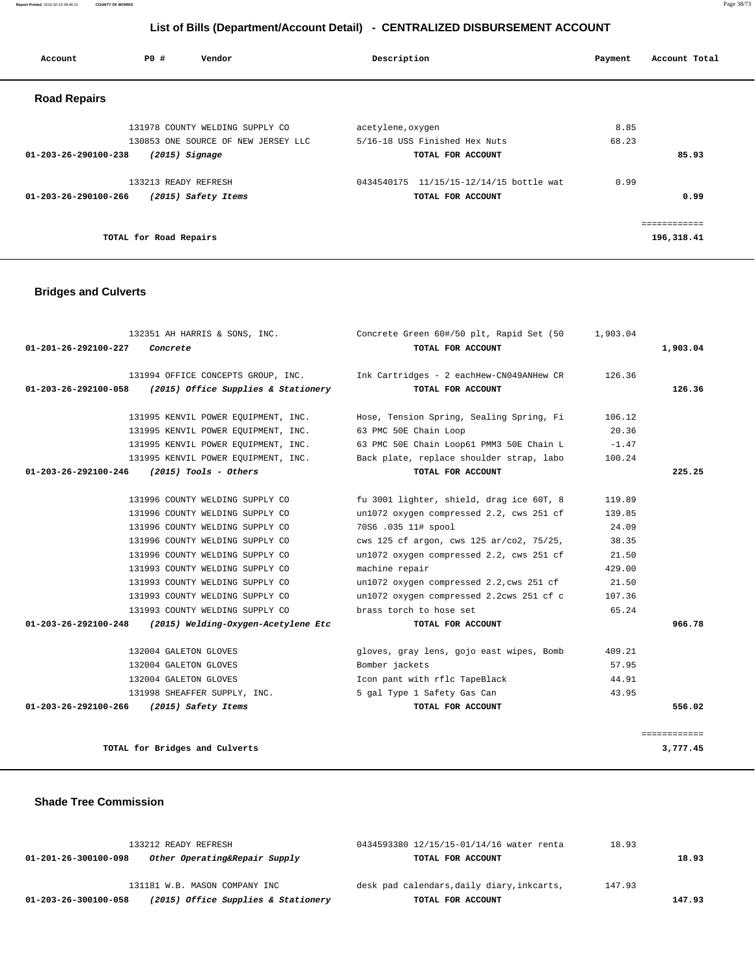**Report Printed** 2016-02-19 08:46:31 **COUNTY OF MORRIS** Page 38/73

# **List of Bills (Department/Account Detail) - CENTRALIZED DISBURSEMENT ACCOUNT**

| Account                        | PO#                    | Vendor                              | Description       |                               | Payment | Account Total |
|--------------------------------|------------------------|-------------------------------------|-------------------|-------------------------------|---------|---------------|
| <b>Road Repairs</b>            |                        |                                     |                   |                               |         |               |
|                                |                        | 131978 COUNTY WELDING SUPPLY CO     | acetylene, oxygen |                               | 8.85    |               |
|                                |                        | 130853 ONE SOURCE OF NEW JERSEY LLC |                   | 5/16-18 USS Finished Hex Nuts | 68.23   |               |
| $01 - 203 - 26 - 290100 - 238$ |                        | $(2015)$ Signage                    |                   | TOTAL FOR ACCOUNT             |         | 85.93         |
|                                | 133213 READY REFRESH   |                                     | 0434540175        | 11/15/15-12/14/15 bottle wat  | 0.99    |               |
| 01-203-26-290100-266           |                        | (2015) Safety Items                 |                   | TOTAL FOR ACCOUNT             |         | 0.99          |
|                                |                        |                                     |                   |                               |         | ============  |
|                                | TOTAL for Road Repairs |                                     |                   |                               |         | 196,318.41    |

# **Bridges and Culverts**

| 132351 AH HARRIS & SONS, INC.                               | Concrete Green 60#/50 plt, Rapid Set (50                                    | 1,903.04 |              |
|-------------------------------------------------------------|-----------------------------------------------------------------------------|----------|--------------|
| 01-201-26-292100-227<br>Concrete                            | TOTAL FOR ACCOUNT                                                           |          | 1,903.04     |
|                                                             | 131994 OFFICE CONCEPTS GROUP, INC. Thk Cartridges - 2 eachHew-CN049ANHew CR | 126.36   |              |
| (2015) Office Supplies & Stationery<br>01-203-26-292100-058 | TOTAL FOR ACCOUNT                                                           |          | 126.36       |
| 131995 KENVIL POWER EOUIPMENT, INC.                         | Hose, Tension Spring, Sealing Spring, Fi                                    | 106.12   |              |
| 131995 KENVIL POWER EQUIPMENT, INC.                         | 63 PMC 50E Chain Loop                                                       | 20.36    |              |
| 131995 KENVIL POWER EQUIPMENT, INC.                         | 63 PMC 50E Chain Loop61 PMM3 50E Chain L                                    | $-1.47$  |              |
| 131995 KENVIL POWER EQUIPMENT, INC.                         | Back plate, replace shoulder strap, labo                                    | 100.24   |              |
| 01-203-26-292100-246<br>$(2015)$ Tools - Others             | TOTAL FOR ACCOUNT                                                           |          | 225.25       |
| 131996 COUNTY WELDING SUPPLY CO                             | fu 3001 lighter, shield, drag ice 60T, 8                                    | 119.89   |              |
| 131996 COUNTY WELDING SUPPLY CO                             | un1072 oxygen compressed 2.2, cws 251 cf                                    | 139.85   |              |
| 131996 COUNTY WELDING SUPPLY CO                             | 70S6 .035 11# spool                                                         | 24.09    |              |
| 131996 COUNTY WELDING SUPPLY CO                             | cws 125 cf argon, cws 125 ar/co2, 75/25,                                    | 38.35    |              |
| 131996 COUNTY WELDING SUPPLY CO                             | un1072 oxygen compressed 2.2, cws 251 cf                                    | 21.50    |              |
| 131993 COUNTY WELDING SUPPLY CO                             | machine repair                                                              | 429.00   |              |
| 131993 COUNTY WELDING SUPPLY CO                             | un1072 oxygen compressed 2.2, cws 251 cf                                    | 21.50    |              |
| 131993 COUNTY WELDING SUPPLY CO                             | un1072 oxygen compressed 2.2cws 251 cf c                                    | 107.36   |              |
| 131993 COUNTY WELDING SUPPLY CO                             | brass torch to hose set                                                     | 65.24    |              |
| 01-203-26-292100-248<br>(2015) Welding-Oxygen-Acetylene Etc | TOTAL FOR ACCOUNT                                                           |          | 966.78       |
| 132004 GALETON GLOVES                                       | gloves, gray lens, gojo east wipes, Bomb                                    | 409.21   |              |
| 132004 GALETON GLOVES                                       | Bomber jackets                                                              | 57.95    |              |
| 132004 GALETON GLOVES                                       | Icon pant with rflc TapeBlack                                               | 44.91    |              |
| 131998 SHEAFFER SUPPLY, INC.                                | 5 gal Type 1 Safety Gas Can                                                 | 43.95    |              |
| 01-203-26-292100-266<br>(2015) Safety Items                 | TOTAL FOR ACCOUNT                                                           |          | 556.02       |
|                                                             |                                                                             |          | ============ |
| TOTAL for Bridges and Culverts                              |                                                                             |          | 3,777.45     |

### **Shade Tree Commission**

| 01-203-26-300100-058 | (2015) Office Supplies & Stationery | TOTAL FOR ACCOUNT                          |        | 147.93 |
|----------------------|-------------------------------------|--------------------------------------------|--------|--------|
|                      | 131181 W.B. MASON COMPANY INC       | desk pad calendars, daily diary, inkcarts, | 147.93 |        |
| 01-201-26-300100-098 | Other Operating&Repair Supply       | TOTAL FOR ACCOUNT                          |        | 18.93  |
| 133212 READY REFRESH |                                     | 0434593380 12/15/15-01/14/16 water renta   | 18.93  |        |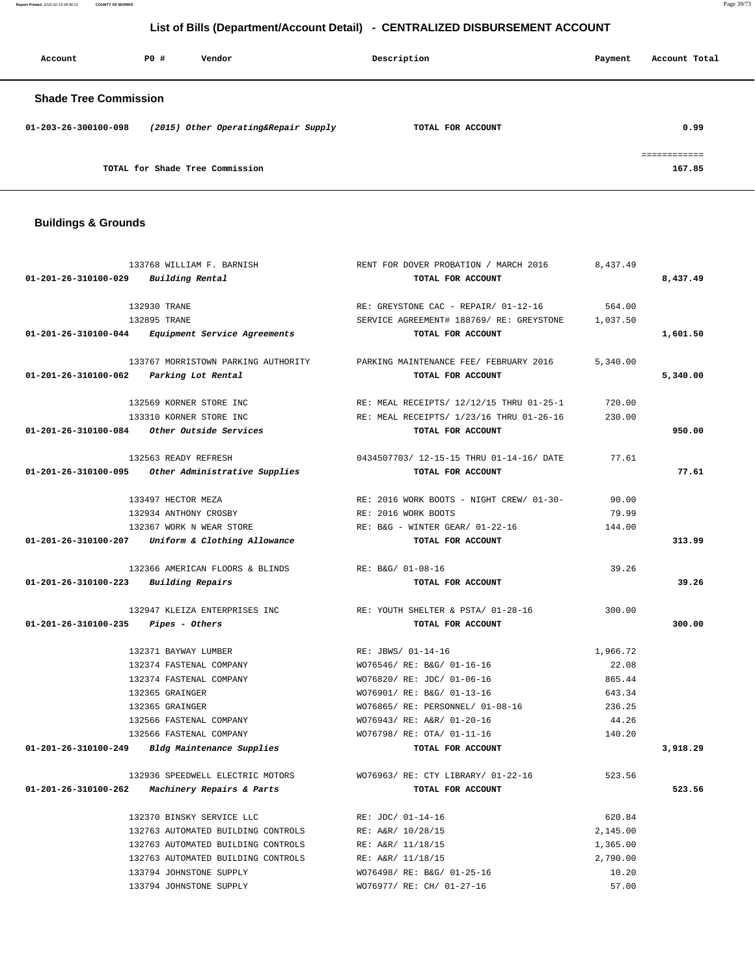**Report Printed** 2016-02-19 08:46:31 **COUNTY OF MORRIS** Page 39/73

# **List of Bills (Department/Account Detail) - CENTRALIZED DISBURSEMENT ACCOUNT**

| Account                      | PO# | Vendor                               | Description       | Payment | Account Total          |
|------------------------------|-----|--------------------------------------|-------------------|---------|------------------------|
| <b>Shade Tree Commission</b> |     |                                      |                   |         |                        |
| 01-203-26-300100-098         |     | (2015) Other Operating&Repair Supply | TOTAL FOR ACCOUNT |         | 0.99                   |
|                              |     | TOTAL for Shade Tree Commission      |                   |         | ============<br>167.85 |

# **Buildings & Grounds**

|                                                 | 133768 WILLIAM F. BARNISH                          | RENT FOR DOVER PROBATION / MARCH 2016    | 8,437.49 |          |
|-------------------------------------------------|----------------------------------------------------|------------------------------------------|----------|----------|
| 01-201-26-310100-029                            | Building Rental                                    | TOTAL FOR ACCOUNT                        |          | 8,437.49 |
|                                                 | 132930 TRANE                                       | RE: GREYSTONE CAC - REPAIR/ 01-12-16     | 564.00   |          |
|                                                 | 132895 TRANE                                       | SERVICE AGREEMENT# 188769/ RE: GREYSTONE | 1,037.50 |          |
|                                                 | 01-201-26-310100-044 Equipment Service Agreements  | TOTAL FOR ACCOUNT                        |          | 1,601.50 |
|                                                 |                                                    |                                          |          |          |
|                                                 | 133767 MORRISTOWN PARKING AUTHORITY                | PARKING MAINTENANCE FEE/ FEBRUARY 2016   | 5,340.00 |          |
| 01-201-26-310100-062                            | Parking Lot Rental                                 | TOTAL FOR ACCOUNT                        |          | 5,340.00 |
|                                                 | 132569 KORNER STORE INC                            | RE: MEAL RECEIPTS/ 12/12/15 THRU 01-25-1 | 720.00   |          |
|                                                 | 133310 KORNER STORE INC                            | RE: MEAL RECEIPTS/ 1/23/16 THRU 01-26-16 | 230.00   |          |
|                                                 | 01-201-26-310100-084 Other Outside Services        | TOTAL FOR ACCOUNT                        |          | 950.00   |
|                                                 | 132563 READY REFRESH                               | 0434507703/ 12-15-15 THRU 01-14-16/ DATE | 77.61    |          |
|                                                 | 01-201-26-310100-095 Other Administrative Supplies | TOTAL FOR ACCOUNT                        |          | 77.61    |
|                                                 | 133497 HECTOR MEZA                                 | RE: 2016 WORK BOOTS - NIGHT CREW/ 01-30- | 90.00    |          |
|                                                 | 132934 ANTHONY CROSBY                              | RE: 2016 WORK BOOTS                      | 79.99    |          |
|                                                 | 132367 WORK N WEAR STORE                           | RE: B&G - WINTER GEAR/ 01-22-16          | 144.00   |          |
|                                                 | 01-201-26-310100-207 Uniform & Clothing Allowance  | TOTAL FOR ACCOUNT                        |          | 313.99   |
|                                                 | 132366 AMERICAN FLOORS & BLINDS                    | RE: B&G/ 01-08-16                        | 39.26    |          |
| $01 - 201 - 26 - 310100 - 223$ Building Repairs |                                                    | TOTAL FOR ACCOUNT                        |          | 39.26    |
|                                                 | 132947 KLEIZA ENTERPRISES INC                      | RE: YOUTH SHELTER & PSTA/ 01-28-16       | 300.00   |          |
| 01-201-26-310100-235                            | <i>Pipes - Others</i>                              | TOTAL FOR ACCOUNT                        |          | 300.00   |
|                                                 |                                                    |                                          |          |          |
|                                                 | 132371 BAYWAY LUMBER                               | RE: JBWS/ 01-14-16                       | 1,966.72 |          |
|                                                 | 132374 FASTENAL COMPANY                            | WO76546/ RE: B&G/ 01-16-16               | 22.08    |          |
|                                                 | 132374 FASTENAL COMPANY                            | WO76820/ RE: JDC/ 01-06-16               | 865.44   |          |
|                                                 | 132365 GRAINGER                                    | WO76901/ RE: B&G/ 01-13-16               | 643.34   |          |
|                                                 | 132365 GRAINGER                                    | WO76865/ RE: PERSONNEL/ 01-08-16         | 236.25   |          |
|                                                 | 132566 FASTENAL COMPANY                            | WO76943/ RE: A&R/ 01-20-16               | 44.26    |          |
|                                                 | 132566 FASTENAL COMPANY                            | WO76798/ RE: OTA/ 01-11-16               | 140.20   |          |
|                                                 | 01-201-26-310100-249 Bldg Maintenance Supplies     | TOTAL FOR ACCOUNT                        |          | 3,918.29 |
|                                                 | 132936 SPEEDWELL ELECTRIC MOTORS                   | WO76963/ RE: CTY LIBRARY/ 01-22-16       | 523.56   |          |
| 01-201-26-310100-262                            | Machinery Repairs & Parts                          | TOTAL FOR ACCOUNT                        |          | 523.56   |
|                                                 | 132370 BINSKY SERVICE LLC                          | RE: JDC/ 01-14-16                        | 620.84   |          |
|                                                 | 132763 AUTOMATED BUILDING CONTROLS                 | RE: A&R/ 10/28/15                        | 2,145.00 |          |
|                                                 | 132763 AUTOMATED BUILDING CONTROLS                 | RE: A&R/ 11/18/15                        | 1,365.00 |          |
|                                                 | 132763 AUTOMATED BUILDING CONTROLS                 | RE: A&R/ 11/18/15                        | 2,790.00 |          |
|                                                 | 133794 JOHNSTONE SUPPLY                            | WO76498/ RE: B&G/ 01-25-16               | 10.20    |          |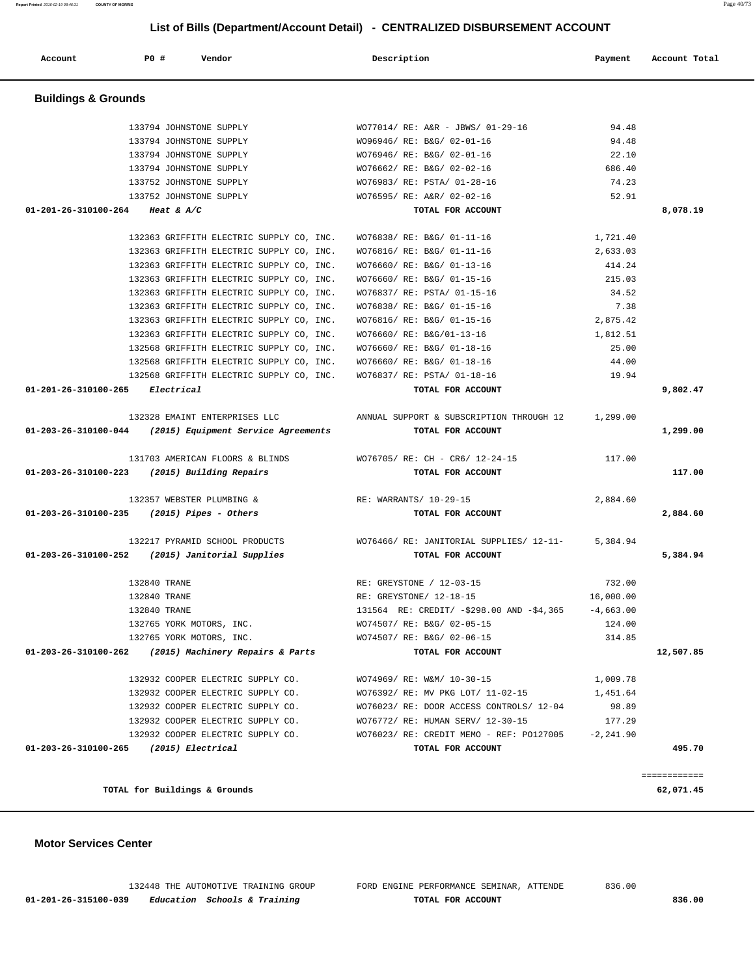**01-201-26-315100-039 Education Schools & Training TOTAL FOR ACCOUNT 836.00**

132448 THE AUTOMOTIVE TRAINING GROUP FORD ENGINE PERFORMANCE SEMINAR, ATTENDE 836.00

 **Motor Services Center** 

|                                            | TOTAL for Buildings & Grounds                                                               |                                                                        |              | ============<br>62,071.45 |
|--------------------------------------------|---------------------------------------------------------------------------------------------|------------------------------------------------------------------------|--------------|---------------------------|
|                                            |                                                                                             |                                                                        |              |                           |
| 01-203-26-310100-265 (2015) Electrical     | 132932 COOPER ELECTRIC SUPPLY CO.                                                           | WO76023/ RE: CREDIT MEMO - REF: PO127005<br>TOTAL FOR ACCOUNT          | $-2, 241.90$ | 495.70                    |
|                                            | 132932 COOPER ELECTRIC SUPPLY CO.                                                           | WO76772/ RE: HUMAN SERV/ 12-30-15                                      | 177.29       |                           |
|                                            | 132932 COOPER ELECTRIC SUPPLY CO.                                                           | WO76023/ RE: DOOR ACCESS CONTROLS/ 12-04                               | 98.89        |                           |
|                                            | 132932 COOPER ELECTRIC SUPPLY CO.                                                           | WO76392/ RE: MV PKG LOT/ 11-02-15                                      | 1,451.64     |                           |
|                                            | 132932 COOPER ELECTRIC SUPPLY CO.                                                           | WO74969/ RE: W&M/ 10-30-15                                             | 1,009.78     |                           |
|                                            | 01-203-26-310100-262 (2015) Machinery Repairs & Parts                                       | TOTAL FOR ACCOUNT                                                      |              | 12,507.85                 |
|                                            | 132765 YORK MOTORS, INC.                                                                    | WO74507/ RE: B&G/ 02-06-15                                             | 314.85       |                           |
|                                            | 132765 YORK MOTORS, INC.                                                                    | WO74507/ RE: B&G/ 02-05-15                                             | 124.00       |                           |
|                                            | 132840 TRANE                                                                                | 131564 RE: CREDIT/ -\$298.00 AND -\$4,365                              | $-4,663.00$  |                           |
|                                            | 132840 TRANE                                                                                | RE: GREYSTONE/ 12-18-15                                                | 16,000.00    |                           |
|                                            | 132840 TRANE                                                                                | RE: GREYSTONE / 12-03-15                                               | 732.00       |                           |
|                                            | 132217 PYRAMID SCHOOL PRODUCTS<br>01-203-26-310100-252 (2015) Janitorial Supplies           | WO76466/RE: JANITORIAL SUPPLIES/ 12-11- 5,384.94<br>TOTAL FOR ACCOUNT  |              | 5,384.94                  |
| 01-203-26-310100-235 (2015) Pipes - Others |                                                                                             | TOTAL FOR ACCOUNT                                                      |              | 2,884.60                  |
|                                            | 132357 WEBSTER PLUMBING &                                                                   | RE: WARRANTS/ 10-29-15                                                 | 2,884.60     |                           |
|                                            | 01-203-26-310100-223 (2015) Building Repairs                                                | TOTAL FOR ACCOUNT                                                      |              | 117.00                    |
|                                            | 131703 AMERICAN FLOORS & BLINDS                                                             | WO76705/ RE: CH - CR6/ 12-24-15                                        | 117.00       |                           |
|                                            | 132328 EMAINT ENTERPRISES LLC<br>$01-203-26-310100-044$ (2015) Equipment Service Agreements | ANNUAL SUPPORT & SUBSCRIPTION THROUGH 12 1,299.00<br>TOTAL FOR ACCOUNT |              | 1,299.00                  |
| 01-201-26-310100-265 Electrical            |                                                                                             | TOTAL FOR ACCOUNT                                                      |              | 9,802.47                  |
|                                            | 132568 GRIFFITH ELECTRIC SUPPLY CO, INC.                                                    | WO76837/ RE: PSTA/ 01-18-16                                            | 19.94        |                           |
|                                            | 132568 GRIFFITH ELECTRIC SUPPLY CO, INC.                                                    | WO76660/ RE: B&G/ 01-18-16                                             | 44.00        |                           |
|                                            | 132568 GRIFFITH ELECTRIC SUPPLY CO, INC.                                                    | WO76660/ RE: B&G/ 01-18-16                                             | 25.00        |                           |
|                                            | 132363 GRIFFITH ELECTRIC SUPPLY CO, INC.                                                    | WO76660/ RE: B&G/01-13-16                                              | 1,812.51     |                           |
|                                            | 132363 GRIFFITH ELECTRIC SUPPLY CO, INC.                                                    | WO76816/ RE: B&G/ 01-15-16                                             | 2,875.42     |                           |
|                                            | 132363 GRIFFITH ELECTRIC SUPPLY CO, INC.                                                    | WO76838/ RE: B&G/ 01-15-16                                             | 7.38         |                           |
|                                            | 132363 GRIFFITH ELECTRIC SUPPLY CO, INC.                                                    | WO76837/ RE: PSTA/ 01-15-16                                            | 34.52        |                           |
|                                            | 132363 GRIFFITH ELECTRIC SUPPLY CO, INC.                                                    | WO76660/ RE: B&G/ 01-15-16                                             | 215.03       |                           |
|                                            | 132363 GRIFFITH ELECTRIC SUPPLY CO, INC.                                                    | WO76660/ RE: B&G/ 01-13-16                                             | 414.24       |                           |
|                                            | 132363 GRIFFITH ELECTRIC SUPPLY CO, INC.                                                    | WO76816/ RE: B&G/ 01-11-16                                             | 2,633.03     |                           |
|                                            | 132363 GRIFFITH ELECTRIC SUPPLY CO, INC.                                                    | WO76838/ RE: B&G/ 01-11-16                                             | 1,721.40     |                           |
| 01-201-26-310100-264 Heat & A/C            |                                                                                             | TOTAL FOR ACCOUNT                                                      |              | 8,078.19                  |
|                                            | 133752 JOHNSTONE SUPPLY                                                                     | WO76595/ RE: A&R/ 02-02-16                                             | 52.91        |                           |
|                                            | 133752 JOHNSTONE SUPPLY                                                                     | WO76983/ RE: PSTA/ 01-28-16                                            | 74.23        |                           |
|                                            | 133794 JOHNSTONE SUPPLY                                                                     | WO76662/ RE: B&G/ 02-02-16                                             | 686.40       |                           |

#### **Buildings & Grounds**

# 133794 JOHNSTONE SUPPLY WO77014/ RE: A&R - JBWS/ 01-29-16 94.48 133794 JOHNSTONE SUPPLY WO96946/ RE: B&G/ 02-01-16 94.48 133794 JOHNSTONE SUPPLY WO76946/ RE: B&G/ 02-01-16 22.10 133794 JOHNSTONE SUPPLY WO76662/ RE: B&G/ 02-02-16 686.40

 **List of Bills (Department/Account Detail) - CENTRALIZED DISBURSEMENT ACCOUNT**

 **Account P0 # Vendor Description Payment Account Total**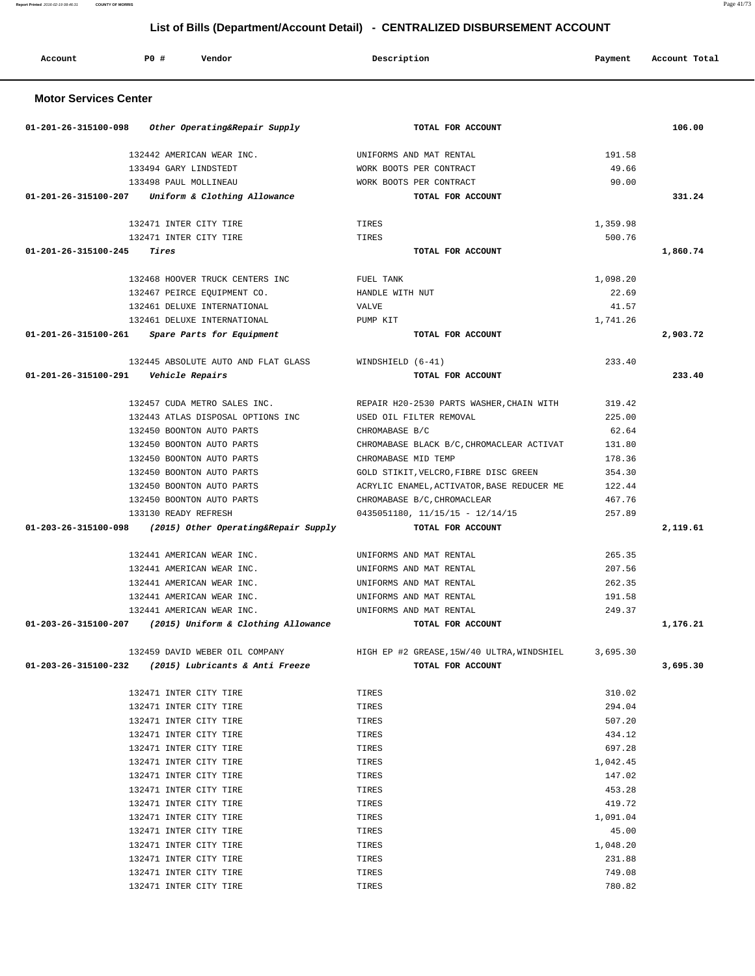**Report Printed** 2016-02-19 08:46:31 **COUNTY OF MORRIS** 

|  | Page 41/73<br>$\overline{\phantom{a}}$ |
|--|----------------------------------------|
|  |                                        |
|  |                                        |

| <b>PO #</b><br>Account<br>Vendor                             | Description                                         | Payment            | Account Total |
|--------------------------------------------------------------|-----------------------------------------------------|--------------------|---------------|
| <b>Motor Services Center</b>                                 |                                                     |                    |               |
| 01-201-26-315100-098<br>Other Operating&Repair Supply        | TOTAL FOR ACCOUNT                                   |                    | 106.00        |
| 132442 AMERICAN WEAR INC.                                    | UNIFORMS AND MAT RENTAL                             | 191.58             |               |
| 133494 GARY LINDSTEDT                                        | WORK BOOTS PER CONTRACT                             | 49.66              |               |
| 133498 PAUL MOLLINEAU                                        | WORK BOOTS PER CONTRACT                             | 90.00              |               |
| 01-201-26-315100-207<br>Uniform & Clothing Allowance         | TOTAL FOR ACCOUNT                                   |                    | 331.24        |
| 132471 INTER CITY TIRE                                       | TIRES                                               | 1,359.98           |               |
| 132471 INTER CITY TIRE                                       | TIRES                                               | 500.76             |               |
| 01-201-26-315100-245<br>Tires                                | TOTAL FOR ACCOUNT                                   |                    | 1,860.74      |
| 132468 HOOVER TRUCK CENTERS INC                              | FUEL TANK                                           | 1,098.20           |               |
| 132467 PEIRCE EQUIPMENT CO.                                  | HANDLE WITH NUT                                     | 22.69              |               |
| 132461 DELUXE INTERNATIONAL                                  | <b>VALVE</b>                                        | 41.57              |               |
| 132461 DELUXE INTERNATIONAL                                  | PUMP KIT                                            | 1,741.26           |               |
| 01-201-26-315100-261<br>Spare Parts for Equipment            | TOTAL FOR ACCOUNT                                   |                    | 2,903.72      |
| 132445 ABSOLUTE AUTO AND FLAT GLASS                          | WINDSHIELD $(6-41)$                                 | 233.40             |               |
| 01-201-26-315100-291<br>Vehicle Repairs                      | TOTAL FOR ACCOUNT                                   |                    | 233.40        |
| 132457 CUDA METRO SALES INC.                                 | REPAIR H20-2530 PARTS WASHER, CHAIN WITH            | 319.42             |               |
| 132443 ATLAS DISPOSAL OPTIONS INC                            | USED OIL FILTER REMOVAL                             | 225.00             |               |
| 132450 BOONTON AUTO PARTS                                    | CHROMABASE B/C                                      | 62.64              |               |
| 132450 BOONTON AUTO PARTS                                    | CHROMABASE BLACK B/C, CHROMACLEAR ACTIVAT           | 131.80             |               |
| 132450 BOONTON AUTO PARTS                                    | CHROMABASE MID TEMP                                 | 178.36             |               |
| 132450 BOONTON AUTO PARTS                                    | GOLD STIKIT, VELCRO, FIBRE DISC GREEN               | 354.30             |               |
| 132450 BOONTON AUTO PARTS                                    | ACRYLIC ENAMEL, ACTIVATOR, BASE REDUCER ME          | 122.44             |               |
| 132450 BOONTON AUTO PARTS                                    | CHROMABASE B/C, CHROMACLEAR                         | 467.76             |               |
| 133130 READY REFRESH                                         | $0435051180, 11/15/15 - 12/14/15$                   | 257.89             |               |
| 01-203-26-315100-098<br>(2015) Other Operating&Repair Supply | TOTAL FOR ACCOUNT                                   |                    | 2,119.61      |
| 132441 AMERICAN WEAR INC.                                    | UNIFORMS AND MAT RENTAL                             | 265.35             |               |
| 132441 AMERICAN WEAR INC.                                    | UNIFORMS AND MAT RENTAL                             | 207.56             |               |
| 132441 AMERICAN WEAR INC.                                    | UNIFORMS AND MAT RENTAL                             | 262.35             |               |
| 132441 AMERICAN WEAR INC.                                    | UNIFORMS AND MAT RENTAL                             | 191.58             |               |
| 132441 AMERICAN WEAR INC.                                    | UNIFORMS AND MAT RENTAL                             | 249.37             |               |
| $01-203-26-315100-207$ (2015) Uniform & Clothing Allowance   | TOTAL FOR ACCOUNT                                   |                    | 1,176.21      |
| 132459 DAVID WEBER OIL COMPANY                               | HIGH EP #2 GREASE, 15W/40 ULTRA, WINDSHIEL 3,695.30 |                    |               |
| $01-203-26-315100-232$ (2015) Lubricants & Anti Freeze       | TOTAL FOR ACCOUNT                                   |                    | 3,695.30      |
| 132471 INTER CITY TIRE                                       | TIRES                                               | 310.02             |               |
| 132471 INTER CITY TIRE                                       | TIRES                                               | 294.04             |               |
| 132471 INTER CITY TIRE                                       | TIRES                                               | 507.20             |               |
| 132471 INTER CITY TIRE                                       | TIRES                                               | 434.12             |               |
| 132471 INTER CITY TIRE                                       | TIRES                                               | 697.28             |               |
| 132471 INTER CITY TIRE                                       | TIRES                                               | 1,042.45           |               |
| 132471 INTER CITY TIRE                                       | TIRES                                               | 147.02             |               |
| 132471 INTER CITY TIRE                                       | TIRES                                               | 453.28             |               |
| 132471 INTER CITY TIRE                                       | TIRES                                               | 419.72             |               |
| 132471 INTER CITY TIRE                                       | TIRES                                               | 1,091.04           |               |
| 132471 INTER CITY TIRE                                       | TIRES                                               | 45.00              |               |
| 132471 INTER CITY TIRE                                       | TIRES<br>TIRES                                      | 1,048.20<br>231.88 |               |
| 132471 INTER CITY TIRE<br>132471 INTER CITY TIRE             | TIRES                                               | 749.08             |               |
| 132471 INTER CITY TIRE                                       | TIRES                                               | 780.82             |               |
|                                                              |                                                     |                    |               |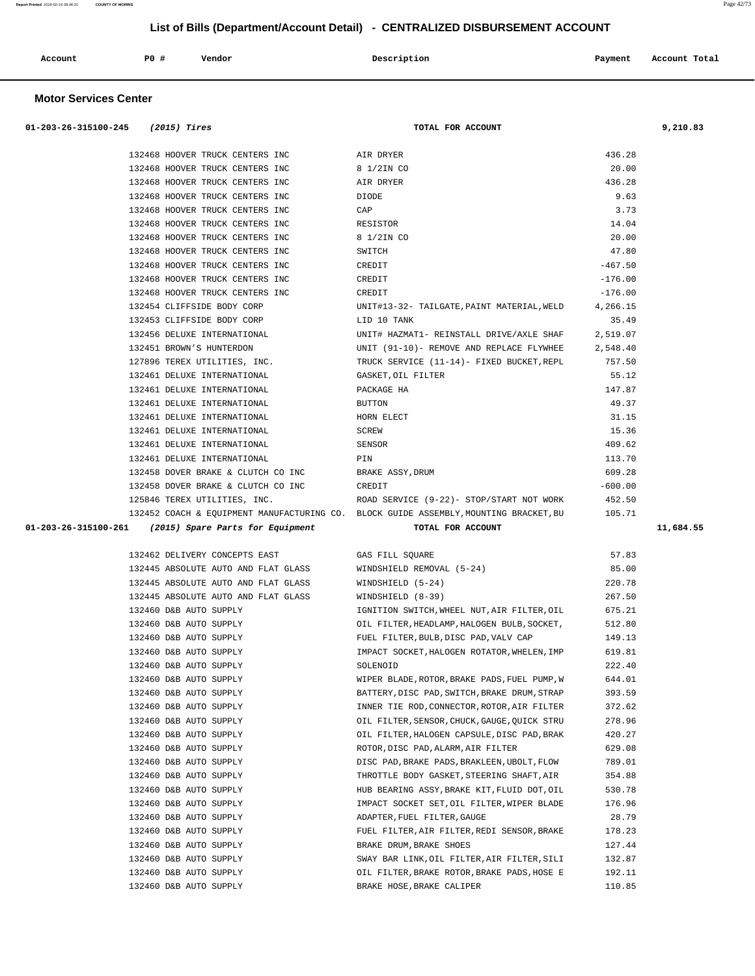| Account | PO# | Vendor<br>. | Description<br>$\sim$ $\sim$ | Payment | Account Total |
|---------|-----|-------------|------------------------------|---------|---------------|
|         |     |             |                              |         |               |

#### **Motor Services Center**

| $01-203-26-315100-245$ (2015) Tires                                | TOTAL FOR ACCOUNT                                                                            |                  | 9,210.83  |
|--------------------------------------------------------------------|----------------------------------------------------------------------------------------------|------------------|-----------|
|                                                                    |                                                                                              |                  |           |
| 132468 HOOVER TRUCK CENTERS INC                                    | AIR DRYER                                                                                    | 436.28           |           |
| 132468 HOOVER TRUCK CENTERS INC                                    | 8 1/2IN CO<br>AIR DRYER                                                                      | 20.00            |           |
| 132468 HOOVER TRUCK CENTERS INC                                    | <b>DIODE</b>                                                                                 | 436.28           |           |
| 132468 HOOVER TRUCK CENTERS INC<br>132468 HOOVER TRUCK CENTERS INC |                                                                                              | 9.63<br>3.73     |           |
| 132468 HOOVER TRUCK CENTERS INC                                    | CAP<br>RESISTOR                                                                              | 14.04            |           |
| 132468 HOOVER TRUCK CENTERS INC                                    | 8 1/2IN CO                                                                                   | 20.00            |           |
| 132468 HOOVER TRUCK CENTERS INC                                    | SWITCH                                                                                       | 47.80            |           |
| 132468 HOOVER TRUCK CENTERS INC                                    | CREDIT                                                                                       | $-467.50$        |           |
| 132468 HOOVER TRUCK CENTERS INC                                    | CREDIT                                                                                       | $-176.00$        |           |
| 132468 HOOVER TRUCK CENTERS INC                                    | CREDIT                                                                                       | $-176.00$        |           |
| 132454 CLIFFSIDE BODY CORP                                         | UNIT#13-32- TAILGATE, PAINT MATERIAL, WELD                                                   | 4,266.15         |           |
| 132453 CLIFFSIDE BODY CORP                                         | LID 10 TANK                                                                                  | 35.49            |           |
| 132456 DELUXE INTERNATIONAL                                        | UNIT# HAZMAT1- REINSTALL DRIVE/AXLE SHAF                                                     | 2,519.07         |           |
| 132451 BROWN'S HUNTERDON                                           | UNIT (91-10)- REMOVE AND REPLACE FLYWHEE                                                     | 2,548.40         |           |
| 127896 TEREX UTILITIES, INC.                                       | TRUCK SERVICE (11-14)- FIXED BUCKET, REPL                                                    | 757.50           |           |
| 132461 DELUXE INTERNATIONAL                                        | GASKET, OIL FILTER                                                                           | 55.12            |           |
| 132461 DELUXE INTERNATIONAL                                        | PACKAGE HA                                                                                   | 147.87           |           |
| 132461 DELUXE INTERNATIONAL                                        | BUTTON                                                                                       | 49.37            |           |
| 132461 DELUXE INTERNATIONAL                                        | HORN ELECT                                                                                   | 31.15            |           |
| 132461 DELUXE INTERNATIONAL                                        | SCREW                                                                                        | 15.36            |           |
| 132461 DELUXE INTERNATIONAL                                        | SENSOR                                                                                       | 409.62           |           |
| 132461 DELUXE INTERNATIONAL                                        | PIN                                                                                          | 113.70           |           |
| 132458 DOVER BRAKE & CLUTCH CO INC                                 | BRAKE ASSY, DRUM                                                                             | 609.28           |           |
| 132458 DOVER BRAKE & CLUTCH CO INC                                 | CREDIT                                                                                       | $-600.00$        |           |
|                                                                    | ROAD SERVICE (9-22)- STOP/START NOT WORK                                                     | 452.50           |           |
| 125846 TEREX UTILITIES, INC.                                       |                                                                                              |                  |           |
|                                                                    | 132452 COACH & EQUIPMENT MANUFACTURING CO. BLOCK GUIDE ASSEMBLY, MOUNTING BRACKET, BU 105.71 |                  |           |
| $01-203-26-315100-261$ (2015) Spare Parts for Equipment            | TOTAL FOR ACCOUNT                                                                            |                  | 11,684.55 |
|                                                                    |                                                                                              |                  |           |
| 132462 DELIVERY CONCEPTS EAST                                      | GAS FILL SQUARE                                                                              | 57.83            |           |
| 132445 ABSOLUTE AUTO AND FLAT GLASS                                | WINDSHIELD REMOVAL (5-24)                                                                    | 85.00            |           |
| 132445 ABSOLUTE AUTO AND FLAT GLASS                                | WINDSHIELD (5-24)                                                                            | 220.78           |           |
| 132445 ABSOLUTE AUTO AND FLAT GLASS                                | WINDSHIELD (8-39)                                                                            | 267.50           |           |
| 132460 D&B AUTO SUPPLY                                             | IGNITION SWITCH, WHEEL NUT, AIR FILTER, OIL                                                  | 675.21           |           |
| 132460 D&B AUTO SUPPLY                                             | OIL FILTER, HEADLAMP, HALOGEN BULB, SOCKET,                                                  | 512.80           |           |
| 132460 D&B AUTO SUPPLY                                             | FUEL FILTER, BULB, DISC PAD, VALV CAP                                                        | 149.13           |           |
|                                                                    | IMPACT SOCKET, HALOGEN ROTATOR, WHELEN, IMP                                                  | 619.81           |           |
|                                                                    | SOLENOID                                                                                     | 222.40           |           |
| 132460 D&B AUTO SUPPLY                                             | WIPER BLADE, ROTOR, BRAKE PADS, FUEL PUMP, W                                                 | 644.01           |           |
| 132460 D&B AUTO SUPPLY                                             | BATTERY, DISC PAD, SWITCH, BRAKE DRUM, STRAP                                                 | 393.59           |           |
| 132460 D&B AUTO SUPPLY                                             | INNER TIE ROD, CONNECTOR, ROTOR, AIR FILTER                                                  | 372.62           |           |
| 132460 D&B AUTO SUPPLY<br>132460 D&B AUTO SUPPLY                   | OIL FILTER, SENSOR, CHUCK, GAUGE, QUICK STRU<br>OIL FILTER, HALOGEN CAPSULE, DISC PAD, BRAK  | 278.96<br>420.27 |           |
| 132460 D&B AUTO SUPPLY                                             | ROTOR, DISC PAD, ALARM, AIR FILTER                                                           | 629.08           |           |
| 132460 D&B AUTO SUPPLY                                             | DISC PAD, BRAKE PADS, BRAKLEEN, UBOLT, FLOW                                                  | 789.01           |           |
| 132460 D&B AUTO SUPPLY                                             | THROTTLE BODY GASKET, STEERING SHAFT, AIR                                                    | 354.88           |           |
| 132460 D&B AUTO SUPPLY                                             | HUB BEARING ASSY, BRAKE KIT, FLUID DOT, OIL                                                  | 530.78           |           |
| 132460 D&B AUTO SUPPLY                                             | IMPACT SOCKET SET, OIL FILTER, WIPER BLADE                                                   | 176.96           |           |
| 132460 D&B AUTO SUPPLY                                             | ADAPTER, FUEL FILTER, GAUGE                                                                  | 28.79            |           |
| 132460 D&B AUTO SUPPLY                                             | FUEL FILTER, AIR FILTER, REDI SENSOR, BRAKE                                                  | 178.23           |           |
| 132460 D&B AUTO SUPPLY                                             | BRAKE DRUM, BRAKE SHOES                                                                      | 127.44           |           |
| 132460 D&B AUTO SUPPLY                                             | SWAY BAR LINK, OIL FILTER, AIR FILTER, SILI                                                  | 132.87           |           |
| 132460 D&B AUTO SUPPLY                                             | OIL FILTER, BRAKE ROTOR, BRAKE PADS, HOSE E                                                  | 192.11           |           |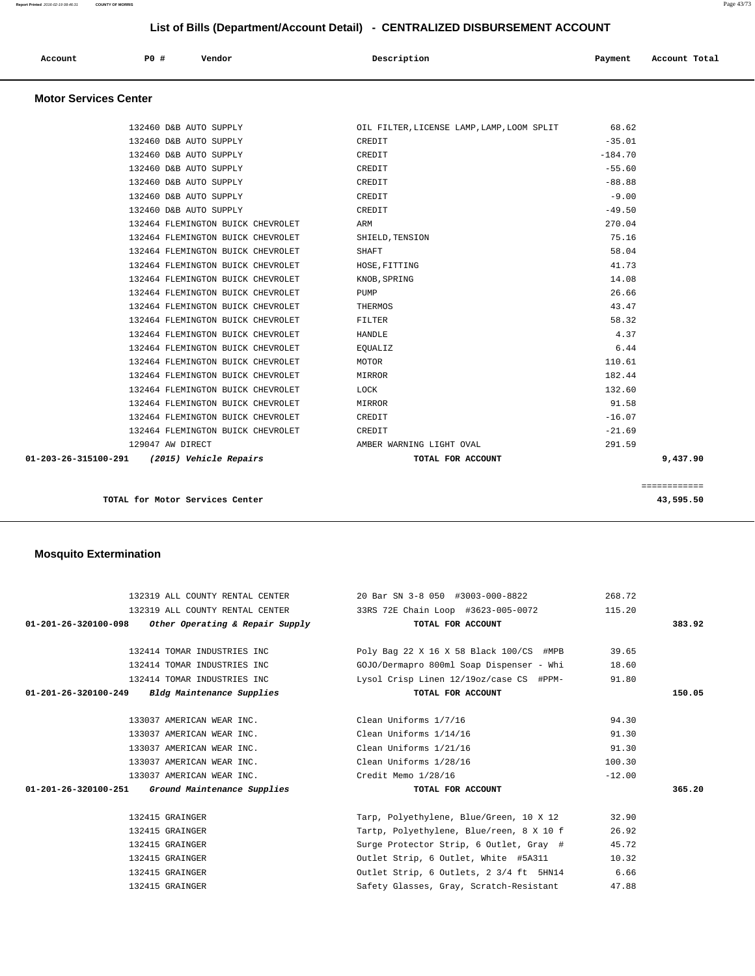| Account<br>. | P0 # | Vendor | Description | Payment | Account Total<br>.<br>. |
|--------------|------|--------|-------------|---------|-------------------------|
|              |      |        |             |         |                         |

#### **Motor Services Center**

| 01-203-26-315100-291<br>(2015) Vehicle Repairs | TOTAL FOR ACCOUNT        | 9,437.90  |
|------------------------------------------------|--------------------------|-----------|
| 129047 AW DIRECT                               | AMBER WARNING LIGHT OVAL | 291.59    |
| 132464 FLEMINGTON BUICK CHEVROLET              | CREDIT                   | $-21.69$  |
| 132464 FLEMINGTON BUICK CHEVROLET              | CREDIT                   | $-16.07$  |
| 132464 FLEMINGTON BUICK CHEVROLET              | MIRROR                   | 91.58     |
| 132464 FLEMINGTON BUICK CHEVROLET              | LOCK                     | 132.60    |
| 132464 FLEMINGTON BUICK CHEVROLET              | MIRROR                   | 182.44    |
| 132464 FLEMINGTON BUICK CHEVROLET              | MOTOR                    | 110.61    |
| 132464 FLEMINGTON BUICK CHEVROLET              | EOUALIZ                  | 6.44      |
| 132464 FLEMINGTON BUICK CHEVROLET              | <b>HANDLE</b>            | 4.37      |
| 132464 FLEMINGTON BUICK CHEVROLET              | <b>FILTER</b>            | 58.32     |
| 132464 FLEMINGTON BUICK CHEVROLET              | THERMOS                  | 43.47     |
| 132464 FLEMINGTON BUICK CHEVROLET              | PUMP                     | 26.66     |
| 132464 FLEMINGTON BUICK CHEVROLET              | KNOB, SPRING             | 14.08     |
| 132464 FLEMINGTON BUICK CHEVROLET              | HOSE, FITTING            | 41.73     |
| 132464 FLEMINGTON BUICK CHEVROLET              | SHAFT                    | 58.04     |
| 132464 FLEMINGTON BUICK CHEVROLET              | SHIELD, TENSION          | 75.16     |
| 132464 FLEMINGTON BUICK CHEVROLET              | ARM                      | 270.04    |
| 132460 D&B AUTO SUPPLY                         | CREDIT                   | $-49.50$  |
| 132460 D&B AUTO SUPPLY                         | CREDIT                   | $-9.00$   |
| 132460 D&B AUTO SUPPLY                         | CREDIT                   | $-88.88$  |
| 132460 D&B AUTO SUPPLY                         | CREDIT                   | $-55.60$  |
| 132460 D&B AUTO SUPPLY                         | CREDIT                   | $-184.70$ |
| 132460 D&B AUTO SUPPLY                         | CREDIT                   | $-35.01$  |

**TOTAL for Motor Services Center 43,595.50**

#### **Mosquito Extermination**

 132319 ALL COUNTY RENTAL CENTER 20 Bar SN 3-8 050 #3003-000-8822 268.72 132319 ALL COUNTY RENTAL CENTER 33RS 72E Chain Loop #3623-005-0072 115.20  **01-201-26-320100-098 Other Operating & Repair Supply TOTAL FOR ACCOUNT 383.92** 132414 TOMAR INDUSTRIES INC Poly Bag 22 X 16 X 58 Black 100/CS #MPB 39.65 132414 TOMAR INDUSTRIES INC GOJO/Dermapro 800ml Soap Dispenser - Whi 18.60 132414 TOMAR INDUSTRIES INC Lysol Crisp Linen 12/19oz/case CS #PPM- 91.80  **01-201-26-320100-249 Bldg Maintenance Supplies TOTAL FOR ACCOUNT 150.05** 133037 AMERICAN WEAR INC. Clean Uniforms 1/7/16 94.30 133037 AMERICAN WEAR INC. Clean Uniforms 1/14/16 91.30 133037 AMERICAN WEAR INC. Clean Uniforms 1/21/16 91.30 133037 AMERICAN WEAR INC. Clean Uniforms 1/28/16 100.30 133037 AMERICAN WEAR INC. Credit Memo 1/28/16 -12.00  **01-201-26-320100-251 Ground Maintenance Supplies TOTAL FOR ACCOUNT 365.20** 132415 GRAINGER Tarp, Polyethylene, Blue/Green, 10 X 12 32.90 132415 GRAINGER Tartp, Polyethylene, Blue/reen, 8 X 10 f 26.92 132415 GRAINGER Surge Protector Strip, 6 Outlet, Gray # 45.72 132415 GRAINGER Outlet Strip, 6 Outlet, White #5A311 10.32 132415 GRAINGER Outlet Strip, 6 Outlets, 2 3/4 ft 5HN14 6.66 132415 GRAINGER Safety Glasses, Gray, Scratch-Resistant 47.88

**Report Printed** 2016-02-19 08:46:31 **COUNTY OF MORRIS** Page 43/73

============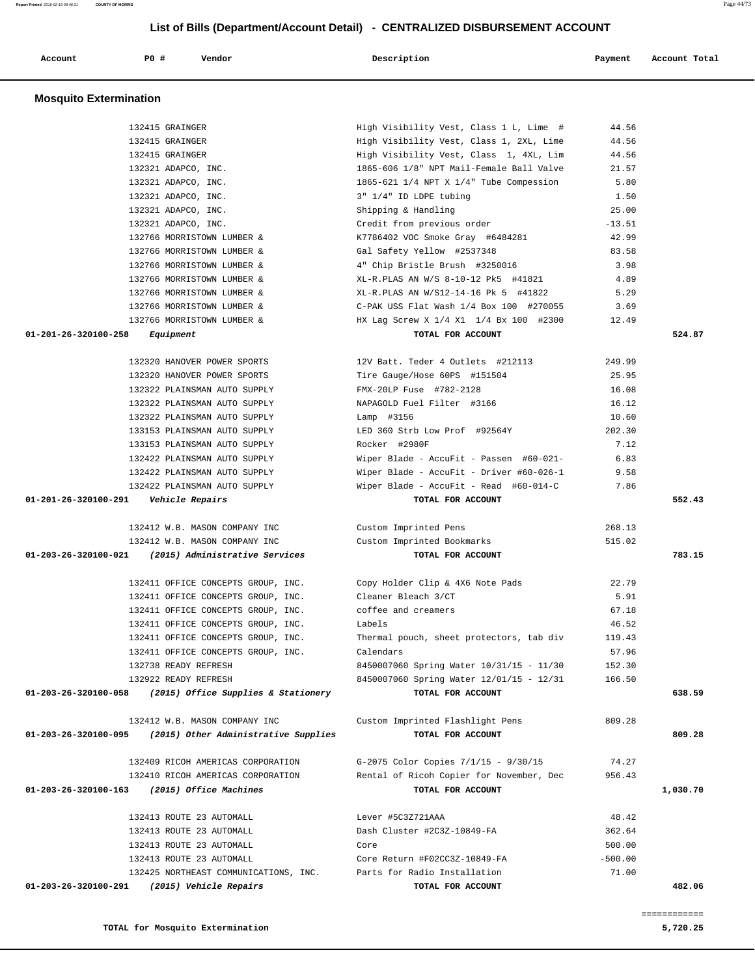| 132415 GRAINGER                                              | High Visibility Vest, Class 1, 2XL, Lime | 44.56     |          |
|--------------------------------------------------------------|------------------------------------------|-----------|----------|
| 132415 GRAINGER                                              | High Visibility Vest, Class 1, 4XL, Lim  | 44.56     |          |
| 132321 ADAPCO, INC.                                          | 1865-606 1/8" NPT Mail-Female Ball Valve | 21.57     |          |
| 132321 ADAPCO, INC.                                          | 1865-621 1/4 NPT X 1/4" Tube Compession  | 5.80      |          |
| 132321 ADAPCO, INC.                                          | 3" 1/4" ID LDPE tubing                   | 1.50      |          |
| 132321 ADAPCO, INC.                                          | Shipping & Handling                      | 25.00     |          |
| 132321 ADAPCO, INC.                                          | Credit from previous order               | $-13.51$  |          |
| 132766 MORRISTOWN LUMBER &                                   | K7786402 VOC Smoke Gray #6484281         | 42.99     |          |
| 132766 MORRISTOWN LUMBER &                                   | Gal Safety Yellow #2537348               | 83.58     |          |
| 132766 MORRISTOWN LUMBER &                                   | 4" Chip Bristle Brush #3250016           | 3.98      |          |
| 132766 MORRISTOWN LUMBER &                                   | XL-R.PLAS AN W/S 8-10-12 Pk5 #41821      | 4.89      |          |
| 132766 MORRISTOWN LUMBER &                                   | XL-R.PLAS AN W/S12-14-16 Pk 5 #41822     | 5.29      |          |
| 132766 MORRISTOWN LUMBER &                                   | C-PAK USS Flat Wash 1/4 Box 100 #270055  | 3.69      |          |
| 132766 MORRISTOWN LUMBER &                                   | HX Lag Screw X 1/4 X1 1/4 Bx 100 #2300   | 12.49     |          |
| $01 - 201 - 26 - 320100 - 258$ Equipment                     | TOTAL FOR ACCOUNT                        |           | 524.87   |
| 132320 HANOVER POWER SPORTS                                  | 12V Batt. Teder 4 Outlets #212113        | 249.99    |          |
| 132320 HANOVER POWER SPORTS                                  | Tire Gauge/Hose 60PS #151504             | 25.95     |          |
| 132322 PLAINSMAN AUTO SUPPLY                                 | FMX-20LP Fuse #782-2128                  | 16.08     |          |
| 132322 PLAINSMAN AUTO SUPPLY                                 | NAPAGOLD Fuel Filter #3166               | 16.12     |          |
| 132322 PLAINSMAN AUTO SUPPLY                                 | Lamp #3156                               | 10.60     |          |
| 133153 PLAINSMAN AUTO SUPPLY                                 | LED 360 Strb Low Prof #92564Y            | 202.30    |          |
| 133153 PLAINSMAN AUTO SUPPLY                                 | Rocker #2980F                            | 7.12      |          |
| 132422 PLAINSMAN AUTO SUPPLY                                 | Wiper Blade - AccuFit - Passen #60-021-  | 6.83      |          |
| 132422 PLAINSMAN AUTO SUPPLY                                 | Wiper Blade - AccuFit - Driver #60-026-1 | 9.58      |          |
| 132422 PLAINSMAN AUTO SUPPLY                                 | Wiper Blade - AccuFit - Read #60-014-C   | 7.86      |          |
| 01-201-26-320100-291    Vehicle Repairs                      | TOTAL FOR ACCOUNT                        |           | 552.43   |
|                                                              |                                          |           |          |
|                                                              |                                          |           |          |
| 132412 W.B. MASON COMPANY INC Custom Imprinted Pens          |                                          | 268.13    |          |
| 132412 W.B. MASON COMPANY INC                                | Custom Imprinted Bookmarks               | 515.02    |          |
| $01-203-26-320100-021$ (2015) Administrative Services        | TOTAL FOR ACCOUNT                        |           | 783.15   |
| 132411 OFFICE CONCEPTS GROUP, INC.                           | Copy Holder Clip & 4X6 Note Pads         | 22.79     |          |
| 132411 OFFICE CONCEPTS GROUP, INC.                           | Cleaner Bleach 3/CT                      | 5.91      |          |
| 132411 OFFICE CONCEPTS GROUP, INC.                           | coffee and creamers                      | 67.18     |          |
| 132411 OFFICE CONCEPTS GROUP, INC.                           | Labels                                   | 46.52     |          |
| 132411 OFFICE CONCEPTS GROUP, INC.                           | Thermal pouch, sheet protectors, tab div | 119.43    |          |
| 132411 OFFICE CONCEPTS GROUP, INC.                           | Calendars                                | 57.96     |          |
| 132738 READY REFRESH                                         | 8450007060 Spring Water 10/31/15 - 11/30 | 152.30    |          |
| 132922 READY REFRESH                                         | 8450007060 Spring Water 12/01/15 - 12/31 | 166.50    |          |
| 01-203-26-320100-058<br>(2015) Office Supplies & Stationery  | TOTAL FOR ACCOUNT                        |           | 638.59   |
|                                                              |                                          |           |          |
| 132412 W.B. MASON COMPANY INC                                | Custom Imprinted Flashlight Pens         | 809.28    |          |
| (2015) Other Administrative Supplies<br>01-203-26-320100-095 | TOTAL FOR ACCOUNT                        |           | 809.28   |
| 132409 RICOH AMERICAS CORPORATION                            | G-2075 Color Copies 7/1/15 - 9/30/15     | 74.27     |          |
| 132410 RICOH AMERICAS CORPORATION                            | Rental of Ricoh Copier for November, Dec | 956.43    |          |
| (2015) Office Machines<br>01-203-26-320100-163               | TOTAL FOR ACCOUNT                        |           | 1,030.70 |
| 132413 ROUTE 23 AUTOMALL                                     | Lever #5C3Z721AAA                        | 48.42     |          |
| 132413 ROUTE 23 AUTOMALL                                     | Dash Cluster #2C3Z-10849-FA              | 362.64    |          |
| 132413 ROUTE 23 AUTOMALL                                     | Core                                     | 500.00    |          |
| 132413 ROUTE 23 AUTOMALL                                     | Core Return #F02CC3Z-10849-FA            | $-500.00$ |          |
| 132425 NORTHEAST COMMUNICATIONS, INC.                        | Parts for Radio Installation             | 71.00     |          |

|                               |     |        | List of Bills (Department/Account Detail) - CENTRALIZED DISBURSEMENT ACCOUNT |         |               |
|-------------------------------|-----|--------|------------------------------------------------------------------------------|---------|---------------|
| Account                       | PO# | Vendor | Description                                                                  | Payment | Account Total |
| <b>Mosquito Extermination</b> |     |        |                                                                              |         |               |

132415 GRAINGER High Visibility Vest, Class 1 L, Lime # 44.56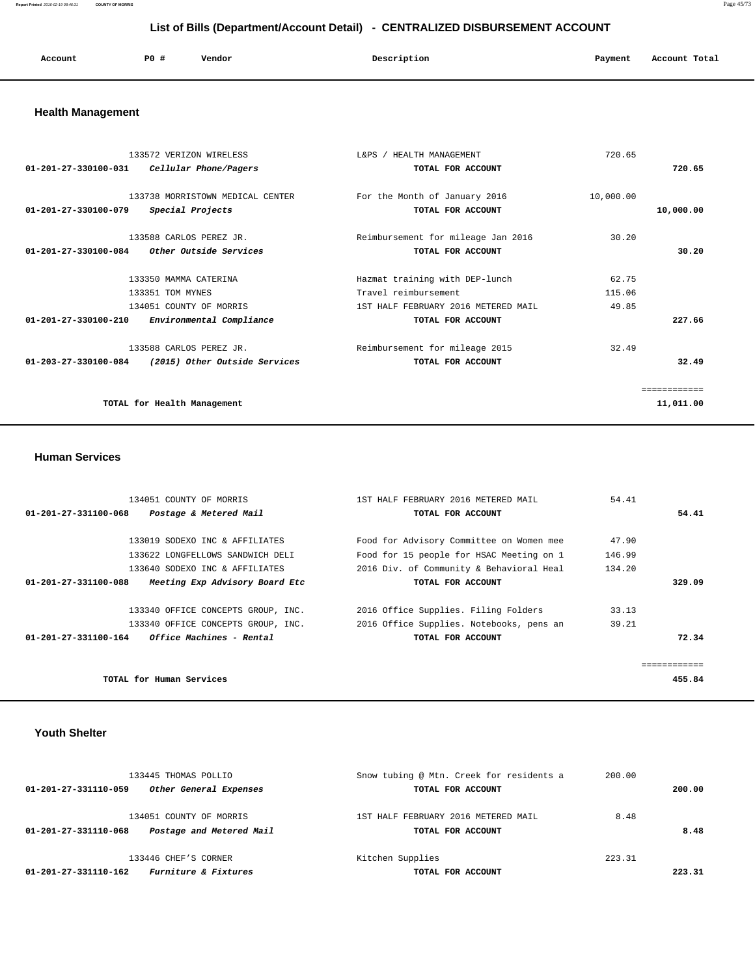**Report Printed** 2016-02-19 08:46:31 **COUNTY OF MORRIS** Page 45/73

# **List of Bills (Department/Account Detail) - CENTRALIZED DISBURSEMENT ACCOUNT**

| Account | PO# | Vendor<br>. | Description | Payment | Account Total |
|---------|-----|-------------|-------------|---------|---------------|
|         |     |             |             |         |               |

# **Health Management**

| $01 - 201 - 27 - 330100 - 031$ | 133572 VERIZON WIRELESS<br>Cellular Phone/Pagers | $L\&PS$ /<br>HEALTH MANAGEMENT<br>TOTAL FOR ACCOUNT | 720.65    | 720.65       |
|--------------------------------|--------------------------------------------------|-----------------------------------------------------|-----------|--------------|
|                                |                                                  |                                                     |           |              |
|                                | 133738 MORRISTOWN MEDICAL CENTER                 | For the Month of January 2016                       | 10,000.00 |              |
| $01 - 201 - 27 - 330100 - 079$ | Special Projects                                 | TOTAL FOR ACCOUNT                                   |           | 10,000.00    |
|                                |                                                  |                                                     |           |              |
|                                | 133588 CARLOS PEREZ JR.                          | Reimbursement for mileage Jan 2016                  | 30.20     |              |
| $01 - 201 - 27 - 330100 - 084$ | <i>Other Outside Services</i>                    | TOTAL FOR ACCOUNT                                   |           | 30.20        |
|                                |                                                  |                                                     |           |              |
|                                | 133350 MAMMA CATERINA                            | Hazmat training with DEP-lunch                      | 62.75     |              |
|                                | 133351 TOM MYNES                                 | Travel reimbursement                                | 115.06    |              |
|                                | 134051 COUNTY OF MORRIS                          | 1ST HALF FEBRUARY 2016 METERED MAIL                 | 49.85     |              |
| $01 - 201 - 27 - 330100 - 210$ | Environmental Compliance                         | TOTAL FOR ACCOUNT                                   |           | 227.66       |
|                                | 133588 CARLOS PEREZ JR.                          | Reimbursement for mileage 2015                      | 32.49     |              |
| 01-203-27-330100-084           | (2015) Other Outside Services                    | TOTAL FOR ACCOUNT                                   |           | 32.49        |
|                                |                                                  |                                                     |           |              |
|                                |                                                  |                                                     |           | ============ |
|                                | TOTAL for Health Management                      |                                                     |           | 11,011.00    |
|                                |                                                  |                                                     |           |              |

#### **Human Services**

|                                                 | 134051 COUNTY OF MORRIS            | 1ST HALF FEBRUARY 2016 METERED MAIL      | 54.41  |        |
|-------------------------------------------------|------------------------------------|------------------------------------------|--------|--------|
| 01-201-27-331100-068                            | Postage & Metered Mail             | TOTAL FOR ACCOUNT                        |        | 54.41  |
|                                                 |                                    |                                          |        |        |
|                                                 | 133019 SODEXO INC & AFFILIATES     | Food for Advisory Committee on Women mee | 47.90  |        |
|                                                 | 133622 LONGFELLOWS SANDWICH DELI   | Food for 15 people for HSAC Meeting on 1 | 146.99 |        |
|                                                 | 133640 SODEXO INC & AFFILIATES     | 2016 Div. of Community & Behavioral Heal | 134.20 |        |
| 01-201-27-331100-088                            | Meeting Exp Advisory Board Etc     | TOTAL FOR ACCOUNT                        |        | 329.09 |
|                                                 |                                    |                                          |        |        |
|                                                 | 133340 OFFICE CONCEPTS GROUP, INC. | 2016 Office Supplies. Filing Folders     | 33.13  |        |
|                                                 | 133340 OFFICE CONCEPTS GROUP, INC. | 2016 Office Supplies. Notebooks, pens an | 39.21  |        |
| $01-201-27-331100-164$ Office Machines - Rental |                                    | TOTAL FOR ACCOUNT                        |        | 72.34  |
|                                                 |                                    |                                          |        |        |
|                                                 |                                    |                                          |        |        |
| TOTAL for Human Services                        |                                    |                                          |        | 455.84 |

#### **Youth Shelter**

| 133445 THOMAS POLLIO                                                        | Snow tubing @ Mtn. Creek for residents a                 | 200.00 |        |
|-----------------------------------------------------------------------------|----------------------------------------------------------|--------|--------|
| Other General Expenses<br>01-201-27-331110-059                              | TOTAL FOR ACCOUNT                                        |        | 200.00 |
| 134051 COUNTY OF MORRIS<br>Postage and Metered Mail<br>01-201-27-331110-068 | 1ST HALF FEBRUARY 2016 METERED MAIL<br>TOTAL FOR ACCOUNT | 8.48   | 8.48   |
| 133446 CHEF'S CORNER<br>Furniture & Fixtures<br>01-201-27-331110-162        | Kitchen Supplies<br>TOTAL FOR ACCOUNT                    | 223.31 | 223.31 |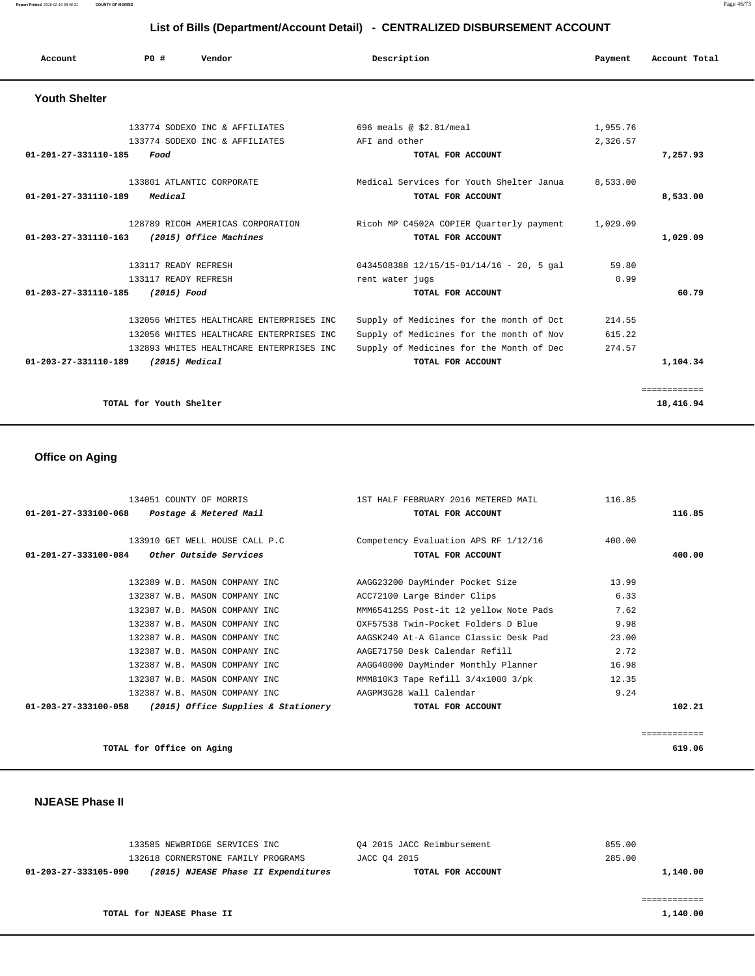#### **Report Printed** 2016-02-19 08:46:31 **COUNTY OF MORRIS** Page 46/73

# **List of Bills (Department/Account Detail) - CENTRALIZED DISBURSEMENT ACCOUNT**

| Account                        | PO#<br>Vendor                            | Description                                  | Payment  | Account Total |
|--------------------------------|------------------------------------------|----------------------------------------------|----------|---------------|
| <b>Youth Shelter</b>           |                                          |                                              |          |               |
|                                | 133774 SODEXO INC & AFFILIATES           | 696 meals @ \$2.81/meal                      | 1,955.76 |               |
|                                | 133774 SODEXO INC & AFFILIATES           | AFI and other                                | 2,326.57 |               |
| 01-201-27-331110-185           | Food                                     | TOTAL FOR ACCOUNT                            |          | 7,257.93      |
|                                | 133801 ATLANTIC CORPORATE                | Medical Services for Youth Shelter Janua     | 8,533.00 |               |
| 01-201-27-331110-189           | Medical                                  | TOTAL FOR ACCOUNT                            |          | 8,533.00      |
|                                | 128789 RICOH AMERICAS CORPORATION        | Ricoh MP C4502A COPIER Quarterly payment     | 1,029.09 |               |
| $01 - 203 - 27 - 331110 - 163$ | (2015) Office Machines                   | TOTAL FOR ACCOUNT                            |          | 1,029.09      |
|                                | 133117 READY REFRESH                     | $0434508388$ $12/15/15-01/14/16$ - 20, 5 gal | 59.80    |               |
|                                | 133117 READY REFRESH                     | rent water jugs                              | 0.99     |               |
| 01-203-27-331110-185           | (2015) Food                              | TOTAL FOR ACCOUNT                            |          | 60.79         |
|                                | 132056 WHITES HEALTHCARE ENTERPRISES INC | Supply of Medicines for the month of Oct     | 214.55   |               |
|                                | 132056 WHITES HEALTHCARE ENTERPRISES INC | Supply of Medicines for the month of Nov     | 615.22   |               |
|                                | 132893 WHITES HEALTHCARE ENTERPRISES INC | Supply of Medicines for the Month of Dec     | 274.57   |               |
| 01-203-27-331110-189           | (2015) Medical                           | TOTAL FOR ACCOUNT                            |          | 1,104.34      |
|                                |                                          |                                              |          | ============  |
|                                | TOTAL for Youth Shelter                  |                                              |          | 18,416.94     |

# **Office on Aging**

| 134051 COUNTY OF MORRIS                                    | 1ST HALF FEBRUARY 2016 METERED MAIL    | 116.85     |
|------------------------------------------------------------|----------------------------------------|------------|
| 01-201-27-333100-068 Postage & Metered Mail                | TOTAL FOR ACCOUNT                      | 116.85     |
|                                                            |                                        |            |
| 133910 GET WELL HOUSE CALL P.C                             | Competency Evaluation APS RF 1/12/16   | 400.00     |
| $01-201-27-333100-084$ Other Outside Services              | TOTAL FOR ACCOUNT                      | 400.00     |
|                                                            |                                        |            |
| 132389 W.B. MASON COMPANY INC                              | AAGG23200 DayMinder Pocket Size        | 13.99      |
| 132387 W.B. MASON COMPANY INC                              | ACC72100 Large Binder Clips            | 6.33       |
| 132387 W.B. MASON COMPANY INC                              | MMM65412SS Post-it 12 yellow Note Pads | 7.62       |
| 132387 W.B. MASON COMPANY INC                              | OXF57538 Twin-Pocket Folders D Blue    | 9.98       |
| 132387 W.B. MASON COMPANY INC                              | AAGSK240 At-A Glance Classic Desk Pad  | 23.00      |
| 132387 W.B. MASON COMPANY INC                              | AAGE71750 Desk Calendar Refill         | 2.72       |
| 132387 W.B. MASON COMPANY INC                              | AAGG40000 DayMinder Monthly Planner    | 16.98      |
| 132387 W.B. MASON COMPANY INC                              | MMM810K3 Tape Refill 3/4x1000 3/pk     | 12.35      |
| 132387 W.B. MASON COMPANY INC                              | AAGPM3G28 Wall Calendar                | 9.24       |
| $01-203-27-333100-058$ (2015) Office Supplies & Stationery | TOTAL FOR ACCOUNT                      | 102.21     |
|                                                            |                                        |            |
|                                                            |                                        | ========== |

**TOTAL for Office on Aging 619.06**

### **NJEASE Phase II**

| 133585 NEWBRIDGE SERVICES INC                               | 04 2015 JACC Reimbursement | 855.00   |
|-------------------------------------------------------------|----------------------------|----------|
| 132618 CORNERSTONE FAMILY PROGRAMS                          | JACC 04 2015               | 285.00   |
| (2015) NJEASE Phase II Expenditures<br>01-203-27-333105-090 | TOTAL FOR ACCOUNT          | 1,140.00 |
|                                                             |                            |          |
|                                                             |                            |          |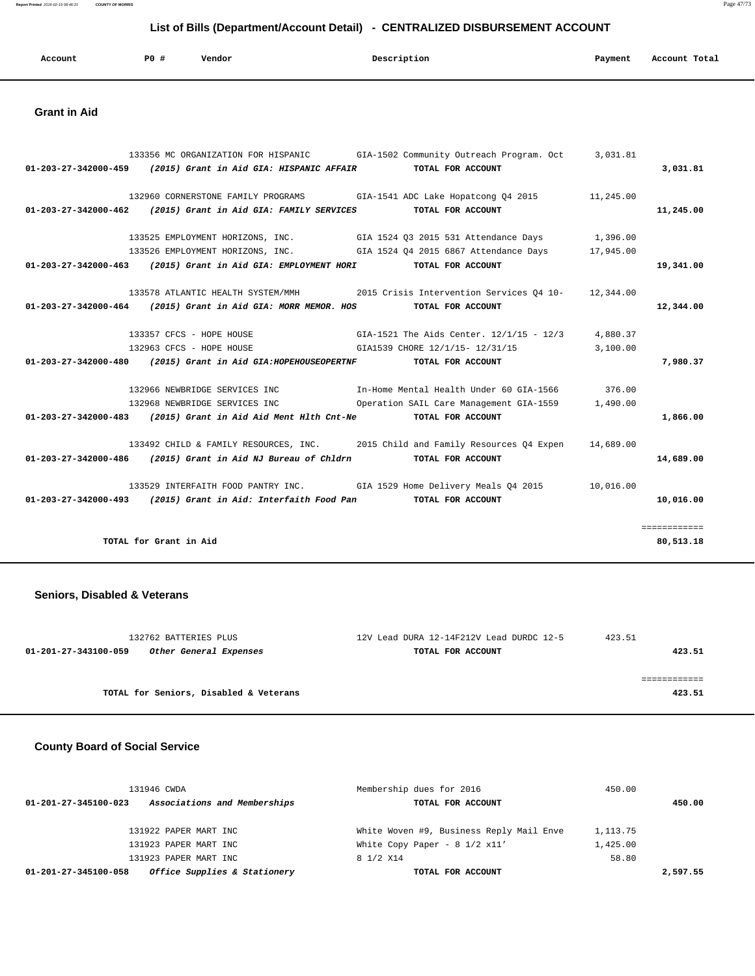**Report Printed** 2016-02-19 08:46:31 **COUNTY OF MORRIS** Page 47/73

# **List of Bills (Department/Account Detail) - CENTRALIZED DISBURSEMENT ACCOUNT**

| Account | <b>PO #</b> | Vendor | Description | Payment | Account Total |
|---------|-------------|--------|-------------|---------|---------------|
|         |             |        |             |         |               |

#### **Grant in Aid**

| 01-203-27-342000-459 (2015) Grant in Aid GIA: HISPANIC AFFAIR TOTAL FOR ACCOUNT  | 133356 MC ORGANIZATION FOR HISPANIC GIA-1502 Community Outreach Program. Oct 3,031.81    | 3,031.81     |
|----------------------------------------------------------------------------------|------------------------------------------------------------------------------------------|--------------|
| 01-203-27-342000-462 (2015) Grant in Aid GIA: FAMILY SERVICES TOTAL FOR ACCOUNT  | 132960 CORNERSTONE FAMILY PROGRAMS GIA-1541 ADC Lake Hopatcong 04 2015 11,245.00         | 11,245.00    |
|                                                                                  | 1,39525 EMPLOYMENT HORIZONS, INC. GIA 1524 Q3 2015 531 Attendance Days 1,396.00          |              |
|                                                                                  | 133526 EMPLOYMENT HORIZONS, INC. GIA 1524 04 2015 6867 Attendance Days 17,945.00         |              |
| 01-203-27-342000-463 (2015) Grant in Aid GIA: EMPLOYMENT HORI TOTAL FOR ACCOUNT  |                                                                                          | 19,341.00    |
|                                                                                  | 133578 ATLANTIC HEALTH SYSTEM/MMH 2015 Crisis Intervention Services Q4 10- 12,344.00     |              |
| 01-203-27-342000-464 (2015) Grant in Aid GIA: MORR MEMOR. HOS TOTAL FOR ACCOUNT  |                                                                                          | 12,344.00    |
|                                                                                  |                                                                                          |              |
|                                                                                  | 133357 CFCS - HOPE HOUSE GIA-1521 The Aids Center. 12/1/15 - 12/3 4,880.37               |              |
|                                                                                  | 132963 CFCS - HOPE HOUSE 61A1539 CHORE 12/1/15- 12/31/15 3,100.00                        |              |
| 01-203-27-342000-480 (2015) Grant in Aid GIA: HOPEHOUSEOPERTNF TOTAL FOR ACCOUNT |                                                                                          | 7,980.37     |
|                                                                                  | 132966 NEWBRIDGE SERVICES INC The Home Mental Health Under 60 GIA-1566 376.00            |              |
|                                                                                  | 132968 NEWBRIDGE SERVICES INC 60 Operation SAIL Care Management GIA-1559 1,490.00        |              |
| 01-203-27-342000-483 (2015) Grant in Aid Aid Ment H1th Cnt-Ne TOTAL FOR ACCOUNT  |                                                                                          | 1,866.00     |
|                                                                                  | 133492 CHILD & FAMILY RESOURCES, INC. 2015 Child and Family Resources Q4 Expen 14,689.00 |              |
| 01-203-27-342000-486 (2015) Grant in Aid NJ Bureau of Chldrn TOTAL FOR ACCOUNT   |                                                                                          | 14,689.00    |
|                                                                                  | 133529 INTERFAITH FOOD PANTRY INC. GIA 1529 Home Delivery Meals Q4 2015 10,016.00        |              |
| 01-203-27-342000-493 (2015) Grant in Aid: Interfaith Food Pan TOTAL FOR ACCOUNT  |                                                                                          | 10,016.00    |
|                                                                                  |                                                                                          | ============ |
| TOTAL for Grant in Aid                                                           |                                                                                          | 80,513.18    |
|                                                                                  |                                                                                          |              |

### **Seniors, Disabled & Veterans**

| 132762 BATTERIES PLUS                          | 12V Lead DURA 12-14F212V Lead DURDC 12-5 | 423.51 |
|------------------------------------------------|------------------------------------------|--------|
| Other General Expenses<br>01-201-27-343100-059 | TOTAL FOR ACCOUNT                        | 423.51 |
|                                                |                                          |        |
|                                                |                                          |        |
| TOTAL for Seniors, Disabled & Veterans         |                                          | 423.51 |

### **County Board of Social Service**

| 131946 CWDA                                          | Membership dues for 2016                      | 450.00     |
|------------------------------------------------------|-----------------------------------------------|------------|
| Associations and Memberships<br>01-201-27-345100-023 | TOTAL FOR ACCOUNT                             | 450.00     |
|                                                      |                                               |            |
| 131922 PAPER MART INC                                | White Woven #9, Business Reply Mail Enve      | 1, 113, 75 |
| 131923 PAPER MART INC                                | White Copy Paper - $8 \frac{1}{2} \times 11'$ | 1,425.00   |
| 131923 PAPER MART INC                                | 8 1/2 X14                                     | 58.80      |
| Office Supplies & Stationery<br>01-201-27-345100-058 | TOTAL FOR ACCOUNT                             | 2,597.55   |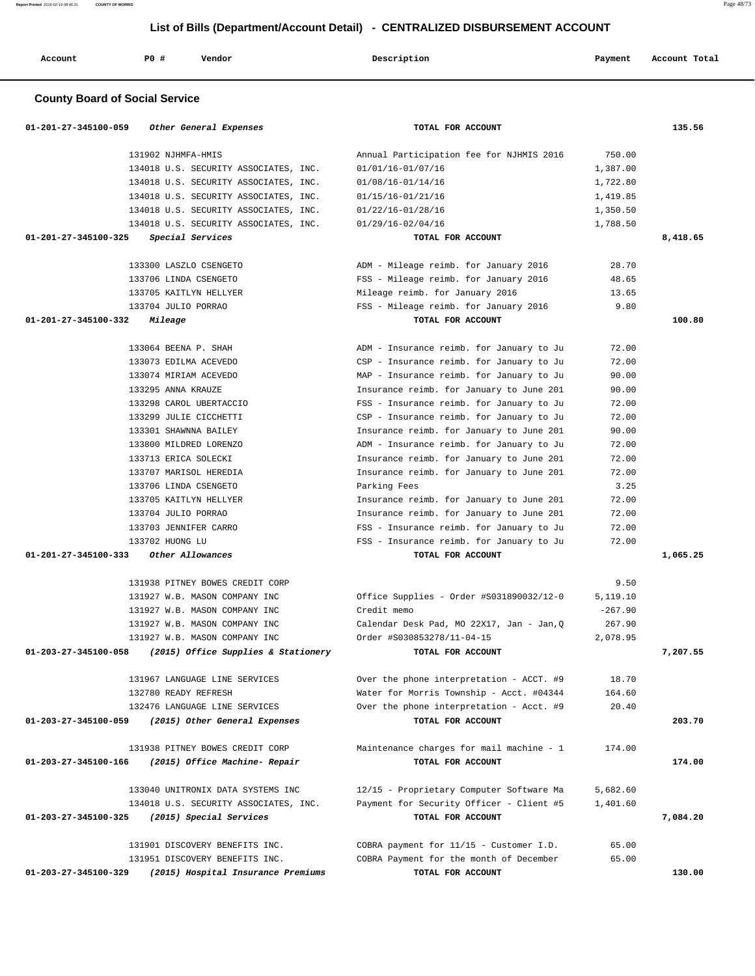**Report Printed** 2016-02-19 08:46:31 **COUNTY OF MORRIS** Page 48/73

# **List of Bills (Department/Account Detail) - CENTRALIZED DISBURSEMENT ACCOUNT**

| Account | <b>PO #</b> | Vendor | Description | Payment | Account Total |
|---------|-------------|--------|-------------|---------|---------------|
|         |             |        |             |         |               |

### **County Board of Social Service**

| 01-201-27-345100-059<br>Other General Expenses              | TOTAL FOR ACCOUNT                         |           | 135.56   |
|-------------------------------------------------------------|-------------------------------------------|-----------|----------|
| 131902 NJHMFA-HMIS                                          | Annual Participation fee for NJHMIS 2016  | 750.00    |          |
| 134018 U.S. SECURITY ASSOCIATES, INC.                       | 01/01/16-01/07/16                         | 1,387.00  |          |
| 134018 U.S. SECURITY ASSOCIATES, INC.                       | 01/08/16-01/14/16                         | 1,722.80  |          |
| 134018 U.S. SECURITY ASSOCIATES, INC.                       | 01/15/16-01/21/16                         | 1,419.85  |          |
| 134018 U.S. SECURITY ASSOCIATES, INC.                       | 01/22/16-01/28/16                         | 1,350.50  |          |
| 134018 U.S. SECURITY ASSOCIATES, INC.                       | 01/29/16-02/04/16                         | 1,788.50  |          |
| 01-201-27-345100-325<br>Special Services                    | TOTAL FOR ACCOUNT                         |           | 8,418.65 |
| 133300 LASZLO CSENGETO                                      | ADM - Mileage reimb. for January 2016     | 28.70     |          |
| 133706 LINDA CSENGETO                                       | FSS - Mileage reimb. for January 2016     | 48.65     |          |
| 133705 KAITLYN HELLYER                                      | Mileage reimb. for January 2016           | 13.65     |          |
| 133704 JULIO PORRAO                                         | FSS - Mileage reimb. for January 2016     | 9.80      |          |
| 01-201-27-345100-332<br>Mileage                             | TOTAL FOR ACCOUNT                         |           | 100.80   |
| 133064 BEENA P. SHAH                                        | ADM - Insurance reimb. for January to Ju  | 72.00     |          |
| 133073 EDILMA ACEVEDO                                       | CSP - Insurance reimb. for January to Ju  | 72.00     |          |
| 133074 MIRIAM ACEVEDO                                       | MAP - Insurance reimb. for January to Ju  | 90.00     |          |
| 133295 ANNA KRAUZE                                          | Insurance reimb. for January to June 201  | 90.00     |          |
| 133298 CAROL UBERTACCIO                                     | FSS - Insurance reimb. for January to Ju  | 72.00     |          |
| 133299 JULIE CICCHETTI                                      | CSP - Insurance reimb. for January to Ju  | 72.00     |          |
| 133301 SHAWNNA BAILEY                                       | Insurance reimb. for January to June 201  | 90.00     |          |
| 133800 MILDRED LORENZO                                      | ADM - Insurance reimb. for January to Ju  | 72.00     |          |
| 133713 ERICA SOLECKI                                        | Insurance reimb. for January to June 201  | 72.00     |          |
| 133707 MARISOL HEREDIA                                      | Insurance reimb. for January to June 201  | 72.00     |          |
| 133706 LINDA CSENGETO                                       | Parking Fees                              | 3.25      |          |
| 133705 KAITLYN HELLYER                                      | Insurance reimb. for January to June 201  | 72.00     |          |
| 133704 JULIO PORRAO                                         | Insurance reimb. for January to June 201  | 72.00     |          |
| 133703 JENNIFER CARRO                                       | FSS - Insurance reimb. for January to Ju  | 72.00     |          |
| 133702 HUONG LU                                             | FSS - Insurance reimb. for January to Ju  | 72.00     |          |
| 01-201-27-345100-333<br>Other Allowances                    | TOTAL FOR ACCOUNT                         |           | 1,065.25 |
| 131938 PITNEY BOWES CREDIT CORP                             |                                           | 9.50      |          |
| 131927 W.B. MASON COMPANY INC                               | Office Supplies - Order #S031890032/12-0  | 5,119.10  |          |
| 131927 W.B. MASON COMPANY INC                               | Credit memo                               | $-267.90$ |          |
| 131927 W.B. MASON COMPANY INC                               | Calendar Desk Pad, MO 22X17, Jan - Jan, Q | 267.90    |          |
| 131927 W.B. MASON COMPANY INC                               | Order #S030853278/11-04-15                | 2,078.95  |          |
| 01-203-27-345100-058<br>(2015) Office Supplies & Stationery | TOTAL FOR ACCOUNT                         |           | 7,207.55 |
|                                                             |                                           |           |          |
| 131967 LANGUAGE LINE SERVICES                               | Over the phone interpretation - ACCT. #9  | 18.70     |          |
| 132780 READY REFRESH                                        | Water for Morris Township - Acct. #04344  | 164.60    |          |
| 132476 LANGUAGE LINE SERVICES                               | Over the phone interpretation - Acct. #9  | 20.40     |          |
| 01-203-27-345100-059<br>(2015) Other General Expenses       | TOTAL FOR ACCOUNT                         |           | 203.70   |
| 131938 PITNEY BOWES CREDIT CORP                             | Maintenance charges for mail machine - 1  | 174.00    |          |
| 01-203-27-345100-166<br>(2015) Office Machine- Repair       | TOTAL FOR ACCOUNT                         |           | 174.00   |
| 133040 UNITRONIX DATA SYSTEMS INC                           | 12/15 - Proprietary Computer Software Ma  | 5,682.60  |          |
| 134018 U.S. SECURITY ASSOCIATES, INC.                       | Payment for Security Officer - Client #5  | 1,401.60  |          |
| 01-203-27-345100-325<br>(2015) Special Services             | TOTAL FOR ACCOUNT                         |           | 7,084.20 |
| 131901 DISCOVERY BENEFITS INC.                              | COBRA payment for 11/15 - Customer I.D.   | 65.00     |          |
| 131951 DISCOVERY BENEFITS INC.                              | COBRA Payment for the month of December   | 65.00     |          |
| 01-203-27-345100-329<br>(2015) Hospital Insurance Premiums  | TOTAL FOR ACCOUNT                         |           | 130.00   |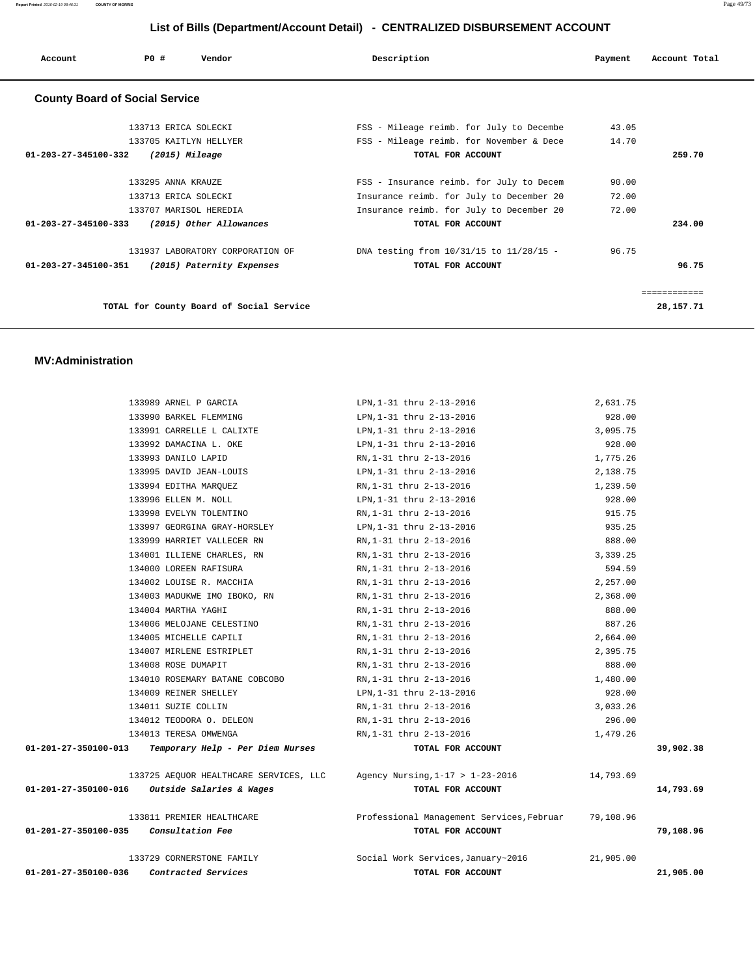| Account                               | P0#                    | Vendor                                   | Description                              | Payment | Account Total |
|---------------------------------------|------------------------|------------------------------------------|------------------------------------------|---------|---------------|
| <b>County Board of Social Service</b> |                        |                                          |                                          |         |               |
|                                       | 133713 ERICA SOLECKI   |                                          | FSS - Mileage reimb. for July to Decembe | 43.05   |               |
|                                       | 133705 KAITLYN HELLYER |                                          | FSS - Mileage reimb. for November & Dece | 14.70   |               |
| 01-203-27-345100-332                  | (2015) Mileage         |                                          | TOTAL FOR ACCOUNT                        |         | 259.70        |
|                                       | 133295 ANNA KRAUZE     |                                          | FSS - Insurance reimb. for July to Decem | 90.00   |               |
|                                       | 133713 ERICA SOLECKI   |                                          | Insurance reimb. for July to December 20 | 72.00   |               |
|                                       | 133707 MARISOL HEREDIA |                                          | Insurance reimb. for July to December 20 | 72.00   |               |
| $01 - 203 - 27 - 345100 - 333$        |                        | (2015) Other Allowances                  | TOTAL FOR ACCOUNT                        |         | 234.00        |
|                                       |                        | 131937 LABORATORY CORPORATION OF         | DNA testing from 10/31/15 to 11/28/15 -  | 96.75   |               |
| 01-203-27-345100-351                  |                        | (2015) Paternity Expenses                | TOTAL FOR ACCOUNT                        |         | 96.75         |
|                                       |                        |                                          |                                          |         | ============  |
|                                       |                        | TOTAL for County Board of Social Service |                                          |         | 28, 157. 71   |

#### **MV:Administration**

| 01-201-27-350100-036                            | Contracted Services                             | TOTAL FOR ACCOUNT                                                       |                    | 21,905.00 |
|-------------------------------------------------|-------------------------------------------------|-------------------------------------------------------------------------|--------------------|-----------|
|                                                 | 133729 CORNERSTONE FAMILY                       | Social Work Services, January~2016                                      | 21,905.00          |           |
| 01-201-27-350100-035                            | Consultation Fee                                | TOTAL FOR ACCOUNT                                                       |                    | 79,108.96 |
|                                                 | 133811 PREMIER HEALTHCARE                       | Professional Management Services, Februar 79,108.96                     |                    |           |
| $01-201-27-350100-016$ Outside Salaries & Wages |                                                 | TOTAL FOR ACCOUNT                                                       |                    | 14,793.69 |
|                                                 |                                                 | 133725 AEQUOR HEALTHCARE SERVICES, LLC Agency Nursing, 1-17 > 1-23-2016 | 14,793.69          |           |
|                                                 |                                                 |                                                                         |                    |           |
| 01-201-27-350100-013                            | Temporary Help - Per Diem Nurses                | TOTAL FOR ACCOUNT                                                       |                    | 39,902.38 |
|                                                 | 134013 TERESA OMWENGA                           | RN, 1-31 thru 2-13-2016                                                 | 1,479.26           |           |
|                                                 | 134011 SUZIE COLLIN<br>134012 TEODORA O. DELEON | RN,1-31 thru 2-13-2016<br>RN,1-31 thru 2-13-2016                        | 3,033.26<br>296.00 |           |
|                                                 | 134009 REINER SHELLEY                           | LPN, 1-31 thru 2-13-2016                                                | 928.00             |           |
|                                                 | 134010 ROSEMARY BATANE COBCOBO                  | RN, 1-31 thru 2-13-2016                                                 | 1,480.00           |           |
|                                                 | 134008 ROSE DUMAPIT                             | RN, 1-31 thru 2-13-2016                                                 | 888.00             |           |
|                                                 | 134007 MIRLENE ESTRIPLET                        | RN, 1-31 thru 2-13-2016                                                 | 2,395.75           |           |
|                                                 | 134005 MICHELLE CAPILI                          | RN,1-31 thru 2-13-2016                                                  | 2,664.00           |           |
|                                                 | 134006 MELOJANE CELESTINO                       | RN,1-31 thru 2-13-2016                                                  | 887.26             |           |
|                                                 | 134004 MARTHA YAGHI                             | RN,1-31 thru 2-13-2016                                                  | 888.00             |           |
|                                                 | 134003 MADUKWE IMO IBOKO, RN                    | RN,1-31 thru 2-13-2016                                                  | 2,368.00           |           |
|                                                 | 134002 LOUISE R. MACCHIA                        | RN,1-31 thru 2-13-2016                                                  | 2,257.00           |           |
|                                                 | 134000 LOREEN RAFISURA                          | RN,1-31 thru 2-13-2016                                                  | 594.59             |           |
|                                                 | 134001 ILLIENE CHARLES, RN                      | RN,1-31 thru 2-13-2016                                                  | 3,339.25           |           |
|                                                 | 133999 HARRIET VALLECER RN                      | RN,1-31 thru 2-13-2016                                                  | 888.00             |           |
|                                                 | 133997 GEORGINA GRAY-HORSLEY                    | LPN, 1-31 thru 2-13-2016                                                | 935.25             |           |
|                                                 | 133998 EVELYN TOLENTINO                         | RN,1-31 thru 2-13-2016                                                  | 915.75             |           |
|                                                 | 133996 ELLEN M. NOLL                            | LPN, 1-31 thru 2-13-2016                                                | 928.00             |           |
|                                                 | 133994 EDITHA MAROUEZ                           | RN, 1-31 thru 2-13-2016                                                 | 1,239.50           |           |
|                                                 | 133995 DAVID JEAN-LOUIS                         | LPN, 1-31 thru 2-13-2016                                                | 2,138.75           |           |
|                                                 | 133993 DANILO LAPID                             | RN,1-31 thru 2-13-2016                                                  | 1,775.26           |           |
|                                                 | 133992 DAMACINA L. OKE                          | LPN,1-31 thru 2-13-2016                                                 | 928.00             |           |
|                                                 | 133991 CARRELLE L CALIXTE                       | LPN, 1-31 thru 2-13-2016                                                | 3,095.75           |           |
|                                                 | 133990 BARKEL FLEMMING                          | LPN, 1-31 thru 2-13-2016                                                | 928.00             |           |
|                                                 | 133989 ARNEL P GARCIA                           | LPN, 1-31 thru 2-13-2016                                                | 2,631.75           |           |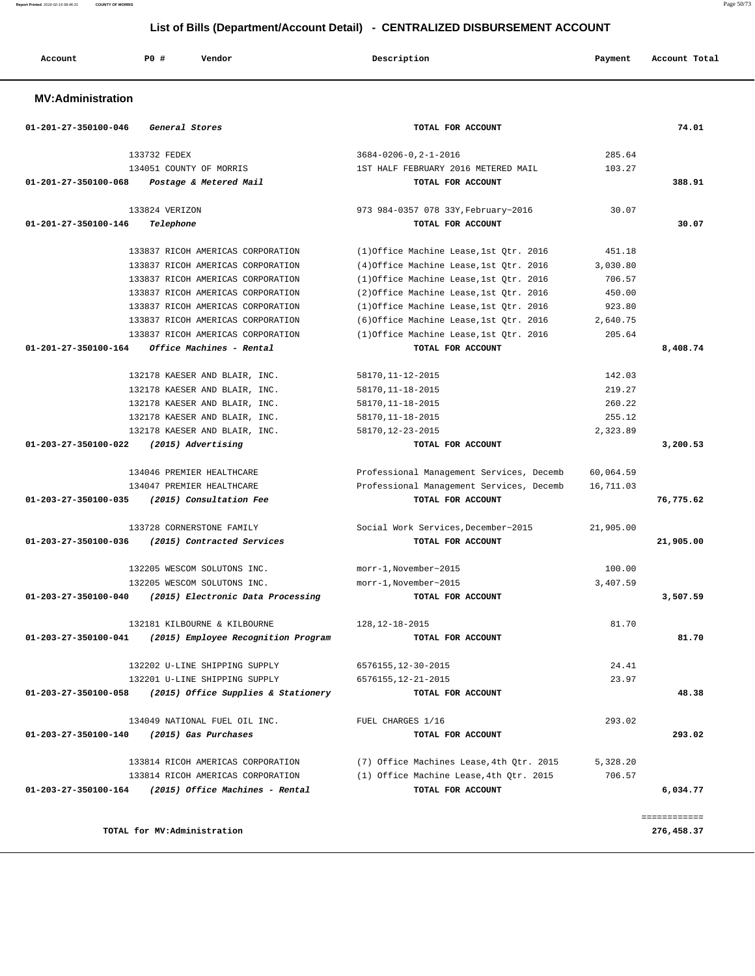| List of Bills (Department/Account Detail) - CENTRALIZED DISBURSEMENT ACCOUNT |                |                                   |  |                                         |          |               |
|------------------------------------------------------------------------------|----------------|-----------------------------------|--|-----------------------------------------|----------|---------------|
| Account                                                                      | PO#            | Vendor                            |  | Description                             | Payment  | Account Total |
| <b>MV:Administration</b>                                                     |                |                                   |  |                                         |          |               |
| $01 - 201 - 27 - 350100 - 046$                                               | General Stores |                                   |  | TOTAL FOR ACCOUNT                       |          | 74.01         |
|                                                                              | 133732 FEDEX   |                                   |  | $3684 - 0206 - 0, 2 - 1 - 2016$         | 285.64   |               |
|                                                                              |                | 134051 COUNTY OF MORRIS           |  | 1ST HALF FEBRUARY 2016 METERED MAIL     | 103.27   |               |
| 01-201-27-350100-068                                                         |                | Postage & Metered Mail            |  | TOTAL FOR ACCOUNT                       |          | 388.91        |
|                                                                              | 133824 VERIZON |                                   |  | 973 984-0357 078 33Y, February~2016     | 30.07    |               |
| 01-201-27-350100-146                                                         | Telephone      |                                   |  | TOTAL FOR ACCOUNT                       |          | 30.07         |
|                                                                              |                | 133837 RICOH AMERICAS CORPORATION |  | (1)Office Machine Lease, 1st Otr. 2016  | 451.18   |               |
|                                                                              |                | 133837 RICOH AMERICAS CORPORATION |  | (4) Office Machine Lease, 1st Qtr. 2016 | 3,030.80 |               |
|                                                                              |                | 133837 RICOH AMERICAS CORPORATION |  | (1) Office Machine Lease, 1st Otr. 2016 | 706.57   |               |
|                                                                              |                | 133837 RICOH AMERICAS CORPORATION |  | (2) Office Machine Lease, 1st Otr. 2016 | 450.00   |               |
|                                                                              |                | 133837 RICOH AMERICAS CORPORATION |  | (1) Office Machine Lease, 1st Otr. 2016 | 923.80   |               |
|                                                                              |                | 133837 RICOH AMERICAS CORPORATION |  | (6) Office Machine Lease, 1st Otr. 2016 | 2,640.75 |               |
|                                                                              |                | 133837 RICOH AMERICAS CORPORATION |  | (1) Office Machine Lease, 1st Qtr. 2016 | 205.64   |               |

 **01-201-27-350100-164 Office Machines - Rental TOTAL FOR ACCOUNT 8,408.74**

 132178 KAESER AND BLAIR, INC. 58170,11-12-2015 142.03 132178 KAESER AND BLAIR, INC. 58170,11-18-2015 219.27 132178 KAESER AND BLAIR, INC. 58170,11-18-2015 260.22 132178 KAESER AND BLAIR, INC. 58170,11-18-2015 255.12 132178 KAESER AND BLAIR, INC. 58170,12-23-2015 2,323.89  **01-203-27-350100-022 (2015) Advertising TOTAL FOR ACCOUNT 3,200.53**

 134046 PREMIER HEALTHCARE Professional Management Services, Decemb 60,064.59 134047 PREMIER HEALTHCARE Professional Management Services, Decemb 16,711.03  **01-203-27-350100-035 (2015) Consultation Fee TOTAL FOR ACCOUNT 76,775.62**

 133728 CORNERSTONE FAMILY Social Work Services,December~2015 21,905.00  **01-203-27-350100-036 (2015) Contracted Services TOTAL FOR ACCOUNT 21,905.00**

 132205 WESCOM SOLUTONS INC. morr-1,November~2015 100.00 132205 WESCOM SOLUTONS INC. morr-1,November~2015 3,407.59  **01-203-27-350100-040 (2015) Electronic Data Processing TOTAL FOR ACCOUNT 3,507.59**

 132181 KILBOURNE & KILBOURNE 128,12-18-2015 81.70  **01-203-27-350100-041 (2015) Employee Recognition Program TOTAL FOR ACCOUNT 81.70**

 132202 U-LINE SHIPPING SUPPLY 6576155,12-30-2015 24.41 132201 U-LINE SHIPPING SUPPLY 6576155,12-21-2015 23.97  **01-203-27-350100-058 (2015) Office Supplies & Stationery TOTAL FOR ACCOUNT 48.38**

134049 NATIONAL FUEL OIL INC. FUEL CHARGES 1/16 293.02  **01-203-27-350100-140 (2015) Gas Purchases TOTAL FOR ACCOUNT 293.02**

133814 RICOH AMERICAS CORPORATION (7) Office Machines Lease,4th Qtr. 2015 5,328.20<br>133814 RICOH AMERICAS CORPORATION (1) Office Machine Lease,4th Qtr. 2015 706.57

 **01-203-27-350100-164 (2015) Office Machines - Rental TOTAL FOR ACCOUNT 6,034.77**

============

(1) Office Machine Lease,4th Qtr. 2015 706.57

**Report Printed** 2016-02-19 08:46:31 **COUNTY OF MORRIS** Page 50/73

**TOTAL for MV:Administration 276,458.37**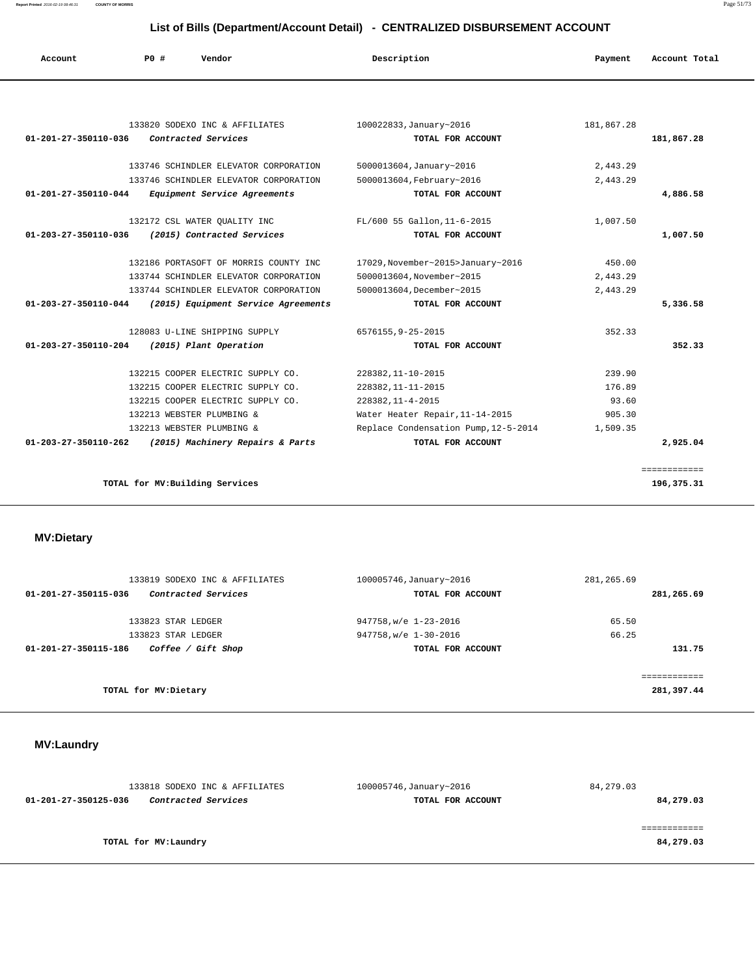**Report Printed** 2016-02-19 08:46:31 **COUNTY OF MORRIS** Page 51/73

# **List of Bills (Department/Account Detail) - CENTRALIZED DISBURSEMENT ACCOUNT**

| Account                        | P0# | Vendor                                | Description                          | Payment    | Account Total      |
|--------------------------------|-----|---------------------------------------|--------------------------------------|------------|--------------------|
|                                |     |                                       |                                      |            |                    |
|                                |     | 133820 SODEXO INC & AFFILIATES        | 100022833, January~2016              | 181,867.28 |                    |
| $01 - 201 - 27 - 350110 - 036$ |     | Contracted Services                   | TOTAL FOR ACCOUNT                    |            | 181,867.28         |
|                                |     | 133746 SCHINDLER ELEVATOR CORPORATION | 5000013604, January~2016             | 2,443.29   |                    |
|                                |     | 133746 SCHINDLER ELEVATOR CORPORATION | 5000013604, February~2016            | 2,443.29   |                    |
| 01-201-27-350110-044           |     | Equipment Service Agreements          | TOTAL FOR ACCOUNT                    |            | 4,886.58           |
|                                |     | 132172 CSL WATER OUALITY INC          | FL/600 55 Gallon, 11-6-2015          | 1,007.50   |                    |
| $01 - 203 - 27 - 350110 - 036$ |     | (2015) Contracted Services            | TOTAL FOR ACCOUNT                    |            | 1,007.50           |
|                                |     | 132186 PORTASOFT OF MORRIS COUNTY INC | 17029, November~2015>January~2016    | 450.00     |                    |
|                                |     | 133744 SCHINDLER ELEVATOR CORPORATION | 5000013604, November~2015            | 2,443.29   |                    |
|                                |     | 133744 SCHINDLER ELEVATOR CORPORATION | 5000013604.December~2015             | 2,443.29   |                    |
| $01 - 203 - 27 - 350110 - 044$ |     | (2015) Equipment Service Agreements   | TOTAL FOR ACCOUNT                    |            | 5,336.58           |
|                                |     | 128083 U-LINE SHIPPING SUPPLY         | 6576155, 9-25-2015                   | 352.33     |                    |
| $01 - 203 - 27 - 350110 - 204$ |     | (2015) Plant Operation                | TOTAL FOR ACCOUNT                    |            | 352.33             |
|                                |     | 132215 COOPER ELECTRIC SUPPLY CO.     | 228382, 11-10-2015                   | 239.90     |                    |
|                                |     | 132215 COOPER ELECTRIC SUPPLY CO.     | 228382, 11-11-2015                   | 176.89     |                    |
|                                |     | 132215 COOPER ELECTRIC SUPPLY CO.     | 228382, 11-4-2015                    | 93.60      |                    |
|                                |     | 132213 WEBSTER PLUMBING &             | Water Heater Repair, 11-14-2015      | 905.30     |                    |
|                                |     | 132213 WEBSTER PLUMBING &             | Replace Condensation Pump, 12-5-2014 | 1,509.35   |                    |
| $01 - 203 - 27 - 350110 - 262$ |     | (2015) Machinery Repairs & Parts      | TOTAL FOR ACCOUNT                    |            | 2,925.04           |
|                                |     |                                       |                                      |            | <b>EEEEEEEEEEE</b> |
|                                |     | TOTAL for MV: Building Services       |                                      |            | 196,375.31         |

| <b>MV:Dietary</b>                           |                         |             |
|---------------------------------------------|-------------------------|-------------|
| 133819 SODEXO INC & AFFILIATES              | 100005746, January~2016 | 281,265.69  |
| Contracted Services<br>01-201-27-350115-036 | TOTAL FOR ACCOUNT       | 281,265.69  |
| 133823 STAR LEDGER                          | 947758, w/e 1-23-2016   | 65.50       |
| 133823 STAR LEDGER                          | 947758, w/e 1-30-2016   | 66.25       |
| 01-201-27-350115-186<br>Coffee / Gift Shop  | TOTAL FOR ACCOUNT       | 131.75      |
|                                             |                         | ----------- |
| TOTAL for MV: Dietary                       |                         | 281,397.44  |

# **MV:Laundry**

| 133818 SODEXO INC & AFFILIATES              | 100005746, January~2016 | 84,279.03 |
|---------------------------------------------|-------------------------|-----------|
| Contracted Services<br>01-201-27-350125-036 | TOTAL FOR ACCOUNT       | 84,279.03 |
|                                             |                         |           |
|                                             |                         |           |
| TOTAL for MV:Laundry                        |                         | 84,279.03 |
|                                             |                         |           |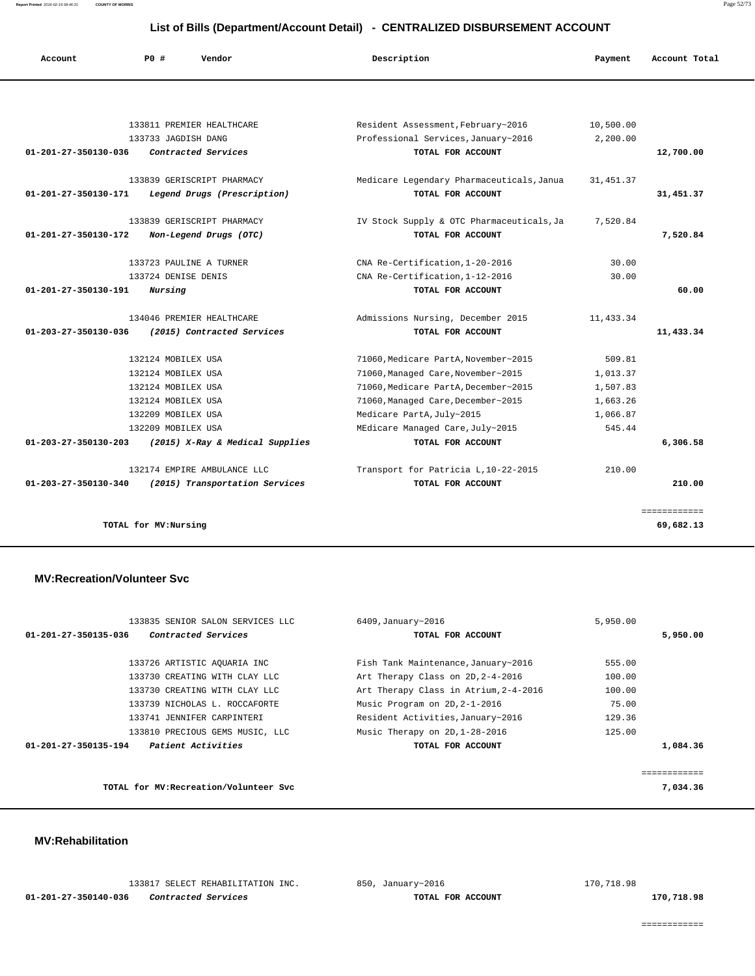**Report Printed** 2016-02-19 08:46:31 **COUNTY OF MORRIS** Page 52/73

# **List of Bills (Department/Account Detail) - CENTRALIZED DISBURSEMENT ACCOUNT**

| Account                        | PO#                   | Vendor                          | Description                                                               | Payment    | Account Total |
|--------------------------------|-----------------------|---------------------------------|---------------------------------------------------------------------------|------------|---------------|
|                                |                       |                                 |                                                                           |            |               |
|                                |                       | 133811 PREMIER HEALTHCARE       |                                                                           | 10,500.00  |               |
|                                | 133733 JAGDISH DANG   |                                 | Resident Assessment, February~2016<br>Professional Services, January~2016 | 2,200.00   |               |
| 01-201-27-350130-036           |                       | Contracted Services             | TOTAL FOR ACCOUNT                                                         |            | 12,700.00     |
|                                |                       |                                 |                                                                           |            |               |
|                                |                       | 133839 GERISCRIPT PHARMACY      | Medicare Legendary Pharmaceuticals, Janua                                 | 31, 451.37 |               |
| 01-201-27-350130-171           |                       | Legend Drugs (Prescription)     | TOTAL FOR ACCOUNT                                                         |            | 31,451.37     |
|                                |                       | 133839 GERISCRIPT PHARMACY      | IV Stock Supply & OTC Pharmaceuticals, Ja                                 | 7,520.84   |               |
| $01 - 201 - 27 - 350130 - 172$ |                       | Non-Legend Drugs (OTC)          | TOTAL FOR ACCOUNT                                                         |            | 7,520.84      |
|                                |                       | 133723 PAULINE A TURNER         | CNA Re-Certification, 1-20-2016                                           | 30.00      |               |
|                                | 133724 DENISE DENIS   |                                 | CNA Re-Certification, 1-12-2016                                           | 30.00      |               |
| 01-201-27-350130-191           | Nursing               |                                 | TOTAL FOR ACCOUNT                                                         |            | 60.00         |
|                                |                       |                                 |                                                                           |            |               |
|                                |                       | 134046 PREMIER HEALTHCARE       | Admissions Nursing, December 2015                                         | 11,433.34  |               |
| 01-203-27-350130-036           |                       | (2015) Contracted Services      | TOTAL FOR ACCOUNT                                                         |            | 11,433.34     |
|                                | 132124 MOBILEX USA    |                                 | 71060, Medicare PartA, November~2015                                      | 509.81     |               |
|                                | 132124 MOBILEX USA    |                                 | 71060, Managed Care, November~2015                                        | 1,013.37   |               |
|                                | 132124 MOBILEX USA    |                                 | 71060, Medicare PartA, December~2015                                      | 1,507.83   |               |
|                                | 132124 MOBILEX USA    |                                 | 71060, Managed Care, December~2015                                        | 1,663.26   |               |
|                                | 132209 MOBILEX USA    |                                 | Medicare PartA, July~2015                                                 | 1,066.87   |               |
|                                | 132209 MOBILEX USA    |                                 | MEdicare Managed Care, July~2015                                          | 545.44     |               |
| 01-203-27-350130-203           |                       | (2015) X-Ray & Medical Supplies | TOTAL FOR ACCOUNT                                                         |            | 6,306.58      |
|                                |                       | 132174 EMPIRE AMBULANCE LLC     | Transport for Patricia L, 10-22-2015                                      | 210.00     |               |
| 01-203-27-350130-340           |                       | (2015) Transportation Services  | TOTAL FOR ACCOUNT                                                         |            | 210.00        |
|                                |                       |                                 |                                                                           |            | ============  |
|                                | TOTAL for MV: Nursing |                                 |                                                                           |            | 69,682.13     |

#### **MV:Recreation/Volunteer Svc**

| 133835 SENIOR SALON SERVICES LLC            | 6409, January~2016                    | 5,950.00 |          |
|---------------------------------------------|---------------------------------------|----------|----------|
| 01-201-27-350135-036<br>Contracted Services | TOTAL FOR ACCOUNT                     |          | 5,950.00 |
| 133726 ARTISTIC AOUARIA INC                 | Fish Tank Maintenance, January~2016   | 555.00   |          |
| 133730 CREATING WITH CLAY LLC               | Art Therapy Class on 2D, 2-4-2016     | 100.00   |          |
| 133730 CREATING WITH CLAY LLC               | Art Therapy Class in Atrium, 2-4-2016 | 100.00   |          |
| 133739 NICHOLAS L. ROCCAFORTE               | Music Program on 2D, 2-1-2016         | 75.00    |          |
| 133741 JENNIFER CARPINTERI                  | Resident Activities, January~2016     | 129.36   |          |
| 133810 PRECIOUS GEMS MUSIC, LLC             | Music Therapy on 2D, 1-28-2016        | 125.00   |          |
| Patient Activities<br>01-201-27-350135-194  | TOTAL FOR ACCOUNT                     |          | 1,084.36 |
|                                             |                                       |          |          |
| TOTAL for MV: Recreation/Volunteer Svc      |                                       |          | 7,034.36 |

#### **MV:Rehabilitation**

|                      |  | 133817 SELECT REHABILITATI |
|----------------------|--|----------------------------|
| 01-201-27-350140-036 |  | Contracted Services        |

 $133$  INC. 850, January~2016 170,718.98

 **170,718.98 170,718.98** 

============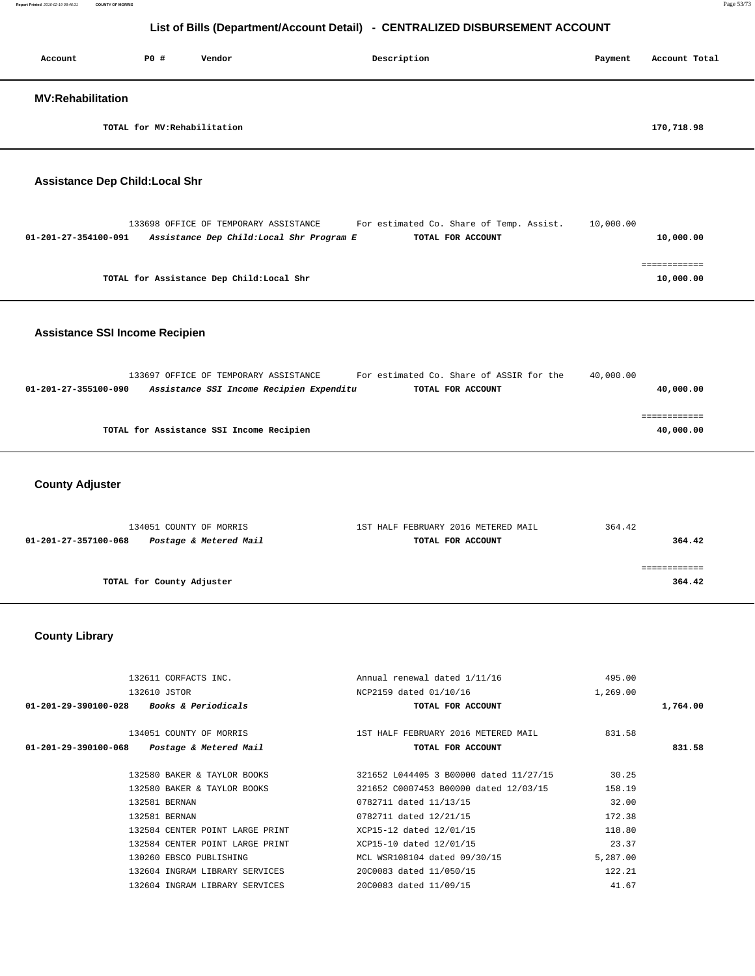| Account                                | P0 #                         | Vendor | Description | Payment | Account Total |
|----------------------------------------|------------------------------|--------|-------------|---------|---------------|
| <b>MV:Rehabilitation</b>               |                              |        |             |         |               |
|                                        | TOTAL for MV: Rehabilitation |        |             |         | 170,718.98    |
| <b>Assistance Dep Child: Local Shr</b> |                              |        |             |         |               |

| 01-201-27-354100-091 | Assistance Dep Child:Local Shr Program E  | TOTAL FOR ACCOUNT | 10,000.00 |
|----------------------|-------------------------------------------|-------------------|-----------|
|                      |                                           |                   |           |
|                      |                                           |                   |           |
|                      | TOTAL for Assistance Dep Child: Local Shr |                   | 10,000.00 |

133698 OFFICE OF TEMPORARY ASSISTANCE For estimated Co. Share of Temp. Assist. 10,000.00

### **Assistance SSI Income Recipien**

|                      | 133697 OFFICE OF TEMPORARY ASSISTANCE    |  | For estimated Co. Share of ASSIR for the | 40,000.00 |           |
|----------------------|------------------------------------------|--|------------------------------------------|-----------|-----------|
| 01-201-27-355100-090 | Assistance SSI Income Recipien Expenditu |  | TOTAL FOR ACCOUNT                        |           | 40,000.00 |
|                      |                                          |  |                                          |           |           |
|                      |                                          |  |                                          |           |           |
|                      | TOTAL for Assistance SSI Income Recipien |  |                                          |           | 40,000.00 |

#### **County Adjuster**

| 134051 COUNTY OF MORRIS                        | 1ST HALF FEBRUARY 2016 METERED MAIL | 364.42 |
|------------------------------------------------|-------------------------------------|--------|
| Postage & Metered Mail<br>01-201-27-357100-068 | TOTAL FOR ACCOUNT                   | 364.42 |
|                                                |                                     |        |
|                                                |                                     |        |
| TOTAL for County Adjuster                      |                                     | 364.42 |
|                                                |                                     |        |

### **County Library**

| Annual renewal dated 1/11/16<br>495.00<br>1,269.00<br>NCP2159 dated 01/10/16<br>TOTAL FOR ACCOUNT | 1,764.00 |
|---------------------------------------------------------------------------------------------------|----------|
|                                                                                                   |          |
|                                                                                                   |          |
|                                                                                                   |          |
| 1ST HALF FEBRUARY 2016 METERED MAIL<br>831.58                                                     |          |
| TOTAL FOR ACCOUNT                                                                                 | 831.58   |
| 30.25<br>321652 L044405 3 B00000 dated 11/27/15                                                   |          |
| 321652 C0007453 B00000 dated 12/03/15<br>158.19                                                   |          |
| 32.00<br>0782711 dated 11/13/15                                                                   |          |
| 0782711 dated 12/21/15<br>172.38                                                                  |          |
| 118.80<br>XCP15-12 dated 12/01/15                                                                 |          |
| 23.37<br>XCP15-10 dated 12/01/15                                                                  |          |
| MCL WSR108104 dated 09/30/15<br>5,287.00                                                          |          |
|                                                                                                   |          |
| 122.21<br>20C0083 dated 11/050/15                                                                 |          |
|                                                                                                   |          |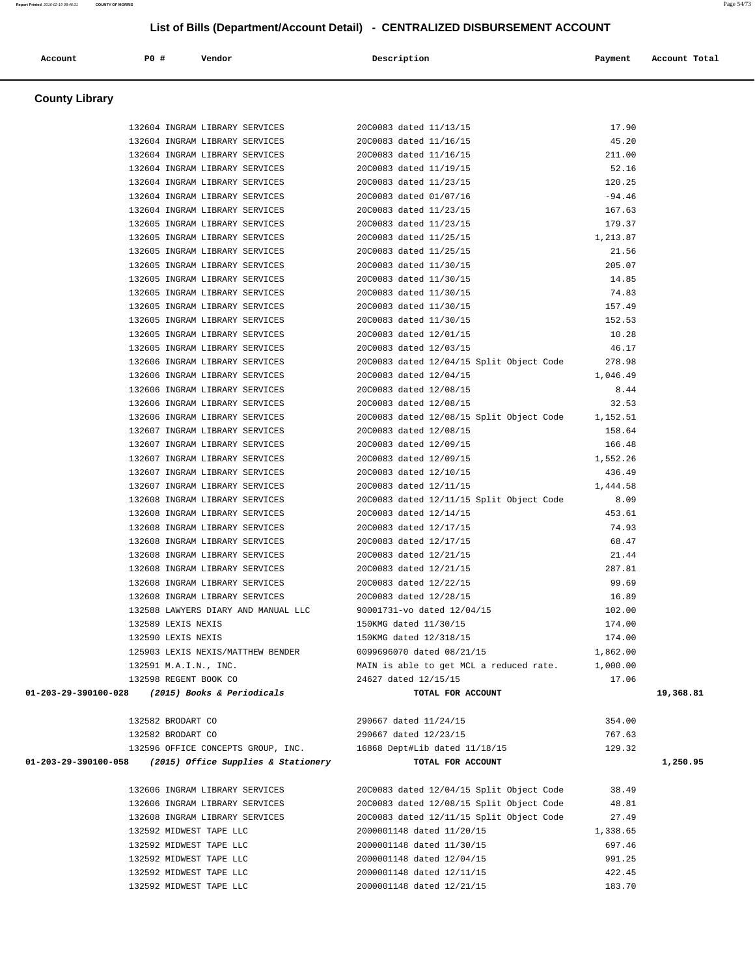|                      |                                                 | 132604 INGRAM LIBRARY SERVICES 2000083 dated 11/13/15                                                                                                                                          |                                                                            |                                                  | 17.90          |           |
|----------------------|-------------------------------------------------|------------------------------------------------------------------------------------------------------------------------------------------------------------------------------------------------|----------------------------------------------------------------------------|--------------------------------------------------|----------------|-----------|
|                      |                                                 | 132604 INGRAM LIBRARY SERVICES 20C0083 dated 11/16/15                                                                                                                                          |                                                                            |                                                  | 45.20          |           |
|                      |                                                 | 132604 INGRAM LIBRARY SERVICES 20C0083 dated 11/16/15                                                                                                                                          |                                                                            |                                                  | 211.00         |           |
|                      |                                                 | 132604 INGRAM LIBRARY SERVICES 20C0083 dated 11/19/15                                                                                                                                          |                                                                            |                                                  | 52.16          |           |
|                      |                                                 | 132604 INGRAM LIBRARY SERVICES 20C0083 dated 11/23/15                                                                                                                                          |                                                                            |                                                  | 120.25         |           |
|                      | 132604 INGRAM LIBRARY SERVICES                  |                                                                                                                                                                                                | 20C0083 dated 01/07/16                                                     |                                                  | $-94.46$       |           |
|                      | 132604 INGRAM LIBRARY SERVICES                  |                                                                                                                                                                                                | 20C0083 dated 11/23/15<br>20C0083 dated 11/23/15                           |                                                  | 167.63         |           |
|                      | 132605 INGRAM LIBRARY SERVICES                  |                                                                                                                                                                                                |                                                                            |                                                  | 179.37         |           |
|                      | 132605 INGRAM LIBRARY SERVICES                  |                                                                                                                                                                                                | 20C0083 dated 11/25/15                                                     |                                                  | 1,213.87       |           |
|                      |                                                 | 132605 INGRAM LIBRARY SERVICES 20C0083 dated 11/25/15                                                                                                                                          |                                                                            |                                                  | 21.56          |           |
|                      |                                                 | 132605 INGRAM LIBRARY SERVICES 20C0083 dated 11/30/15                                                                                                                                          |                                                                            |                                                  | 205.07         |           |
|                      |                                                 | 132605 INGRAM LIBRARY SERVICES 20C0083 dated 11/30/15                                                                                                                                          |                                                                            |                                                  | 14.85          |           |
|                      |                                                 | 132605 INGRAM LIBRARY SERVICES 20C0083 dated 11/30/15                                                                                                                                          |                                                                            |                                                  | 74.83          |           |
|                      | 132605 INGRAM LIBRARY SERVICES                  |                                                                                                                                                                                                | 20C0083 dated 11/30/15<br>20C0083 dated 11/30/15<br>20C0083 dated 12/01/15 |                                                  | 157.49         |           |
|                      | 132605 INGRAM LIBRARY SERVICES                  |                                                                                                                                                                                                |                                                                            |                                                  | 152.53         |           |
|                      | 132605 INGRAM LIBRARY SERVICES                  |                                                                                                                                                                                                |                                                                            |                                                  | 10.28          |           |
|                      |                                                 | 132605 INGRAM LIBRARY SERVICES 2000083 dated 12/03/15                                                                                                                                          |                                                                            |                                                  | 46.17          |           |
|                      |                                                 | 132606 INGRAM LIBRARY SERVICES 20C0083 dated 12/04/15 Split Object Code 278.98                                                                                                                 |                                                                            |                                                  |                |           |
|                      |                                                 | 132606 INGRAM LIBRARY SERVICES 20C0083 dated 12/04/15                                                                                                                                          |                                                                            |                                                  | 1,046.49       |           |
|                      |                                                 | 132606 INGRAM LIBRARY SERVICES 20C0083 dated 12/08/15                                                                                                                                          |                                                                            |                                                  | 8.44           |           |
|                      |                                                 | 132606 INGRAM LIBRARY SERVICES 2000083 dated 12/08/15 5plit Object Code 1,152.51<br>132606 INGRAM LIBRARY SERVICES 2000083 dated 12/08/15 Split Object Code 1,152.51<br>158.64 12/08/15 158.64 |                                                                            |                                                  |                |           |
|                      |                                                 |                                                                                                                                                                                                |                                                                            |                                                  |                |           |
|                      |                                                 |                                                                                                                                                                                                | 20C0083 dated 12/09/15                                                     |                                                  |                |           |
|                      | 132607 INGRAM LIBRARY SERVICES                  |                                                                                                                                                                                                |                                                                            |                                                  | 166.48         |           |
|                      |                                                 | 132607 INGRAM LIBRARY SERVICES 20C0083 dated 12/09/15                                                                                                                                          |                                                                            |                                                  | 1,552.26       |           |
|                      |                                                 | 132607 INGRAM LIBRARY SERVICES 20C0083 dated 12/10/15                                                                                                                                          |                                                                            |                                                  | 436.49         |           |
|                      |                                                 | 132607 INGRAM LIBRARY SERVICES 20C0083 dated 12/11/15                                                                                                                                          |                                                                            |                                                  | 1,444.58       |           |
|                      |                                                 | 132608 INGRAM LIBRARY SERVICES 20C0083 dated 12/11/15 Split Object Code 8.09                                                                                                                   |                                                                            |                                                  |                |           |
|                      | 132608 INGRAM LIBRARY SERVICES                  |                                                                                                                                                                                                | 20C0083 dated 12/14/15<br>20C0083 dated 12/17/15<br>20C0083 dated 12/17/15 |                                                  | 453.61         |           |
|                      | 132608 INGRAM LIBRARY SERVICES                  |                                                                                                                                                                                                |                                                                            |                                                  | 74.93          |           |
|                      | 132608 INGRAM LIBRARY SERVICES                  | 132608 INGRAM LIBRARY SERVICES 20C0083 dated 12/21/15                                                                                                                                          |                                                                            |                                                  | 68.47<br>21.44 |           |
|                      |                                                 | 132608 INGRAM LIBRARY SERVICES 20C0083 dated 12/21/15                                                                                                                                          |                                                                            |                                                  | 287.81         |           |
|                      |                                                 | 132608 INGRAM LIBRARY SERVICES 20C0083 dated 12/22/15                                                                                                                                          |                                                                            |                                                  | 99.69          |           |
|                      | 132608 INGRAM LIBRARY SERVICES                  |                                                                                                                                                                                                | 20C0083 dated 12/28/15                                                     |                                                  | 16.89          |           |
|                      | 132588 LAWYERS DIARY AND MANUAL LLC             |                                                                                                                                                                                                |                                                                            |                                                  | 102.00         |           |
|                      | 132589 LEXIS NEXIS                              |                                                                                                                                                                                                | 150KMG dated 11/30/15                                                      | 90001731-vo dated 12/04/15                       | 174.00         |           |
|                      | 132590 LEXIS NEXIS                              |                                                                                                                                                                                                |                                                                            | 150KMG dated 12/318/15                           | 174.00         |           |
|                      | 125903 LEXIS NEXIS/MATTHEW BENDER               |                                                                                                                                                                                                |                                                                            | 0099696070 dated 08/21/15                        | 1,862.00       |           |
|                      | 132591 M.A.I.N., INC.                           |                                                                                                                                                                                                |                                                                            | MAIN is able to get MCL a reduced rate. 1,000.00 |                |           |
|                      | 132598 REGENT BOOK CO                           |                                                                                                                                                                                                | 24627 dated 12/15/15                                                       |                                                  | 17.06          |           |
|                      | 01-203-29-390100-028 (2015) Books & Periodicals |                                                                                                                                                                                                |                                                                            | TOTAL FOR ACCOUNT                                |                | 19,368.81 |
|                      |                                                 |                                                                                                                                                                                                |                                                                            |                                                  |                |           |
|                      | 132582 BRODART CO                               |                                                                                                                                                                                                | 290667 dated 11/24/15                                                      |                                                  | 354.00         |           |
|                      | 132582 BRODART CO                               |                                                                                                                                                                                                | 290667 dated 12/23/15                                                      |                                                  | 767.63         |           |
|                      | 132596 OFFICE CONCEPTS GROUP, INC.              |                                                                                                                                                                                                |                                                                            | 16868 Dept#Lib dated 11/18/15                    | 129.32         |           |
| 01-203-29-390100-058 | (2015) Office Supplies & Stationery             |                                                                                                                                                                                                |                                                                            | TOTAL FOR ACCOUNT                                |                | 1,250.95  |
|                      |                                                 |                                                                                                                                                                                                |                                                                            |                                                  |                |           |
|                      | 132606 INGRAM LIBRARY SERVICES                  |                                                                                                                                                                                                |                                                                            | 20C0083 dated 12/04/15 Split Object Code         | 38.49          |           |
|                      | 132606 INGRAM LIBRARY SERVICES                  |                                                                                                                                                                                                |                                                                            | 20C0083 dated 12/08/15 Split Object Code         | 48.81          |           |
|                      | 132608 INGRAM LIBRARY SERVICES                  |                                                                                                                                                                                                |                                                                            | 20C0083 dated 12/11/15 Split Object Code         | 27.49          |           |
|                      | 132592 MIDWEST TAPE LLC                         |                                                                                                                                                                                                | 2000001148 dated 11/20/15                                                  |                                                  | 1,338.65       |           |
|                      | 132592 MIDWEST TAPE LLC                         |                                                                                                                                                                                                | 2000001148 dated 11/30/15                                                  |                                                  | 697.46         |           |
|                      | 132592 MIDWEST TAPE LLC                         |                                                                                                                                                                                                | 2000001148 dated 12/04/15                                                  |                                                  | 991.25         |           |
|                      | 132592 MIDWEST TAPE LLC                         |                                                                                                                                                                                                | 2000001148 dated 12/11/15                                                  |                                                  | 422.45         |           |
|                      | 132592 MIDWEST TAPE LLC                         |                                                                                                                                                                                                | 2000001148 dated 12/21/15                                                  |                                                  | 183.70         |           |
|                      |                                                 |                                                                                                                                                                                                |                                                                            |                                                  |                |           |

 **Account P0 # Vendor Description Payment Account Total**

 **County Library**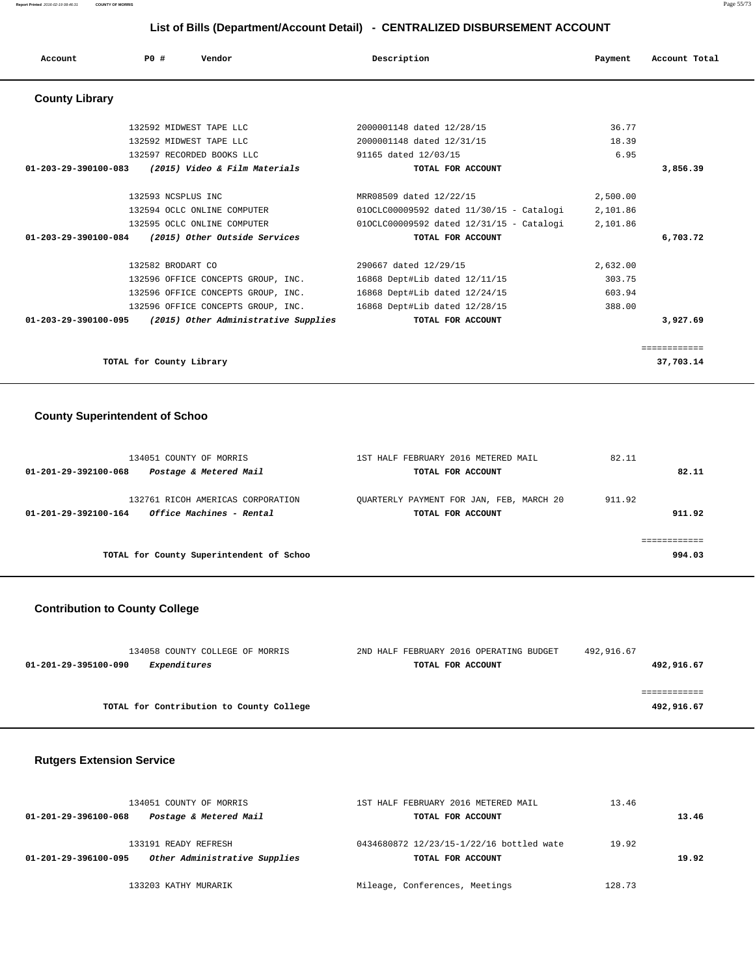#### **Report Printed** 2016-02-19 08:46:31 **COUNTY OF MORRIS** Page 55/73

 **List of Bills (Department/Account Detail) - CENTRALIZED DISBURSEMENT ACCOUNT**

| Account               | P0# | Vendor                               | Description                              | Payment  | Account Total |
|-----------------------|-----|--------------------------------------|------------------------------------------|----------|---------------|
| <b>County Library</b> |     |                                      |                                          |          |               |
|                       |     | 132592 MIDWEST TAPE LLC              | 2000001148 dated 12/28/15                | 36.77    |               |
|                       |     | 132592 MIDWEST TAPE LLC              | 2000001148 dated 12/31/15                | 18.39    |               |
|                       |     | 132597 RECORDED BOOKS LLC            | 91165 dated 12/03/15                     | 6.95     |               |
| 01-203-29-390100-083  |     | (2015) Video & Film Materials        | TOTAL FOR ACCOUNT                        |          | 3,856.39      |
|                       |     | 132593 NCSPLUS INC                   | MRR08509 dated 12/22/15                  | 2,500.00 |               |
|                       |     | 132594 OCLC ONLINE COMPUTER          | 010CLC00009592 dated 11/30/15 - Catalogi | 2,101.86 |               |
|                       |     | 132595 OCLC ONLINE COMPUTER          | 010CLC00009592 dated 12/31/15 - Catalogi | 2,101.86 |               |
| 01-203-29-390100-084  |     | (2015) Other Outside Services        | TOTAL FOR ACCOUNT                        |          | 6,703.72      |
|                       |     | 132582 BRODART CO                    | 290667 dated 12/29/15                    | 2,632.00 |               |
|                       |     | 132596 OFFICE CONCEPTS GROUP, INC.   | 16868 Dept#Lib dated 12/11/15            | 303.75   |               |
|                       |     | 132596 OFFICE CONCEPTS GROUP, INC.   | 16868 Dept#Lib dated 12/24/15            | 603.94   |               |
|                       |     | 132596 OFFICE CONCEPTS GROUP, INC.   | 16868 Dept#Lib dated 12/28/15            | 388.00   |               |
| 01-203-29-390100-095  |     | (2015) Other Administrative Supplies | TOTAL FOR ACCOUNT                        |          | 3,927.69      |
|                       |     |                                      |                                          |          | ============  |
|                       |     | TOTAL for County Library             |                                          |          | 37,703.14     |

### **County Superintendent of Schoo**

| 134051 COUNTY OF MORRIS<br>Postage & Metered Mail<br>01-201-29-392100-068             | 1ST HALF FEBRUARY 2016 METERED MAIL<br>TOTAL FOR ACCOUNT      | 82.11<br>82.11   |
|---------------------------------------------------------------------------------------|---------------------------------------------------------------|------------------|
| 132761 RICOH AMERICAS CORPORATION<br>Office Machines - Rental<br>01-201-29-392100-164 | OUARTERLY PAYMENT FOR JAN, FEB, MARCH 20<br>TOTAL FOR ACCOUNT | 911.92<br>911.92 |
|                                                                                       |                                                               |                  |
| TOTAL for County Superintendent of Schoo                                              |                                                               | 994.03           |

# **Contribution to County College**

| 134058 COUNTY COLLEGE OF MORRIS          | 2ND HALF FEBRUARY 2016 OPERATING BUDGET | 492,916.67 |
|------------------------------------------|-----------------------------------------|------------|
| Expenditures<br>01-201-29-395100-090     | TOTAL FOR ACCOUNT                       | 492,916.67 |
|                                          |                                         |            |
|                                          |                                         |            |
| TOTAL for Contribution to County College |                                         | 492,916.67 |

# **Rutgers Extension Service**

| 134051 COUNTY OF MORRIS |                               | 1ST HALF FEBRUARY 2016 METERED MAIL      | 13.46  |       |  |
|-------------------------|-------------------------------|------------------------------------------|--------|-------|--|
| 01-201-29-396100-068    | Postage & Metered Mail        | TOTAL FOR ACCOUNT                        |        | 13.46 |  |
|                         | 133191 READY REFRESH          | 0434680872 12/23/15-1/22/16 bottled wate | 19.92  |       |  |
| 01-201-29-396100-095    | Other Administrative Supplies | TOTAL FOR ACCOUNT                        |        | 19.92 |  |
|                         | 133203 KATHY MURARIK          | Mileage, Conferences, Meetings           | 128.73 |       |  |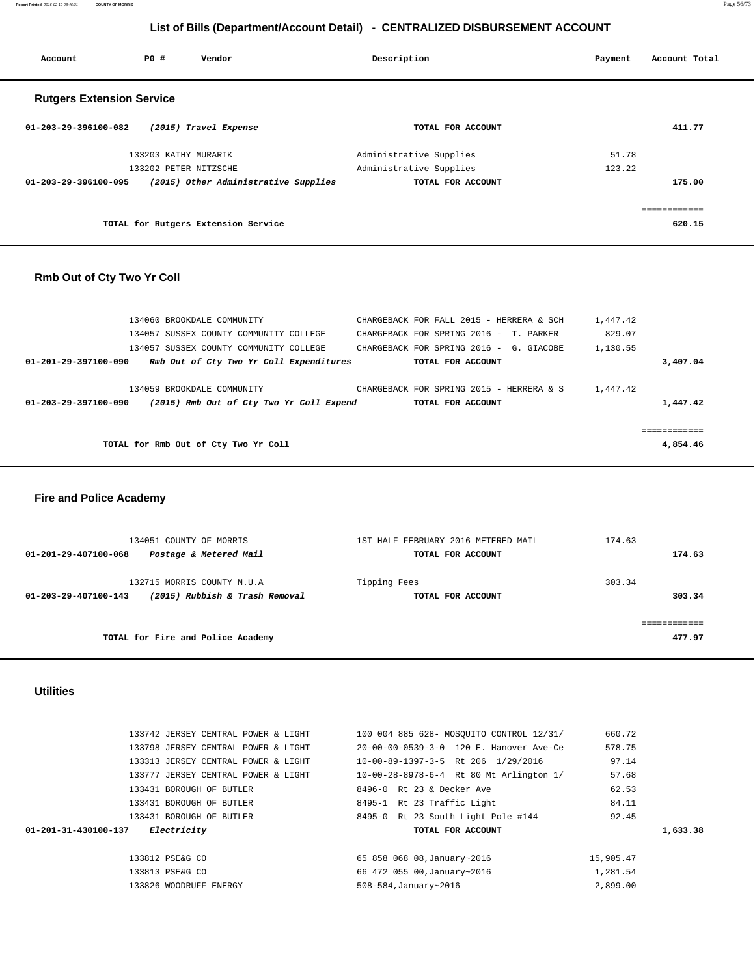**Report Printed** 2016-02-19 08:46:31 **COUNTY OF MORRIS** Page 56/73

# **List of Bills (Department/Account Detail) - CENTRALIZED DISBURSEMENT ACCOUNT**

| Account                          | PO#                   | Vendor                               | Description             | Payment | Account Total |
|----------------------------------|-----------------------|--------------------------------------|-------------------------|---------|---------------|
| <b>Rutgers Extension Service</b> |                       |                                      |                         |         |               |
| 01-203-29-396100-082             |                       | (2015) Travel Expense                | TOTAL FOR ACCOUNT       |         | 411.77        |
|                                  | 133203 KATHY MURARIK  |                                      | Administrative Supplies | 51.78   |               |
|                                  | 133202 PETER NITZSCHE |                                      | Administrative Supplies | 123.22  |               |
| 01-203-29-396100-095             |                       | (2015) Other Administrative Supplies | TOTAL FOR ACCOUNT       |         | 175.00        |
|                                  |                       |                                      |                         |         | ============  |
|                                  |                       | TOTAL for Rutgers Extension Service  |                         |         | 620.15        |

# **Rmb Out of Cty Two Yr Coll**

|                      | 134060 BROOKDALE COMMUNITY               | CHARGEBACK FOR FALL 2015 - HERRERA & SCH |                   |  | 1,447.42 |          |
|----------------------|------------------------------------------|------------------------------------------|-------------------|--|----------|----------|
|                      | 134057 SUSSEX COUNTY COMMUNITY COLLEGE   | CHARGEBACK FOR SPRING 2016 - T. PARKER   |                   |  | 829.07   |          |
|                      | 134057 SUSSEX COUNTY COMMUNITY COLLEGE   | CHARGEBACK FOR SPRING 2016 - G. GIACOBE  |                   |  | 1,130.55 |          |
| 01-201-29-397100-090 | Rmb Out of Cty Two Yr Coll Expenditures  |                                          | TOTAL FOR ACCOUNT |  |          | 3,407.04 |
|                      |                                          |                                          |                   |  |          |          |
|                      | 134059 BROOKDALE COMMUNITY               | CHARGEBACK FOR SPRING 2015 - HERRERA & S |                   |  | 1,447.42 |          |
| 01-203-29-397100-090 | (2015) Rmb Out of Cty Two Yr Coll Expend |                                          | TOTAL FOR ACCOUNT |  |          | 1,447.42 |
|                      |                                          |                                          |                   |  |          |          |
|                      |                                          |                                          |                   |  |          |          |
|                      | TOTAL for Rmb Out of Cty Two Yr Coll     |                                          |                   |  |          | 4,854.46 |
|                      |                                          |                                          |                   |  |          |          |

# **Fire and Police Academy**

| 134051 COUNTY OF MORRIS<br>Postage & Metered Mail<br>01-201-29-407100-068            | 1ST HALF FEBRUARY 2016 METERED MAIL<br>TOTAL FOR ACCOUNT | 174.63<br>174.63 |
|--------------------------------------------------------------------------------------|----------------------------------------------------------|------------------|
| 132715 MORRIS COUNTY M.U.A<br>(2015) Rubbish & Trash Removal<br>01-203-29-407100-143 | Tipping Fees<br>TOTAL FOR ACCOUNT                        | 303.34<br>303.34 |
| TOTAL for Fire and Police Academy                                                    |                                                          | 477.97           |

### **Utilities**

|          | 660.72    | 100 004 885 628- MOSOUITO CONTROL 12/31/ | 133742 JERSEY CENTRAL POWER & LIGHT |
|----------|-----------|------------------------------------------|-------------------------------------|
|          | 578.75    | 20-00-00-0539-3-0 120 E. Hanover Ave-Ce  | 133798 JERSEY CENTRAL POWER & LIGHT |
|          | 97.14     | 10-00-89-1397-3-5 Rt 206 1/29/2016       | 133313 JERSEY CENTRAL POWER & LIGHT |
|          | 57.68     | 10-00-28-8978-6-4 Rt 80 Mt Arlington 1/  | 133777 JERSEY CENTRAL POWER & LIGHT |
|          | 62.53     | 8496-0 Rt 23 & Decker Ave                | 133431 BOROUGH OF BUTLER            |
|          | 84.11     | 8495-1 Rt 23 Traffic Light               | 133431 BOROUGH OF BUTLER            |
|          | 92.45     | 8495-0 Rt 23 South Light Pole #144       | 133431 BOROUGH OF BUTLER            |
| 1,633.38 |           | TOTAL FOR ACCOUNT                        | Electricity<br>01-201-31-430100-137 |
|          | 15,905.47 | 65 858 068 08, January~2016              | 133812 PSE&G CO                     |
|          | 1,281.54  | 66 472 055 00, January~2016              | 133813 PSE&G CO                     |
|          | 2,899.00  | 508-584, January~2016                    | 133826 WOODRUFF ENERGY              |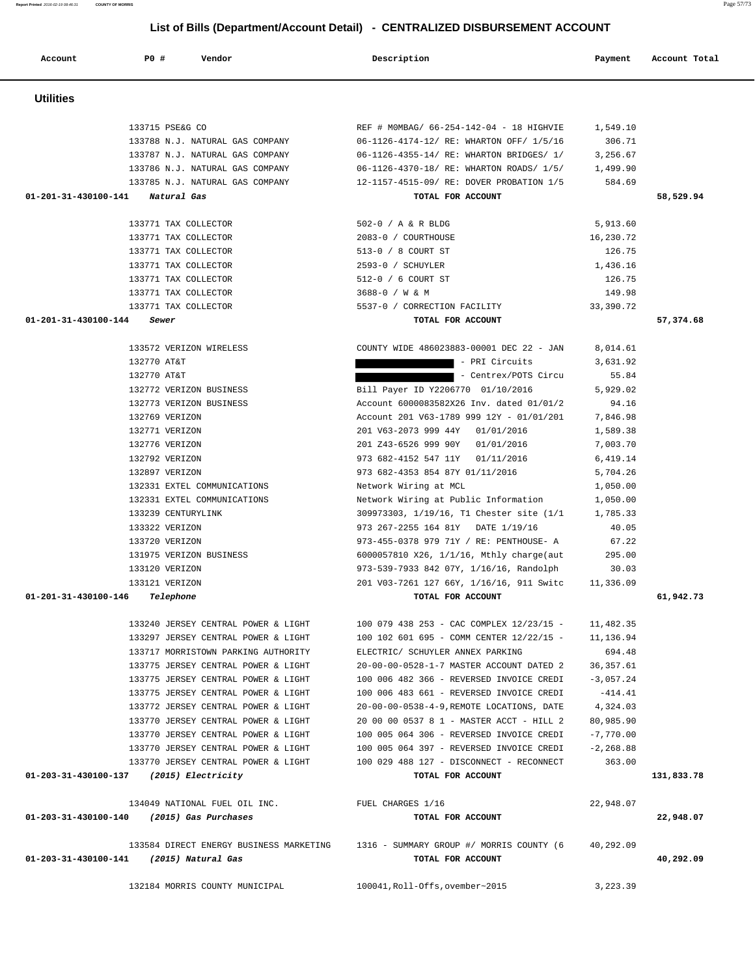| <b>Utilities</b>                           |                                                                    |                      |            |
|--------------------------------------------|--------------------------------------------------------------------|----------------------|------------|
| 133715 PSE&G CO                            | REF # MOMBAG/ 66-254-142-04 - 18 HIGHVIE                           | 1,549.10             |            |
| 133788 N.J. NATURAL GAS COMPANY            | 06-1126-4174-12/ RE: WHARTON OFF/ 1/5/16                           | 306.71               |            |
| 133787 N.J. NATURAL GAS COMPANY            | 06-1126-4355-14/ RE: WHARTON BRIDGES/ 1/                           | 3,256.67             |            |
| 133786 N.J. NATURAL GAS COMPANY            | 06-1126-4370-18/ RE: WHARTON ROADS/ 1/5/                           | 1,499.90             |            |
| 133785 N.J. NATURAL GAS COMPANY            | 12-1157-4515-09/ RE: DOVER PROBATION 1/5                           | 584.69               |            |
| 01-201-31-430100-141 Natural Gas           | TOTAL FOR ACCOUNT                                                  |                      | 58,529.94  |
| 133771 TAX COLLECTOR                       | 502-0 / A & R BLDG                                                 | 5,913.60             |            |
| 133771 TAX COLLECTOR                       | 2083-0 / COURTHOUSE                                                | 16,230.72            |            |
| 133771 TAX COLLECTOR                       | 513-0 / 8 COURT ST                                                 | 126.75               |            |
| 133771 TAX COLLECTOR                       | 2593-0 / SCHUYLER                                                  | 1,436.16             |            |
| 133771 TAX COLLECTOR                       | 512-0 / 6 COURT ST                                                 | 126.75               |            |
| 133771 TAX COLLECTOR                       | 3688-0 / W & M                                                     | 149.98               |            |
| 133771 TAX COLLECTOR                       | 5537-0 / CORRECTION FACILITY                                       | 33,390.72            |            |
| 01-201-31-430100-144<br>Sewer              | TOTAL FOR ACCOUNT                                                  |                      | 57,374.68  |
| 133572 VERIZON WIRELESS                    | COUNTY WIDE 486023883-00001 DEC 22 - JAN                           | 8,014.61             |            |
| 132770 AT&T                                | - PRI Circuits                                                     | 3,631.92             |            |
| 132770 AT&T                                | - Centrex/POTS Circu                                               | 55.84                |            |
| 132772 VERIZON BUSINESS                    | Bill Payer ID Y2206770 01/10/2016                                  | 5,929.02             |            |
| 132773 VERIZON BUSINESS                    | Account 6000083582X26 Inv. dated 01/01/2                           | 94.16                |            |
| 132769 VERIZON                             | Account 201 V63-1789 999 12Y - 01/01/201                           | 7,846.98             |            |
| 132771 VERIZON                             | 201 V63-2073 999 44Y 01/01/2016                                    | 1,589.38             |            |
| 132776 VERIZON                             | 201 Z43-6526 999 90Y 01/01/2016                                    | 7,003.70             |            |
| 132792 VERIZON<br>132897 VERIZON           | 973 682-4152 547 11Y 01/11/2016<br>973 682-4353 854 87Y 01/11/2016 | 6,419.14<br>5,704.26 |            |
| 132331 EXTEL COMMUNICATIONS                | Network Wiring at MCL                                              | 1,050.00             |            |
| 132331 EXTEL COMMUNICATIONS                | Network Wiring at Public Information                               | 1,050.00             |            |
| 133239 CENTURYLINK                         | 309973303, 1/19/16, T1 Chester site (1/1                           | 1,785.33             |            |
| 133322 VERIZON                             | 973 267-2255 164 81Y DATE 1/19/16                                  | 40.05                |            |
| 133720 VERIZON                             | 973-455-0378 979 71Y / RE: PENTHOUSE- A                            | 67.22                |            |
| 131975 VERIZON BUSINESS                    | 6000057810 X26, 1/1/16, Mthly charge(aut                           | 295.00               |            |
| 133120 VERIZON                             | 973-539-7933 842 07Y, 1/16/16, Randolph                            | 30.03                |            |
| 133121 VERIZON                             | 201 V03-7261 127 66Y, 1/16/16, 911 Switc                           | 11,336.09            |            |
| 01-201-31-430100-146<br>Telephone          | TOTAL FOR ACCOUNT                                                  |                      | 61,942.73  |
| 133240 JERSEY CENTRAL POWER & LIGHT        | 100 079 438 253 - CAC COMPLEX 12/23/15 -                           | 11,482.35            |            |
| 133297 JERSEY CENTRAL POWER & LIGHT        | 100 102 601 695 - COMM CENTER $12/22/15$ - 11,136.94               |                      |            |
| 133717 MORRISTOWN PARKING AUTHORITY        | ELECTRIC/ SCHUYLER ANNEX PARKING                                   | 694.48               |            |
| 133775 JERSEY CENTRAL POWER & LIGHT        | 20-00-00-0528-1-7 MASTER ACCOUNT DATED 2                           | 36, 357.61           |            |
| 133775 JERSEY CENTRAL POWER & LIGHT        | 100 006 482 366 - REVERSED INVOICE CREDI                           | $-3,057.24$          |            |
| 133775 JERSEY CENTRAL POWER & LIGHT        | 100 006 483 661 - REVERSED INVOICE CREDI                           | $-414.41$            |            |
| 133772 JERSEY CENTRAL POWER & LIGHT        | 20-00-00-0538-4-9, REMOTE LOCATIONS, DATE                          | 4,324.03             |            |
| 133770 JERSEY CENTRAL POWER & LIGHT        | 20 00 00 0537 8 1 - MASTER ACCT - HILL 2                           | 80,985.90            |            |
| 133770 JERSEY CENTRAL POWER & LIGHT        | 100 005 064 306 - REVERSED INVOICE CREDI                           | $-7,770.00$          |            |
| 133770 JERSEY CENTRAL POWER & LIGHT        | 100 005 064 397 - REVERSED INVOICE CREDI                           | $-2, 268.88$         |            |
| 133770 JERSEY CENTRAL POWER & LIGHT        | 100 029 488 127 - DISCONNECT - RECONNECT                           | 363.00               |            |
| 01-203-31-430100-137 (2015) Electricity    | TOTAL FOR ACCOUNT                                                  |                      | 131,833.78 |
| 134049 NATIONAL FUEL OIL INC.              | FUEL CHARGES 1/16                                                  | 22,948.07            |            |
| 01-203-31-430100-140 (2015) Gas Purchases  | TOTAL FOR ACCOUNT                                                  |                      | 22,948.07  |
| 133584 DIRECT ENERGY BUSINESS MARKETING    | 1316 - SUMMARY GROUP #/ MORRIS COUNTY (6                           | 40,292.09            |            |
| 01-203-31-430100-141<br>(2015) Natural Gas | TOTAL FOR ACCOUNT                                                  |                      | 40,292.09  |
| 132184 MORRIS COUNTY MUNICIPAL             | 100041, Roll-Offs, ovember~2015                                    | 3,223.39             |            |

Account **PO #** Vendor **Description Description Payment** Account Total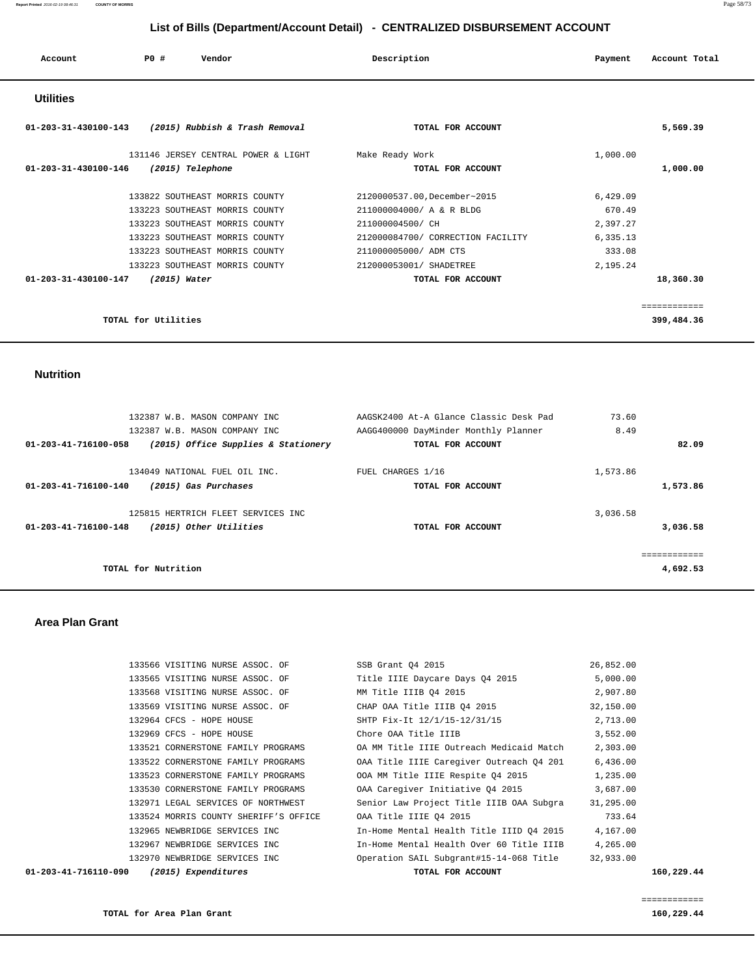#### **Report Printed** 2016-02-19 08:46:31 **COUNTY OF MORRIS** Page 58/73

## **List of Bills (Department/Account Detail) - CENTRALIZED DISBURSEMENT ACCOUNT**

| Account          | <b>PO #</b> | Vendor | Description | Payment | Account Total |
|------------------|-------------|--------|-------------|---------|---------------|
| <b>Utilities</b> |             |        |             |         |               |

# **01-203-31-430100-143 (2015) Rubbish & Trash Removal TOTAL FOR ACCOUNT 5,569.39** 131146 JERSEY CENTRAL POWER & LIGHT Make Ready Work 1,000.00  **01-203-31-430100-146 (2015) Telephone TOTAL FOR ACCOUNT 1,000.00** 133822 SOUTHEAST MORRIS COUNTY 2120000537.00,December~2015 6,429.09 133223 SOUTHEAST MORRIS COUNTY 211000004000/ A & R BLDG 670.49 133223 SOUTHEAST MORRIS COUNTY 211000004500/ CH 2,397.27 133223 SOUTHEAST MORRIS COUNTY 212000084700/ CORRECTION FACILITY 6,335.13 133223 SOUTHEAST MORRIS COUNTY 211000005000/ ADM CTS 333.08 133223 SOUTHEAST MORRIS COUNTY 212000053001/ SHADETREE 2,195.24  **01-203-31-430100-147 (2015) Water TOTAL FOR ACCOUNT 18,360.30** ============ **TOTAL for Utilities 399,484.36**

 **Nutrition** 

|          | 73.60    | AAGSK2400 At-A Glance Classic Desk Pad                    | 132387 W.B. MASON COMPANY INC                                        |                      |
|----------|----------|-----------------------------------------------------------|----------------------------------------------------------------------|----------------------|
| 82.09    | 8.49     | AAGG400000 DayMinder Monthly Planner<br>TOTAL FOR ACCOUNT | 132387 W.B. MASON COMPANY INC<br>(2015) Office Supplies & Stationery | 01-203-41-716100-058 |
| 1,573.86 | 1,573.86 | FUEL CHARGES 1/16<br>TOTAL FOR ACCOUNT                    | 134049 NATIONAL FUEL OIL INC.<br>(2015) Gas Purchases                | 01-203-41-716100-140 |
|          | 3,036.58 |                                                           | 125815 HERTRICH FLEET SERVICES INC                                   |                      |
| 3,036.58 |          | TOTAL FOR ACCOUNT                                         | (2015) Other Utilities                                               | 01-203-41-716100-148 |
|          |          |                                                           |                                                                      |                      |
| 4,692.53 |          |                                                           | TOTAL for Nutrition                                                  |                      |

 **Area Plan Grant** 

| 01-203-41-716110-090 | (2015) Expenditures                   | TOTAL FOR ACCOUNT                        |           | 160,229.44 |
|----------------------|---------------------------------------|------------------------------------------|-----------|------------|
|                      | 132970 NEWBRIDGE SERVICES INC         | Operation SAIL Subgrant#15-14-068 Title  | 32,933.00 |            |
|                      | 132967 NEWBRIDGE SERVICES INC         | In-Home Mental Health Over 60 Title IIIB | 4,265.00  |            |
|                      | 132965 NEWBRIDGE SERVICES INC         | In-Home Mental Health Title IIID 04 2015 | 4,167.00  |            |
|                      | 133524 MORRIS COUNTY SHERIFF'S OFFICE | OAA Title IIIE 04 2015                   | 733.64    |            |
|                      | 132971 LEGAL SERVICES OF NORTHWEST    | Senior Law Project Title IIIB OAA Subgra | 31,295.00 |            |
|                      | 133530 CORNERSTONE FAMILY PROGRAMS    | OAA Caregiver Initiative 04 2015         | 3,687.00  |            |
|                      | 133523 CORNERSTONE FAMILY PROGRAMS    | OOA MM Title IIIE Respite 04 2015        | 1,235.00  |            |
|                      | 133522 CORNERSTONE FAMILY PROGRAMS    | OAA Title IIIE Caregiver Outreach Q4 201 | 6,436.00  |            |
|                      | 133521 CORNERSTONE FAMILY PROGRAMS    | OA MM Title IIIE Outreach Medicaid Match | 2,303.00  |            |
|                      | 132969 CFCS - HOPE HOUSE              | Chore OAA Title IIIB                     | 3,552.00  |            |
|                      | 132964 CFCS - HOPE HOUSE              | SHTP Fix-It 12/1/15-12/31/15             | 2,713.00  |            |
|                      | 133569 VISITING NURSE ASSOC. OF       | CHAP OAA Title IIIB 04 2015              | 32,150.00 |            |
|                      | 133568 VISITING NURSE ASSOC. OF       | MM Title IIIB 04 2015                    | 2,907.80  |            |
|                      | 133565 VISITING NURSE ASSOC. OF       | Title IIIE Daycare Days 04 2015          | 5,000.00  |            |
|                      | 133566 VISITING NURSE ASSOC. OF       | SSB Grant 04 2015                        | 26,852.00 |            |
|                      |                                       |                                          |           |            |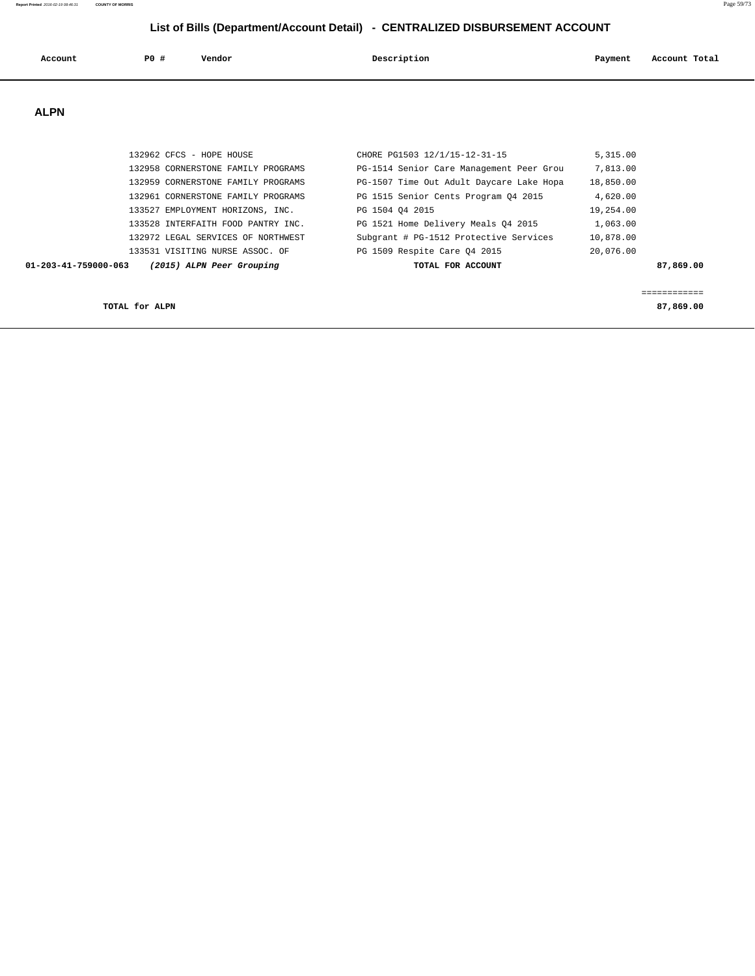| Account | <b>PO #</b> | Vendor | Description | Payment | Account Total |
|---------|-------------|--------|-------------|---------|---------------|
|         |             |        |             |         |               |

 **ALPN** 

| TOTAL for ALPN                                    |                                          |           | 87,869,00 |
|---------------------------------------------------|------------------------------------------|-----------|-----------|
| 01-203-41-759000-063<br>(2015) ALPN Peer Grouping | TOTAL FOR ACCOUNT                        |           | 87,869,00 |
| 133531 VISITING NURSE ASSOC. OF                   | PG 1509 Respite Care 04 2015             | 20,076.00 |           |
| 132972 LEGAL SERVICES OF NORTHWEST                | Subgrant # PG-1512 Protective Services   | 10,878.00 |           |
| 133528 INTERFAITH FOOD PANTRY INC.                | PG 1521 Home Delivery Meals 04 2015      | 1,063.00  |           |
| 133527 EMPLOYMENT HORIZONS, INC.                  | PG 1504 04 2015                          | 19,254.00 |           |
| 132961 CORNERSTONE FAMILY PROGRAMS                | PG 1515 Senior Cents Program 04 2015     | 4,620.00  |           |
| 132959 CORNERSTONE FAMILY PROGRAMS                | PG-1507 Time Out Adult Daycare Lake Hopa | 18,850.00 |           |
| 132958 CORNERSTONE FAMILY PROGRAMS                | PG-1514 Senior Care Management Peer Grou | 7,813.00  |           |
| 132962 CFCS - HOPE HOUSE                          | CHORE PG1503 12/1/15-12-31-15            | 5,315.00  |           |
|                                                   |                                          |           |           |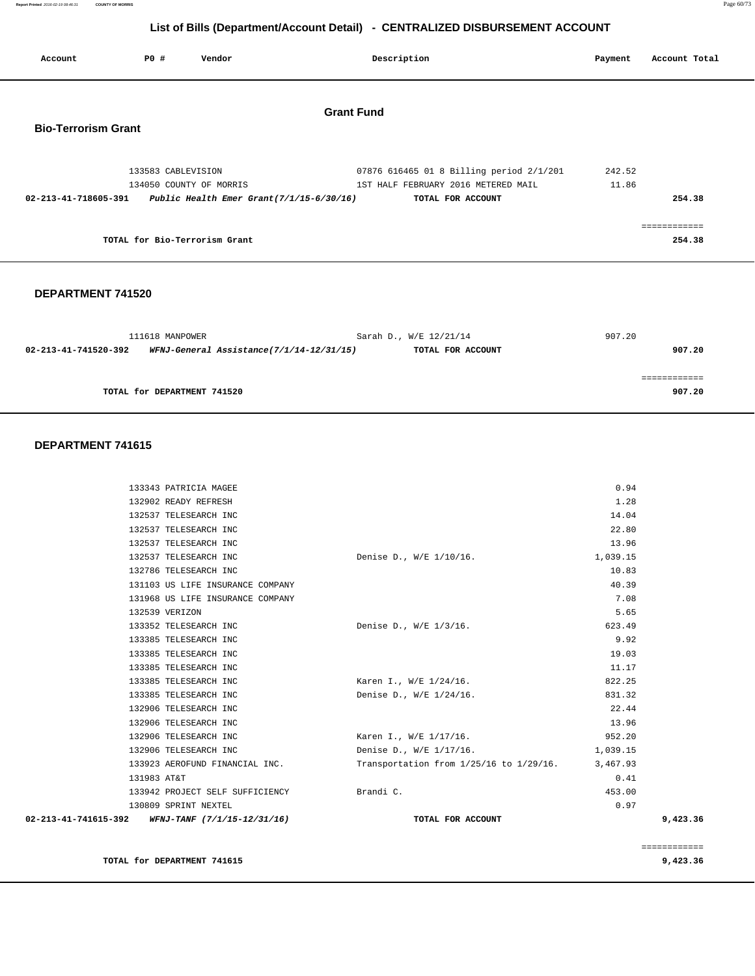**Report Printed** 2016-02-19 08:46:31 **COUNTY OF MORRIS** Page 60/73

# **List of Bills (Department/Account Detail) - CENTRALIZED DISBURSEMENT ACCOUNT**

| Account                    | PO#                | Vendor                        | Description                                                                                                                                         | Payment         | Account Total          |
|----------------------------|--------------------|-------------------------------|-----------------------------------------------------------------------------------------------------------------------------------------------------|-----------------|------------------------|
| <b>Bio-Terrorism Grant</b> |                    |                               | <b>Grant Fund</b>                                                                                                                                   |                 |                        |
| 02-213-41-718605-391       | 133583 CABLEVISION | 134050 COUNTY OF MORRIS       | 07876 616465 01 8 Billing period 2/1/201<br>1ST HALF FEBRUARY 2016 METERED MAIL<br>Public Health Emer Grant $(7/1/15-6/30/16)$<br>TOTAL FOR ACCOUNT | 242.52<br>11.86 | 254.38                 |
|                            |                    | TOTAL for Bio-Terrorism Grant |                                                                                                                                                     |                 | ------------<br>254.38 |

#### **DEPARTMENT 741520**

| 111618 MANPOWER             |                                          | Sarah D., W/E 12/21/14 | 907.20 |
|-----------------------------|------------------------------------------|------------------------|--------|
| 02-213-41-741520-392        | WFNJ-General Assistance(7/1/14-12/31/15) | TOTAL FOR ACCOUNT      | 907.20 |
|                             |                                          |                        |        |
|                             |                                          |                        |        |
| TOTAL for DEPARTMENT 741520 |                                          |                        | 907.20 |
|                             |                                          |                        |        |

#### **DEPARTMENT 741615**

| $02 - 213 - 41 - 741615 - 392$ WFNJ-TANF $(7/1/15 - 12/31/16)$ | TOTAL FOR ACCOUNT                                |          | 9,423.36 |
|----------------------------------------------------------------|--------------------------------------------------|----------|----------|
| 130809 SPRINT NEXTEL                                           |                                                  | 0.97     |          |
| 133942 PROJECT SELF SUFFICIENCY                                | Brandi C.                                        | 453.00   |          |
| 131983 AT&T                                                    |                                                  | 0.41     |          |
| 133923 AEROFUND FINANCIAL INC.                                 | Transportation from 1/25/16 to 1/29/16. 3,467.93 |          |          |
| 132906 TELESEARCH INC                                          | Denise D., W/E 1/17/16.                          | 1,039.15 |          |
| 132906 TELESEARCH INC                                          | Karen I., W/E 1/17/16.                           | 952.20   |          |
| 132906 TELESEARCH INC                                          |                                                  | 13.96    |          |
| 132906 TELESEARCH INC                                          |                                                  | 22.44    |          |
| 133385 TELESEARCH INC                                          | Denise D., W/E 1/24/16.                          | 831.32   |          |
| 133385 TELESEARCH INC                                          | Karen I., W/E 1/24/16.                           | 822.25   |          |
| 133385 TELESEARCH INC                                          |                                                  | 11.17    |          |
| 133385 TELESEARCH INC                                          |                                                  | 19.03    |          |
| 133385 TELESEARCH INC                                          |                                                  | 9.92     |          |
| 133352 TELESEARCH INC                                          | Denise D., W/E 1/3/16.                           | 623.49   |          |
| 132539 VERIZON                                                 |                                                  | 5.65     |          |
| 131968 US LIFE INSURANCE COMPANY                               |                                                  | 7.08     |          |
| 131103 US LIFE INSURANCE COMPANY                               |                                                  | 40.39    |          |
| 132786 TELESEARCH INC                                          |                                                  | 10.83    |          |
| 132537 TELESEARCH INC                                          | Denise D., W/E 1/10/16.                          | 1,039.15 |          |
| 132537 TELESEARCH INC                                          |                                                  | 13.96    |          |
| 132537 TELESEARCH INC                                          |                                                  | 22.80    |          |
| 132537 TELESEARCH INC                                          |                                                  | 14.04    |          |
| 132902 READY REFRESH                                           |                                                  | 1.28     |          |

**TOTAL for DEPARTMENT 741615 9,423.36**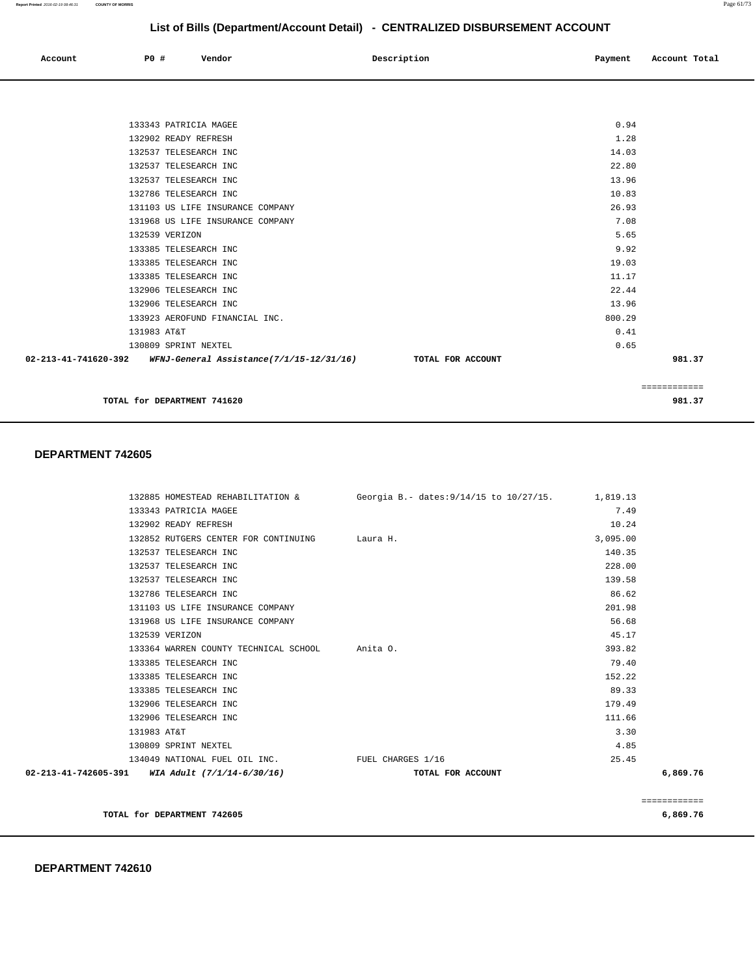#### **DEPARTMENT 742610**

| 133343 PATRICIA MAGEE                                         |                   | 7.49     |              |
|---------------------------------------------------------------|-------------------|----------|--------------|
| 132902 READY REFRESH                                          |                   | 10.24    |              |
| 132852 RUTGERS CENTER FOR CONTINUING Laura H.                 |                   | 3,095.00 |              |
| 132537 TELESEARCH INC                                         |                   | 140.35   |              |
| 132537 TELESEARCH INC                                         |                   | 228.00   |              |
| 132537 TELESEARCH INC                                         |                   | 139.58   |              |
| 132786 TELESEARCH INC                                         |                   | 86.62    |              |
| 131103 US LIFE INSURANCE COMPANY                              |                   | 201.98   |              |
| 131968 US LIFE INSURANCE COMPANY                              |                   | 56.68    |              |
| 132539 VERIZON                                                |                   | 45.17    |              |
| 133364 WARREN COUNTY TECHNICAL SCHOOL Anita O.                |                   | 393.82   |              |
| 133385 TELESEARCH INC                                         |                   | 79.40    |              |
| 133385 TELESEARCH INC                                         |                   | 152.22   |              |
| 133385 TELESEARCH INC                                         |                   | 89.33    |              |
| 132906 TELESEARCH INC                                         |                   | 179.49   |              |
| 132906 TELESEARCH INC                                         |                   | 111.66   |              |
| 131983 AT&T                                                   |                   | 3.30     |              |
| 130809 SPRINT NEXTEL                                          |                   | 4.85     |              |
| 134049 NATIONAL FUEL OIL INC. THE FUEL CHARGES 1/16           |                   | 25.45    |              |
| $02 - 213 - 41 - 742605 - 391$ WIA Adult $(7/1/14 - 6/30/16)$ | TOTAL FOR ACCOUNT |          | 6,869.76     |
|                                                               |                   |          |              |
|                                                               |                   |          | ============ |
| TOTAL for DEPARTMENT 742605                                   |                   |          | 6,869.76     |

#### **DEPARTMENT 742605**

|                                | 132906 TELESEARCH INC                    | 22.44             |        |  |  |
|--------------------------------|------------------------------------------|-------------------|--------|--|--|
|                                | 132906 TELESEARCH INC                    | 13.96             |        |  |  |
|                                | 133923 AEROFUND FINANCIAL INC.           | 800.29            |        |  |  |
|                                | 131983 AT&T                              | 0.41              |        |  |  |
|                                | 130809 SPRINT NEXTEL                     | 0.65              |        |  |  |
| $02 - 213 - 41 - 741620 - 392$ | WFNJ-General Assistance(7/1/15-12/31/16) | TOTAL FOR ACCOUNT | 981.37 |  |  |
|                                |                                          |                   |        |  |  |
|                                |                                          |                   |        |  |  |
|                                | 981.37<br>TOTAL for DEPARTMENT 741620    |                   |        |  |  |
|                                |                                          |                   |        |  |  |

132885 HOMESTEAD REHABILITATION & Georgia B.- dates:9/14/15 to 10/27/15. 1,819.13

| 02-213-41-741620-392<br>WFNJ-General Assistance(7/1/15-12/31/16) | TOTAL FOR ACCOUNT |        | 981.37 |
|------------------------------------------------------------------|-------------------|--------|--------|
| 130809 SPRINT NEXTEL                                             |                   | 0.65   |        |
| 131983 AT&T                                                      |                   | 0.41   |        |
| 133923 AEROFUND FINANCIAL INC.                                   |                   | 800.29 |        |
| 132906 TELESEARCH INC                                            |                   | 13.96  |        |
| 132906 TELESEARCH INC                                            |                   | 22.44  |        |
| 133385 TELESEARCH INC                                            |                   | 11.17  |        |
| 133385 TELESEARCH INC                                            |                   | 19.03  |        |
| 133385 TELESEARCH INC                                            |                   | 9.92   |        |
| 132539 VERIZON                                                   |                   | 5.65   |        |
| 131968 US LIFE INSURANCE COMPANY                                 |                   | 7.08   |        |
| 131103 US LIFE INSURANCE COMPANY                                 |                   | 26.93  |        |
| 132786 TELESEARCH INC                                            |                   | 10.83  |        |
| 132537 TELESEARCH INC                                            |                   | 13.96  |        |
| 132537 TELESEARCH INC                                            |                   | 22.80  |        |
| 132537 TELESEARCH INC                                            |                   | 14.03  |        |
| 132902 READY REFRESH                                             |                   | 1.28   |        |
| 133343 PATRICIA MAGEE                                            |                   | 0.94   |        |
|                                                                  |                   |        |        |

 **Account P0 # Vendor Description Payment Account Total**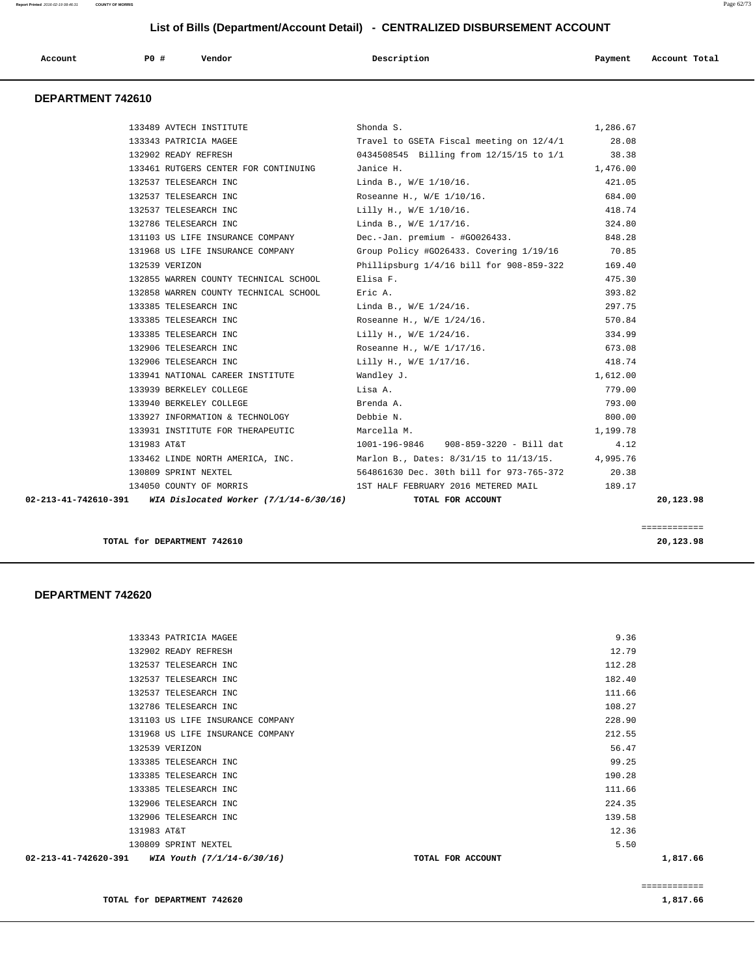| P <sub>0</sub><br>Vendor<br>Description<br>Account<br>Account Total<br>Payment<br>. |  |
|-------------------------------------------------------------------------------------|--|
|-------------------------------------------------------------------------------------|--|

#### **DEPARTMENT 742610**

| $02-213-41-742610-391$ WIA Dislocated Worker $(7/1/14-6/30/16)$ | TOTAL FOR ACCOUNT                                                                |                   | 20,123.98 |
|-----------------------------------------------------------------|----------------------------------------------------------------------------------|-------------------|-----------|
|                                                                 | 134050 COUNTY OF MORRIS 189.17 189 187 HALF FEBRUARY 2016 METERED MAIL           |                   |           |
| 130809 SPRINT NEXTEL                                            | 564861630 Dec. 30th bill for 973-765-372 20.38                                   |                   |           |
|                                                                 | 133462 LINDE NORTH AMERICA, INC. Marlon B., Dates: 8/31/15 to 11/13/15. 4,995.76 |                   |           |
| 131983 AT&T                                                     |                                                                                  | 4.12              |           |
| 133931 INSTITUTE FOR THERAPEUTIC Marcella M.                    |                                                                                  | 1,199.78          |           |
| 133927 INFORMATION & TECHNOLOGY Debbie N.                       |                                                                                  | 800.00            |           |
| 133940 BERKELEY COLLEGE                                         | Brenda A.                                                                        | 793.00            |           |
| 133939 BERKELEY COLLEGE                                         | Lisa A.                                                                          | 779.00            |           |
| 133941 NATIONAL CAREER INSTITUTE 6 Wandley J.                   |                                                                                  | 1,612.00          |           |
| 132906 TELESEARCH INC                                           | Lilly H., W/E 1/17/16. 418.74                                                    |                   |           |
| 132906 TELESEARCH INC                                           | Roseanne H., W/E 1/17/16.                                                        | 673.08            |           |
| 133385 TELESEARCH INC                                           | Lilly H., W/E 1/24/16. 334.99                                                    |                   |           |
| 133385 TELESEARCH INC                                           | Roseanne H., W/E 1/24/16.                                                        | 570.84            |           |
| 133385 TELESEARCH INC                                           | Linda B., W/E 1/24/16.                                                           | 297.75            |           |
| 132858 WARREN COUNTY TECHNICAL SCHOOL                           | Eric A.                                                                          | 393.82            |           |
| 132855 WARREN COUNTY TECHNICAL SCHOOL                           | Elisa F.                                                                         | 475.30            |           |
| 132539 VERIZON                                                  | Phillipsburg 1/4/16 bill for 908-859-322 169.40                                  |                   |           |
| 131968 US LIFE INSURANCE COMPANY                                | Group Policy #G026433. Covering 1/19/16 70.85                                    |                   |           |
| 131103 US LIFE INSURANCE COMPANY                                | Dec.-Jan. premium - #G0026433.                                                   | 848.28            |           |
| 132786 TELESEARCH INC                                           | Linda B., W/E 1/17/16. 324.80                                                    |                   |           |
| 132537 TELESEARCH INC                                           | Lilly H., $W/E$ 1/10/16.                                                         | 418.74            |           |
| 132537 TELESEARCH INC                                           | Roseanne H., W/E 1/10/16.                                                        | 684.00            |           |
| 132537 TELESEARCH INC                                           | Linda B., W/E 1/10/16.                                                           | 421.05            |           |
| 133461 RUTGERS CENTER FOR CONTINUING Janice H.                  |                                                                                  | 1,476.00          |           |
|                                                                 | 132902 READY REFRESH 0434508545 Billing from 12/15/15 to 1/1 38.38               |                   |           |
| 133489 AVTECH INSTITUTE<br>133343 PATRICIA MAGEE                | Shonda S.<br>Travel to GSETA Fiscal meeting on 12/4/1                            | 1,286.67<br>28.08 |           |

**TOTAL for DEPARTMENT 742610 20,123.98**

============

# **DEPARTMENT 742620**

| 133385 TELESEARCH INC<br>132906 TELESEARCH INC<br>132906 TELESEARCH INC<br>131983 AT&T<br>130809 SPRINT NEXTEL<br>$02 - 213 - 41 - 742620 - 391$ WIA Youth $(7/1/14 - 6/30/16)$ | 111.66<br>224.35<br>139.58<br>12.36<br>5.50 |
|---------------------------------------------------------------------------------------------------------------------------------------------------------------------------------|---------------------------------------------|
|                                                                                                                                                                                 |                                             |
|                                                                                                                                                                                 |                                             |
|                                                                                                                                                                                 |                                             |
|                                                                                                                                                                                 |                                             |
|                                                                                                                                                                                 |                                             |
| 133385 TELESEARCH INC                                                                                                                                                           | 190.28                                      |
| 133385 TELESEARCH INC                                                                                                                                                           | 99.25                                       |
| 132539 VERIZON                                                                                                                                                                  | 56.47                                       |
| 131968 US LIFE INSURANCE COMPANY                                                                                                                                                | 212.55                                      |
| 131103 US LIFE INSURANCE COMPANY                                                                                                                                                | 228.90                                      |
| 132786 TELESEARCH INC                                                                                                                                                           | 108.27                                      |
| 132537 TELESEARCH INC                                                                                                                                                           | 111.66                                      |
| 132537 TELESEARCH INC                                                                                                                                                           | 182.40                                      |
| 132537 TELESEARCH INC                                                                                                                                                           | 112.28                                      |
| 132902 READY REFRESH                                                                                                                                                            | 12.79                                       |
| 133343 PATRICIA MAGEE                                                                                                                                                           | 9.36                                        |
|                                                                                                                                                                                 |                                             |

**TOTAL for DEPARTMENT 742620 1,817.66 1,817.66**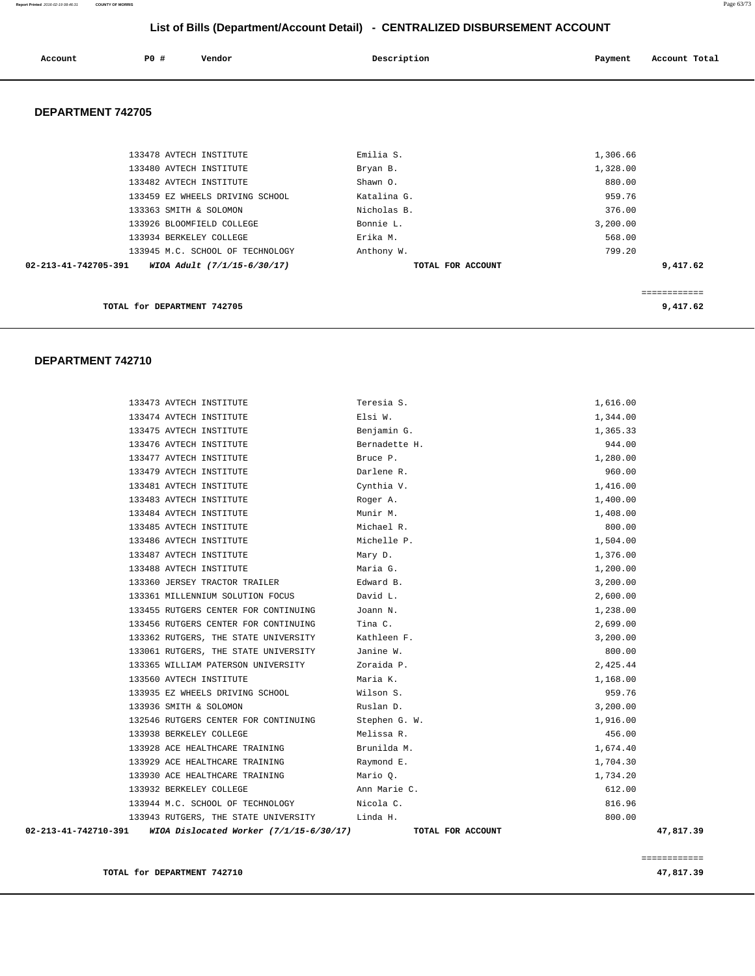**Report Printed** 2016-02-19 08:46:31 **COUNTY OF MORRIS** Page 63/73

# **List of Bills (Department/Account Detail) - CENTRALIZED DISBURSEMENT ACCOUNT**

| Account                  | PO#                         | Vendor                           | Description       | Payment  | Account Total |
|--------------------------|-----------------------------|----------------------------------|-------------------|----------|---------------|
| <b>DEPARTMENT 742705</b> |                             |                                  |                   |          |               |
|                          |                             |                                  |                   |          |               |
|                          | 133478 AVTECH INSTITUTE     |                                  | Emilia S.         | 1,306.66 |               |
|                          | 133480 AVTECH INSTITUTE     |                                  | Bryan B.          | 1,328.00 |               |
|                          | 133482 AVTECH INSTITUTE     |                                  | Shawn O.          | 880.00   |               |
|                          |                             | 133459 EZ WHEELS DRIVING SCHOOL  | Katalina G.       | 959.76   |               |
|                          | 133363 SMITH & SOLOMON      |                                  | Nicholas B.       | 376.00   |               |
|                          |                             | 133926 BLOOMFIELD COLLEGE        | Bonnie L.         | 3,200.00 |               |
|                          | 133934 BERKELEY COLLEGE     |                                  | Erika M.          | 568.00   |               |
|                          |                             | 133945 M.C. SCHOOL OF TECHNOLOGY | Anthony W.        | 799.20   |               |
| 02-213-41-742705-391     |                             | WIOA Adult (7/1/15-6/30/17)      | TOTAL FOR ACCOUNT |          | 9,417.62      |
|                          |                             |                                  |                   |          |               |
|                          |                             |                                  |                   |          | ------------  |
|                          | TOTAL for DEPARTMENT 742705 |                                  |                   |          | 9,417.62      |

# **DEPARTMENT 742710**

| 02-213-41-742710-391 |                         | WIOA Dislocated Worker (7/1/15-6/30/17)       | TOTAL FOR ACCOUNT |          | 47,817.39 |
|----------------------|-------------------------|-----------------------------------------------|-------------------|----------|-----------|
|                      |                         | 133943 RUTGERS, THE STATE UNIVERSITY Linda H. |                   | 800.00   |           |
|                      |                         | 133944 M.C. SCHOOL OF TECHNOLOGY              | Nicola C.         | 816.96   |           |
|                      | 133932 BERKELEY COLLEGE |                                               | Ann Marie C.      | 612.00   |           |
|                      |                         | 133930 ACE HEALTHCARE TRAINING                | Mario Q.          | 1,734.20 |           |
|                      |                         | 133929 ACE HEALTHCARE TRAINING                | Raymond E.        | 1,704.30 |           |
|                      |                         | 133928 ACE HEALTHCARE TRAINING                | Brunilda M.       | 1,674.40 |           |
|                      | 133938 BERKELEY COLLEGE |                                               | Melissa R.        | 456.00   |           |
|                      |                         | 132546 RUTGERS CENTER FOR CONTINUING          | Stephen G. W.     | 1,916.00 |           |
|                      | 133936 SMITH & SOLOMON  |                                               | Ruslan D.         | 3,200.00 |           |
|                      |                         | 133935 EZ WHEELS DRIVING SCHOOL               | Wilson S.         | 959.76   |           |
|                      | 133560 AVTECH INSTITUTE |                                               | Maria K.          | 1,168.00 |           |
|                      |                         | 133365 WILLIAM PATERSON UNIVERSITY            | Zoraida P.        | 2,425.44 |           |
|                      |                         | 133061 RUTGERS, THE STATE UNIVERSITY          | Janine W.         | 800.00   |           |
|                      |                         | 133362 RUTGERS, THE STATE UNIVERSITY          | Kathleen F.       | 3,200.00 |           |
|                      |                         | 133456 RUTGERS CENTER FOR CONTINUING          | Tina C.           | 2,699.00 |           |
|                      |                         | 133455 RUTGERS CENTER FOR CONTINUING          | Joann N.          | 1,238.00 |           |
|                      |                         | 133361 MILLENNIUM SOLUTION FOCUS              | David L.          | 2,600.00 |           |
|                      |                         | 133360 JERSEY TRACTOR TRAILER                 | Edward B.         | 3,200.00 |           |
|                      | 133488 AVTECH INSTITUTE |                                               | Maria G.          | 1,200.00 |           |
|                      | 133487 AVTECH INSTITUTE |                                               | Mary D.           | 1,376.00 |           |
|                      | 133486 AVTECH INSTITUTE |                                               | Michelle P.       | 1,504.00 |           |
|                      | 133485 AVTECH INSTITUTE |                                               | Michael R.        | 800.00   |           |
|                      | 133484 AVTECH INSTITUTE |                                               | Munir M.          | 1,408.00 |           |
|                      | 133483 AVTECH INSTITUTE |                                               | Roger A.          | 1,400.00 |           |
|                      | 133481 AVTECH INSTITUTE |                                               | Cynthia V.        | 1,416.00 |           |
|                      | 133479 AVTECH INSTITUTE |                                               | Darlene R.        | 960.00   |           |
|                      | 133477 AVTECH INSTITUTE |                                               | Bruce P.          | 1,280.00 |           |
|                      | 133476 AVTECH INSTITUTE |                                               | Bernadette H.     | 944.00   |           |
|                      | 133475 AVTECH INSTITUTE |                                               | Benjamin G.       | 1,365.33 |           |
|                      | 133474 AVTECH INSTITUTE |                                               | Elsi W.           | 1,344.00 |           |
|                      | 133473 AVTECH INSTITUTE |                                               | Teresia S.        | 1,616.00 |           |

============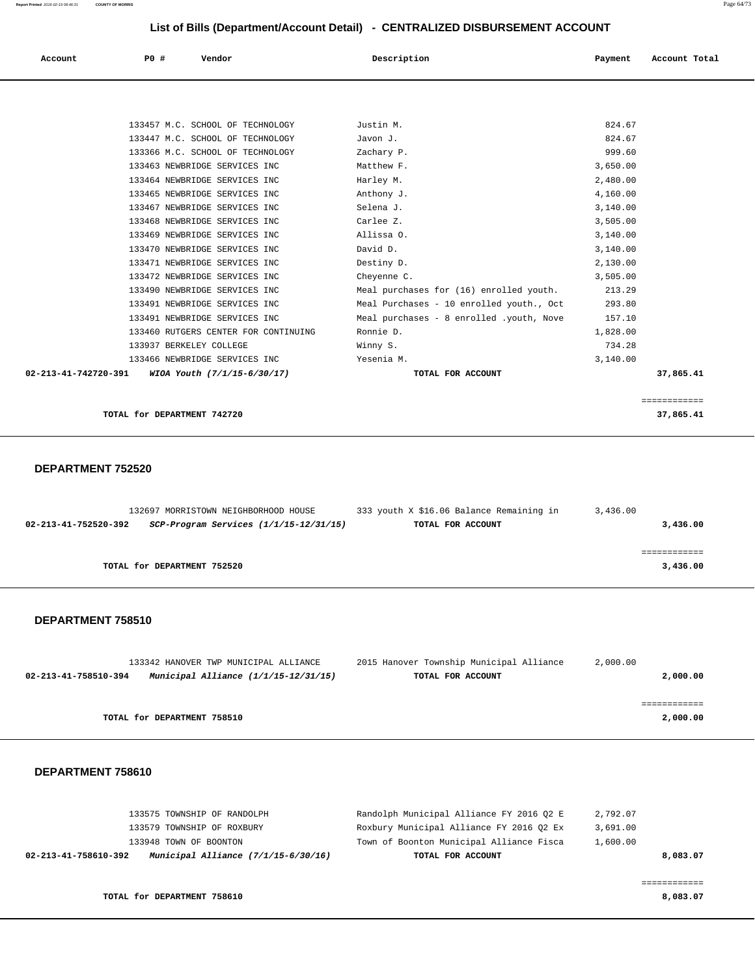| Account                        | PO#<br>Vendor                        | Description                              | Payment  | Account Total |
|--------------------------------|--------------------------------------|------------------------------------------|----------|---------------|
|                                |                                      |                                          |          |               |
|                                |                                      |                                          |          |               |
|                                | 133457 M.C. SCHOOL OF TECHNOLOGY     | Justin M.                                | 824.67   |               |
|                                | 133447 M.C. SCHOOL OF TECHNOLOGY     | Javon J.                                 | 824.67   |               |
|                                | 133366 M.C. SCHOOL OF TECHNOLOGY     | Zachary P.                               | 999.60   |               |
|                                | 133463 NEWBRIDGE SERVICES INC        | Matthew F.                               | 3,650.00 |               |
|                                | 133464 NEWBRIDGE SERVICES INC        | Harley M.                                | 2,480.00 |               |
|                                | 133465 NEWBRIDGE SERVICES INC        | Anthony J.                               | 4,160.00 |               |
|                                | 133467 NEWBRIDGE SERVICES INC        | Selena J.                                | 3,140.00 |               |
|                                | 133468 NEWBRIDGE SERVICES INC        | Carlee Z.                                | 3,505.00 |               |
|                                | 133469 NEWBRIDGE SERVICES INC        | Allissa O.                               | 3,140.00 |               |
|                                | 133470 NEWBRIDGE SERVICES INC        | David D.                                 | 3,140.00 |               |
|                                | 133471 NEWBRIDGE SERVICES INC        | Destiny D.                               | 2,130.00 |               |
|                                | 133472 NEWBRIDGE SERVICES INC        | Cheyenne C.                              | 3,505.00 |               |
|                                | 133490 NEWBRIDGE SERVICES INC        | Meal purchases for (16) enrolled youth.  | 213.29   |               |
|                                | 133491 NEWBRIDGE SERVICES INC        | Meal Purchases - 10 enrolled youth., Oct | 293.80   |               |
|                                | 133491 NEWBRIDGE SERVICES INC        | Meal purchases - 8 enrolled .youth, Nove | 157.10   |               |
|                                | 133460 RUTGERS CENTER FOR CONTINUING | Ronnie D.                                | 1,828.00 |               |
|                                | 133937 BERKELEY COLLEGE              | Winny S.                                 | 734.28   |               |
|                                | 133466 NEWBRIDGE SERVICES INC        | Yesenia M.                               | 3,140.00 |               |
| $02 - 213 - 41 - 742720 - 391$ | WIOA Youth (7/1/15-6/30/17)          | TOTAL FOR ACCOUNT                        |          | 37,865.41     |

**TOTAL for DEPARTMENT 742720** 37,865.41

#### **DEPARTMENT 752520**

|          | 3,436.00 | 333 youth X \$16.06 Balance Remaining in | 132697 MORRISTOWN NEIGHBORHOOD HOUSE       |                      |
|----------|----------|------------------------------------------|--------------------------------------------|----------------------|
| 3,436.00 |          | TOTAL FOR ACCOUNT                        | $SCP-Program$ Services $(1/1/15-12/31/15)$ | 02-213-41-752520-392 |
|          |          |                                          |                                            |                      |
|          |          |                                          |                                            |                      |
| 3,436.00 |          |                                          | TOTAL for DEPARTMENT 752520                |                      |
|          |          |                                          |                                            |                      |
|          |          |                                          |                                            |                      |

============

#### **DEPARTMENT 758510**

|                      | 133342 HANOVER TWP MUNICIPAL ALLIANCE  | 2015 Hanover Township Municipal Alliance | 2,000.00 |
|----------------------|----------------------------------------|------------------------------------------|----------|
| 02-213-41-758510-394 | Municipal Alliance $(1/1/15-12/31/15)$ | TOTAL FOR ACCOUNT                        | 2,000.00 |
|                      |                                        |                                          |          |
|                      |                                        |                                          |          |
|                      | TOTAL for DEPARTMENT 758510            |                                          | 2,000.00 |

#### **DEPARTMENT 758610**

| 133575 TOWNSHIP OF RANDOLPH                                   | Randolph Municipal Alliance FY 2016 O2 E | 2,792.07 |
|---------------------------------------------------------------|------------------------------------------|----------|
| 133579 TOWNSHIP OF ROXBURY                                    | Roxbury Municipal Alliance FY 2016 02 Ex | 3,691.00 |
| 133948 TOWN OF BOONTON                                        | Town of Boonton Municipal Alliance Fisca | 1,600.00 |
| Municipal Alliance $(7/1/15-6/30/16)$<br>02-213-41-758610-392 | TOTAL FOR ACCOUNT                        | 8,083.07 |
|                                                               |                                          |          |

**TOTAL for DEPARTMENT 758610 8,083.07**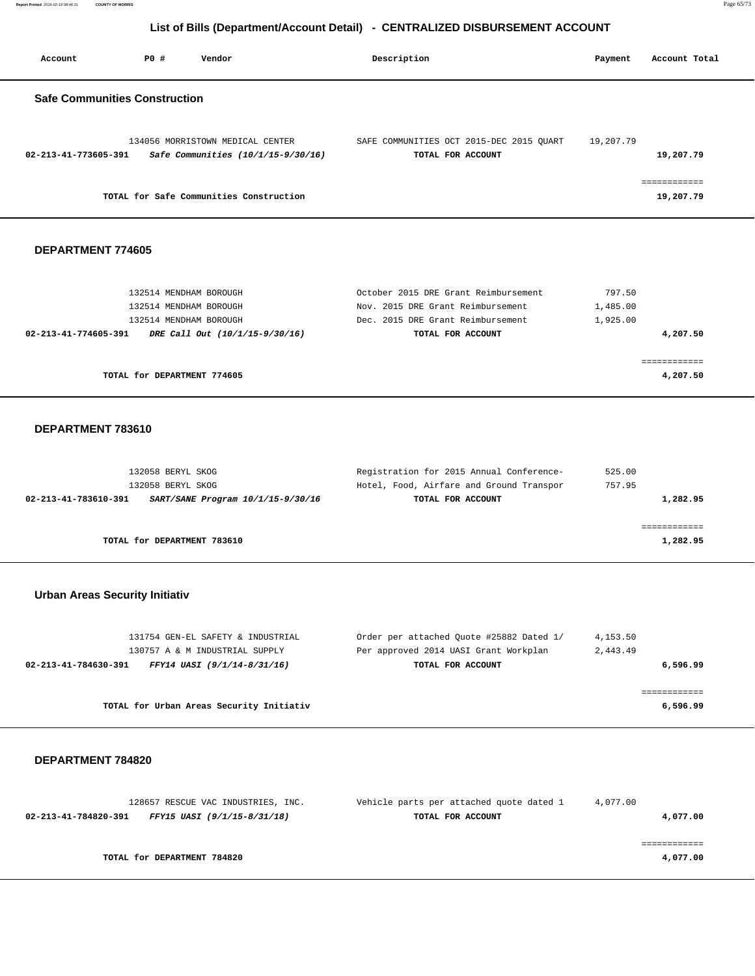**Report Printed** 2016-02-19 08:46:31 **COUNTY OF MORRIS** Page 65/73

# **List of Bills (Department/Account Detail) - CENTRALIZED DISBURSEMENT ACCOUNT**

| Account                              | PO# | Vendor                                                                 | Description |                                                               | Payment   | Account Total |
|--------------------------------------|-----|------------------------------------------------------------------------|-------------|---------------------------------------------------------------|-----------|---------------|
| <b>Safe Communities Construction</b> |     |                                                                        |             |                                                               |           |               |
| 02-213-41-773605-391                 |     | 134056 MORRISTOWN MEDICAL CENTER<br>Safe Communities (10/1/15-9/30/16) |             | SAFE COMMUNITIES OCT 2015-DEC 2015 QUART<br>TOTAL FOR ACCOUNT | 19,207.79 | 19,207.79     |
|                                      |     | TOTAL for Safe Communities Construction                                |             |                                                               |           | 19,207.79     |

#### **DEPARTMENT 774605**

| 132514 MENDHAM BOROUGH                                 | October 2015 DRE Grant Reimbursement | 797.50   |
|--------------------------------------------------------|--------------------------------------|----------|
| 132514 MENDHAM BOROUGH                                 | Nov. 2015 DRE Grant Reimbursement    | 1,485.00 |
| 132514 MENDHAM BOROUGH                                 | Dec. 2015 DRE Grant Reimbursement    | 1,925.00 |
| DRE Call Out (10/1/15-9/30/16)<br>02-213-41-774605-391 | TOTAL FOR ACCOUNT                    | 4,207.50 |
|                                                        |                                      |          |
|                                                        |                                      |          |
| TOTAL for DEPARTMENT 774605                            |                                      | 4,207.50 |

#### **DEPARTMENT 783610**

| 132058 BERYL SKOG                                         | Registration for 2015 Annual Conference- | 525.00   |
|-----------------------------------------------------------|------------------------------------------|----------|
| 132058 BERYL SKOG                                         | Hotel, Food, Airfare and Ground Transpor | 757.95   |
| 02-213-41-783610-391<br>SART/SANE Program 10/1/15-9/30/16 | TOTAL FOR ACCOUNT                        | 1,282.95 |
|                                                           |                                          |          |
|                                                           |                                          |          |
| TOTAL for DEPARTMENT 783610                               |                                          | 1,282.95 |

### **Urban Areas Security Initiativ**

| 131754 GEN-EL SAFETY & INDUSTRIAL                   | Order per attached Quote #25882 Dated 1/ | 4,153.50 |
|-----------------------------------------------------|------------------------------------------|----------|
| 130757 A & M INDUSTRIAL SUPPLY                      | Per approved 2014 UASI Grant Workplan    | 2,443.49 |
| FFY14 UASI (9/1/14-8/31/16)<br>02-213-41-784630-391 | TOTAL FOR ACCOUNT                        | 6,596.99 |
|                                                     |                                          |          |
|                                                     |                                          |          |
| TOTAL for Urban Areas Security Initiativ            |                                          | 6,596.99 |

| 128657 RESCUE VAC INDUSTRIES, INC.                  | Vehicle parts per attached quote dated 1 | 4,077.00 |
|-----------------------------------------------------|------------------------------------------|----------|
| 02-213-41-784820-391<br>FFY15 UASI (9/1/15-8/31/18) | TOTAL FOR ACCOUNT                        | 4,077.00 |
|                                                     |                                          |          |
|                                                     |                                          |          |
| TOTAL for DEPARTMENT 784820                         |                                          | 4,077.00 |
|                                                     |                                          |          |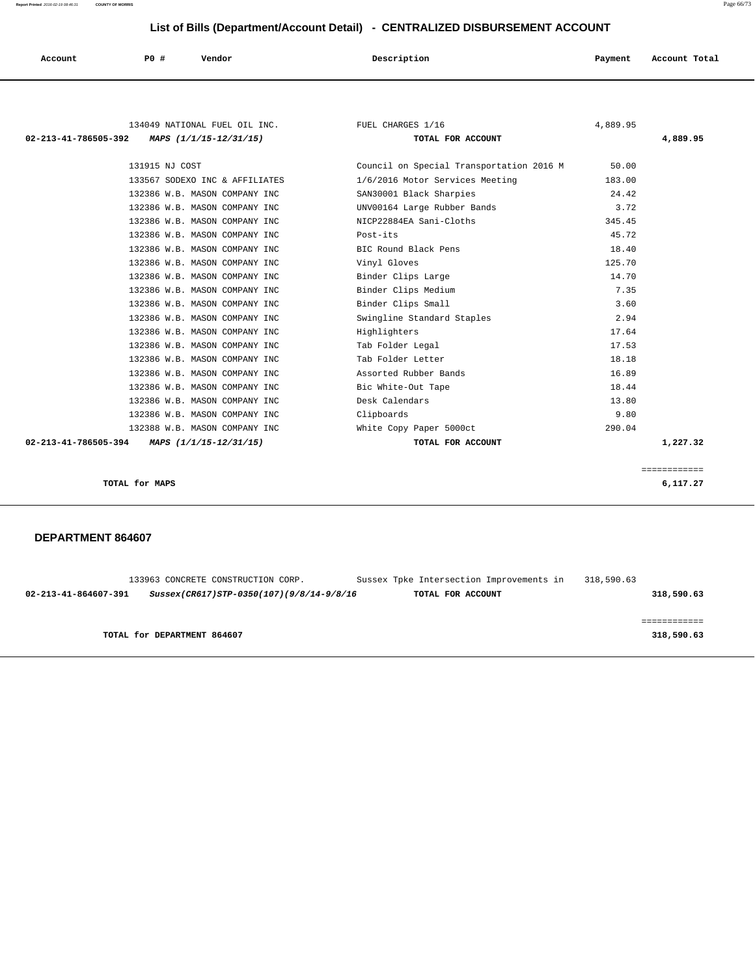| Account | P0 # | Vendor | Description | Payment | Account Total |
|---------|------|--------|-------------|---------|---------------|
|         |      |        |             |         |               |

| 134049 NATIONAL FUEL OIL INC.<br>MAPS (1/1/15-12/31/15)<br>02-213-41-786505-392 | FUEL CHARGES 1/16<br>TOTAL FOR ACCOUNT   | 4,889.95 | 4,889.95                 |
|---------------------------------------------------------------------------------|------------------------------------------|----------|--------------------------|
| 131915 NJ COST                                                                  | Council on Special Transportation 2016 M | 50.00    |                          |
| 133567 SODEXO INC & AFFILIATES                                                  | 1/6/2016 Motor Services Meeting          | 183.00   |                          |
| 132386 W.B. MASON COMPANY INC                                                   | SAN30001 Black Sharpies                  | 24.42    |                          |
| 132386 W.B. MASON COMPANY INC                                                   | UNV00164 Large Rubber Bands              | 3.72     |                          |
| 132386 W.B. MASON COMPANY INC                                                   | NICP22884EA Sani-Cloths                  | 345.45   |                          |
| 132386 W.B. MASON COMPANY INC                                                   | Post-its                                 | 45.72    |                          |
| 132386 W.B. MASON COMPANY INC                                                   | BIC Round Black Pens                     | 18.40    |                          |
| 132386 W.B. MASON COMPANY INC                                                   | Vinyl Gloves                             | 125.70   |                          |
| 132386 W.B. MASON COMPANY INC                                                   | Binder Clips Large                       | 14.70    |                          |
| 132386 W.B. MASON COMPANY INC                                                   | Binder Clips Medium                      | 7.35     |                          |
| 132386 W.B. MASON COMPANY INC                                                   | Binder Clips Small                       | 3.60     |                          |
| 132386 W.B. MASON COMPANY INC                                                   | Swingline Standard Staples               | 2.94     |                          |
| 132386 W.B. MASON COMPANY INC                                                   | Highlighters                             | 17.64    |                          |
| 132386 W.B. MASON COMPANY INC                                                   | Tab Folder Legal                         | 17.53    |                          |
| 132386 W.B. MASON COMPANY INC                                                   | Tab Folder Letter                        | 18.18    |                          |
|                                                                                 |                                          |          |                          |
| 132386 W.B. MASON COMPANY INC                                                   | Assorted Rubber Bands                    | 16.89    |                          |
| 132386 W.B. MASON COMPANY INC                                                   | Bic White-Out Tape                       | 18.44    |                          |
| 132386 W.B. MASON COMPANY INC                                                   | Desk Calendars                           | 13.80    |                          |
| 132386 W.B. MASON COMPANY INC                                                   | Clipboards                               | 9.80     |                          |
| 132388 W.B. MASON COMPANY INC                                                   | White Copy Paper 5000ct                  | 290.04   |                          |
| 02-213-41-786505-394<br>MAPS (1/1/15-12/31/15)                                  | TOTAL FOR ACCOUNT                        |          | 1,227.32                 |
|                                                                                 |                                          |          |                          |
| TOTAL for MAPS                                                                  |                                          |          | ============<br>6,117.27 |

| 133963 CONCRETE CONSTRUCTION CORP.                               | Sussex Tpke Intersection Improvements in | 318,590.63 |
|------------------------------------------------------------------|------------------------------------------|------------|
| 02-213-41-864607-391<br>Sussex(CR617)STP-0350(107)(9/8/14-9/8/16 | TOTAL FOR ACCOUNT                        | 318,590.63 |
|                                                                  |                                          |            |
|                                                                  |                                          |            |
| TOTAL for DEPARTMENT 864607                                      |                                          | 318,590.63 |
|                                                                  |                                          |            |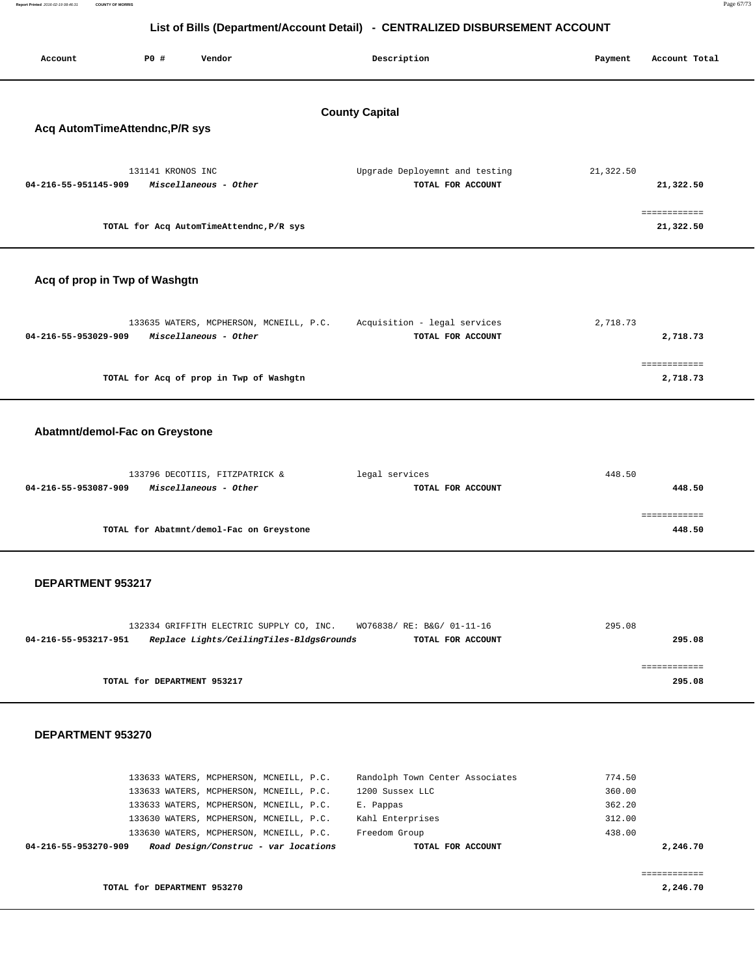| Report Printed 2016-02-19 08:46:31 | <b>COUNTY OF MORRIS</b> |                   |                                          |                                                                              |           | Page 67/73    |
|------------------------------------|-------------------------|-------------------|------------------------------------------|------------------------------------------------------------------------------|-----------|---------------|
|                                    |                         |                   |                                          |                                                                              |           |               |
|                                    |                         |                   |                                          | List of Bills (Department/Account Detail) - CENTRALIZED DISBURSEMENT ACCOUNT |           |               |
| Account                            |                         | <b>PO #</b>       | Vendor                                   | Description                                                                  | Payment   | Account Total |
|                                    |                         |                   |                                          |                                                                              |           |               |
|                                    |                         |                   |                                          |                                                                              |           |               |
|                                    |                         |                   |                                          | <b>County Capital</b>                                                        |           |               |
| Acq AutomTimeAttendnc, P/R sys     |                         |                   |                                          |                                                                              |           |               |
|                                    |                         |                   |                                          |                                                                              |           |               |
|                                    |                         | 131141 KRONOS INC |                                          | Upgrade Deployemnt and testing                                               | 21,322.50 |               |
| 04-216-55-951145-909               |                         |                   | Miscellaneous - Other                    | TOTAL FOR ACCOUNT                                                            |           | 21,322.50     |
|                                    |                         |                   |                                          |                                                                              |           | ============  |
|                                    |                         |                   | TOTAL for Acq AutomTimeAttendnc, P/R sys |                                                                              |           | 21,322.50     |
|                                    |                         |                   |                                          |                                                                              |           |               |
|                                    |                         |                   |                                          |                                                                              |           |               |
| Acq of prop in Twp of Washgtn      |                         |                   |                                          |                                                                              |           |               |
|                                    |                         |                   |                                          |                                                                              |           |               |
|                                    |                         |                   | 133635 WATERS, MCPHERSON, MCNEILL, P.C.  | Acquisition - legal services                                                 | 2,718.73  |               |

| 2,718.73 | TOTAL FOR ACCOUNT | Miscellaneous - Other<br>04-216-55-953029-909 |
|----------|-------------------|-----------------------------------------------|
|          |                   |                                               |
|          |                   |                                               |
| 2,718.73 |                   | TOTAL for Acq of prop in Twp of Washgtn       |
|          |                   |                                               |

# **Abatmnt/demol-Fac on Greystone**

| 133796 DECOTIIS, FITZPATRICK &                | legal services    | 448.50 |
|-----------------------------------------------|-------------------|--------|
| 04-216-55-953087-909<br>Miscellaneous - Other | TOTAL FOR ACCOUNT | 448.50 |
|                                               |                   |        |
|                                               |                   |        |
| TOTAL for Abatmnt/demol-Fac on Greystone      |                   | 448.50 |
|                                               |                   |        |

#### **DEPARTMENT 953217**

|                      | 132334 GRIFFITH ELECTRIC SUPPLY CO, INC. | WO76838/ RE: B&G/ 01-11-16 | 295.08 |
|----------------------|------------------------------------------|----------------------------|--------|
| 04-216-55-953217-951 | Replace Lights/CeilingTiles-BldgsGrounds | TOTAL FOR ACCOUNT          | 295.08 |
|                      |                                          |                            |        |
|                      |                                          |                            |        |
|                      | TOTAL for DEPARTMENT 953217              |                            | 295.08 |
|                      |                                          |                            |        |

| 04-216-55-953270-909 |  | Road Design/Construc - var locations    | TOTAL FOR ACCOUNT               |        | 2,246.70 |
|----------------------|--|-----------------------------------------|---------------------------------|--------|----------|
|                      |  | 133630 WATERS, MCPHERSON, MCNEILL, P.C. | Freedom Group                   | 438.00 |          |
|                      |  | 133630 WATERS, MCPHERSON, MCNEILL, P.C. | Kahl Enterprises                | 312.00 |          |
|                      |  |                                         |                                 |        |          |
|                      |  | 133633 WATERS, MCPHERSON, MCNEILL, P.C. | E. Pappas                       | 362.20 |          |
|                      |  | 133633 WATERS, MCPHERSON, MCNEILL, P.C. | 1200 Sussex LLC                 | 360.00 |          |
|                      |  | 133633 WATERS, MCPHERSON, MCNEILL, P.C. | Randolph Town Center Associates | 774.50 |          |
|                      |  |                                         |                                 |        |          |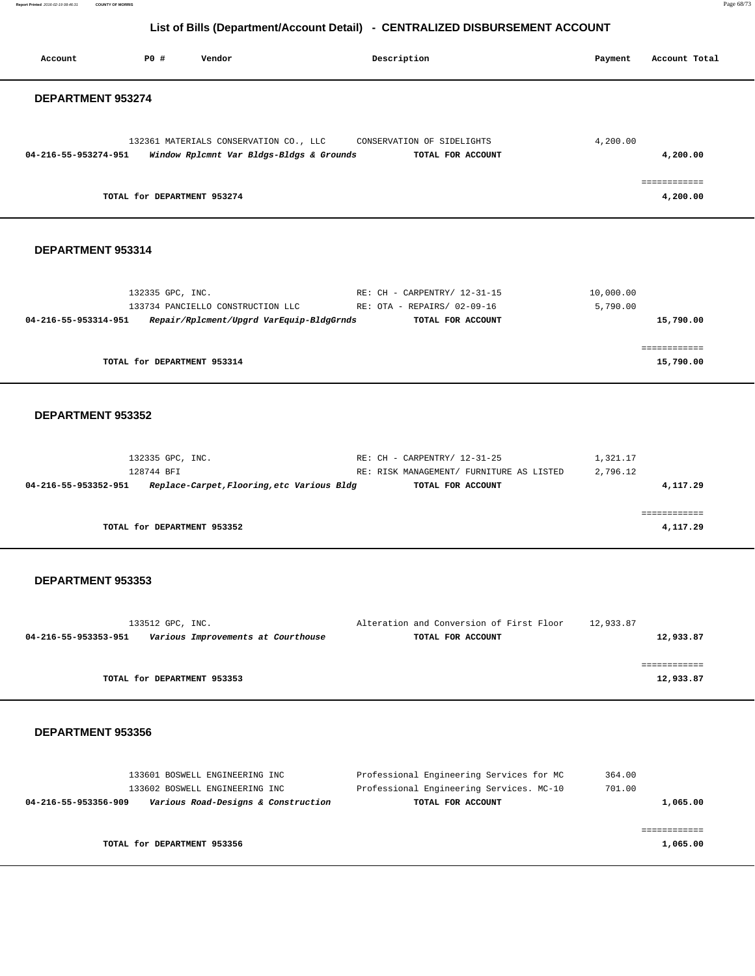**Report Printed** 2016-02-19 08:46:31 **COUNTY OF MORRIS** Page 68/73

# **List of Bills (Department/Account Detail) - CENTRALIZED DISBURSEMENT ACCOUNT**

Account **PO #** Vendor **Description Description Payment** Account Total

| 132361 MATERIALS CONSERVATION CO., LLC<br>CONSERVATION OF SIDELIGHTS<br>04-216-55-953274-951<br>Window Rplcmnt Var Bldgs-Bldgs & Grounds<br>TOTAL FOR ACCOUNT                                                                                | 4,200.00              | 4,200.00                  |
|----------------------------------------------------------------------------------------------------------------------------------------------------------------------------------------------------------------------------------------------|-----------------------|---------------------------|
| TOTAL for DEPARTMENT 953274                                                                                                                                                                                                                  |                       | ============<br>4,200.00  |
| DEPARTMENT 953314                                                                                                                                                                                                                            |                       |                           |
| RE: CH - CARPENTRY/ 12-31-15<br>132335 GPC, INC.<br>133734 PANCIELLO CONSTRUCTION LLC<br>RE: OTA - REPAIRS/ 02-09-16<br>Repair/Rplcment/Upgrd VarEquip-BldgGrnds<br>04-216-55-953314-951<br>TOTAL FOR ACCOUNT                                | 10,000.00<br>5,790.00 | 15,790.00                 |
| TOTAL for DEPARTMENT 953314                                                                                                                                                                                                                  |                       | ============<br>15,790.00 |
| DEPARTMENT 953352                                                                                                                                                                                                                            |                       |                           |
| 132335 GPC, INC.<br>RE: CH - CARPENTRY/ 12-31-25<br>128744 BFI<br>RE: RISK MANAGEMENT/ FURNITURE AS LISTED<br>04-216-55-953352-951 Replace-Carpet, Flooring, etc Various Bldg<br>TOTAL FOR ACCOUNT                                           | 1,321.17<br>2,796.12  | 4,117.29                  |
| TOTAL for DEPARTMENT 953352                                                                                                                                                                                                                  |                       | ============<br>4,117.29  |
| DEPARTMENT 953353                                                                                                                                                                                                                            |                       |                           |
| 133512 GPC, INC.<br>Alteration and Conversion of First Floor 12,933.87<br>Various Improvements at Courthouse<br>TOTAL FOR ACCOUNT<br>04-216-55-953353-951                                                                                    |                       | 12,933.87                 |
| TOTAL for DEPARTMENT 953353                                                                                                                                                                                                                  |                       | ============<br>12,933.87 |
| DEPARTMENT 953356                                                                                                                                                                                                                            |                       |                           |
| Professional Engineering Services for MC<br>133601 BOSWELL ENGINEERING INC<br>Professional Engineering Services. MC-10<br>133602 BOSWELL ENGINEERING INC<br>Various Road-Designs & Construction<br>TOTAL FOR ACCOUNT<br>04-216-55-953356-909 | 364.00<br>701.00      | 1,065.00                  |
|                                                                                                                                                                                                                                              |                       | ============              |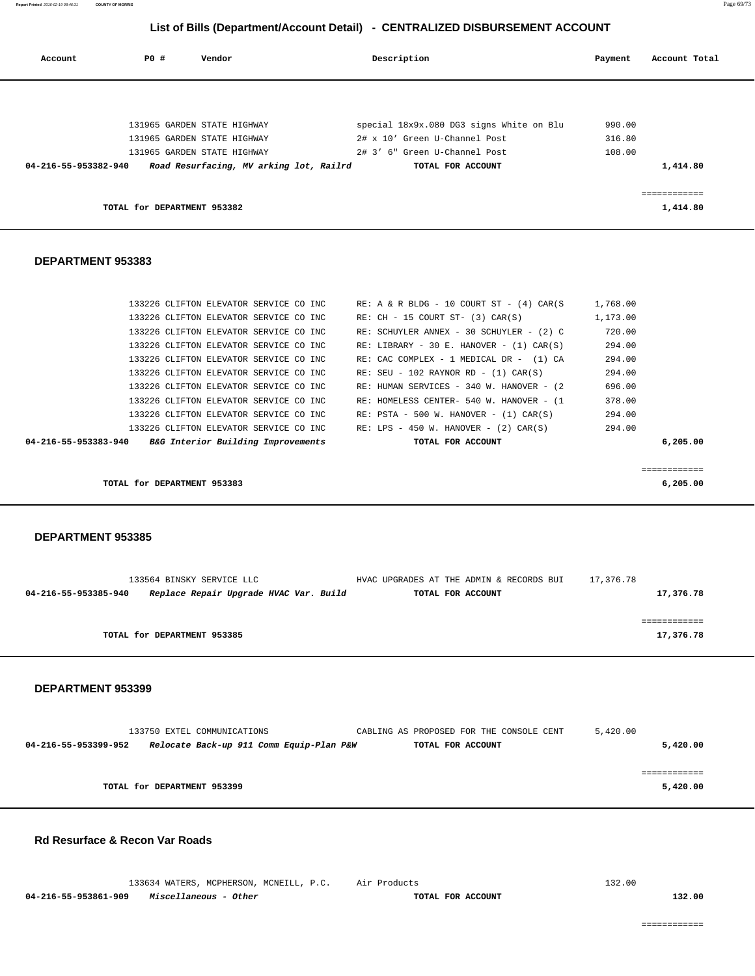============

| 133634 WATERS, MCPHERSON, MCNEILL, P.C. Air Products | .<br>$- -$<br>. | ________________________ |        |
|------------------------------------------------------|-----------------|--------------------------|--------|
|                                                      |                 |                          | .32.00 |

| <b>Rd Resurface &amp; Recon Var Roads</b> |  |  |
|-------------------------------------------|--|--|

|                      | 133750 EXTEL COMMUNICATIONS              | CABLING AS PROPOSED FOR THE CONSOLE CENT | 5,420.00 |
|----------------------|------------------------------------------|------------------------------------------|----------|
| 04-216-55-953399-952 | Relocate Back-up 911 Comm Equip-Plan P&W | TOTAL FOR ACCOUNT                        | 5,420.00 |
|                      |                                          |                                          |          |
|                      |                                          |                                          |          |
|                      | TOTAL for DEPARTMENT 953399              |                                          | 5,420.00 |
|                      |                                          |                                          |          |

#### **DEPARTMENT 953399**

| 04-216-55-953385-940 | Replace Repair Upgrade HVAC Var. Build | TOTAL FOR ACCOUNT | 17,376.78 |
|----------------------|----------------------------------------|-------------------|-----------|
|                      |                                        |                   |           |
|                      |                                        |                   |           |
|                      |                                        |                   |           |
|                      | TOTAL for DEPARTMENT 953385            |                   | 17,376.78 |
|                      |                                        |                   |           |
|                      |                                        |                   |           |

133564 BINSKY SERVICE LLC HVAC UPGRADES AT THE ADMIN & RECORDS BUI 17,376.78

#### **DEPARTMENT 953385**

| TOTAL for DEPARTMENT 953383                                |                                               | 6,205,00 |
|------------------------------------------------------------|-----------------------------------------------|----------|
|                                                            |                                               |          |
| B&G Interior Building Improvements<br>04-216-55-953383-940 | TOTAL FOR ACCOUNT                             | 6,205,00 |
| 133226 CLIFTON ELEVATOR SERVICE CO INC                     | RE: LPS - 450 W. HANOVER - $(2)$ CAR $(S)$    | 294.00   |
| 133226 CLIFTON ELEVATOR SERVICE CO INC                     | $RE: PSTA - 500 W. HANOVER - (1) CAR(S)$      | 294.00   |
| 133226 CLIFTON ELEVATOR SERVICE CO INC                     | RE: HOMELESS CENTER- 540 W. HANOVER - (1      | 378.00   |
| 133226 CLIFTON ELEVATOR SERVICE CO INC                     | RE: HUMAN SERVICES - 340 W. HANOVER - (2)     | 696.00   |
| 133226 CLIFTON ELEVATOR SERVICE CO INC                     | $RE: SEU - 102 RAYNOR RD - (1) CAR(S)$        | 294.00   |
| 133226 CLIFTON ELEVATOR SERVICE CO INC                     | RE: CAC COMPLEX - 1 MEDICAL DR - (1) CA       | 294.00   |
| 133226 CLIFTON ELEVATOR SERVICE CO INC.                    | RE: LIBRARY - 30 E. HANOVER - $(1)$ CAR $(S)$ | 294.00   |

#### **DEPARTMENT 953383**

| Account              | PO#                         | Vendor                                  | Description                              | Payment | Account Total |
|----------------------|-----------------------------|-----------------------------------------|------------------------------------------|---------|---------------|
|                      |                             |                                         |                                          |         |               |
|                      |                             | 131965 GARDEN STATE HIGHWAY             | special 18x9x.080 DG3 signs White on Blu | 990.00  |               |
|                      |                             | 131965 GARDEN STATE HIGHWAY             | 2# x 10' Green U-Channel Post            | 316.80  |               |
|                      |                             | 131965 GARDEN STATE HIGHWAY             | 2# 3' 6" Green U-Channel Post            | 108.00  |               |
| 04-216-55-953382-940 |                             | Road Resurfacing, MV arking lot, Railrd | TOTAL FOR ACCOUNT                        |         | 1,414.80      |
|                      |                             |                                         |                                          |         |               |
|                      | TOTAL for DEPARTMENT 953382 |                                         |                                          |         | 1,414.80      |
|                      |                             |                                         |                                          |         |               |

 133226 CLIFTON ELEVATOR SERVICE CO INC RE: A & R BLDG - 10 COURT ST - (4) CAR(S 1,768.00 133226 CLIFTON ELEVATOR SERVICE CO INC RE: CH - 15 COURT ST- (3) CAR(S) 1,173.00 133226 CLIFTON ELEVATOR SERVICE CO INC RE: SCHUYLER ANNEX - 30 SCHUYLER - (2) C 720.00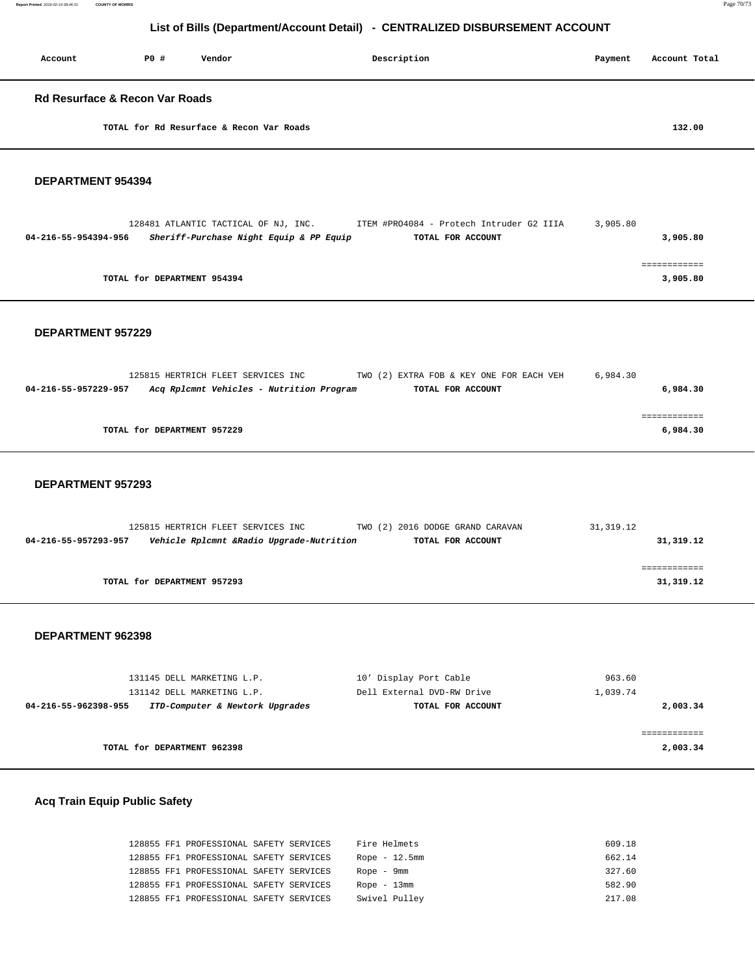**Report Printed** 2016-02-19 08:46:31 **COUNTY OF MORRIS** Page 70/73

# **List of Bills (Department/Account Detail) - CENTRALIZED DISBURSEMENT ACCOUNT**

| Account                                   | PO# | Vendor                                   | Description | Payment | Account Total |
|-------------------------------------------|-----|------------------------------------------|-------------|---------|---------------|
| <b>Rd Resurface &amp; Recon Var Roads</b> |     |                                          |             |         |               |
|                                           |     | TOTAL for Rd Resurface & Recon Var Roads |             |         | 132.00        |

#### **DEPARTMENT 954394**

|                      | 128481 ATLANTIC TACTICAL OF NJ, INC.    | ITEM #PRO4084 - Protech Intruder G2 IIIA | 3,905.80 |
|----------------------|-----------------------------------------|------------------------------------------|----------|
| 04-216-55-954394-956 | Sheriff-Purchase Night Equip & PP Equip | TOTAL FOR ACCOUNT                        | 3,905.80 |
|                      |                                         |                                          |          |
|                      |                                         |                                          |          |
|                      | TOTAL for DEPARTMENT 954394             |                                          | 3,905.80 |
|                      |                                         |                                          |          |

#### **DEPARTMENT 957229**

|                             | 125815 HERTRICH FLEET SERVICES INC       | TWO (2) EXTRA FOB & KEY ONE FOR EACH VEH | 6,984.30 |
|-----------------------------|------------------------------------------|------------------------------------------|----------|
| 04-216-55-957229-957        | Acq Rplcmnt Vehicles - Nutrition Program | TOTAL FOR ACCOUNT                        | 6,984.30 |
|                             |                                          |                                          |          |
|                             |                                          |                                          |          |
| TOTAL for DEPARTMENT 957229 |                                          |                                          | 6,984.30 |
|                             |                                          |                                          |          |

#### **DEPARTMENT 957293**

|                      | 125815 HERTRICH FLEET SERVICES INC       | TWO (2) 2016 DODGE GRAND CARAVAN | 31,319.12 |
|----------------------|------------------------------------------|----------------------------------|-----------|
| 04-216-55-957293-957 | Vehicle Rplcmnt &Radio Upgrade-Nutrition | TOTAL FOR ACCOUNT                | 31,319.12 |
|                      |                                          |                                  |           |
|                      |                                          |                                  |           |
|                      | TOTAL for DEPARTMENT 957293              |                                  | 31,319.12 |
|                      |                                          |                                  |           |

#### **DEPARTMENT 962398**

|                      | 131145 DELL MARKETING L.P.      | 10' Display Port Cable     | 963.60   |
|----------------------|---------------------------------|----------------------------|----------|
|                      | 131142 DELL MARKETING L.P.      | Dell External DVD-RW Drive | 1,039.74 |
| 04-216-55-962398-955 | ITD-Computer & Newtork Upgrades | TOTAL FOR ACCOUNT          | 2,003.34 |
|                      |                                 |                            |          |
|                      |                                 |                            |          |
|                      | TOTAL for DEPARTMENT 962398     |                            | 2,003.34 |
|                      |                                 |                            |          |

### **Acq Train Equip Public Safety**

|  | 128855 FF1 PROFESSIONAL SAFETY SERVICES |  | Fire Helmets    | 609.18 |
|--|-----------------------------------------|--|-----------------|--------|
|  | 128855 FF1 PROFESSIONAL SAFETY SERVICES |  | Rope $-12.5$ mm | 662.14 |
|  | 128855 FF1 PROFESSIONAL SAFETY SERVICES |  | Rope - 9mm      | 327.60 |
|  | 128855 FF1 PROFESSIONAL SAFETY SERVICES |  | Rope $-13$ mm   | 582.90 |
|  | 128855 FF1 PROFESSIONAL SAFETY SERVICES |  | Swivel Pulley   | 217.08 |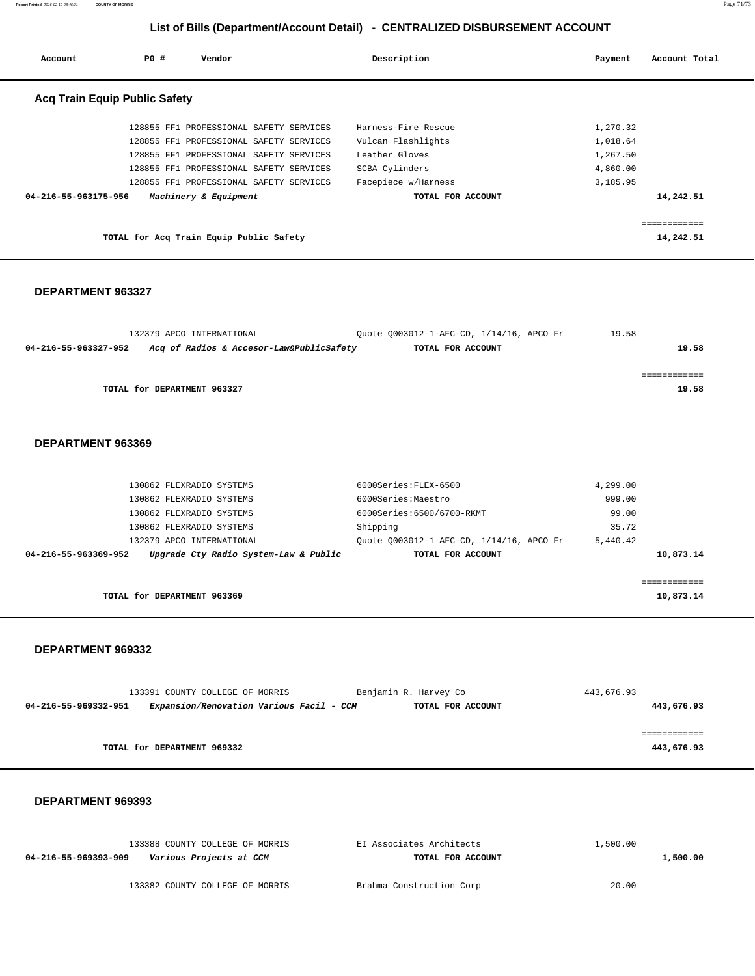**Report Printed** 2016-02-19 08:46:31 **COUNTY OF MORRIS** Page 71/73

# **List of Bills (Department/Account Detail) - CENTRALIZED DISBURSEMENT ACCOUNT**

| Account                              | PO# | Vendor                                  | Description         | Payment  | Account Total |
|--------------------------------------|-----|-----------------------------------------|---------------------|----------|---------------|
| <b>Acq Train Equip Public Safety</b> |     |                                         |                     |          |               |
|                                      |     | 128855 FF1 PROFESSIONAL SAFETY SERVICES | Harness-Fire Rescue | 1,270.32 |               |
|                                      |     | 128855 FF1 PROFESSIONAL SAFETY SERVICES | Vulcan Flashlights  | 1,018.64 |               |
|                                      |     | 128855 FF1 PROFESSIONAL SAFETY SERVICES | Leather Gloves      | 1,267.50 |               |
|                                      |     | 128855 FF1 PROFESSIONAL SAFETY SERVICES | SCBA Cylinders      | 4,860.00 |               |
|                                      |     | 128855 FF1 PROFESSIONAL SAFETY SERVICES | Facepiece w/Harness | 3,185.95 |               |
| 04-216-55-963175-956                 |     | Machinery & Equipment                   | TOTAL FOR ACCOUNT   |          | 14,242.51     |
|                                      |     |                                         |                     |          | ============  |
|                                      |     | TOTAL for Acq Train Equip Public Safety |                     |          | 14,242.51     |

#### **DEPARTMENT 963327**

| 132379 APCO INTERNATIONAL                                        | Ouote 0003012-1-AFC-CD, 1/14/16, APCO Fr | 19.58 |
|------------------------------------------------------------------|------------------------------------------|-------|
| Acq of Radios & Accesor-Law&PublicSafety<br>04-216-55-963327-952 | TOTAL FOR ACCOUNT                        | 19.58 |
|                                                                  |                                          |       |
|                                                                  |                                          |       |
| TOTAL for DEPARTMENT 963327                                      |                                          | 19.58 |

#### **DEPARTMENT 963369**

| 130862 FLEXRADIO SYSTEMS                                      | $6000$ Series: $FLRX-6500$               | 4,299.00 |           |
|---------------------------------------------------------------|------------------------------------------|----------|-----------|
| 130862 FLEXRADIO SYSTEMS                                      | 6000Series:Maestro                       | 999.00   |           |
| 130862 FLEXRADIO SYSTEMS                                      | 6000Series:6500/6700-RKMT                | 99.00    |           |
| 130862 FLEXRADIO SYSTEMS                                      | Shipping                                 | 35.72    |           |
| 132379 APCO INTERNATIONAL                                     | Ouote 0003012-1-AFC-CD, 1/14/16, APCO Fr | 5,440.42 |           |
| Upgrade Cty Radio System-Law & Public<br>04-216-55-963369-952 | TOTAL FOR ACCOUNT                        |          | 10,873.14 |
|                                                               |                                          |          |           |
|                                                               |                                          |          |           |
| TOTAL for DEPARTMENT 963369                                   |                                          |          | 10,873.14 |

#### **DEPARTMENT 969332**

| 133391 COUNTY COLLEGE OF MORRIS                                  | Benjamin R. Harvey Co | 443,676.93 |
|------------------------------------------------------------------|-----------------------|------------|
| Expansion/Renovation Various Facil - CCM<br>04-216-55-969332-951 | TOTAL FOR ACCOUNT     | 443,676.93 |
|                                                                  |                       |            |
|                                                                  |                       |            |
| TOTAL for DEPARTMENT 969332                                      |                       | 443,676.93 |

| 133388 COUNTY COLLEGE OF MORRIS                 | EI Associates Architects | 1,500.00 |
|-------------------------------------------------|--------------------------|----------|
| Various Projects at CCM<br>04-216-55-969393-909 | TOTAL FOR ACCOUNT        | 1,500.00 |
|                                                 |                          |          |
| 133382 COUNTY COLLEGE OF MORRIS                 | Brahma Construction Corp | 20.00    |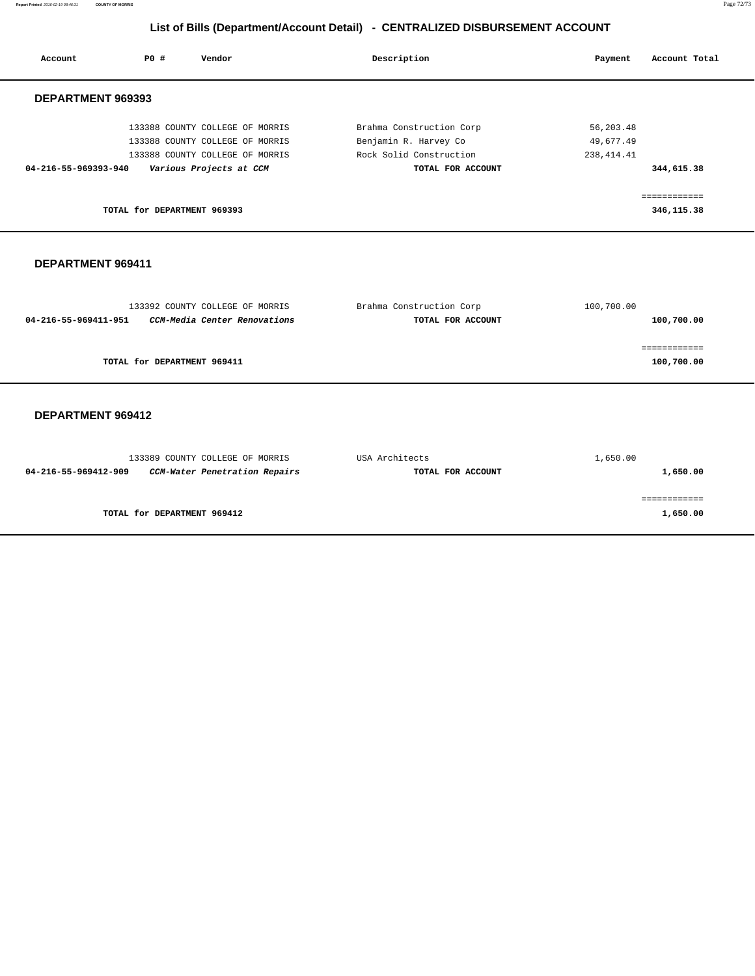**Report Printed** 2016-02-19 08:46:31 **COUNTY OF MORRIS** Page 72/73

# **List of Bills (Department/Account Detail) - CENTRALIZED DISBURSEMENT ACCOUNT**

| Account                  | PO#                         | Vendor                          | Description              | Account Total<br>Payment |  |
|--------------------------|-----------------------------|---------------------------------|--------------------------|--------------------------|--|
| <b>DEPARTMENT 969393</b> |                             |                                 |                          |                          |  |
|                          |                             | 133388 COUNTY COLLEGE OF MORRIS | Brahma Construction Corp | 56,203.48                |  |
|                          |                             | 133388 COUNTY COLLEGE OF MORRIS | Benjamin R. Harvey Co    | 49,677.49                |  |
|                          |                             | 133388 COUNTY COLLEGE OF MORRIS | Rock Solid Construction  | 238, 414.41              |  |
| 04-216-55-969393-940     |                             | Various Projects at CCM         | TOTAL FOR ACCOUNT        | 344,615.38               |  |
|                          |                             |                                 |                          | ------------             |  |
|                          | TOTAL for DEPARTMENT 969393 |                                 |                          | 346,115.38               |  |
|                          |                             |                                 |                          |                          |  |

### **DEPARTMENT 969411**

| 133392 COUNTY COLLEGE OF MORRIS                      | Brahma Construction Corp | 100,700.00 |
|------------------------------------------------------|--------------------------|------------|
| CCM-Media Center Renovations<br>04-216-55-969411-951 | TOTAL FOR ACCOUNT        | 100,700.00 |
|                                                      |                          |            |
|                                                      |                          |            |
| TOTAL for DEPARTMENT 969411                          |                          | 100,700.00 |
|                                                      |                          |            |

| 133389 COUNTY COLLEGE OF MORRIS                       | USA Architects    | 1,650.00 |
|-------------------------------------------------------|-------------------|----------|
| CCM-Water Penetration Repairs<br>04-216-55-969412-909 | TOTAL FOR ACCOUNT | 1,650.00 |
|                                                       |                   |          |
|                                                       |                   |          |
| TOTAL for DEPARTMENT 969412                           |                   | 1,650.00 |